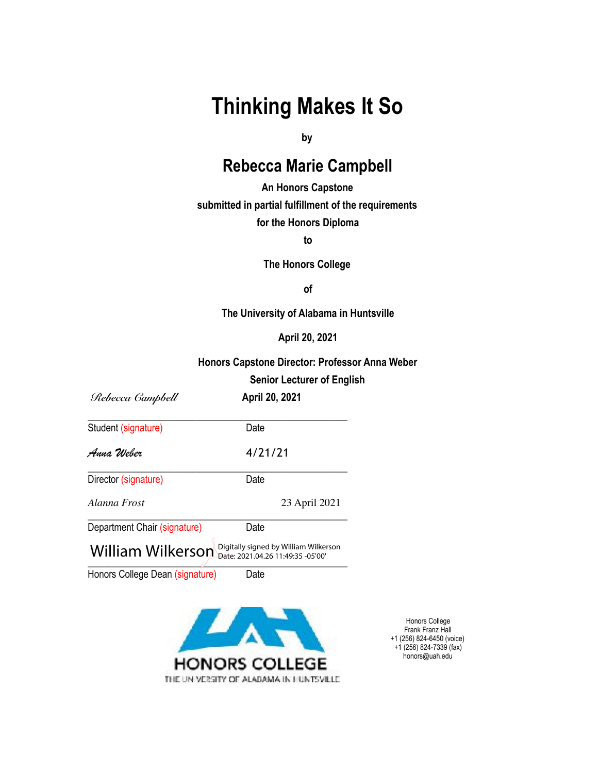# **Thinking Makes It So**

**by** 

# **Rebecca Marie Campbell**

**An Honors Capstone submitted in partial fulfillment of the requirements for the Honors Diploma**

**to** 

**The Honors College** 

**of** 

**The University of Alabama in Huntsville** 

**April 20, 2021**

## **Honors Capstone Director: Professor Anna Weber**

#### **Senior Lecturer of English**

 *Rebecca Campbell* **April 20, 2021** \_\_\_\_\_\_\_\_\_\_\_\_\_\_\_\_\_\_\_\_\_\_\_\_\_\_\_\_\_\_\_\_\_\_\_\_\_\_\_\_\_\_\_\_\_\_\_\_\_\_\_\_\_ Student (signature) Date *Anna Weber* 4/21/21 \_\_\_\_\_\_\_\_\_\_\_\_\_\_\_\_\_\_\_\_\_\_\_\_\_\_\_\_\_\_\_\_\_\_\_\_\_\_\_\_\_\_\_\_\_\_\_\_\_\_\_\_\_ Director (signature) Date *Alanna Frost* 23 April 2021 \_\_\_\_\_\_\_\_\_\_\_\_\_\_\_\_\_\_\_\_\_\_\_\_\_\_\_\_\_\_\_\_\_\_\_\_\_\_\_\_\_\_\_\_\_\_\_\_\_\_\_\_\_ Department Chair (signature) Date

 $\overline{\phantom{a}}$  $\textsf{William Willkerson}\xspace^{\textsf{Digitally signed by William Wilkerson}}_{\textsf{Date: } 2021.04.26\ 11:49:35\ -05'00' }$ 

Honors College Dean (signature) Date



Honors College Frank Franz Hall +1 (256) 824-6450 (voice) +1 (256) 824-7339 (fax) honors@uah.edu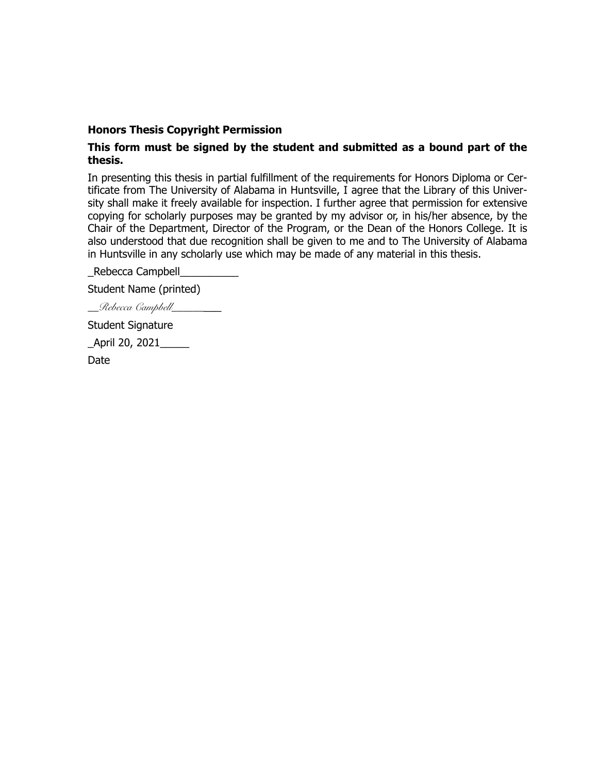#### **Honors Thesis Copyright Permission**

### **This form must be signed by the student and submitted as a bound part of the thesis.**

In presenting this thesis in partial fulfillment of the requirements for Honors Diploma or Certificate from The University of Alabama in Huntsville, I agree that the Library of this University shall make it freely available for inspection. I further agree that permission for extensive copying for scholarly purposes may be granted by my advisor or, in his/her absence, by the Chair of the Department, Director of the Program, or the Dean of the Honors College. It is also understood that due recognition shall be given to me and to The University of Alabama in Huntsville in any scholarly use which may be made of any material in this thesis.

\_Rebecca Campbell\_\_\_\_\_\_\_\_\_\_

Student Name (printed)

*\_\_Rebecca Campbell\_\_\_\_\_\_*\_\_\_

Student Signature

\_April 20, 2021\_\_\_\_\_

Date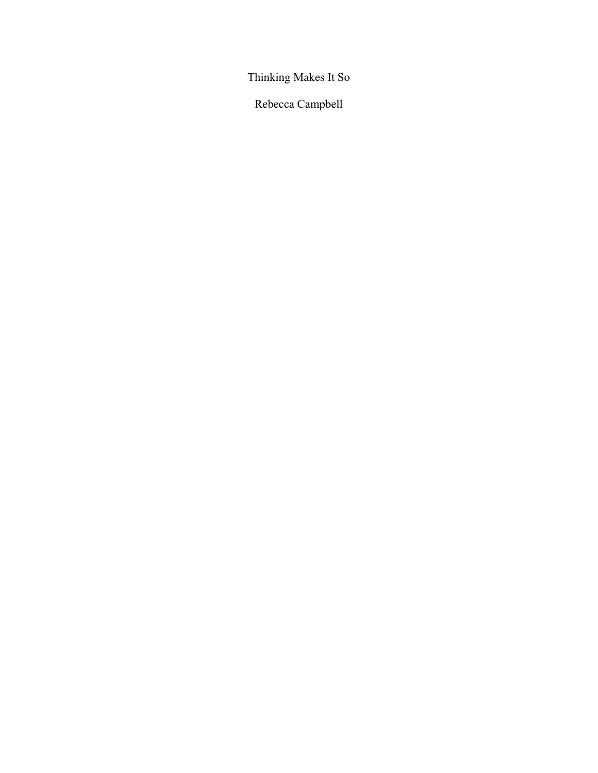Thinking Makes It So

Rebecca Campbell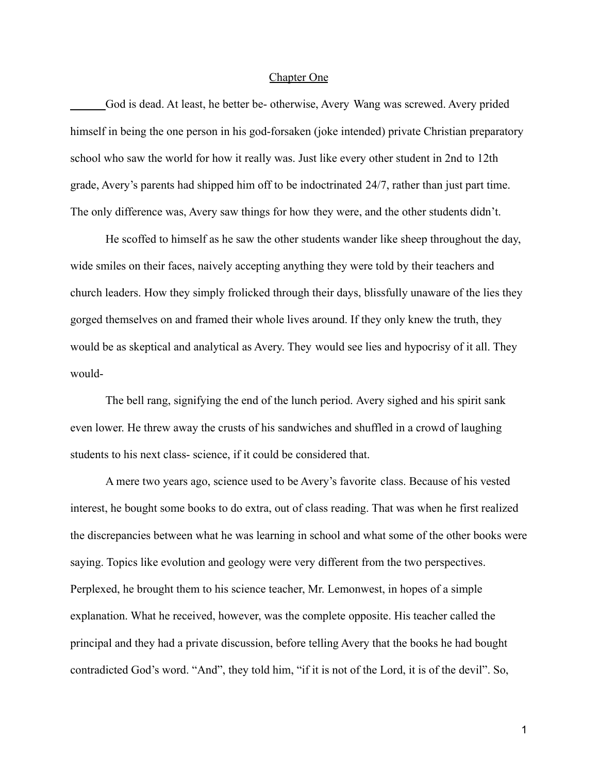#### Chapter One

God is dead. At least, he better be- otherwise, Avery Wang was screwed. Avery prided himself in being the one person in his god-forsaken (joke intended) private Christian preparatory school who saw the world for how it really was. Just like every other student in 2nd to 12th grade, Avery's parents had shipped him off to be indoctrinated 24/7, rather than just part time. The only difference was, Avery saw things for how they were, and the other students didn't.

He scoffed to himself as he saw the other students wander like sheep throughout the day, wide smiles on their faces, naively accepting anything they were told by their teachers and church leaders. How they simply frolicked through their days, blissfully unaware of the lies they gorged themselves on and framed their whole lives around. If they only knew the truth, they would be as skeptical and analytical as Avery. They would see lies and hypocrisy of it all. They would-

The bell rang, signifying the end of the lunch period. Avery sighed and his spirit sank even lower. He threw away the crusts of his sandwiches and shuffled in a crowd of laughing students to his next class- science, if it could be considered that.

A mere two years ago, science used to be Avery's favorite class. Because of his vested interest, he bought some books to do extra, out of class reading. That was when he first realized the discrepancies between what he was learning in school and what some of the other books were saying. Topics like evolution and geology were very different from the two perspectives. Perplexed, he brought them to his science teacher, Mr. Lemonwest, in hopes of a simple explanation. What he received, however, was the complete opposite. His teacher called the principal and they had a private discussion, before telling Avery that the books he had bought contradicted God's word. "And", they told him, "if it is not of the Lord, it is of the devil". So,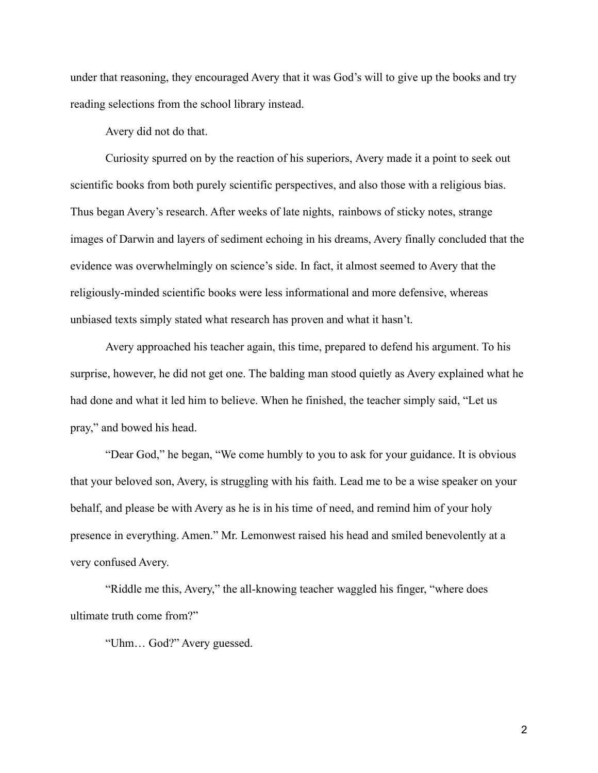under that reasoning, they encouraged Avery that it was God's will to give up the books and try reading selections from the school library instead.

Avery did not do that.

Curiosity spurred on by the reaction of his superiors, Avery made it a point to seek out scientific books from both purely scientific perspectives, and also those with a religious bias. Thus began Avery's research. After weeks of late nights, rainbows of sticky notes, strange images of Darwin and layers of sediment echoing in his dreams, Avery finally concluded that the evidence was overwhelmingly on science's side. In fact, it almost seemed to Avery that the religiously-minded scientific books were less informational and more defensive, whereas unbiased texts simply stated what research has proven and what it hasn't.

Avery approached his teacher again, this time, prepared to defend his argument. To his surprise, however, he did not get one. The balding man stood quietly as Avery explained what he had done and what it led him to believe. When he finished, the teacher simply said, "Let us pray," and bowed his head.

"Dear God," he began, "We come humbly to you to ask for your guidance. It is obvious that your beloved son, Avery, is struggling with his faith. Lead me to be a wise speaker on your behalf, and please be with Avery as he is in his time of need, and remind him of your holy presence in everything. Amen." Mr. Lemonwest raised his head and smiled benevolently at a very confused Avery.

"Riddle me this, Avery," the all-knowing teacher waggled his finger, "where does ultimate truth come from?"

"Uhm… God?" Avery guessed.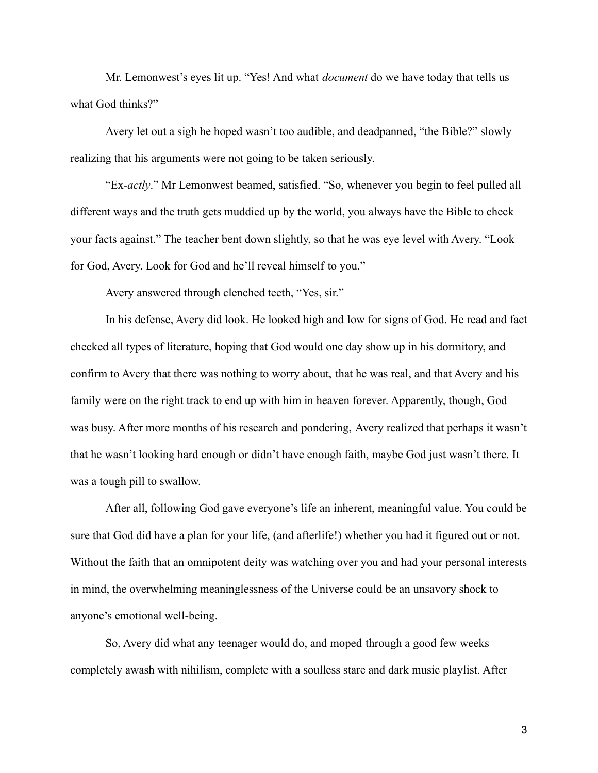Mr. Lemonwest's eyes lit up. "Yes! And what *document* do we have today that tells us what God thinks?"

Avery let out a sigh he hoped wasn't too audible, and deadpanned, "the Bible?" slowly realizing that his arguments were not going to be taken seriously.

"Ex-*actly*." Mr Lemonwest beamed, satisfied. "So, whenever you begin to feel pulled all different ways and the truth gets muddied up by the world, you always have the Bible to check your facts against." The teacher bent down slightly, so that he was eye level with Avery. "Look for God, Avery. Look for God and he'll reveal himself to you."

Avery answered through clenched teeth, "Yes, sir."

In his defense, Avery did look. He looked high and low for signs of God. He read and fact checked all types of literature, hoping that God would one day show up in his dormitory, and confirm to Avery that there was nothing to worry about, that he was real, and that Avery and his family were on the right track to end up with him in heaven forever. Apparently, though, God was busy. After more months of his research and pondering, Avery realized that perhaps it wasn't that he wasn't looking hard enough or didn't have enough faith, maybe God just wasn't there. It was a tough pill to swallow.

After all, following God gave everyone's life an inherent, meaningful value. You could be sure that God did have a plan for your life, (and afterlife!) whether you had it figured out or not. Without the faith that an omnipotent deity was watching over you and had your personal interests in mind, the overwhelming meaninglessness of the Universe could be an unsavory shock to anyone's emotional well-being.

So, Avery did what any teenager would do, and moped through a good few weeks completely awash with nihilism, complete with a soulless stare and dark music playlist. After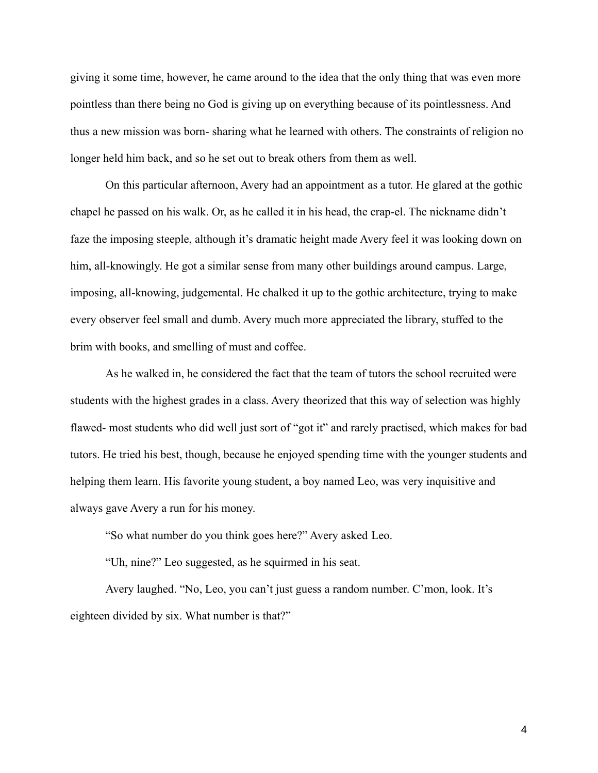giving it some time, however, he came around to the idea that the only thing that was even more pointless than there being no God is giving up on everything because of its pointlessness. And thus a new mission was born- sharing what he learned with others. The constraints of religion no longer held him back, and so he set out to break others from them as well.

On this particular afternoon, Avery had an appointment as a tutor. He glared at the gothic chapel he passed on his walk. Or, as he called it in his head, the crap-el. The nickname didn't faze the imposing steeple, although it's dramatic height made Avery feel it was looking down on him, all-knowingly. He got a similar sense from many other buildings around campus. Large, imposing, all-knowing, judgemental. He chalked it up to the gothic architecture, trying to make every observer feel small and dumb. Avery much more appreciated the library, stuffed to the brim with books, and smelling of must and coffee.

As he walked in, he considered the fact that the team of tutors the school recruited were students with the highest grades in a class. Avery theorized that this way of selection was highly flawed- most students who did well just sort of "got it" and rarely practised, which makes for bad tutors. He tried his best, though, because he enjoyed spending time with the younger students and helping them learn. His favorite young student, a boy named Leo, was very inquisitive and always gave Avery a run for his money.

"So what number do you think goes here?" Avery asked Leo.

"Uh, nine?" Leo suggested, as he squirmed in his seat.

Avery laughed. "No, Leo, you can't just guess a random number. C'mon, look. It's eighteen divided by six. What number is that?"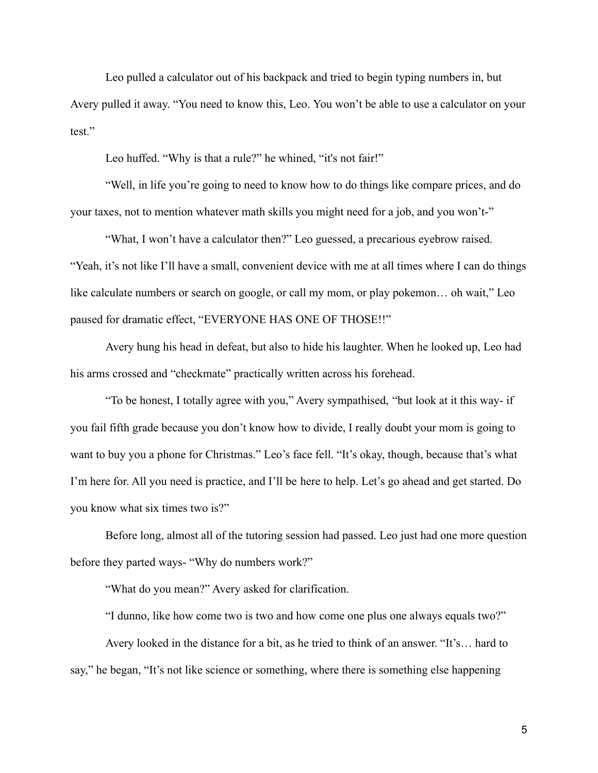Leo pulled a calculator out of his backpack and tried to begin typing numbers in, but Avery pulled it away. "You need to know this, Leo. You won't be able to use a calculator on your test."

Leo huffed. "Why is that a rule?" he whined, "it's not fair!"

"Well, in life you're going to need to know how to do things like compare prices, and do your taxes, not to mention whatever math skills you might need for a job, and you won't-"

"What, I won't have a calculator then?" Leo guessed, a precarious eyebrow raised. "Yeah, it's not like I'll have a small, convenient device with me at all times where I can do things like calculate numbers or search on google, or call my mom, or play pokemon... oh wait," Leo paused for dramatic effect, "EVERYONE HAS ONE OF THOSE!!"

Avery hung his head in defeat, but also to hide his laughter. When he looked up, Leo had his arms crossed and "checkmate" practically written across his forehead.

"To be honest, I totally agree with you," Avery sympathised, "but look at it this way- if you fail fifth grade because you don't know how to divide, I really doubt your mom is going to want to buy you a phone for Christmas." Leo's face fell. "It's okay, though, because that's what I'm here for. All you need is practice, and I'll be here to help. Let's go ahead and get started. Do you know what six times two is?"

Before long, almost all of the tutoring session had passed. Leo just had one more question before they parted ways- "Why do numbers work?"

"What do you mean?" Avery asked for clarification.

"I dunno, like how come two is two and how come one plus one always equals two?"

Avery looked in the distance for a bit, as he tried to think of an answer. "It's… hard to say," he began, "It's not like science or something, where there is something else happening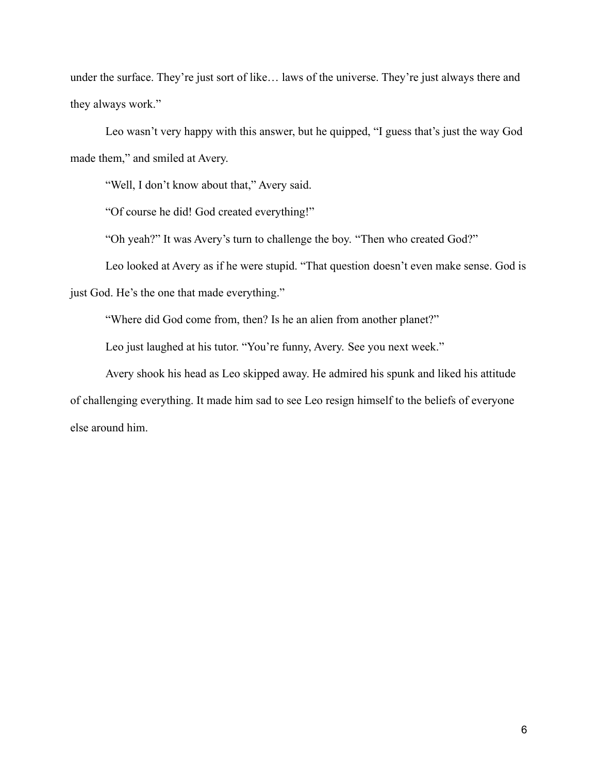under the surface. They're just sort of like… laws of the universe. They're just always there and they always work."

Leo wasn't very happy with this answer, but he quipped, "I guess that's just the way God made them," and smiled at Avery.

"Well, I don't know about that," Avery said.

"Of course he did! God created everything!"

"Oh yeah?" It was Avery's turn to challenge the boy. "Then who created God?"

Leo looked at Avery as if he were stupid. "That question doesn't even make sense. God is just God. He's the one that made everything."

"Where did God come from, then? Is he an alien from another planet?"

Leo just laughed at his tutor. "You're funny, Avery. See you next week."

Avery shook his head as Leo skipped away. He admired his spunk and liked his attitude of challenging everything. It made him sad to see Leo resign himself to the beliefs of everyone else around him.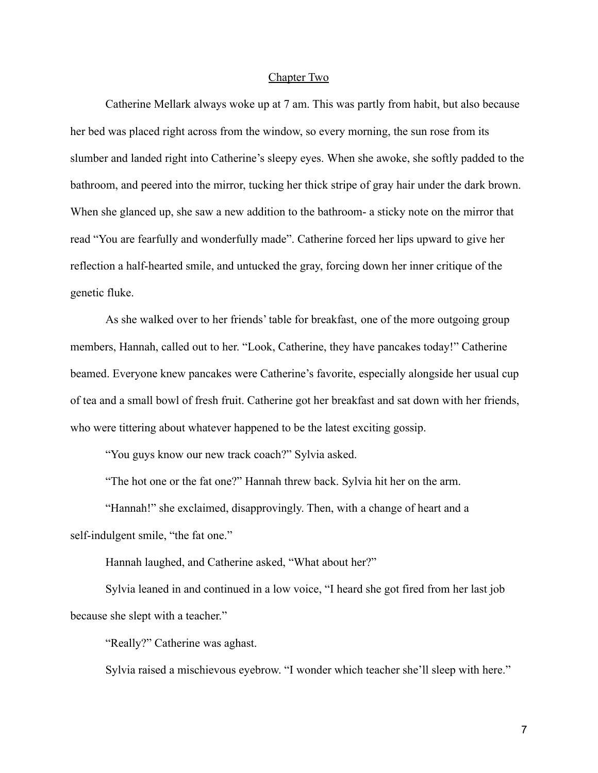#### Chapter Two

Catherine Mellark always woke up at 7 am. This was partly from habit, but also because her bed was placed right across from the window, so every morning, the sun rose from its slumber and landed right into Catherine's sleepy eyes. When she awoke, she softly padded to the bathroom, and peered into the mirror, tucking her thick stripe of gray hair under the dark brown. When she glanced up, she saw a new addition to the bathroom- a sticky note on the mirror that read "You are fearfully and wonderfully made". Catherine forced her lips upward to give her reflection a half-hearted smile, and untucked the gray, forcing down her inner critique of the genetic fluke.

As she walked over to her friends' table for breakfast, one of the more outgoing group members, Hannah, called out to her. "Look, Catherine, they have pancakes today!" Catherine beamed. Everyone knew pancakes were Catherine's favorite, especially alongside her usual cup of tea and a small bowl of fresh fruit. Catherine got her breakfast and sat down with her friends, who were tittering about whatever happened to be the latest exciting gossip.

"You guys know our new track coach?" Sylvia asked.

"The hot one or the fat one?" Hannah threw back. Sylvia hit her on the arm.

"Hannah!" she exclaimed, disapprovingly. Then, with a change of heart and a self-indulgent smile, "the fat one."

Hannah laughed, and Catherine asked, "What about her?"

Sylvia leaned in and continued in a low voice, "I heard she got fired from her last job because she slept with a teacher."

"Really?" Catherine was aghast.

Sylvia raised a mischievous eyebrow. "I wonder which teacher she'll sleep with here."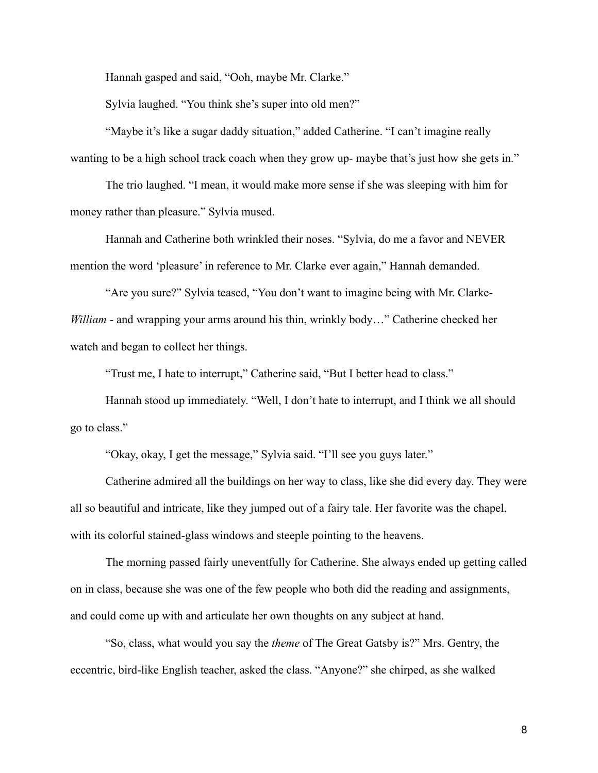Hannah gasped and said, "Ooh, maybe Mr. Clarke."

Sylvia laughed. "You think she's super into old men?"

"Maybe it's like a sugar daddy situation," added Catherine. "I can't imagine really wanting to be a high school track coach when they grow up- maybe that's just how she gets in."

The trio laughed. "I mean, it would make more sense if she was sleeping with him for money rather than pleasure." Sylvia mused.

Hannah and Catherine both wrinkled their noses. "Sylvia, do me a favor and NEVER mention the word 'pleasure' in reference to Mr. Clarke ever again," Hannah demanded.

"Are you sure?" Sylvia teased, "You don't want to imagine being with Mr. Clarke-*William* - and wrapping your arms around his thin, wrinkly body…" Catherine checked her watch and began to collect her things.

"Trust me, I hate to interrupt," Catherine said, "But I better head to class."

Hannah stood up immediately. "Well, I don't hate to interrupt, and I think we all should go to class."

"Okay, okay, I get the message," Sylvia said. "I'll see you guys later."

Catherine admired all the buildings on her way to class, like she did every day. They were all so beautiful and intricate, like they jumped out of a fairy tale. Her favorite was the chapel, with its colorful stained-glass windows and steeple pointing to the heavens.

The morning passed fairly uneventfully for Catherine. She always ended up getting called on in class, because she was one of the few people who both did the reading and assignments, and could come up with and articulate her own thoughts on any subject at hand.

"So, class, what would you say the *theme* of The Great Gatsby is?" Mrs. Gentry, the eccentric, bird-like English teacher, asked the class. "Anyone?" she chirped, as she walked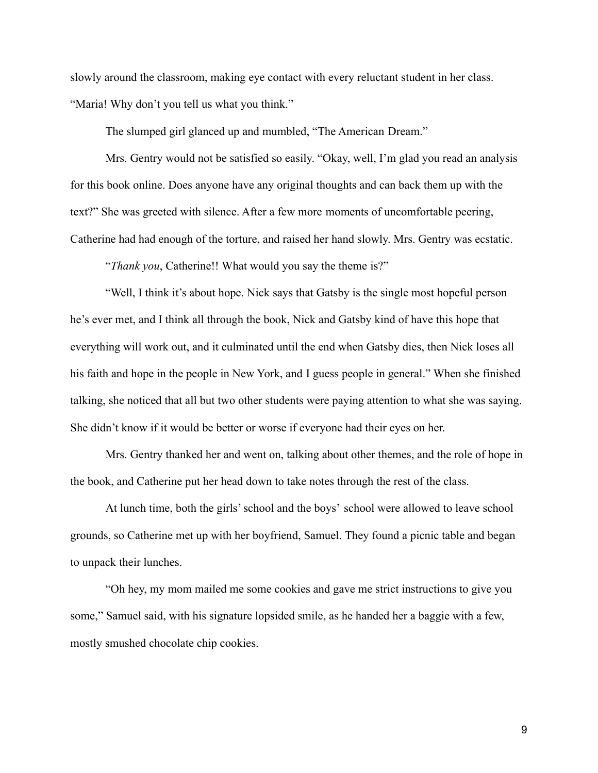slowly around the classroom, making eye contact with every reluctant student in her class. "Maria! Why don't you tell us what you think."

The slumped girl glanced up and mumbled, "The American Dream."

Mrs. Gentry would not be satisfied so easily. "Okay, well, I'm glad you read an analysis for this book online. Does anyone have any original thoughts and can back them up with the text?" She was greeted with silence. After a few more moments of uncomfortable peering, Catherine had had enough of the torture, and raised her hand slowly. Mrs. Gentry was ecstatic.

"*Thank you*, Catherine!! What would you say the theme is?"

"Well, I think it's about hope. Nick says that Gatsby is the single most hopeful person he's ever met, and I think all through the book, Nick and Gatsby kind of have this hope that everything will work out, and it culminated until the end when Gatsby dies, then Nick loses all his faith and hope in the people in New York, and I guess people in general." When she finished talking, she noticed that all but two other students were paying attention to what she was saying. She didn't know if it would be better or worse if everyone had their eyes on her.

Mrs. Gentry thanked her and went on, talking about other themes, and the role of hope in the book, and Catherine put her head down to take notes through the rest of the class.

At lunch time, both the girls' school and the boys' school were allowed to leave school grounds, so Catherine met up with her boyfriend, Samuel. They found a picnic table and began to unpack their lunches.

"Oh hey, my mom mailed me some cookies and gave me strict instructions to give you some," Samuel said, with his signature lopsided smile, as he handed her a baggie with a few, mostly smushed chocolate chip cookies.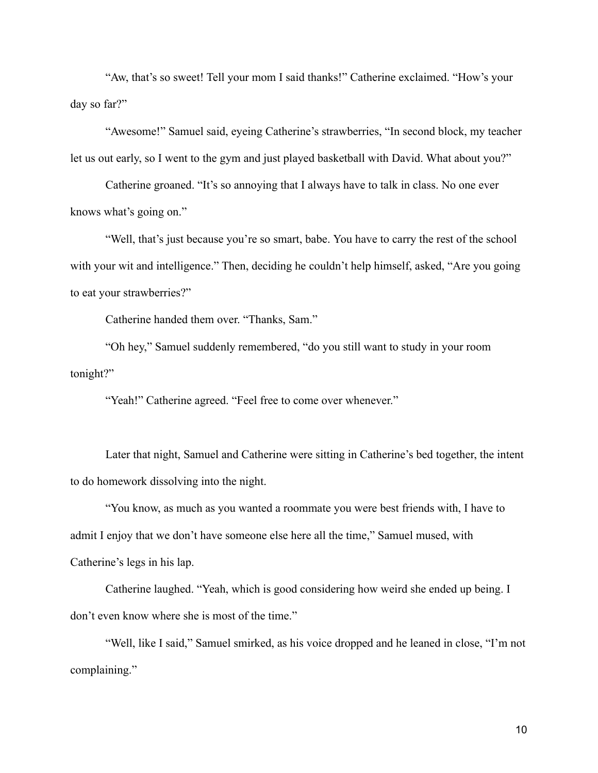"Aw, that's so sweet! Tell your mom I said thanks!" Catherine exclaimed. "How's your day so far?"

"Awesome!" Samuel said, eyeing Catherine's strawberries, "In second block, my teacher let us out early, so I went to the gym and just played basketball with David. What about you?"

Catherine groaned. "It's so annoying that I always have to talk in class. No one ever knows what's going on."

"Well, that's just because you're so smart, babe. You have to carry the rest of the school with your wit and intelligence." Then, deciding he couldn't help himself, asked, "Are you going to eat your strawberries?"

Catherine handed them over. "Thanks, Sam."

"Oh hey," Samuel suddenly remembered, "do you still want to study in your room tonight?"

"Yeah!" Catherine agreed. "Feel free to come over whenever."

Later that night, Samuel and Catherine were sitting in Catherine's bed together, the intent to do homework dissolving into the night.

"You know, as much as you wanted a roommate you were best friends with, I have to admit I enjoy that we don't have someone else here all the time," Samuel mused, with Catherine's legs in his lap.

Catherine laughed. "Yeah, which is good considering how weird she ended up being. I don't even know where she is most of the time."

"Well, like I said," Samuel smirked, as his voice dropped and he leaned in close, "I'm not complaining."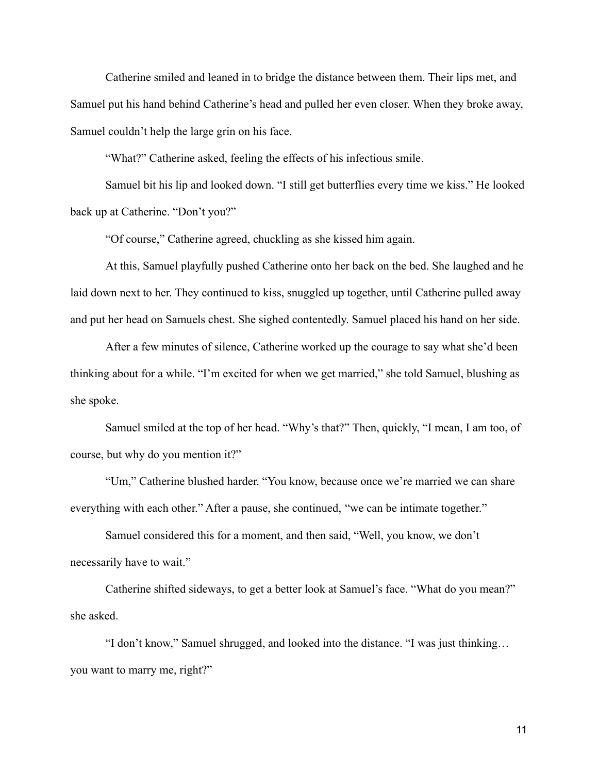Catherine smiled and leaned in to bridge the distance between them. Their lips met, and Samuel put his hand behind Catherine's head and pulled her even closer. When they broke away, Samuel couldn't help the large grin on his face.

"What?" Catherine asked, feeling the effects of his infectious smile.

Samuel bit his lip and looked down. "I still get butterflies every time we kiss." He looked back up at Catherine. "Don't you?"

"Of course," Catherine agreed, chuckling as she kissed him again.

At this, Samuel playfully pushed Catherine onto her back on the bed. She laughed and he laid down next to her. They continued to kiss, snuggled up together, until Catherine pulled away and put her head on Samuels chest. She sighed contentedly. Samuel placed his hand on her side.

After a few minutes of silence, Catherine worked up the courage to say what she'd been thinking about for a while. "I'm excited for when we get married," she told Samuel, blushing as she spoke.

Samuel smiled at the top of her head. "Why's that?" Then, quickly, "I mean, I am too, of course, but why do you mention it?"

"Um," Catherine blushed harder. "You know, because once we're married we can share everything with each other." After a pause, she continued, "we can be intimate together."

Samuel considered this for a moment, and then said, "Well, you know, we don't necessarily have to wait."

Catherine shifted sideways, to get a better look at Samuel's face. "What do you mean?" she asked.

"I don't know," Samuel shrugged, and looked into the distance. "I was just thinking… you want to marry me, right?"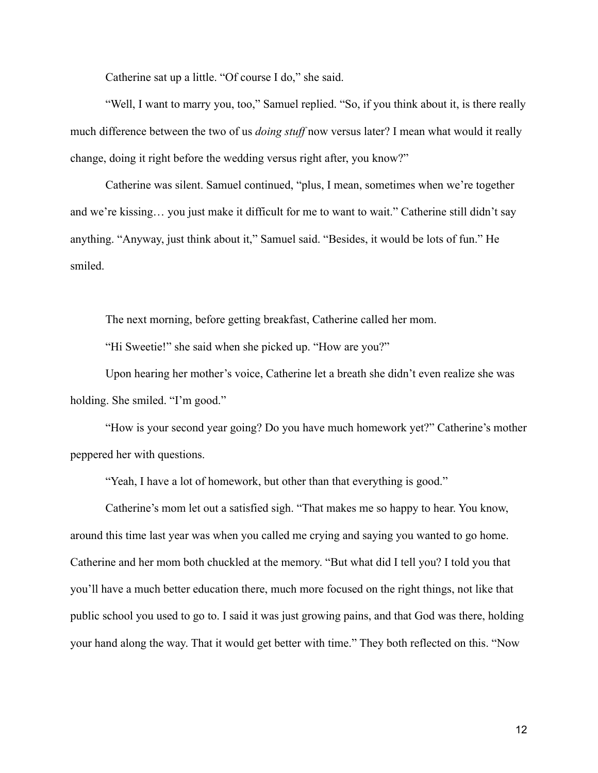Catherine sat up a little. "Of course I do," she said.

"Well, I want to marry you, too," Samuel replied. "So, if you think about it, is there really much difference between the two of us *doing stuff* now versus later? I mean what would it really change, doing it right before the wedding versus right after, you know?"

Catherine was silent. Samuel continued, "plus, I mean, sometimes when we're together and we're kissing… you just make it difficult for me to want to wait." Catherine still didn't say anything. "Anyway, just think about it," Samuel said. "Besides, it would be lots of fun." He smiled.

The next morning, before getting breakfast, Catherine called her mom.

"Hi Sweetie!" she said when she picked up. "How are you?"

Upon hearing her mother's voice, Catherine let a breath she didn't even realize she was holding. She smiled. "I'm good."

"How is your second year going? Do you have much homework yet?" Catherine's mother peppered her with questions.

"Yeah, I have a lot of homework, but other than that everything is good."

Catherine's mom let out a satisfied sigh. "That makes me so happy to hear. You know, around this time last year was when you called me crying and saying you wanted to go home. Catherine and her mom both chuckled at the memory. "But what did I tell you? I told you that you'll have a much better education there, much more focused on the right things, not like that public school you used to go to. I said it was just growing pains, and that God was there, holding your hand along the way. That it would get better with time." They both reflected on this. "Now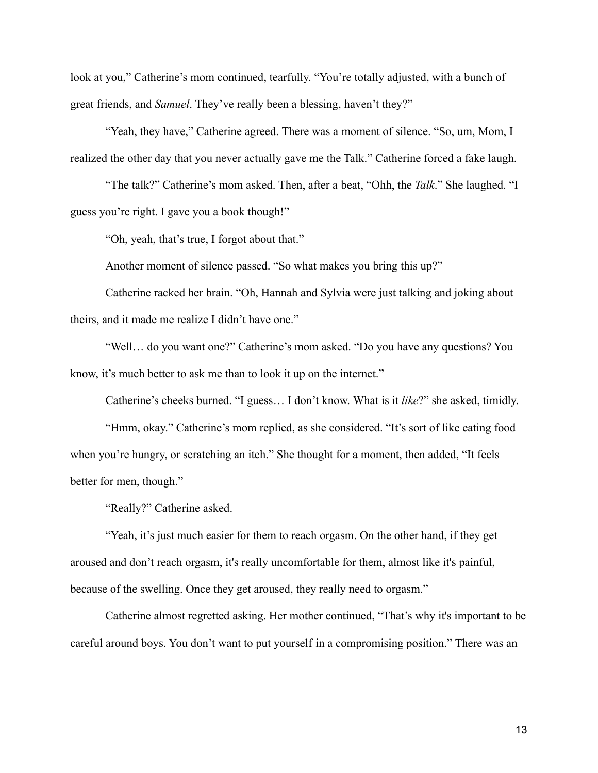look at you," Catherine's mom continued, tearfully. "You're totally adjusted, with a bunch of great friends, and *Samuel*. They've really been a blessing, haven't they?"

"Yeah, they have," Catherine agreed. There was a moment of silence. "So, um, Mom, I realized the other day that you never actually gave me the Talk." Catherine forced a fake laugh.

"The talk?" Catherine's mom asked. Then, after a beat, "Ohh, the *Talk*." She laughed. "I guess you're right. I gave you a book though!"

"Oh, yeah, that's true, I forgot about that."

Another moment of silence passed. "So what makes you bring this up?"

Catherine racked her brain. "Oh, Hannah and Sylvia were just talking and joking about theirs, and it made me realize I didn't have one."

"Well… do you want one?" Catherine's mom asked. "Do you have any questions? You know, it's much better to ask me than to look it up on the internet."

Catherine's cheeks burned. "I guess… I don't know. What is it *like*?" she asked, timidly.

"Hmm, okay." Catherine's mom replied, as she considered. "It's sort of like eating food when you're hungry, or scratching an itch." She thought for a moment, then added, "It feels better for men, though."

"Really?" Catherine asked.

"Yeah, it's just much easier for them to reach orgasm. On the other hand, if they get aroused and don't reach orgasm, it's really uncomfortable for them, almost like it's painful, because of the swelling. Once they get aroused, they really need to orgasm."

Catherine almost regretted asking. Her mother continued, "That's why it's important to be careful around boys. You don't want to put yourself in a compromising position." There was an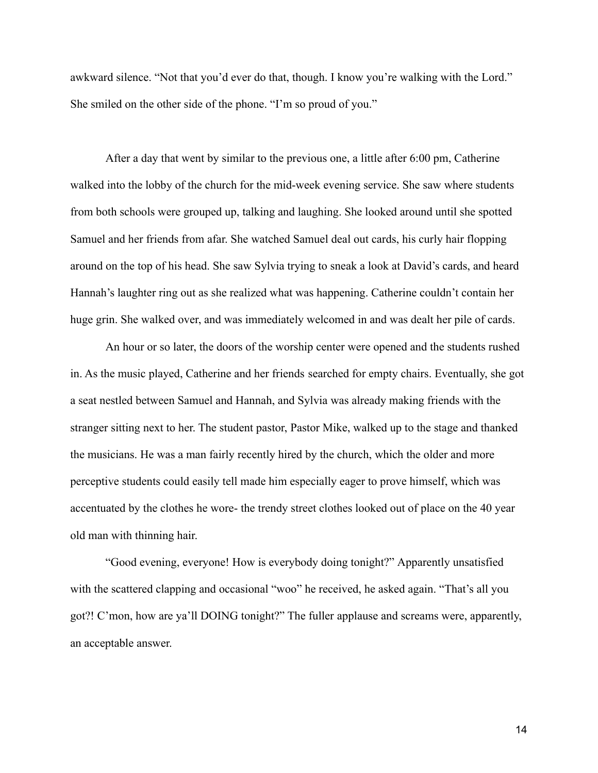awkward silence. "Not that you'd ever do that, though. I know you're walking with the Lord." She smiled on the other side of the phone. "I'm so proud of you."

After a day that went by similar to the previous one, a little after 6:00 pm, Catherine walked into the lobby of the church for the mid-week evening service. She saw where students from both schools were grouped up, talking and laughing. She looked around until she spotted Samuel and her friends from afar. She watched Samuel deal out cards, his curly hair flopping around on the top of his head. She saw Sylvia trying to sneak a look at David's cards, and heard Hannah's laughter ring out as she realized what was happening. Catherine couldn't contain her huge grin. She walked over, and was immediately welcomed in and was dealt her pile of cards.

An hour or so later, the doors of the worship center were opened and the students rushed in. As the music played, Catherine and her friends searched for empty chairs. Eventually, she got a seat nestled between Samuel and Hannah, and Sylvia was already making friends with the stranger sitting next to her. The student pastor, Pastor Mike, walked up to the stage and thanked the musicians. He was a man fairly recently hired by the church, which the older and more perceptive students could easily tell made him especially eager to prove himself, which was accentuated by the clothes he wore- the trendy street clothes looked out of place on the 40 year old man with thinning hair.

"Good evening, everyone! How is everybody doing tonight?" Apparently unsatisfied with the scattered clapping and occasional "woo" he received, he asked again. "That's all you got?! C'mon, how are ya'll DOING tonight?" The fuller applause and screams were, apparently, an acceptable answer.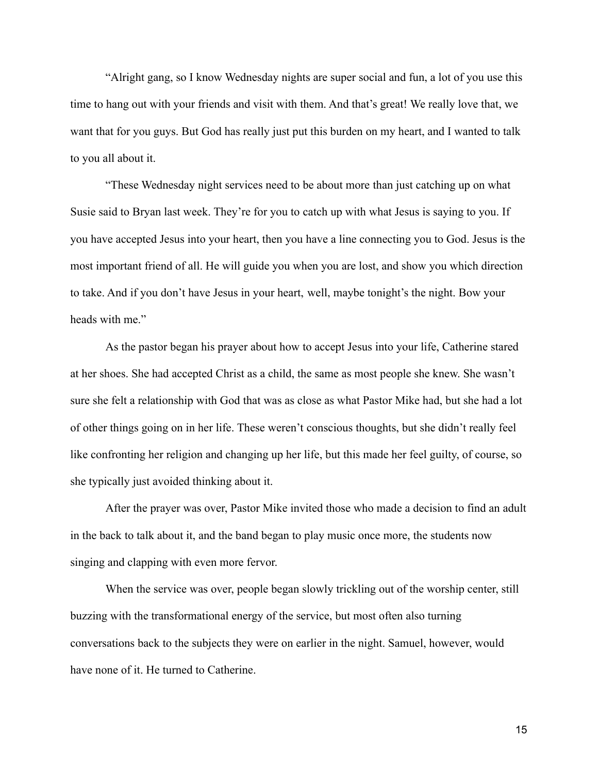"Alright gang, so I know Wednesday nights are super social and fun, a lot of you use this time to hang out with your friends and visit with them. And that's great! We really love that, we want that for you guys. But God has really just put this burden on my heart, and I wanted to talk to you all about it.

"These Wednesday night services need to be about more than just catching up on what Susie said to Bryan last week. They're for you to catch up with what Jesus is saying to you. If you have accepted Jesus into your heart, then you have a line connecting you to God. Jesus is the most important friend of all. He will guide you when you are lost, and show you which direction to take. And if you don't have Jesus in your heart, well, maybe tonight's the night. Bow your heads with me."

As the pastor began his prayer about how to accept Jesus into your life, Catherine stared at her shoes. She had accepted Christ as a child, the same as most people she knew. She wasn't sure she felt a relationship with God that was as close as what Pastor Mike had, but she had a lot of other things going on in her life. These weren't conscious thoughts, but she didn't really feel like confronting her religion and changing up her life, but this made her feel guilty, of course, so she typically just avoided thinking about it.

After the prayer was over, Pastor Mike invited those who made a decision to find an adult in the back to talk about it, and the band began to play music once more, the students now singing and clapping with even more fervor.

When the service was over, people began slowly trickling out of the worship center, still buzzing with the transformational energy of the service, but most often also turning conversations back to the subjects they were on earlier in the night. Samuel, however, would have none of it. He turned to Catherine.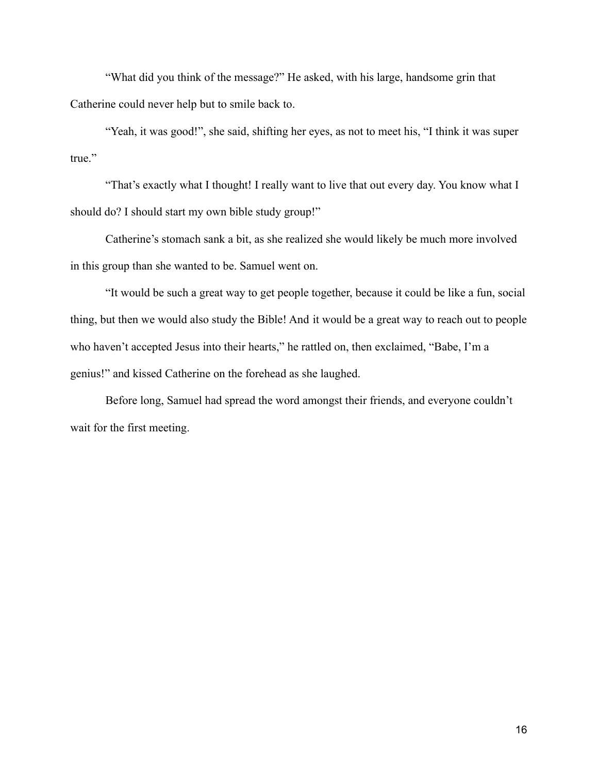"What did you think of the message?" He asked, with his large, handsome grin that Catherine could never help but to smile back to.

"Yeah, it was good!", she said, shifting her eyes, as not to meet his, "I think it was super true."

"That's exactly what I thought! I really want to live that out every day. You know what I should do? I should start my own bible study group!"

Catherine's stomach sank a bit, as she realized she would likely be much more involved in this group than she wanted to be. Samuel went on.

"It would be such a great way to get people together, because it could be like a fun, social thing, but then we would also study the Bible! And it would be a great way to reach out to people who haven't accepted Jesus into their hearts," he rattled on, then exclaimed, "Babe, I'm a genius!" and kissed Catherine on the forehead as she laughed.

Before long, Samuel had spread the word amongst their friends, and everyone couldn't wait for the first meeting.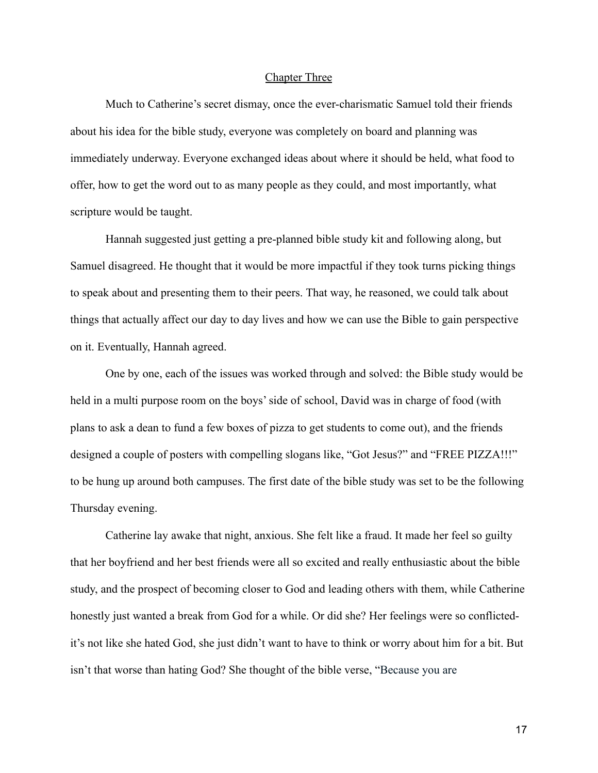#### Chapter Three

Much to Catherine's secret dismay, once the ever-charismatic Samuel told their friends about his idea for the bible study, everyone was completely on board and planning was immediately underway. Everyone exchanged ideas about where it should be held, what food to offer, how to get the word out to as many people as they could, and most importantly, what scripture would be taught.

Hannah suggested just getting a pre-planned bible study kit and following along, but Samuel disagreed. He thought that it would be more impactful if they took turns picking things to speak about and presenting them to their peers. That way, he reasoned, we could talk about things that actually affect our day to day lives and how we can use the Bible to gain perspective on it. Eventually, Hannah agreed.

One by one, each of the issues was worked through and solved: the Bible study would be held in a multi purpose room on the boys' side of school, David was in charge of food (with plans to ask a dean to fund a few boxes of pizza to get students to come out), and the friends designed a couple of posters with compelling slogans like, "Got Jesus?" and "FREE PIZZA!!!" to be hung up around both campuses. The first date of the bible study was set to be the following Thursday evening.

Catherine lay awake that night, anxious. She felt like a fraud. It made her feel so guilty that her boyfriend and her best friends were all so excited and really enthusiastic about the bible study, and the prospect of becoming closer to God and leading others with them, while Catherine honestly just wanted a break from God for a while. Or did she? Her feelings were so conflictedit's not like she hated God, she just didn't want to have to think or worry about him for a bit. But isn't that worse than hating God? She thought of the bible verse, "Because you are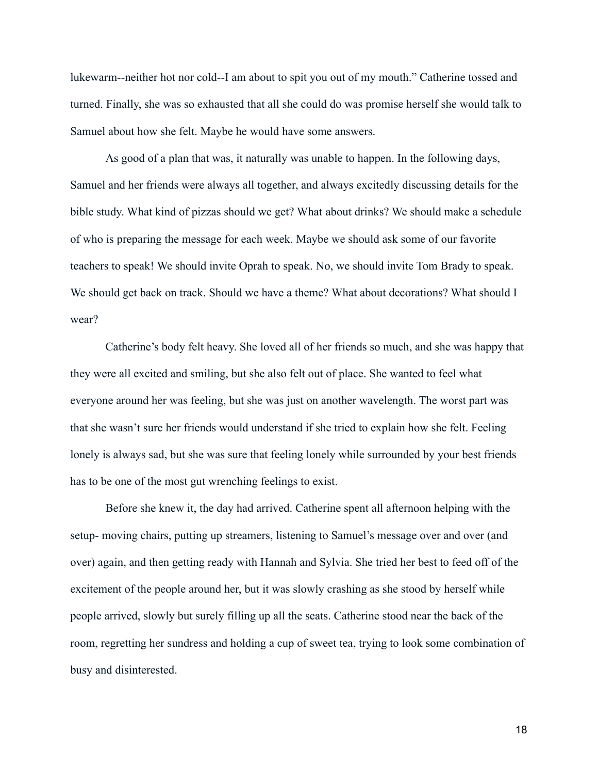lukewarm--neither hot nor cold--I am about to spit you out of my mouth." Catherine tossed and turned. Finally, she was so exhausted that all she could do was promise herself she would talk to Samuel about how she felt. Maybe he would have some answers.

As good of a plan that was, it naturally was unable to happen. In the following days, Samuel and her friends were always all together, and always excitedly discussing details for the bible study. What kind of pizzas should we get? What about drinks? We should make a schedule of who is preparing the message for each week. Maybe we should ask some of our favorite teachers to speak! We should invite Oprah to speak. No, we should invite Tom Brady to speak. We should get back on track. Should we have a theme? What about decorations? What should I wear?

Catherine's body felt heavy. She loved all of her friends so much, and she was happy that they were all excited and smiling, but she also felt out of place. She wanted to feel what everyone around her was feeling, but she was just on another wavelength. The worst part was that she wasn't sure her friends would understand if she tried to explain how she felt. Feeling lonely is always sad, but she was sure that feeling lonely while surrounded by your best friends has to be one of the most gut wrenching feelings to exist.

Before she knew it, the day had arrived. Catherine spent all afternoon helping with the setup- moving chairs, putting up streamers, listening to Samuel's message over and over (and over) again, and then getting ready with Hannah and Sylvia. She tried her best to feed off of the excitement of the people around her, but it was slowly crashing as she stood by herself while people arrived, slowly but surely filling up all the seats. Catherine stood near the back of the room, regretting her sundress and holding a cup of sweet tea, trying to look some combination of busy and disinterested.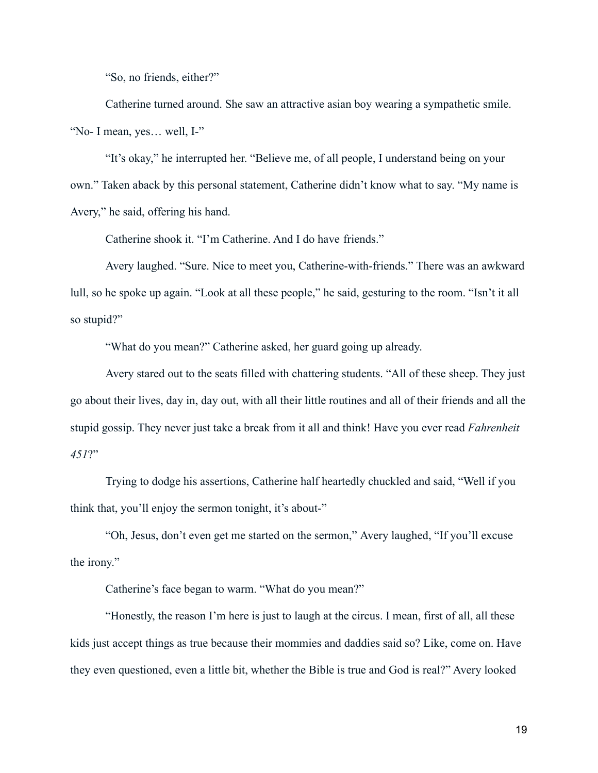"So, no friends, either?"

Catherine turned around. She saw an attractive asian boy wearing a sympathetic smile. "No- I mean, yes… well, I-"

"It's okay," he interrupted her. "Believe me, of all people, I understand being on your own." Taken aback by this personal statement, Catherine didn't know what to say. "My name is Avery," he said, offering his hand.

Catherine shook it. "I'm Catherine. And I do have friends."

Avery laughed. "Sure. Nice to meet you, Catherine-with-friends." There was an awkward lull, so he spoke up again. "Look at all these people," he said, gesturing to the room. "Isn't it all so stupid?"

"What do you mean?" Catherine asked, her guard going up already.

Avery stared out to the seats filled with chattering students. "All of these sheep. They just go about their lives, day in, day out, with all their little routines and all of their friends and all the stupid gossip. They never just take a break from it all and think! Have you ever read *Fahrenheit 451*?"

Trying to dodge his assertions, Catherine half heartedly chuckled and said, "Well if you think that, you'll enjoy the sermon tonight, it's about-"

"Oh, Jesus, don't even get me started on the sermon," Avery laughed, "If you'll excuse the irony."

Catherine's face began to warm. "What do you mean?"

"Honestly, the reason I'm here is just to laugh at the circus. I mean, first of all, all these kids just accept things as true because their mommies and daddies said so? Like, come on. Have they even questioned, even a little bit, whether the Bible is true and God is real?" Avery looked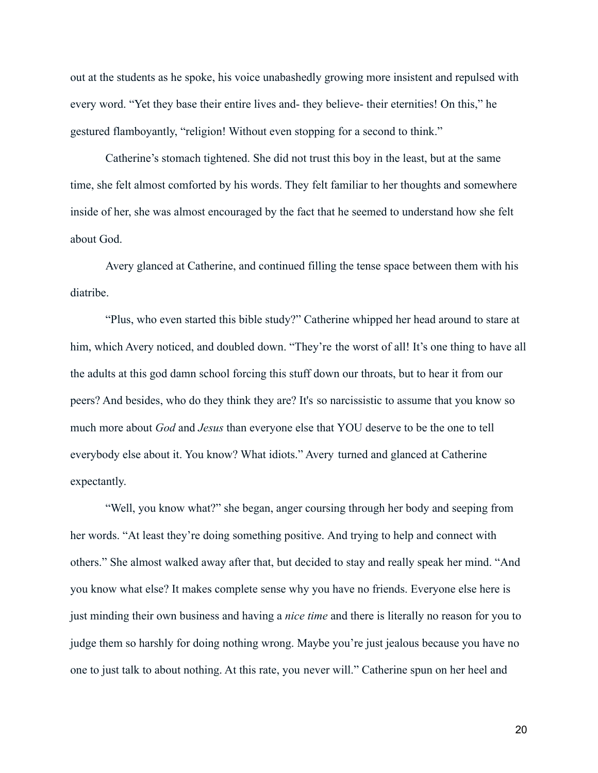out at the students as he spoke, his voice unabashedly growing more insistent and repulsed with every word. "Yet they base their entire lives and- they believe- their eternities! On this," he gestured flamboyantly, "religion! Without even stopping for a second to think."

Catherine's stomach tightened. She did not trust this boy in the least, but at the same time, she felt almost comforted by his words. They felt familiar to her thoughts and somewhere inside of her, she was almost encouraged by the fact that he seemed to understand how she felt about God.

Avery glanced at Catherine, and continued filling the tense space between them with his diatribe.

"Plus, who even started this bible study?" Catherine whipped her head around to stare at him, which Avery noticed, and doubled down. "They're the worst of all! It's one thing to have all the adults at this god damn school forcing this stuff down our throats, but to hear it from our peers? And besides, who do they think they are? It's so narcissistic to assume that you know so much more about *God* and *Jesus* than everyone else that YOU deserve to be the one to tell everybody else about it. You know? What idiots." Avery turned and glanced at Catherine expectantly.

"Well, you know what?" she began, anger coursing through her body and seeping from her words. "At least they're doing something positive. And trying to help and connect with others." She almost walked away after that, but decided to stay and really speak her mind. "And you know what else? It makes complete sense why you have no friends. Everyone else here is just minding their own business and having a *nice time* and there is literally no reason for you to judge them so harshly for doing nothing wrong. Maybe you're just jealous because you have no one to just talk to about nothing. At this rate, you never will." Catherine spun on her heel and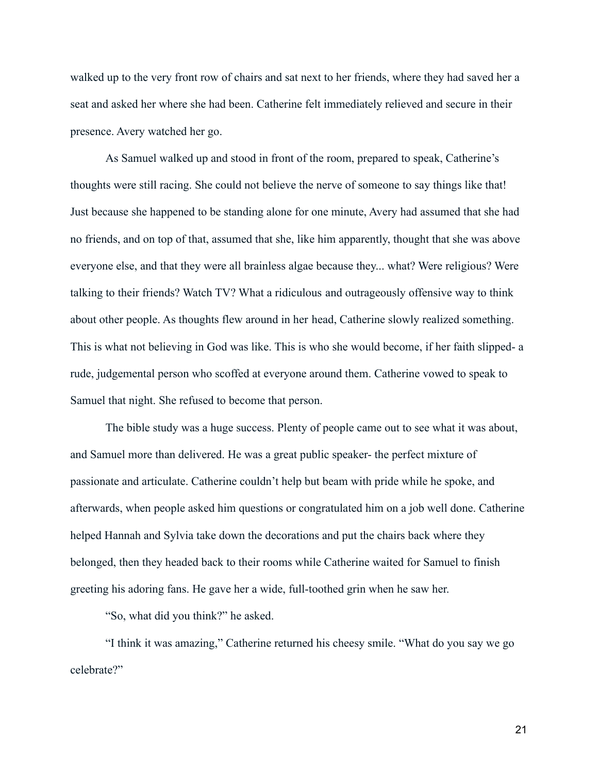walked up to the very front row of chairs and sat next to her friends, where they had saved her a seat and asked her where she had been. Catherine felt immediately relieved and secure in their presence. Avery watched her go.

As Samuel walked up and stood in front of the room, prepared to speak, Catherine's thoughts were still racing. She could not believe the nerve of someone to say things like that! Just because she happened to be standing alone for one minute, Avery had assumed that she had no friends, and on top of that, assumed that she, like him apparently, thought that she was above everyone else, and that they were all brainless algae because they... what? Were religious? Were talking to their friends? Watch TV? What a ridiculous and outrageously offensive way to think about other people. As thoughts flew around in her head, Catherine slowly realized something. This is what not believing in God was like. This is who she would become, if her faith slipped- a rude, judgemental person who scoffed at everyone around them. Catherine vowed to speak to Samuel that night. She refused to become that person.

The bible study was a huge success. Plenty of people came out to see what it was about, and Samuel more than delivered. He was a great public speaker- the perfect mixture of passionate and articulate. Catherine couldn't help but beam with pride while he spoke, and afterwards, when people asked him questions or congratulated him on a job well done. Catherine helped Hannah and Sylvia take down the decorations and put the chairs back where they belonged, then they headed back to their rooms while Catherine waited for Samuel to finish greeting his adoring fans. He gave her a wide, full-toothed grin when he saw her.

"So, what did you think?" he asked.

"I think it was amazing," Catherine returned his cheesy smile. "What do you say we go celebrate?"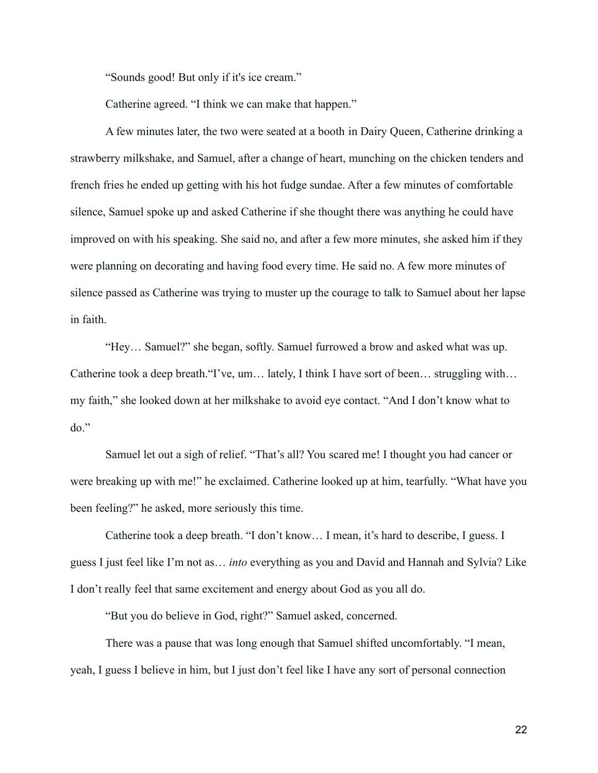"Sounds good! But only if it's ice cream."

Catherine agreed. "I think we can make that happen."

A few minutes later, the two were seated at a booth in Dairy Queen, Catherine drinking a strawberry milkshake, and Samuel, after a change of heart, munching on the chicken tenders and french fries he ended up getting with his hot fudge sundae. After a few minutes of comfortable silence, Samuel spoke up and asked Catherine if she thought there was anything he could have improved on with his speaking. She said no, and after a few more minutes, she asked him if they were planning on decorating and having food every time. He said no. A few more minutes of silence passed as Catherine was trying to muster up the courage to talk to Samuel about her lapse in faith.

"Hey… Samuel?" she began, softly. Samuel furrowed a brow and asked what was up. Catherine took a deep breath."I've, um… lately, I think I have sort of been… struggling with… my faith," she looked down at her milkshake to avoid eye contact. "And I don't know what to  $do.$ "

Samuel let out a sigh of relief. "That's all? You scared me! I thought you had cancer or were breaking up with me!" he exclaimed. Catherine looked up at him, tearfully. "What have you been feeling?" he asked, more seriously this time.

Catherine took a deep breath. "I don't know… I mean, it's hard to describe, I guess. I guess I just feel like I'm not as… *into* everything as you and David and Hannah and Sylvia? Like I don't really feel that same excitement and energy about God as you all do.

"But you do believe in God, right?" Samuel asked, concerned.

There was a pause that was long enough that Samuel shifted uncomfortably. "I mean, yeah, I guess I believe in him, but I just don't feel like I have any sort of personal connection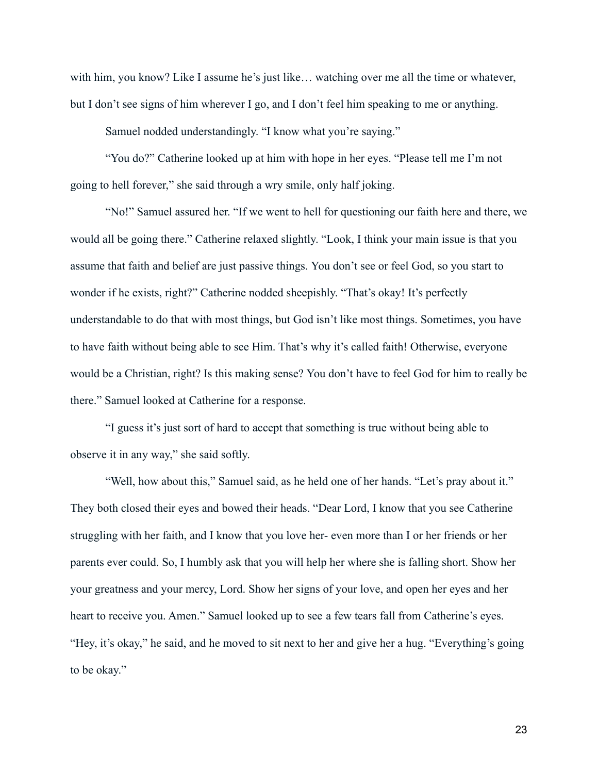with him, you know? Like I assume he's just like… watching over me all the time or whatever, but I don't see signs of him wherever I go, and I don't feel him speaking to me or anything.

Samuel nodded understandingly. "I know what you're saying."

"You do?" Catherine looked up at him with hope in her eyes. "Please tell me I'm not going to hell forever," she said through a wry smile, only half joking.

"No!" Samuel assured her. "If we went to hell for questioning our faith here and there, we would all be going there." Catherine relaxed slightly. "Look, I think your main issue is that you assume that faith and belief are just passive things. You don't see or feel God, so you start to wonder if he exists, right?" Catherine nodded sheepishly. "That's okay! It's perfectly understandable to do that with most things, but God isn't like most things. Sometimes, you have to have faith without being able to see Him. That's why it's called faith! Otherwise, everyone would be a Christian, right? Is this making sense? You don't have to feel God for him to really be there." Samuel looked at Catherine for a response.

"I guess it's just sort of hard to accept that something is true without being able to observe it in any way," she said softly.

"Well, how about this," Samuel said, as he held one of her hands. "Let's pray about it." They both closed their eyes and bowed their heads. "Dear Lord, I know that you see Catherine struggling with her faith, and I know that you love her- even more than I or her friends or her parents ever could. So, I humbly ask that you will help her where she is falling short. Show her your greatness and your mercy, Lord. Show her signs of your love, and open her eyes and her heart to receive you. Amen." Samuel looked up to see a few tears fall from Catherine's eyes. "Hey, it's okay," he said, and he moved to sit next to her and give her a hug. "Everything's going to be okay."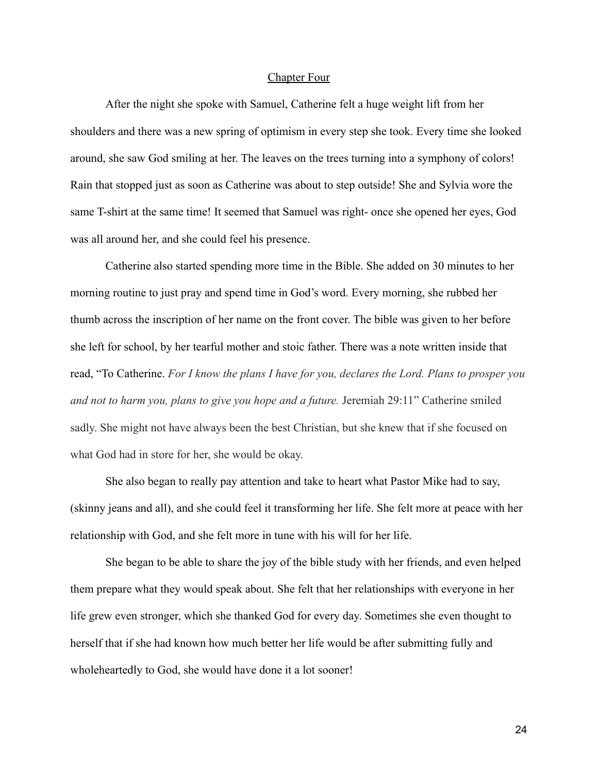#### Chapter Four

After the night she spoke with Samuel, Catherine felt a huge weight lift from her shoulders and there was a new spring of optimism in every step she took. Every time she looked around, she saw God smiling at her. The leaves on the trees turning into a symphony of colors! Rain that stopped just as soon as Catherine was about to step outside! She and Sylvia wore the same T-shirt at the same time! It seemed that Samuel was right- once she opened her eyes, God was all around her, and she could feel his presence.

Catherine also started spending more time in the Bible. She added on 30 minutes to her morning routine to just pray and spend time in God's word. Every morning, she rubbed her thumb across the inscription of her name on the front cover. The bible was given to her before she left for school, by her tearful mother and stoic father. There was a note written inside that read, "To Catherine. *For I know the plans I have for you, declares the Lord. Plans to prosper you and not to harm you, plans to give you hope and a future.* Jeremiah 29:11" Catherine smiled sadly. She might not have always been the best Christian, but she knew that if she focused on what God had in store for her, she would be okay.

She also began to really pay attention and take to heart what Pastor Mike had to say, (skinny jeans and all), and she could feel it transforming her life. She felt more at peace with her relationship with God, and she felt more in tune with his will for her life.

She began to be able to share the joy of the bible study with her friends, and even helped them prepare what they would speak about. She felt that her relationships with everyone in her life grew even stronger, which she thanked God for every day. Sometimes she even thought to herself that if she had known how much better her life would be after submitting fully and wholeheartedly to God, she would have done it a lot sooner!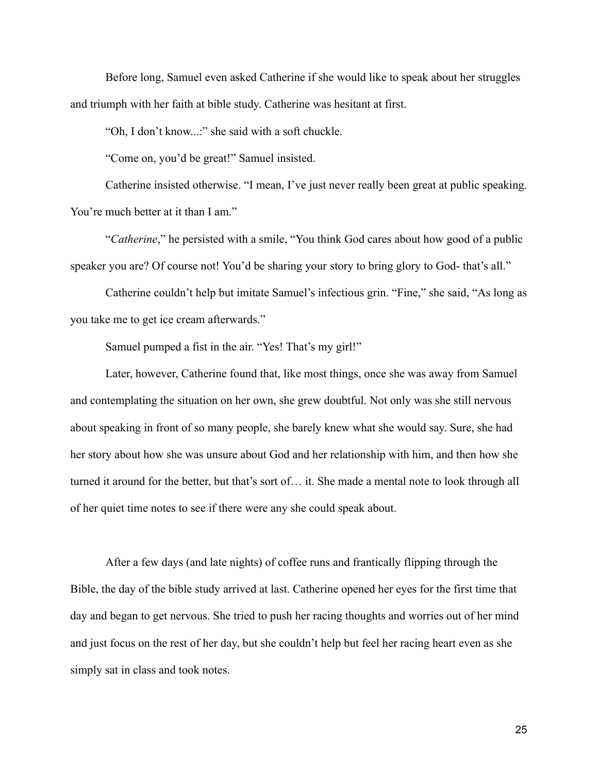Before long, Samuel even asked Catherine if she would like to speak about her struggles and triumph with her faith at bible study. Catherine was hesitant at first.

"Oh, I don't know...:" she said with a soft chuckle.

"Come on, you'd be great!" Samuel insisted.

Catherine insisted otherwise. "I mean, I've just never really been great at public speaking. You're much better at it than I am."

"*Catherine*," he persisted with a smile, "You think God cares about how good of a public speaker you are? Of course not! You'd be sharing your story to bring glory to God- that's all."

Catherine couldn't help but imitate Samuel's infectious grin. "Fine," she said, "As long as you take me to get ice cream afterwards."

Samuel pumped a fist in the air. "Yes! That's my girl!"

Later, however, Catherine found that, like most things, once she was away from Samuel and contemplating the situation on her own, she grew doubtful. Not only was she still nervous about speaking in front of so many people, she barely knew what she would say. Sure, she had her story about how she was unsure about God and her relationship with him, and then how she turned it around for the better, but that's sort of… it. She made a mental note to look through all of her quiet time notes to see if there were any she could speak about.

After a few days (and late nights) of coffee runs and frantically flipping through the Bible, the day of the bible study arrived at last. Catherine opened her eyes for the first time that day and began to get nervous. She tried to push her racing thoughts and worries out of her mind and just focus on the rest of her day, but she couldn't help but feel her racing heart even as she simply sat in class and took notes.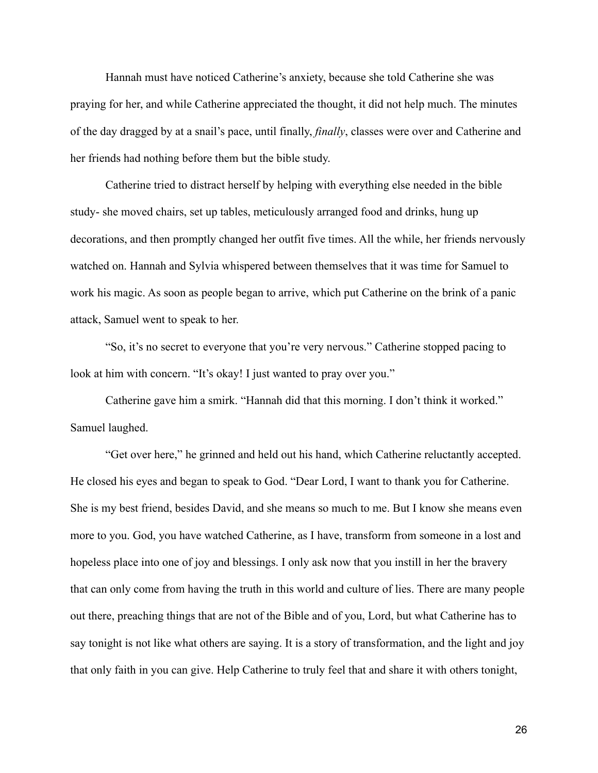Hannah must have noticed Catherine's anxiety, because she told Catherine she was praying for her, and while Catherine appreciated the thought, it did not help much. The minutes of the day dragged by at a snail's pace, until finally, *finally*, classes were over and Catherine and her friends had nothing before them but the bible study.

Catherine tried to distract herself by helping with everything else needed in the bible study- she moved chairs, set up tables, meticulously arranged food and drinks, hung up decorations, and then promptly changed her outfit five times. All the while, her friends nervously watched on. Hannah and Sylvia whispered between themselves that it was time for Samuel to work his magic. As soon as people began to arrive, which put Catherine on the brink of a panic attack, Samuel went to speak to her.

"So, it's no secret to everyone that you're very nervous." Catherine stopped pacing to look at him with concern. "It's okay! I just wanted to pray over you."

Catherine gave him a smirk. "Hannah did that this morning. I don't think it worked." Samuel laughed.

"Get over here," he grinned and held out his hand, which Catherine reluctantly accepted. He closed his eyes and began to speak to God. "Dear Lord, I want to thank you for Catherine. She is my best friend, besides David, and she means so much to me. But I know she means even more to you. God, you have watched Catherine, as I have, transform from someone in a lost and hopeless place into one of joy and blessings. I only ask now that you instill in her the bravery that can only come from having the truth in this world and culture of lies. There are many people out there, preaching things that are not of the Bible and of you, Lord, but what Catherine has to say tonight is not like what others are saying. It is a story of transformation, and the light and joy that only faith in you can give. Help Catherine to truly feel that and share it with others tonight,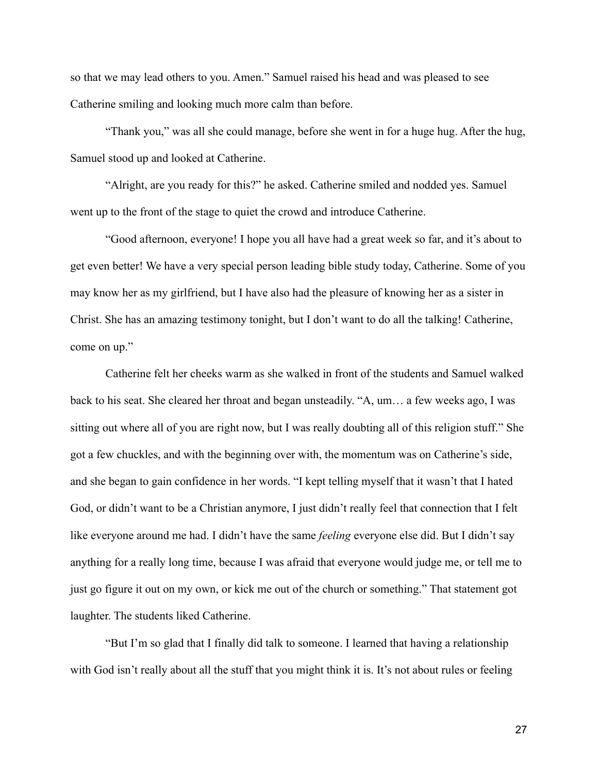so that we may lead others to you. Amen." Samuel raised his head and was pleased to see Catherine smiling and looking much more calm than before.

"Thank you," was all she could manage, before she went in for a huge hug. After the hug, Samuel stood up and looked at Catherine.

"Alright, are you ready for this?" he asked. Catherine smiled and nodded yes. Samuel went up to the front of the stage to quiet the crowd and introduce Catherine.

"Good afternoon, everyone! I hope you all have had a great week so far, and it's about to get even better! We have a very special person leading bible study today, Catherine. Some of you may know her as my girlfriend, but I have also had the pleasure of knowing her as a sister in Christ. She has an amazing testimony tonight, but I don't want to do all the talking! Catherine, come on up."

Catherine felt her cheeks warm as she walked in front of the students and Samuel walked back to his seat. She cleared her throat and began unsteadily. "A, um… a few weeks ago, I was sitting out where all of you are right now, but I was really doubting all of this religion stuff." She got a few chuckles, and with the beginning over with, the momentum was on Catherine's side, and she began to gain confidence in her words. "I kept telling myself that it wasn't that I hated God, or didn't want to be a Christian anymore, I just didn't really feel that connection that I felt like everyone around me had. I didn't have the same *feeling* everyone else did. But I didn't say anything for a really long time, because I was afraid that everyone would judge me, or tell me to just go figure it out on my own, or kick me out of the church or something." That statement got laughter. The students liked Catherine.

"But I'm so glad that I finally did talk to someone. I learned that having a relationship with God isn't really about all the stuff that you might think it is. It's not about rules or feeling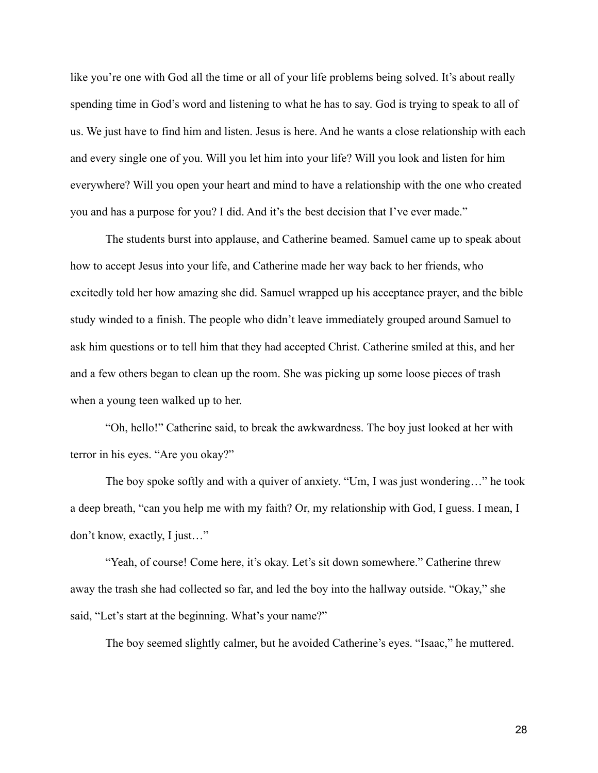like you're one with God all the time or all of your life problems being solved. It's about really spending time in God's word and listening to what he has to say. God is trying to speak to all of us. We just have to find him and listen. Jesus is here. And he wants a close relationship with each and every single one of you. Will you let him into your life? Will you look and listen for him everywhere? Will you open your heart and mind to have a relationship with the one who created you and has a purpose for you? I did. And it's the best decision that I've ever made."

The students burst into applause, and Catherine beamed. Samuel came up to speak about how to accept Jesus into your life, and Catherine made her way back to her friends, who excitedly told her how amazing she did. Samuel wrapped up his acceptance prayer, and the bible study winded to a finish. The people who didn't leave immediately grouped around Samuel to ask him questions or to tell him that they had accepted Christ. Catherine smiled at this, and her and a few others began to clean up the room. She was picking up some loose pieces of trash when a young teen walked up to her.

"Oh, hello!" Catherine said, to break the awkwardness. The boy just looked at her with terror in his eyes. "Are you okay?"

The boy spoke softly and with a quiver of anxiety. "Um, I was just wondering…" he took a deep breath, "can you help me with my faith? Or, my relationship with God, I guess. I mean, I don't know, exactly, I just…"

"Yeah, of course! Come here, it's okay. Let's sit down somewhere." Catherine threw away the trash she had collected so far, and led the boy into the hallway outside. "Okay," she said, "Let's start at the beginning. What's your name?"

The boy seemed slightly calmer, but he avoided Catherine's eyes. "Isaac," he muttered.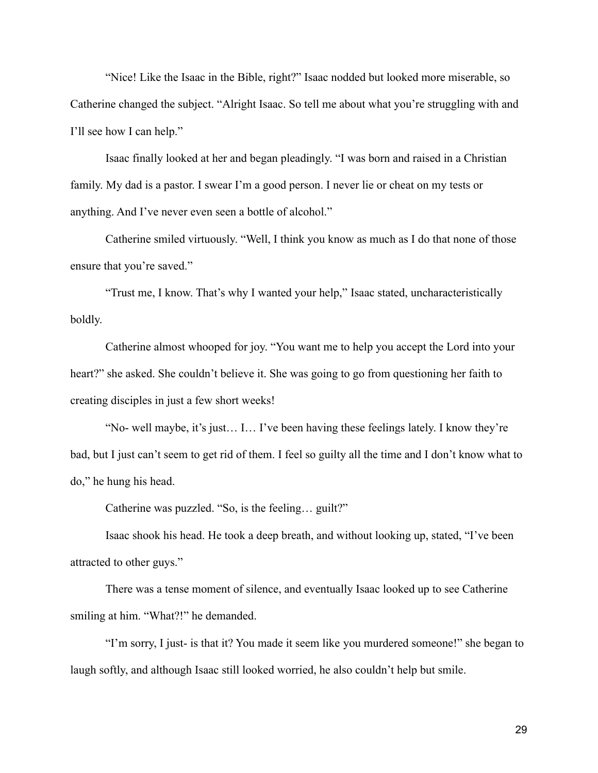"Nice! Like the Isaac in the Bible, right?" Isaac nodded but looked more miserable, so Catherine changed the subject. "Alright Isaac. So tell me about what you're struggling with and I'll see how I can help."

Isaac finally looked at her and began pleadingly. "I was born and raised in a Christian family. My dad is a pastor. I swear I'm a good person. I never lie or cheat on my tests or anything. And I've never even seen a bottle of alcohol."

Catherine smiled virtuously. "Well, I think you know as much as I do that none of those ensure that you're saved."

"Trust me, I know. That's why I wanted your help," Isaac stated, uncharacteristically boldly.

Catherine almost whooped for joy. "You want me to help you accept the Lord into your heart?" she asked. She couldn't believe it. She was going to go from questioning her faith to creating disciples in just a few short weeks!

"No- well maybe, it's just… I… I've been having these feelings lately. I know they're bad, but I just can't seem to get rid of them. I feel so guilty all the time and I don't know what to do," he hung his head.

Catherine was puzzled. "So, is the feeling… guilt?"

Isaac shook his head. He took a deep breath, and without looking up, stated, "I've been attracted to other guys."

There was a tense moment of silence, and eventually Isaac looked up to see Catherine smiling at him. "What?!" he demanded.

"I'm sorry, I just- is that it? You made it seem like you murdered someone!" she began to laugh softly, and although Isaac still looked worried, he also couldn't help but smile.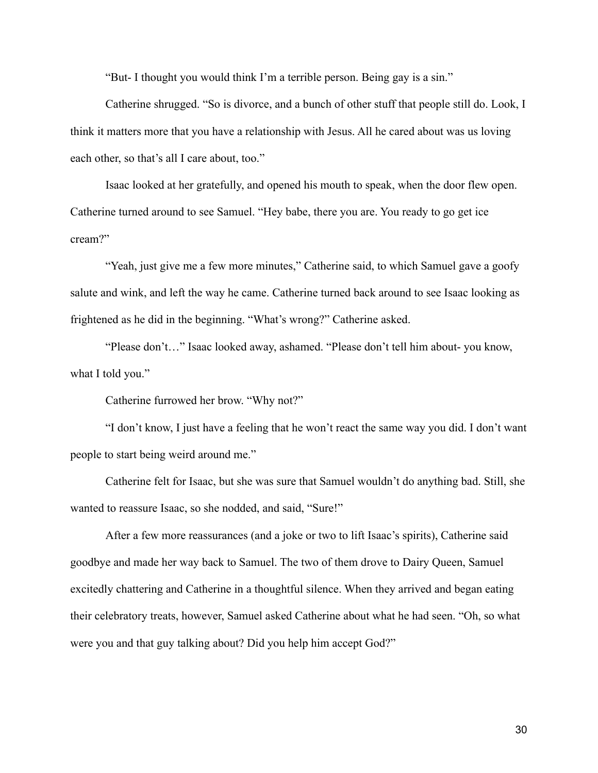"But- I thought you would think I'm a terrible person. Being gay is a sin."

Catherine shrugged. "So is divorce, and a bunch of other stuff that people still do. Look, I think it matters more that you have a relationship with Jesus. All he cared about was us loving each other, so that's all I care about, too."

Isaac looked at her gratefully, and opened his mouth to speak, when the door flew open. Catherine turned around to see Samuel. "Hey babe, there you are. You ready to go get ice cream?"

"Yeah, just give me a few more minutes," Catherine said, to which Samuel gave a goofy salute and wink, and left the way he came. Catherine turned back around to see Isaac looking as frightened as he did in the beginning. "What's wrong?" Catherine asked.

"Please don't…" Isaac looked away, ashamed. "Please don't tell him about- you know, what I told you."

Catherine furrowed her brow. "Why not?"

"I don't know, I just have a feeling that he won't react the same way you did. I don't want people to start being weird around me."

Catherine felt for Isaac, but she was sure that Samuel wouldn't do anything bad. Still, she wanted to reassure Isaac, so she nodded, and said, "Sure!"

After a few more reassurances (and a joke or two to lift Isaac's spirits), Catherine said goodbye and made her way back to Samuel. The two of them drove to Dairy Queen, Samuel excitedly chattering and Catherine in a thoughtful silence. When they arrived and began eating their celebratory treats, however, Samuel asked Catherine about what he had seen. "Oh, so what were you and that guy talking about? Did you help him accept God?"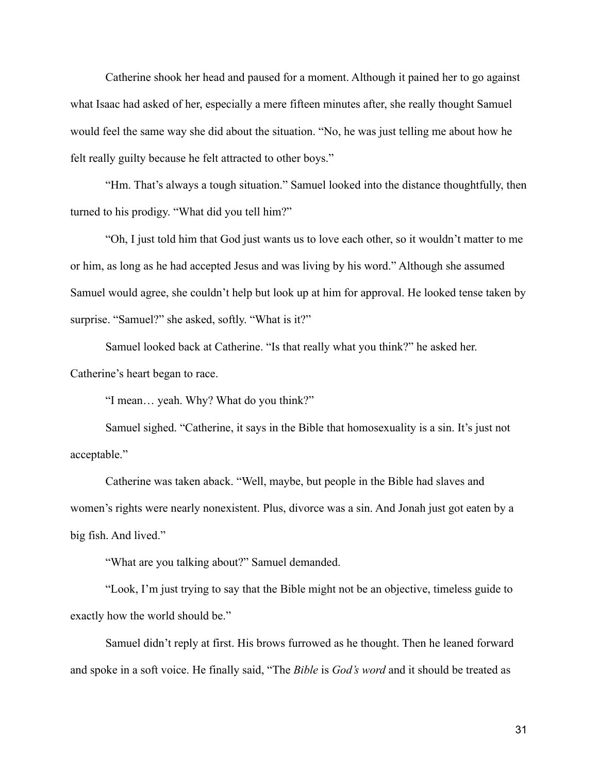Catherine shook her head and paused for a moment. Although it pained her to go against what Isaac had asked of her, especially a mere fifteen minutes after, she really thought Samuel would feel the same way she did about the situation. "No, he was just telling me about how he felt really guilty because he felt attracted to other boys."

"Hm. That's always a tough situation." Samuel looked into the distance thoughtfully, then turned to his prodigy. "What did you tell him?"

"Oh, I just told him that God just wants us to love each other, so it wouldn't matter to me or him, as long as he had accepted Jesus and was living by his word." Although she assumed Samuel would agree, she couldn't help but look up at him for approval. He looked tense taken by surprise. "Samuel?" she asked, softly. "What is it?"

Samuel looked back at Catherine. "Is that really what you think?" he asked her. Catherine's heart began to race.

"I mean… yeah. Why? What do you think?"

Samuel sighed. "Catherine, it says in the Bible that homosexuality is a sin. It's just not acceptable."

Catherine was taken aback. "Well, maybe, but people in the Bible had slaves and women's rights were nearly nonexistent. Plus, divorce was a sin. And Jonah just got eaten by a big fish. And lived."

"What are you talking about?" Samuel demanded.

"Look, I'm just trying to say that the Bible might not be an objective, timeless guide to exactly how the world should be."

Samuel didn't reply at first. His brows furrowed as he thought. Then he leaned forward and spoke in a soft voice. He finally said, "The *Bible* is *God's word* and it should be treated as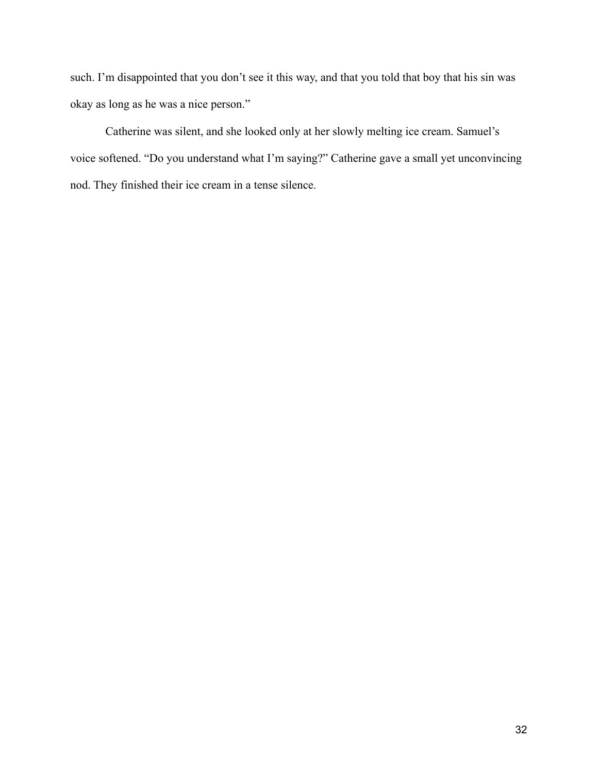such. I'm disappointed that you don't see it this way, and that you told that boy that his sin was okay as long as he was a nice person."

Catherine was silent, and she looked only at her slowly melting ice cream. Samuel's voice softened. "Do you understand what I'm saying?" Catherine gave a small yet unconvincing nod. They finished their ice cream in a tense silence.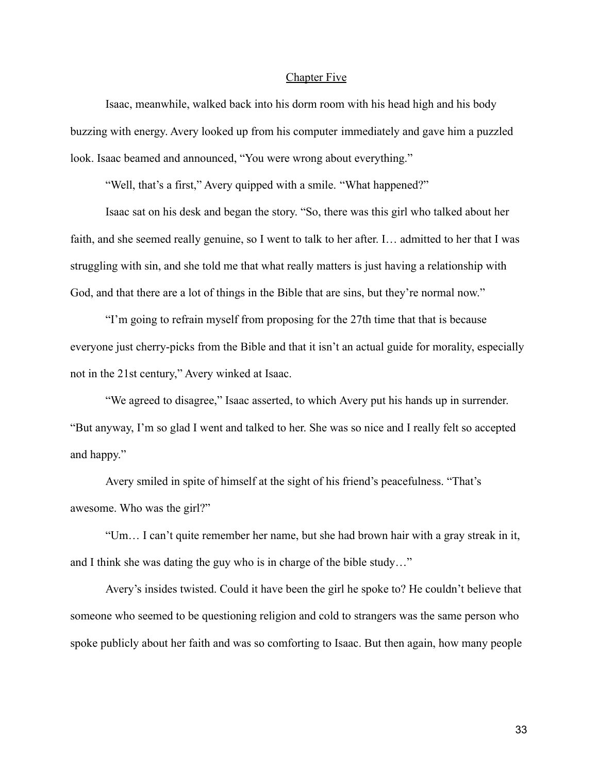#### Chapter Five

Isaac, meanwhile, walked back into his dorm room with his head high and his body buzzing with energy. Avery looked up from his computer immediately and gave him a puzzled look. Isaac beamed and announced, "You were wrong about everything."

"Well, that's a first," Avery quipped with a smile. "What happened?"

Isaac sat on his desk and began the story. "So, there was this girl who talked about her faith, and she seemed really genuine, so I went to talk to her after. I… admitted to her that I was struggling with sin, and she told me that what really matters is just having a relationship with God, and that there are a lot of things in the Bible that are sins, but they're normal now."

"I'm going to refrain myself from proposing for the 27th time that that is because everyone just cherry-picks from the Bible and that it isn't an actual guide for morality, especially not in the 21st century," Avery winked at Isaac.

"We agreed to disagree," Isaac asserted, to which Avery put his hands up in surrender. "But anyway, I'm so glad I went and talked to her. She was so nice and I really felt so accepted and happy."

Avery smiled in spite of himself at the sight of his friend's peacefulness. "That's awesome. Who was the girl?"

"Um… I can't quite remember her name, but she had brown hair with a gray streak in it, and I think she was dating the guy who is in charge of the bible study…"

Avery's insides twisted. Could it have been the girl he spoke to? He couldn't believe that someone who seemed to be questioning religion and cold to strangers was the same person who spoke publicly about her faith and was so comforting to Isaac. But then again, how many people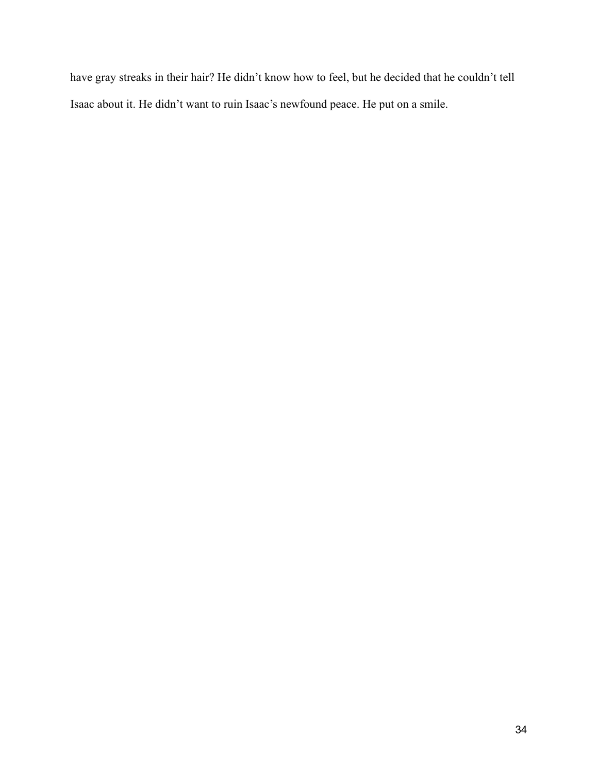have gray streaks in their hair? He didn't know how to feel, but he decided that he couldn't tell Isaac about it. He didn't want to ruin Isaac's newfound peace. He put on a smile.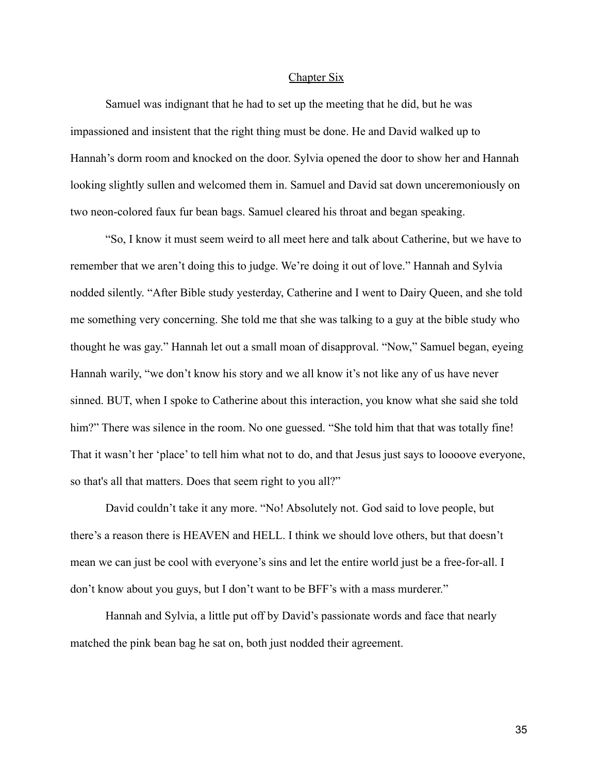## Chapter Six

Samuel was indignant that he had to set up the meeting that he did, but he was impassioned and insistent that the right thing must be done. He and David walked up to Hannah's dorm room and knocked on the door. Sylvia opened the door to show her and Hannah looking slightly sullen and welcomed them in. Samuel and David sat down unceremoniously on two neon-colored faux fur bean bags. Samuel cleared his throat and began speaking.

"So, I know it must seem weird to all meet here and talk about Catherine, but we have to remember that we aren't doing this to judge. We're doing it out of love." Hannah and Sylvia nodded silently. "After Bible study yesterday, Catherine and I went to Dairy Queen, and she told me something very concerning. She told me that she was talking to a guy at the bible study who thought he was gay." Hannah let out a small moan of disapproval. "Now," Samuel began, eyeing Hannah warily, "we don't know his story and we all know it's not like any of us have never sinned. BUT, when I spoke to Catherine about this interaction, you know what she said she told him?" There was silence in the room. No one guessed. "She told him that that was totally fine! That it wasn't her 'place' to tell him what not to do, and that Jesus just says to loooove everyone, so that's all that matters. Does that seem right to you all?"

David couldn't take it any more. "No! Absolutely not. God said to love people, but there's a reason there is HEAVEN and HELL. I think we should love others, but that doesn't mean we can just be cool with everyone's sins and let the entire world just be a free-for-all. I don't know about you guys, but I don't want to be BFF's with a mass murderer."

Hannah and Sylvia, a little put off by David's passionate words and face that nearly matched the pink bean bag he sat on, both just nodded their agreement.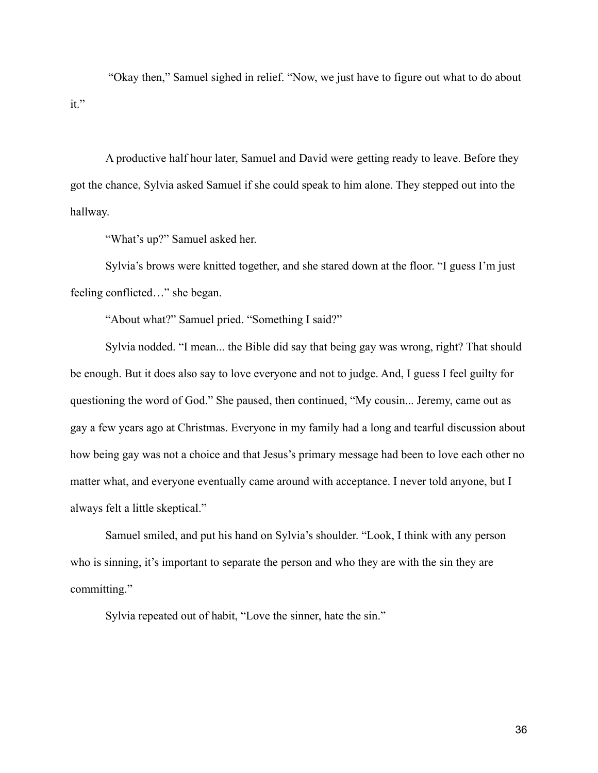"Okay then," Samuel sighed in relief. "Now, we just have to figure out what to do about it."

A productive half hour later, Samuel and David were getting ready to leave. Before they got the chance, Sylvia asked Samuel if she could speak to him alone. They stepped out into the hallway.

"What's up?" Samuel asked her.

Sylvia's brows were knitted together, and she stared down at the floor. "I guess I'm just feeling conflicted…" she began.

"About what?" Samuel pried. "Something I said?"

Sylvia nodded. "I mean... the Bible did say that being gay was wrong, right? That should be enough. But it does also say to love everyone and not to judge. And, I guess I feel guilty for questioning the word of God." She paused, then continued, "My cousin... Jeremy, came out as gay a few years ago at Christmas. Everyone in my family had a long and tearful discussion about how being gay was not a choice and that Jesus's primary message had been to love each other no matter what, and everyone eventually came around with acceptance. I never told anyone, but I always felt a little skeptical."

Samuel smiled, and put his hand on Sylvia's shoulder. "Look, I think with any person who is sinning, it's important to separate the person and who they are with the sin they are committing."

Sylvia repeated out of habit, "Love the sinner, hate the sin."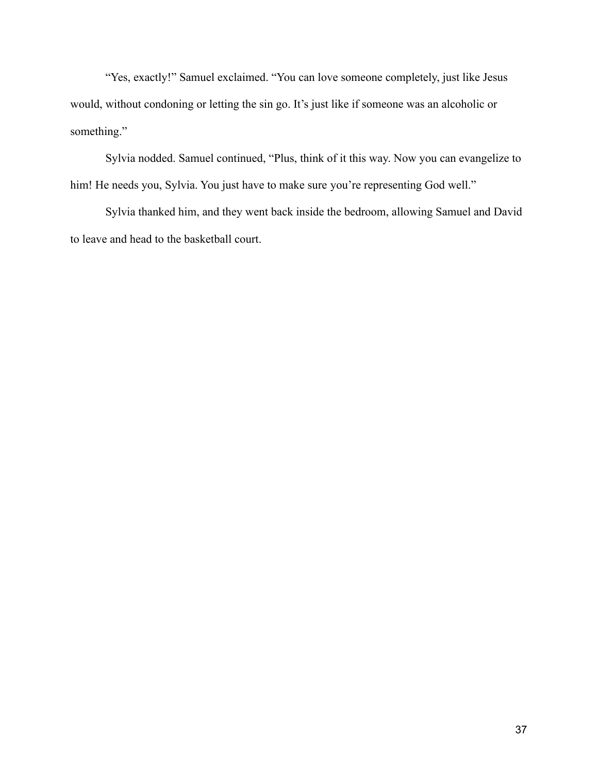"Yes, exactly!" Samuel exclaimed. "You can love someone completely, just like Jesus would, without condoning or letting the sin go. It's just like if someone was an alcoholic or something."

Sylvia nodded. Samuel continued, "Plus, think of it this way. Now you can evangelize to him! He needs you, Sylvia. You just have to make sure you're representing God well."

Sylvia thanked him, and they went back inside the bedroom, allowing Samuel and David to leave and head to the basketball court.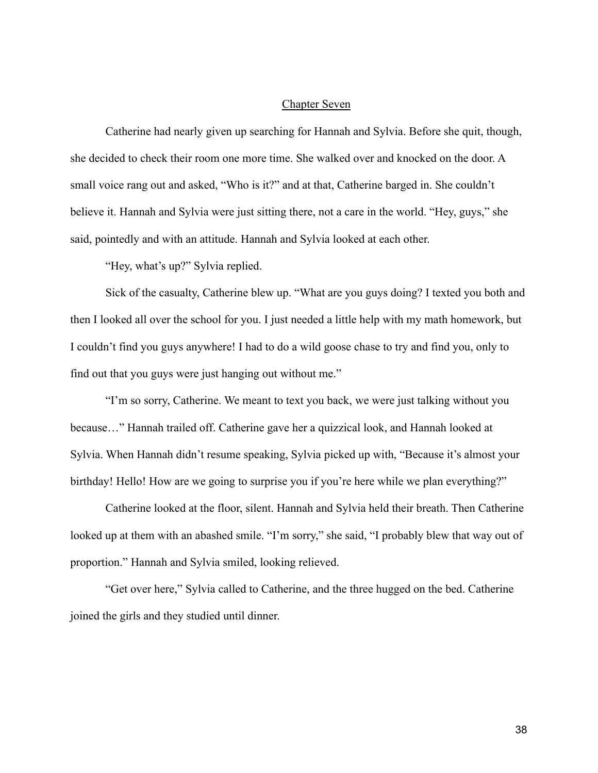# Chapter Seven

Catherine had nearly given up searching for Hannah and Sylvia. Before she quit, though, she decided to check their room one more time. She walked over and knocked on the door. A small voice rang out and asked, "Who is it?" and at that, Catherine barged in. She couldn't believe it. Hannah and Sylvia were just sitting there, not a care in the world. "Hey, guys," she said, pointedly and with an attitude. Hannah and Sylvia looked at each other.

"Hey, what's up?" Sylvia replied.

Sick of the casualty, Catherine blew up. "What are you guys doing? I texted you both and then I looked all over the school for you. I just needed a little help with my math homework, but I couldn't find you guys anywhere! I had to do a wild goose chase to try and find you, only to find out that you guys were just hanging out without me."

"I'm so sorry, Catherine. We meant to text you back, we were just talking without you because…" Hannah trailed off. Catherine gave her a quizzical look, and Hannah looked at Sylvia. When Hannah didn't resume speaking, Sylvia picked up with, "Because it's almost your birthday! Hello! How are we going to surprise you if you're here while we plan everything?"

Catherine looked at the floor, silent. Hannah and Sylvia held their breath. Then Catherine looked up at them with an abashed smile. "I'm sorry," she said, "I probably blew that way out of proportion." Hannah and Sylvia smiled, looking relieved.

"Get over here," Sylvia called to Catherine, and the three hugged on the bed. Catherine joined the girls and they studied until dinner.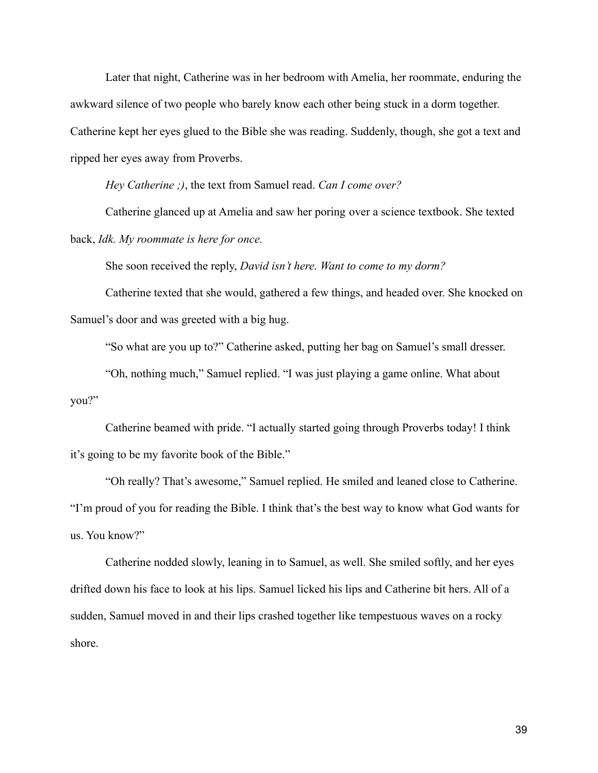Later that night, Catherine was in her bedroom with Amelia, her roommate, enduring the awkward silence of two people who barely know each other being stuck in a dorm together. Catherine kept her eyes glued to the Bible she was reading. Suddenly, though, she got a text and ripped her eyes away from Proverbs.

*Hey Catherine ;)*, the text from Samuel read. *Can I come over?*

Catherine glanced up at Amelia and saw her poring over a science textbook. She texted back, *Idk. My roommate is here for once.*

She soon received the reply, *David isn't here. Want to come to my dorm?*

Catherine texted that she would, gathered a few things, and headed over. She knocked on Samuel's door and was greeted with a big hug.

"So what are you up to?" Catherine asked, putting her bag on Samuel's small dresser.

"Oh, nothing much," Samuel replied. "I was just playing a game online. What about you?"

Catherine beamed with pride. "I actually started going through Proverbs today! I think it's going to be my favorite book of the Bible."

"Oh really? That's awesome," Samuel replied. He smiled and leaned close to Catherine. "I'm proud of you for reading the Bible. I think that's the best way to know what God wants for us. You know?"

Catherine nodded slowly, leaning in to Samuel, as well. She smiled softly, and her eyes drifted down his face to look at his lips. Samuel licked his lips and Catherine bit hers. All of a sudden, Samuel moved in and their lips crashed together like tempestuous waves on a rocky shore.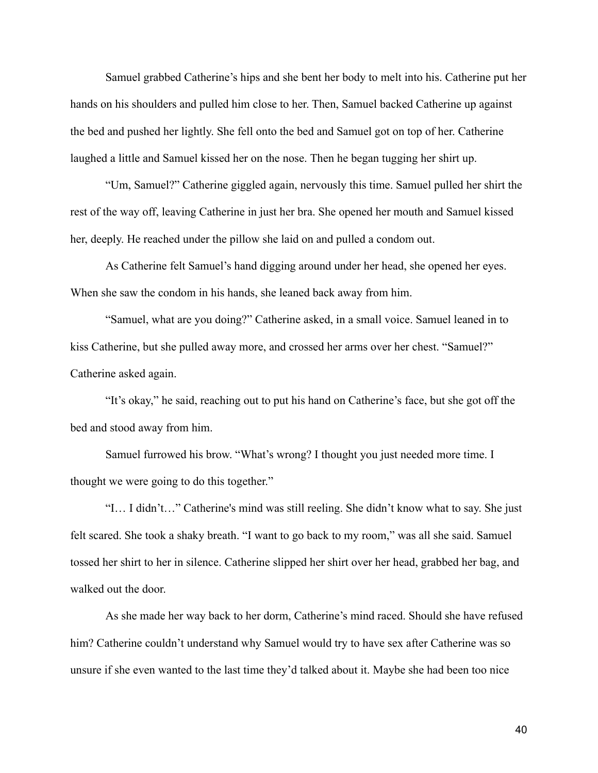Samuel grabbed Catherine's hips and she bent her body to melt into his. Catherine put her hands on his shoulders and pulled him close to her. Then, Samuel backed Catherine up against the bed and pushed her lightly. She fell onto the bed and Samuel got on top of her. Catherine laughed a little and Samuel kissed her on the nose. Then he began tugging her shirt up.

"Um, Samuel?" Catherine giggled again, nervously this time. Samuel pulled her shirt the rest of the way off, leaving Catherine in just her bra. She opened her mouth and Samuel kissed her, deeply. He reached under the pillow she laid on and pulled a condom out.

As Catherine felt Samuel's hand digging around under her head, she opened her eyes. When she saw the condom in his hands, she leaned back away from him.

"Samuel, what are you doing?" Catherine asked, in a small voice. Samuel leaned in to kiss Catherine, but she pulled away more, and crossed her arms over her chest. "Samuel?" Catherine asked again.

"It's okay," he said, reaching out to put his hand on Catherine's face, but she got off the bed and stood away from him.

Samuel furrowed his brow. "What's wrong? I thought you just needed more time. I thought we were going to do this together."

"I… I didn't…" Catherine's mind was still reeling. She didn't know what to say. She just felt scared. She took a shaky breath. "I want to go back to my room," was all she said. Samuel tossed her shirt to her in silence. Catherine slipped her shirt over her head, grabbed her bag, and walked out the door.

As she made her way back to her dorm, Catherine's mind raced. Should she have refused him? Catherine couldn't understand why Samuel would try to have sex after Catherine was so unsure if she even wanted to the last time they'd talked about it. Maybe she had been too nice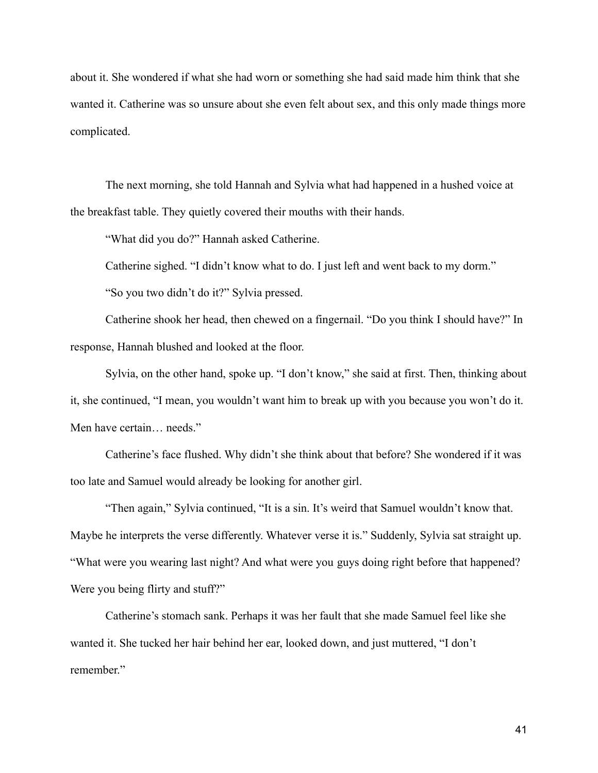about it. She wondered if what she had worn or something she had said made him think that she wanted it. Catherine was so unsure about she even felt about sex, and this only made things more complicated.

The next morning, she told Hannah and Sylvia what had happened in a hushed voice at the breakfast table. They quietly covered their mouths with their hands.

"What did you do?" Hannah asked Catherine.

Catherine sighed. "I didn't know what to do. I just left and went back to my dorm."

"So you two didn't do it?" Sylvia pressed.

Catherine shook her head, then chewed on a fingernail. "Do you think I should have?" In response, Hannah blushed and looked at the floor.

Sylvia, on the other hand, spoke up. "I don't know," she said at first. Then, thinking about it, she continued, "I mean, you wouldn't want him to break up with you because you won't do it. Men have certain… needs."

Catherine's face flushed. Why didn't she think about that before? She wondered if it was too late and Samuel would already be looking for another girl.

"Then again," Sylvia continued, "It is a sin. It's weird that Samuel wouldn't know that. Maybe he interprets the verse differently. Whatever verse it is." Suddenly, Sylvia sat straight up. "What were you wearing last night? And what were you guys doing right before that happened? Were you being flirty and stuff?"

Catherine's stomach sank. Perhaps it was her fault that she made Samuel feel like she wanted it. She tucked her hair behind her ear, looked down, and just muttered, "I don't remember."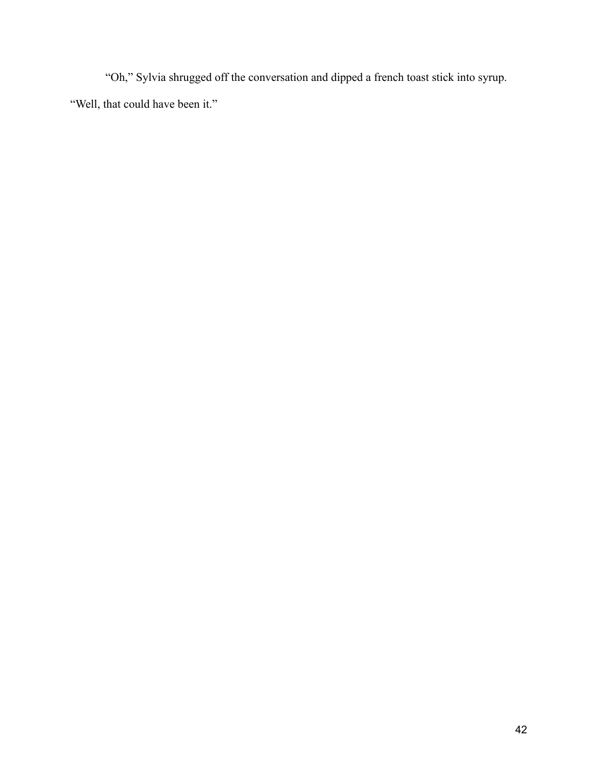"Oh," Sylvia shrugged off the conversation and dipped a french toast stick into syrup. "Well, that could have been it."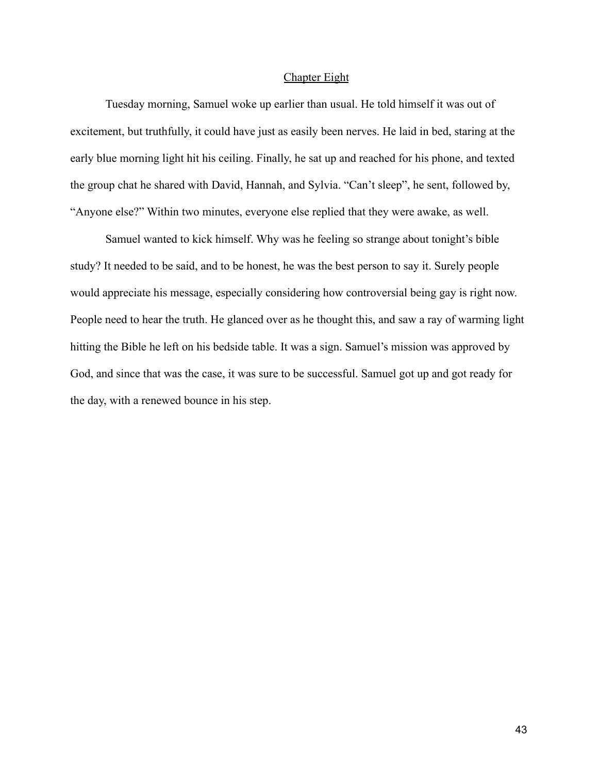## Chapter Eight

Tuesday morning, Samuel woke up earlier than usual. He told himself it was out of excitement, but truthfully, it could have just as easily been nerves. He laid in bed, staring at the early blue morning light hit his ceiling. Finally, he sat up and reached for his phone, and texted the group chat he shared with David, Hannah, and Sylvia. "Can't sleep", he sent, followed by, "Anyone else?" Within two minutes, everyone else replied that they were awake, as well.

Samuel wanted to kick himself. Why was he feeling so strange about tonight's bible study? It needed to be said, and to be honest, he was the best person to say it. Surely people would appreciate his message, especially considering how controversial being gay is right now. People need to hear the truth. He glanced over as he thought this, and saw a ray of warming light hitting the Bible he left on his bedside table. It was a sign. Samuel's mission was approved by God, and since that was the case, it was sure to be successful. Samuel got up and got ready for the day, with a renewed bounce in his step.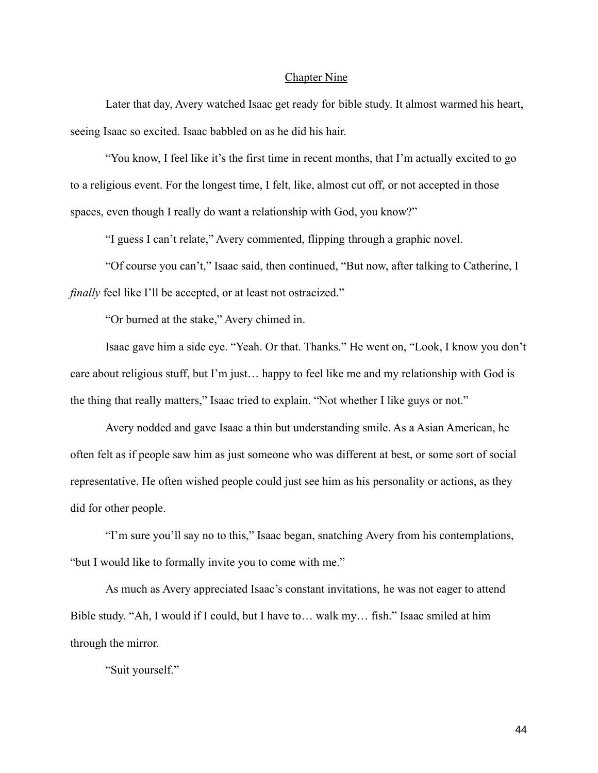## Chapter Nine

Later that day, Avery watched Isaac get ready for bible study. It almost warmed his heart, seeing Isaac so excited. Isaac babbled on as he did his hair.

"You know, I feel like it's the first time in recent months, that I'm actually excited to go to a religious event. For the longest time, I felt, like, almost cut off, or not accepted in those spaces, even though I really do want a relationship with God, you know?"

"I guess I can't relate," Avery commented, flipping through a graphic novel.

"Of course you can't," Isaac said, then continued, "But now, after talking to Catherine, I *finally* feel like I'll be accepted, or at least not ostracized."

"Or burned at the stake," Avery chimed in.

Isaac gave him a side eye. "Yeah. Or that. Thanks." He went on, "Look, I know you don't care about religious stuff, but I'm just… happy to feel like me and my relationship with God is the thing that really matters," Isaac tried to explain. "Not whether I like guys or not."

Avery nodded and gave Isaac a thin but understanding smile. As a Asian American, he often felt as if people saw him as just someone who was different at best, or some sort of social representative. He often wished people could just see him as his personality or actions, as they did for other people.

"I'm sure you'll say no to this," Isaac began, snatching Avery from his contemplations, "but I would like to formally invite you to come with me."

As much as Avery appreciated Isaac's constant invitations, he was not eager to attend Bible study. "Ah, I would if I could, but I have to… walk my… fish." Isaac smiled at him through the mirror.

"Suit yourself."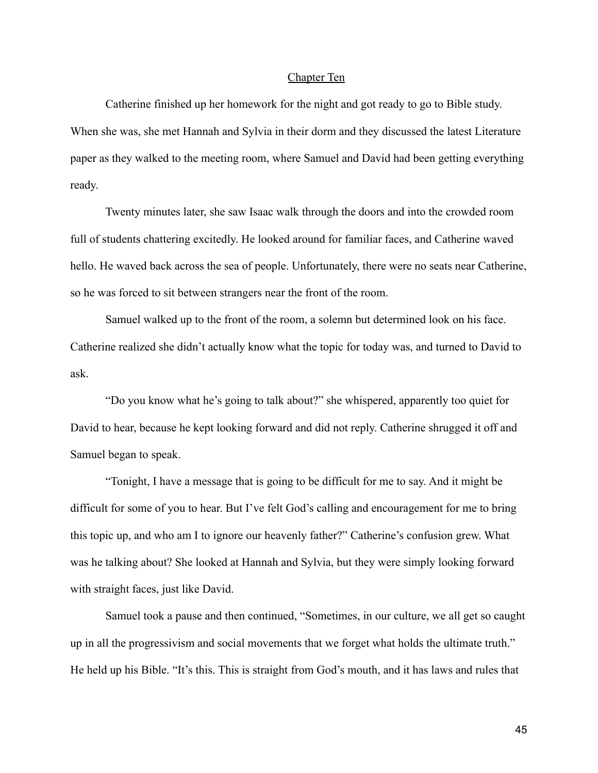# Chapter Ten

Catherine finished up her homework for the night and got ready to go to Bible study. When she was, she met Hannah and Sylvia in their dorm and they discussed the latest Literature paper as they walked to the meeting room, where Samuel and David had been getting everything ready.

Twenty minutes later, she saw Isaac walk through the doors and into the crowded room full of students chattering excitedly. He looked around for familiar faces, and Catherine waved hello. He waved back across the sea of people. Unfortunately, there were no seats near Catherine, so he was forced to sit between strangers near the front of the room.

Samuel walked up to the front of the room, a solemn but determined look on his face. Catherine realized she didn't actually know what the topic for today was, and turned to David to ask.

"Do you know what he's going to talk about?" she whispered, apparently too quiet for David to hear, because he kept looking forward and did not reply. Catherine shrugged it off and Samuel began to speak.

"Tonight, I have a message that is going to be difficult for me to say. And it might be difficult for some of you to hear. But I've felt God's calling and encouragement for me to bring this topic up, and who am I to ignore our heavenly father?" Catherine's confusion grew. What was he talking about? She looked at Hannah and Sylvia, but they were simply looking forward with straight faces, just like David.

Samuel took a pause and then continued, "Sometimes, in our culture, we all get so caught up in all the progressivism and social movements that we forget what holds the ultimate truth." He held up his Bible. "It's this. This is straight from God's mouth, and it has laws and rules that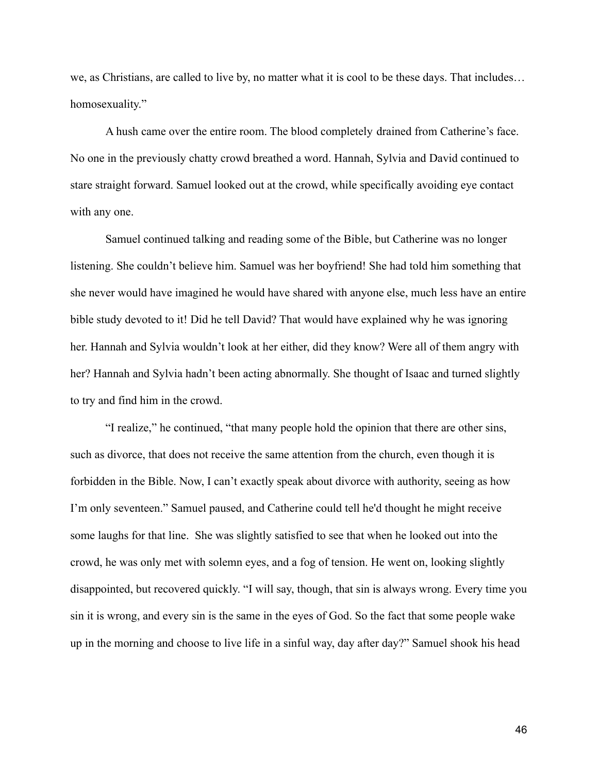we, as Christians, are called to live by, no matter what it is cool to be these days. That includes… homosexuality."

A hush came over the entire room. The blood completely drained from Catherine's face. No one in the previously chatty crowd breathed a word. Hannah, Sylvia and David continued to stare straight forward. Samuel looked out at the crowd, while specifically avoiding eye contact with any one.

Samuel continued talking and reading some of the Bible, but Catherine was no longer listening. She couldn't believe him. Samuel was her boyfriend! She had told him something that she never would have imagined he would have shared with anyone else, much less have an entire bible study devoted to it! Did he tell David? That would have explained why he was ignoring her. Hannah and Sylvia wouldn't look at her either, did they know? Were all of them angry with her? Hannah and Sylvia hadn't been acting abnormally. She thought of Isaac and turned slightly to try and find him in the crowd.

"I realize," he continued, "that many people hold the opinion that there are other sins, such as divorce, that does not receive the same attention from the church, even though it is forbidden in the Bible. Now, I can't exactly speak about divorce with authority, seeing as how I'm only seventeen." Samuel paused, and Catherine could tell he'd thought he might receive some laughs for that line. She was slightly satisfied to see that when he looked out into the crowd, he was only met with solemn eyes, and a fog of tension. He went on, looking slightly disappointed, but recovered quickly. "I will say, though, that sin is always wrong. Every time you sin it is wrong, and every sin is the same in the eyes of God. So the fact that some people wake up in the morning and choose to live life in a sinful way, day after day?" Samuel shook his head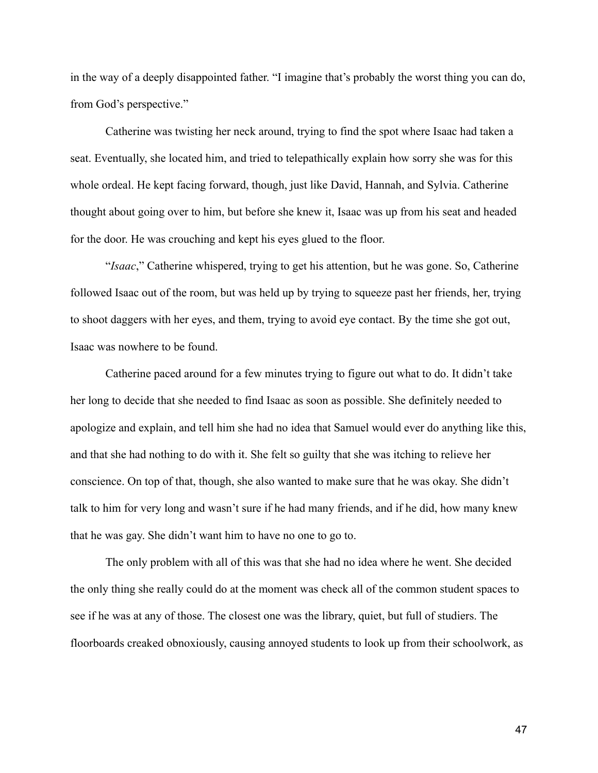in the way of a deeply disappointed father. "I imagine that's probably the worst thing you can do, from God's perspective."

Catherine was twisting her neck around, trying to find the spot where Isaac had taken a seat. Eventually, she located him, and tried to telepathically explain how sorry she was for this whole ordeal. He kept facing forward, though, just like David, Hannah, and Sylvia. Catherine thought about going over to him, but before she knew it, Isaac was up from his seat and headed for the door. He was crouching and kept his eyes glued to the floor.

"*Isaac*," Catherine whispered, trying to get his attention, but he was gone. So, Catherine followed Isaac out of the room, but was held up by trying to squeeze past her friends, her, trying to shoot daggers with her eyes, and them, trying to avoid eye contact. By the time she got out, Isaac was nowhere to be found.

Catherine paced around for a few minutes trying to figure out what to do. It didn't take her long to decide that she needed to find Isaac as soon as possible. She definitely needed to apologize and explain, and tell him she had no idea that Samuel would ever do anything like this, and that she had nothing to do with it. She felt so guilty that she was itching to relieve her conscience. On top of that, though, she also wanted to make sure that he was okay. She didn't talk to him for very long and wasn't sure if he had many friends, and if he did, how many knew that he was gay. She didn't want him to have no one to go to.

The only problem with all of this was that she had no idea where he went. She decided the only thing she really could do at the moment was check all of the common student spaces to see if he was at any of those. The closest one was the library, quiet, but full of studiers. The floorboards creaked obnoxiously, causing annoyed students to look up from their schoolwork, as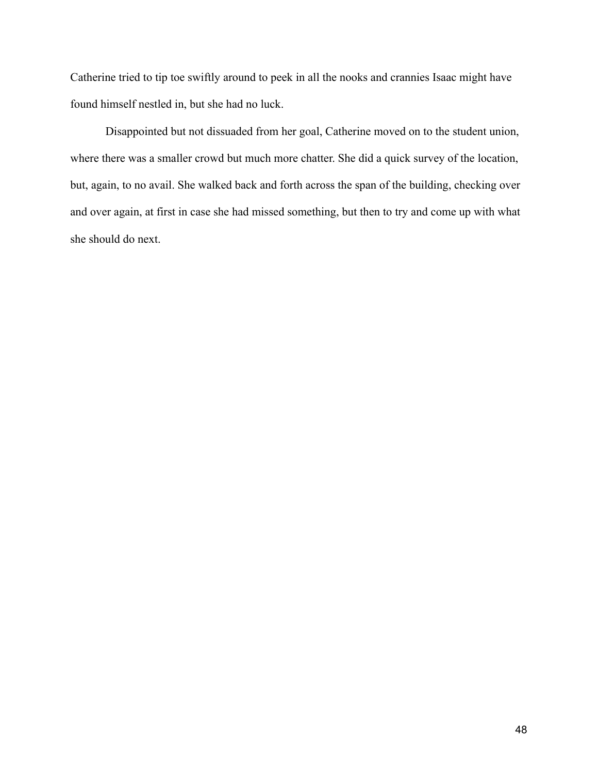Catherine tried to tip toe swiftly around to peek in all the nooks and crannies Isaac might have found himself nestled in, but she had no luck.

Disappointed but not dissuaded from her goal, Catherine moved on to the student union, where there was a smaller crowd but much more chatter. She did a quick survey of the location, but, again, to no avail. She walked back and forth across the span of the building, checking over and over again, at first in case she had missed something, but then to try and come up with what she should do next.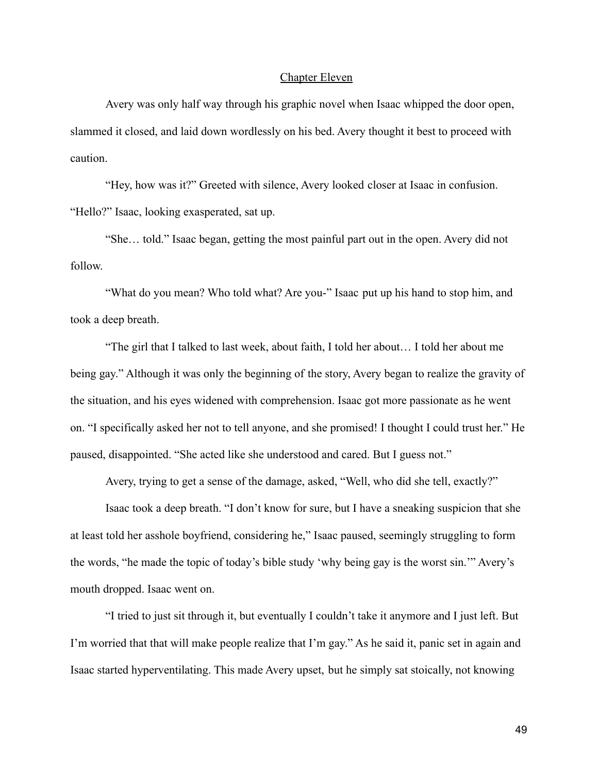# Chapter Eleven

Avery was only half way through his graphic novel when Isaac whipped the door open, slammed it closed, and laid down wordlessly on his bed. Avery thought it best to proceed with caution.

"Hey, how was it?" Greeted with silence, Avery looked closer at Isaac in confusion. "Hello?" Isaac, looking exasperated, sat up.

"She… told." Isaac began, getting the most painful part out in the open. Avery did not follow.

"What do you mean? Who told what? Are you-" Isaac put up his hand to stop him, and took a deep breath.

"The girl that I talked to last week, about faith, I told her about… I told her about me being gay." Although it was only the beginning of the story, Avery began to realize the gravity of the situation, and his eyes widened with comprehension. Isaac got more passionate as he went on. "I specifically asked her not to tell anyone, and she promised! I thought I could trust her." He paused, disappointed. "She acted like she understood and cared. But I guess not."

Avery, trying to get a sense of the damage, asked, "Well, who did she tell, exactly?"

Isaac took a deep breath. "I don't know for sure, but I have a sneaking suspicion that she at least told her asshole boyfriend, considering he," Isaac paused, seemingly struggling to form the words, "he made the topic of today's bible study 'why being gay is the worst sin.'" Avery's mouth dropped. Isaac went on.

"I tried to just sit through it, but eventually I couldn't take it anymore and I just left. But I'm worried that that will make people realize that I'm gay." As he said it, panic set in again and Isaac started hyperventilating. This made Avery upset, but he simply sat stoically, not knowing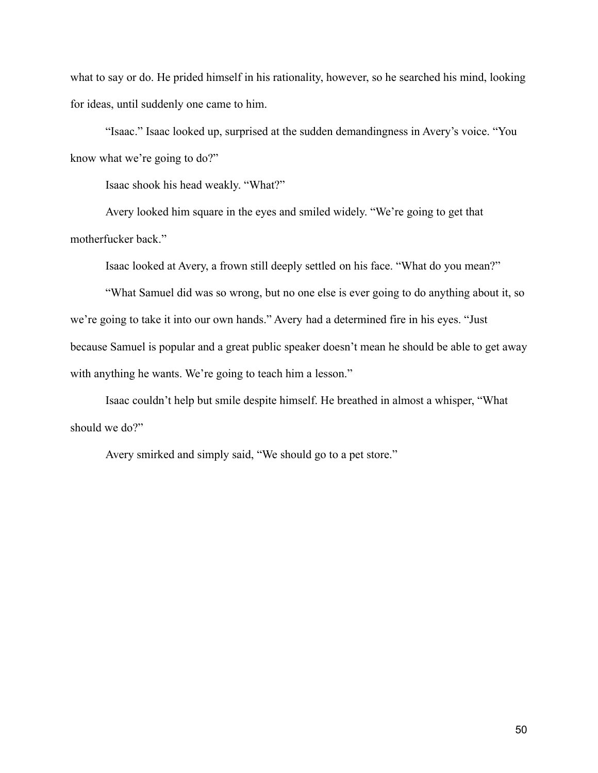what to say or do. He prided himself in his rationality, however, so he searched his mind, looking for ideas, until suddenly one came to him.

"Isaac." Isaac looked up, surprised at the sudden demandingness in Avery's voice. "You know what we're going to do?"

Isaac shook his head weakly. "What?"

Avery looked him square in the eyes and smiled widely. "We're going to get that motherfucker back."

Isaac looked at Avery, a frown still deeply settled on his face. "What do you mean?"

"What Samuel did was so wrong, but no one else is ever going to do anything about it, so we're going to take it into our own hands." Avery had a determined fire in his eyes. "Just because Samuel is popular and a great public speaker doesn't mean he should be able to get away with anything he wants. We're going to teach him a lesson."

Isaac couldn't help but smile despite himself. He breathed in almost a whisper, "What should we do?"

Avery smirked and simply said, "We should go to a pet store."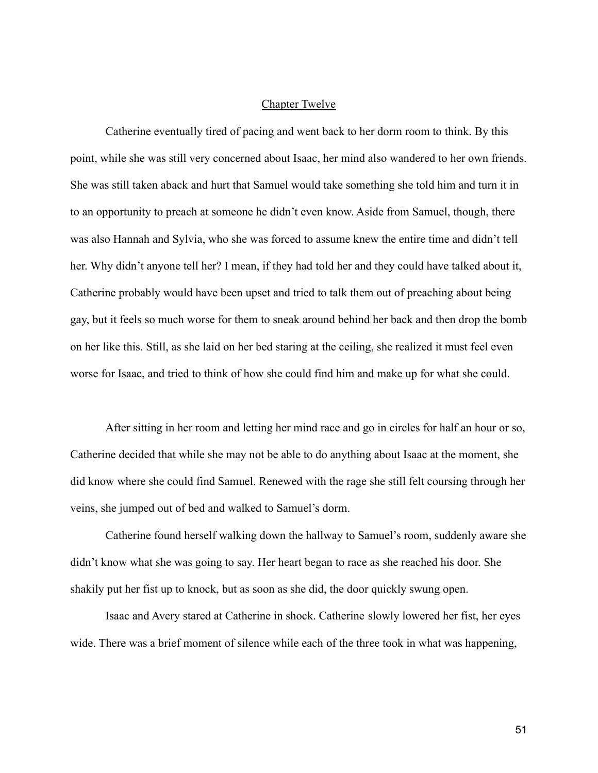# Chapter Twelve

Catherine eventually tired of pacing and went back to her dorm room to think. By this point, while she was still very concerned about Isaac, her mind also wandered to her own friends. She was still taken aback and hurt that Samuel would take something she told him and turn it in to an opportunity to preach at someone he didn't even know. Aside from Samuel, though, there was also Hannah and Sylvia, who she was forced to assume knew the entire time and didn't tell her. Why didn't anyone tell her? I mean, if they had told her and they could have talked about it, Catherine probably would have been upset and tried to talk them out of preaching about being gay, but it feels so much worse for them to sneak around behind her back and then drop the bomb on her like this. Still, as she laid on her bed staring at the ceiling, she realized it must feel even worse for Isaac, and tried to think of how she could find him and make up for what she could.

After sitting in her room and letting her mind race and go in circles for half an hour or so, Catherine decided that while she may not be able to do anything about Isaac at the moment, she did know where she could find Samuel. Renewed with the rage she still felt coursing through her veins, she jumped out of bed and walked to Samuel's dorm.

Catherine found herself walking down the hallway to Samuel's room, suddenly aware she didn't know what she was going to say. Her heart began to race as she reached his door. She shakily put her fist up to knock, but as soon as she did, the door quickly swung open.

Isaac and Avery stared at Catherine in shock. Catherine slowly lowered her fist, her eyes wide. There was a brief moment of silence while each of the three took in what was happening,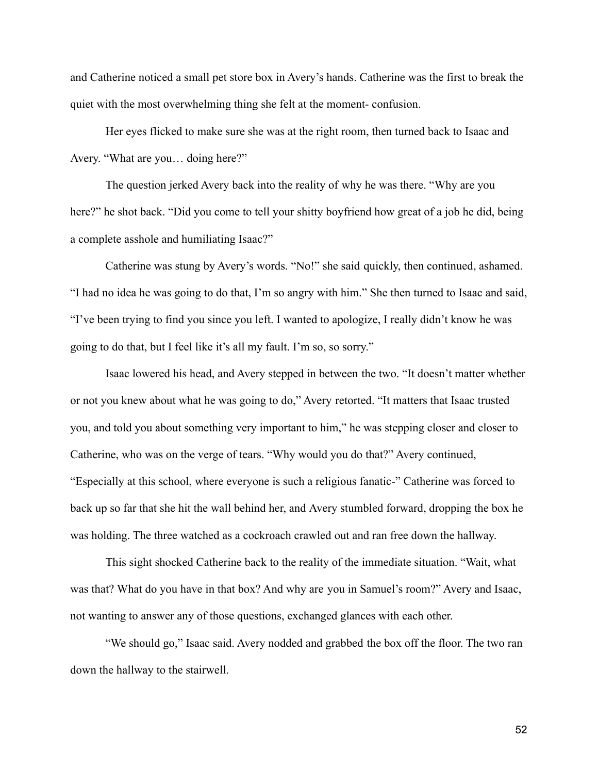and Catherine noticed a small pet store box in Avery's hands. Catherine was the first to break the quiet with the most overwhelming thing she felt at the moment- confusion.

Her eyes flicked to make sure she was at the right room, then turned back to Isaac and Avery. "What are you… doing here?"

The question jerked Avery back into the reality of why he was there. "Why are you here?" he shot back. "Did you come to tell your shitty boyfriend how great of a job he did, being a complete asshole and humiliating Isaac?"

Catherine was stung by Avery's words. "No!" she said quickly, then continued, ashamed. "I had no idea he was going to do that, I'm so angry with him." She then turned to Isaac and said, "I've been trying to find you since you left. I wanted to apologize, I really didn't know he was going to do that, but I feel like it's all my fault. I'm so, so sorry."

Isaac lowered his head, and Avery stepped in between the two. "It doesn't matter whether or not you knew about what he was going to do," Avery retorted. "It matters that Isaac trusted you, and told you about something very important to him," he was stepping closer and closer to Catherine, who was on the verge of tears. "Why would you do that?" Avery continued, "Especially at this school, where everyone is such a religious fanatic-" Catherine was forced to back up so far that she hit the wall behind her, and Avery stumbled forward, dropping the box he was holding. The three watched as a cockroach crawled out and ran free down the hallway.

This sight shocked Catherine back to the reality of the immediate situation. "Wait, what was that? What do you have in that box? And why are you in Samuel's room?" Avery and Isaac, not wanting to answer any of those questions, exchanged glances with each other.

"We should go," Isaac said. Avery nodded and grabbed the box off the floor. The two ran down the hallway to the stairwell.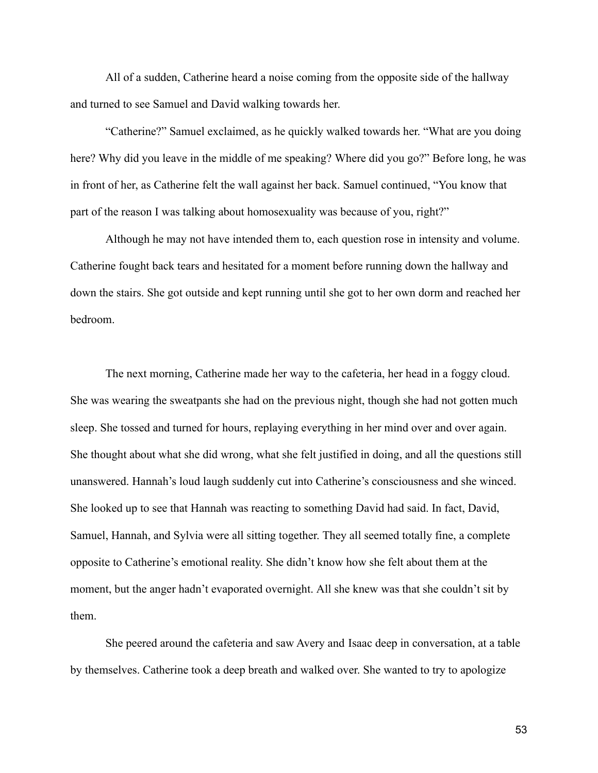All of a sudden, Catherine heard a noise coming from the opposite side of the hallway and turned to see Samuel and David walking towards her.

"Catherine?" Samuel exclaimed, as he quickly walked towards her. "What are you doing here? Why did you leave in the middle of me speaking? Where did you go?" Before long, he was in front of her, as Catherine felt the wall against her back. Samuel continued, "You know that part of the reason I was talking about homosexuality was because of you, right?"

Although he may not have intended them to, each question rose in intensity and volume. Catherine fought back tears and hesitated for a moment before running down the hallway and down the stairs. She got outside and kept running until she got to her own dorm and reached her bedroom.

The next morning, Catherine made her way to the cafeteria, her head in a foggy cloud. She was wearing the sweatpants she had on the previous night, though she had not gotten much sleep. She tossed and turned for hours, replaying everything in her mind over and over again. She thought about what she did wrong, what she felt justified in doing, and all the questions still unanswered. Hannah's loud laugh suddenly cut into Catherine's consciousness and she winced. She looked up to see that Hannah was reacting to something David had said. In fact, David, Samuel, Hannah, and Sylvia were all sitting together. They all seemed totally fine, a complete opposite to Catherine's emotional reality. She didn't know how she felt about them at the moment, but the anger hadn't evaporated overnight. All she knew was that she couldn't sit by them.

She peered around the cafeteria and saw Avery and Isaac deep in conversation, at a table by themselves. Catherine took a deep breath and walked over. She wanted to try to apologize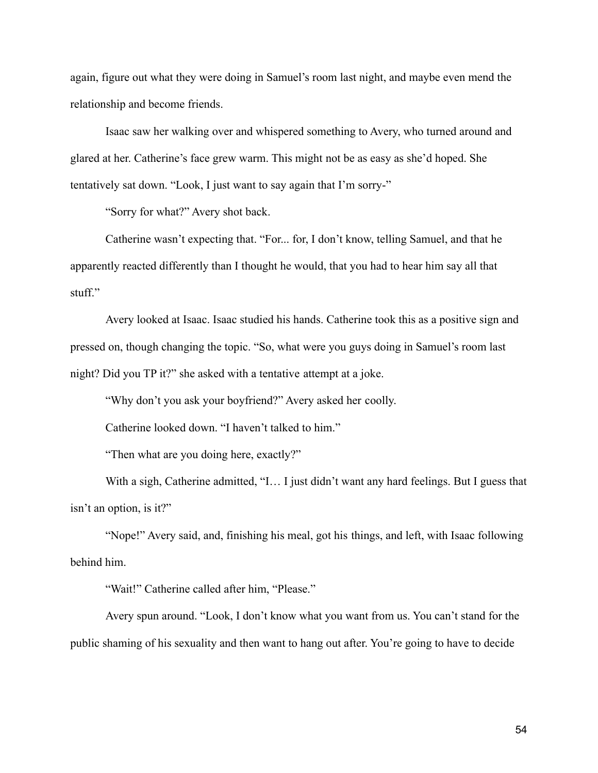again, figure out what they were doing in Samuel's room last night, and maybe even mend the relationship and become friends.

Isaac saw her walking over and whispered something to Avery, who turned around and glared at her. Catherine's face grew warm. This might not be as easy as she'd hoped. She tentatively sat down. "Look, I just want to say again that I'm sorry-"

"Sorry for what?" Avery shot back.

Catherine wasn't expecting that. "For... for, I don't know, telling Samuel, and that he apparently reacted differently than I thought he would, that you had to hear him say all that stuff."

Avery looked at Isaac. Isaac studied his hands. Catherine took this as a positive sign and pressed on, though changing the topic. "So, what were you guys doing in Samuel's room last night? Did you TP it?" she asked with a tentative attempt at a joke.

"Why don't you ask your boyfriend?" Avery asked her coolly.

Catherine looked down. "I haven't talked to him."

"Then what are you doing here, exactly?"

With a sigh, Catherine admitted, "I... I just didn't want any hard feelings. But I guess that isn't an option, is it?"

"Nope!" Avery said, and, finishing his meal, got his things, and left, with Isaac following behind him.

"Wait!" Catherine called after him, "Please."

Avery spun around. "Look, I don't know what you want from us. You can't stand for the public shaming of his sexuality and then want to hang out after. You're going to have to decide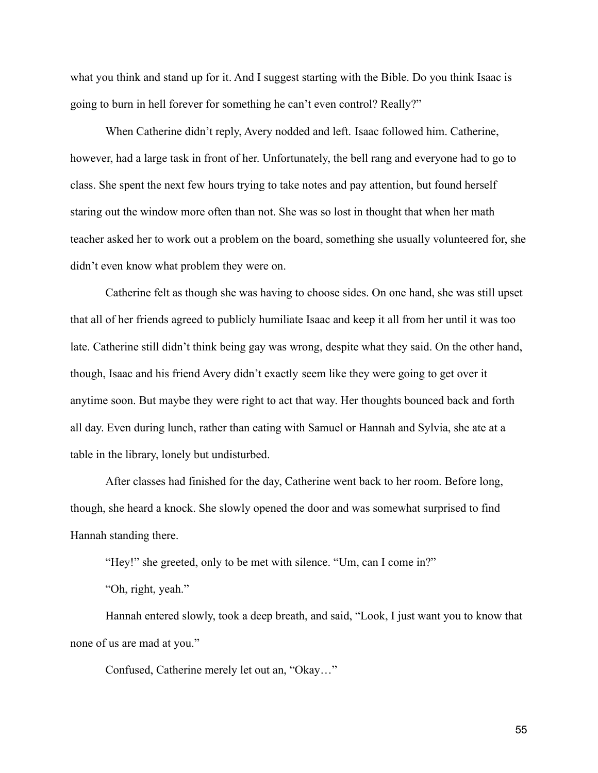what you think and stand up for it. And I suggest starting with the Bible. Do you think Isaac is going to burn in hell forever for something he can't even control? Really?"

When Catherine didn't reply, Avery nodded and left. Isaac followed him. Catherine, however, had a large task in front of her. Unfortunately, the bell rang and everyone had to go to class. She spent the next few hours trying to take notes and pay attention, but found herself staring out the window more often than not. She was so lost in thought that when her math teacher asked her to work out a problem on the board, something she usually volunteered for, she didn't even know what problem they were on.

Catherine felt as though she was having to choose sides. On one hand, she was still upset that all of her friends agreed to publicly humiliate Isaac and keep it all from her until it was too late. Catherine still didn't think being gay was wrong, despite what they said. On the other hand, though, Isaac and his friend Avery didn't exactly seem like they were going to get over it anytime soon. But maybe they were right to act that way. Her thoughts bounced back and forth all day. Even during lunch, rather than eating with Samuel or Hannah and Sylvia, she ate at a table in the library, lonely but undisturbed.

After classes had finished for the day, Catherine went back to her room. Before long, though, she heard a knock. She slowly opened the door and was somewhat surprised to find Hannah standing there.

"Hey!" she greeted, only to be met with silence. "Um, can I come in?"

"Oh, right, yeah."

Hannah entered slowly, took a deep breath, and said, "Look, I just want you to know that none of us are mad at you."

Confused, Catherine merely let out an, "Okay…"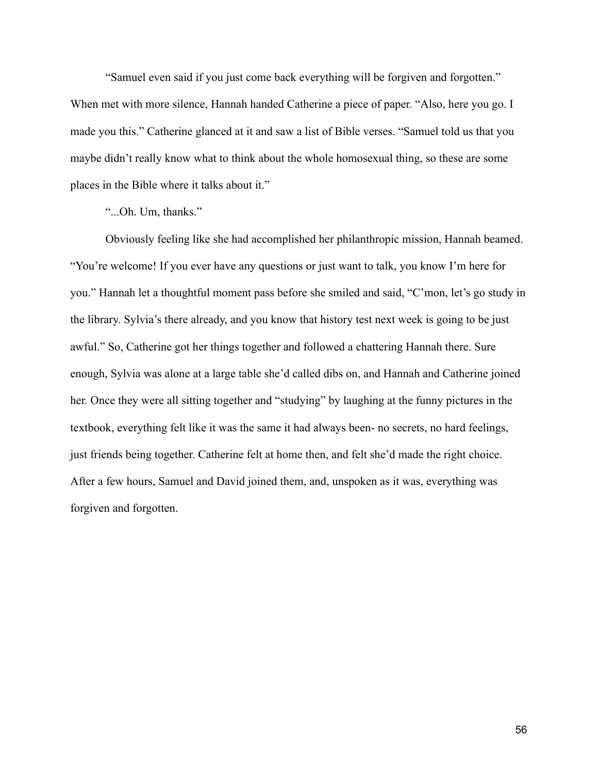"Samuel even said if you just come back everything will be forgiven and forgotten."

When met with more silence, Hannah handed Catherine a piece of paper. "Also, here you go. I made you this." Catherine glanced at it and saw a list of Bible verses. "Samuel told us that you maybe didn't really know what to think about the whole homosexual thing, so these are some places in the Bible where it talks about it."

"...Oh. Um, thanks."

Obviously feeling like she had accomplished her philanthropic mission, Hannah beamed. "You're welcome! If you ever have any questions or just want to talk, you know I'm here for you." Hannah let a thoughtful moment pass before she smiled and said, "C'mon, let's go study in the library. Sylvia's there already, and you know that history test next week is going to be just awful." So, Catherine got her things together and followed a chattering Hannah there. Sure enough, Sylvia was alone at a large table she'd called dibs on, and Hannah and Catherine joined her. Once they were all sitting together and "studying" by laughing at the funny pictures in the textbook, everything felt like it was the same it had always been- no secrets, no hard feelings, just friends being together. Catherine felt at home then, and felt she'd made the right choice. After a few hours, Samuel and David joined them, and, unspoken as it was, everything was forgiven and forgotten.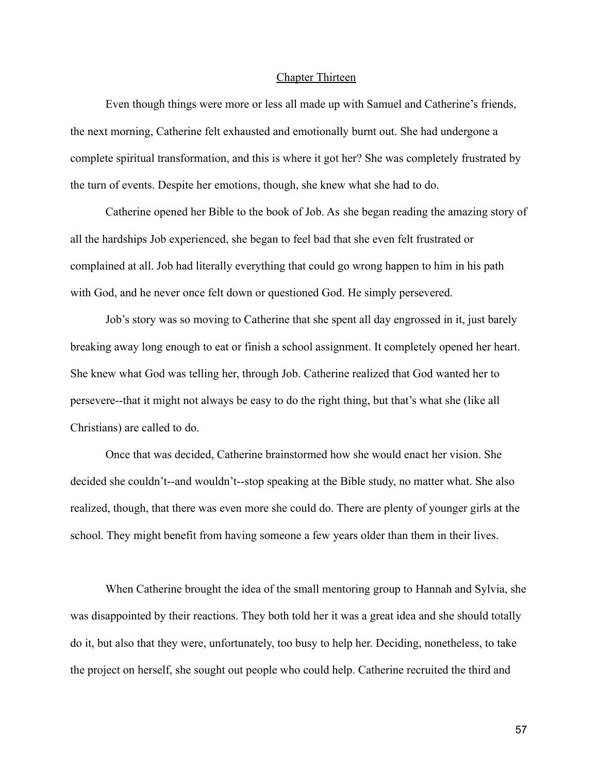## Chapter Thirteen

Even though things were more or less all made up with Samuel and Catherine's friends, the next morning, Catherine felt exhausted and emotionally burnt out. She had undergone a complete spiritual transformation, and this is where it got her? She was completely frustrated by the turn of events. Despite her emotions, though, she knew what she had to do.

Catherine opened her Bible to the book of Job. As she began reading the amazing story of all the hardships Job experienced, she began to feel bad that she even felt frustrated or complained at all. Job had literally everything that could go wrong happen to him in his path with God, and he never once felt down or questioned God. He simply persevered.

Job's story was so moving to Catherine that she spent all day engrossed in it, just barely breaking away long enough to eat or finish a school assignment. It completely opened her heart. She knew what God was telling her, through Job. Catherine realized that God wanted her to persevere--that it might not always be easy to do the right thing, but that's what she (like all Christians) are called to do.

Once that was decided, Catherine brainstormed how she would enact her vision. She decided she couldn't--and wouldn't--stop speaking at the Bible study, no matter what. She also realized, though, that there was even more she could do. There are plenty of younger girls at the school. They might benefit from having someone a few years older than them in their lives.

When Catherine brought the idea of the small mentoring group to Hannah and Sylvia, she was disappointed by their reactions. They both told her it was a great idea and she should totally do it, but also that they were, unfortunately, too busy to help her. Deciding, nonetheless, to take the project on herself, she sought out people who could help. Catherine recruited the third and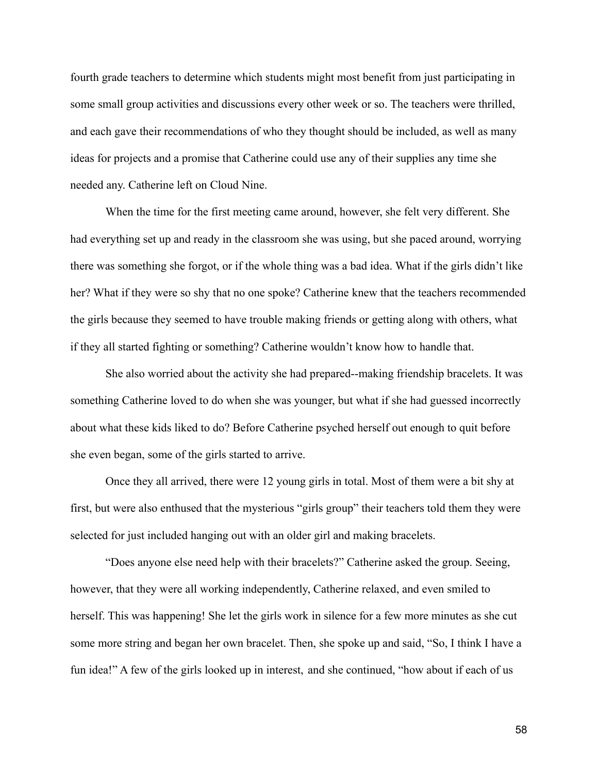fourth grade teachers to determine which students might most benefit from just participating in some small group activities and discussions every other week or so. The teachers were thrilled, and each gave their recommendations of who they thought should be included, as well as many ideas for projects and a promise that Catherine could use any of their supplies any time she needed any. Catherine left on Cloud Nine.

When the time for the first meeting came around, however, she felt very different. She had everything set up and ready in the classroom she was using, but she paced around, worrying there was something she forgot, or if the whole thing was a bad idea. What if the girls didn't like her? What if they were so shy that no one spoke? Catherine knew that the teachers recommended the girls because they seemed to have trouble making friends or getting along with others, what if they all started fighting or something? Catherine wouldn't know how to handle that.

She also worried about the activity she had prepared--making friendship bracelets. It was something Catherine loved to do when she was younger, but what if she had guessed incorrectly about what these kids liked to do? Before Catherine psyched herself out enough to quit before she even began, some of the girls started to arrive.

Once they all arrived, there were 12 young girls in total. Most of them were a bit shy at first, but were also enthused that the mysterious "girls group" their teachers told them they were selected for just included hanging out with an older girl and making bracelets.

"Does anyone else need help with their bracelets?" Catherine asked the group. Seeing, however, that they were all working independently, Catherine relaxed, and even smiled to herself. This was happening! She let the girls work in silence for a few more minutes as she cut some more string and began her own bracelet. Then, she spoke up and said, "So, I think I have a fun idea!" A few of the girls looked up in interest, and she continued, "how about if each of us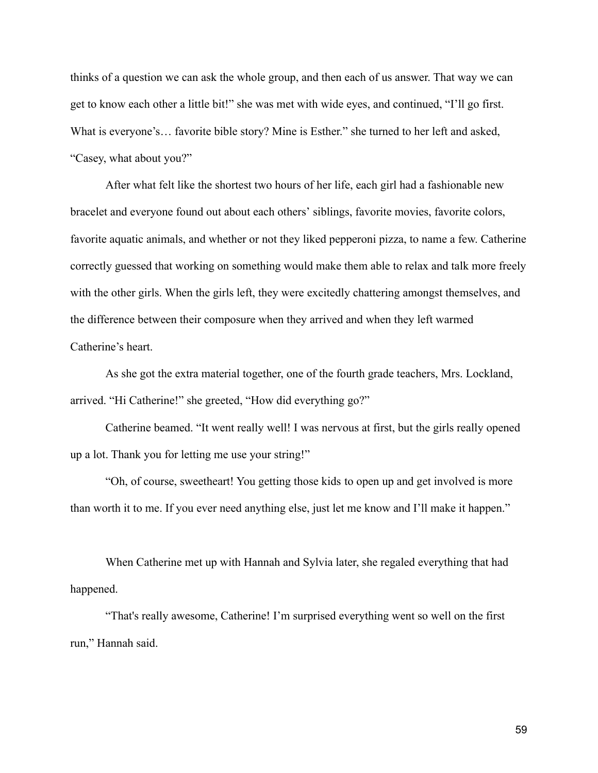thinks of a question we can ask the whole group, and then each of us answer. That way we can get to know each other a little bit!" she was met with wide eyes, and continued, "I'll go first. What is everyone's… favorite bible story? Mine is Esther." she turned to her left and asked, "Casey, what about you?"

After what felt like the shortest two hours of her life, each girl had a fashionable new bracelet and everyone found out about each others' siblings, favorite movies, favorite colors, favorite aquatic animals, and whether or not they liked pepperoni pizza, to name a few. Catherine correctly guessed that working on something would make them able to relax and talk more freely with the other girls. When the girls left, they were excitedly chattering amongst themselves, and the difference between their composure when they arrived and when they left warmed Catherine's heart.

As she got the extra material together, one of the fourth grade teachers, Mrs. Lockland, arrived. "Hi Catherine!" she greeted, "How did everything go?"

Catherine beamed. "It went really well! I was nervous at first, but the girls really opened up a lot. Thank you for letting me use your string!"

"Oh, of course, sweetheart! You getting those kids to open up and get involved is more than worth it to me. If you ever need anything else, just let me know and I'll make it happen."

When Catherine met up with Hannah and Sylvia later, she regaled everything that had happened.

"That's really awesome, Catherine! I'm surprised everything went so well on the first run," Hannah said.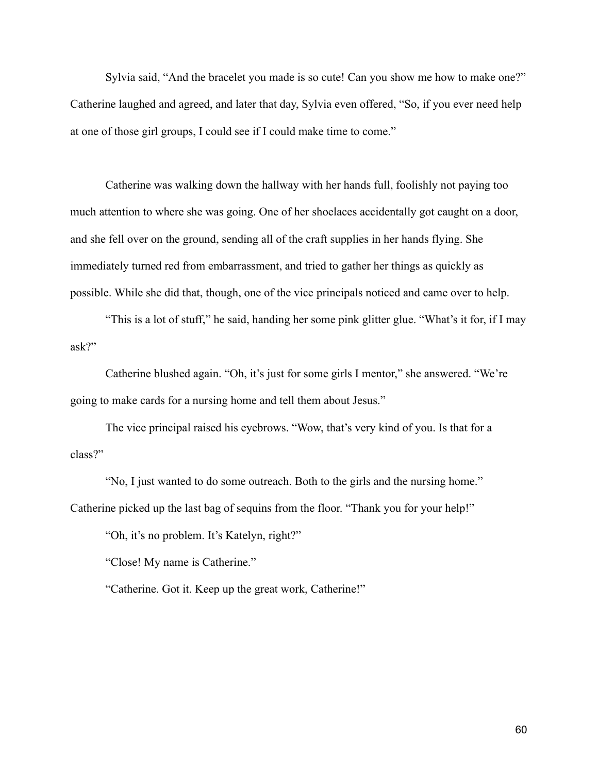Sylvia said, "And the bracelet you made is so cute! Can you show me how to make one?" Catherine laughed and agreed, and later that day, Sylvia even offered, "So, if you ever need help at one of those girl groups, I could see if I could make time to come."

Catherine was walking down the hallway with her hands full, foolishly not paying too much attention to where she was going. One of her shoelaces accidentally got caught on a door, and she fell over on the ground, sending all of the craft supplies in her hands flying. She immediately turned red from embarrassment, and tried to gather her things as quickly as possible. While she did that, though, one of the vice principals noticed and came over to help.

"This is a lot of stuff," he said, handing her some pink glitter glue. "What's it for, if I may ask?"

Catherine blushed again. "Oh, it's just for some girls I mentor," she answered. "We're going to make cards for a nursing home and tell them about Jesus."

The vice principal raised his eyebrows. "Wow, that's very kind of you. Is that for a class?"

"No, I just wanted to do some outreach. Both to the girls and the nursing home." Catherine picked up the last bag of sequins from the floor. "Thank you for your help!"

"Oh, it's no problem. It's Katelyn, right?"

"Close! My name is Catherine."

"Catherine. Got it. Keep up the great work, Catherine!"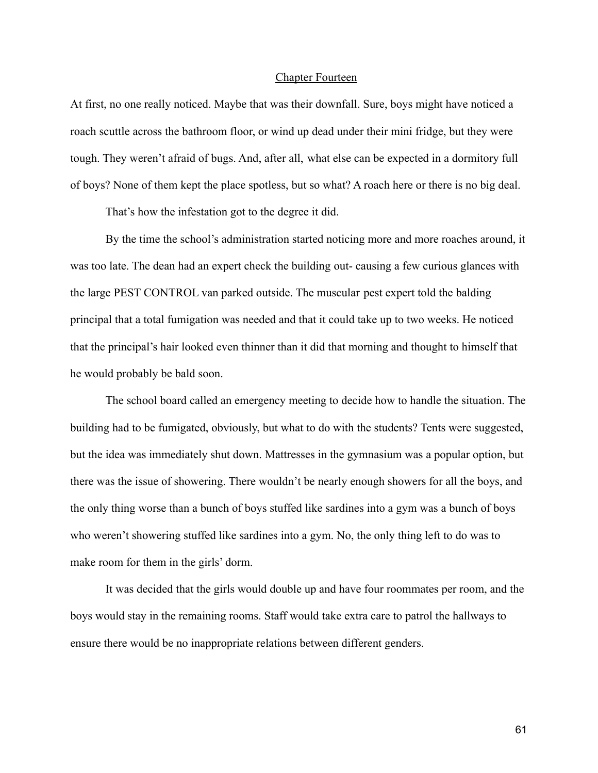### Chapter Fourteen

At first, no one really noticed. Maybe that was their downfall. Sure, boys might have noticed a roach scuttle across the bathroom floor, or wind up dead under their mini fridge, but they were tough. They weren't afraid of bugs. And, after all, what else can be expected in a dormitory full of boys? None of them kept the place spotless, but so what? A roach here or there is no big deal.

That's how the infestation got to the degree it did.

By the time the school's administration started noticing more and more roaches around, it was too late. The dean had an expert check the building out- causing a few curious glances with the large PEST CONTROL van parked outside. The muscular pest expert told the balding principal that a total fumigation was needed and that it could take up to two weeks. He noticed that the principal's hair looked even thinner than it did that morning and thought to himself that he would probably be bald soon.

The school board called an emergency meeting to decide how to handle the situation. The building had to be fumigated, obviously, but what to do with the students? Tents were suggested, but the idea was immediately shut down. Mattresses in the gymnasium was a popular option, but there was the issue of showering. There wouldn't be nearly enough showers for all the boys, and the only thing worse than a bunch of boys stuffed like sardines into a gym was a bunch of boys who weren't showering stuffed like sardines into a gym. No, the only thing left to do was to make room for them in the girls' dorm.

It was decided that the girls would double up and have four roommates per room, and the boys would stay in the remaining rooms. Staff would take extra care to patrol the hallways to ensure there would be no inappropriate relations between different genders.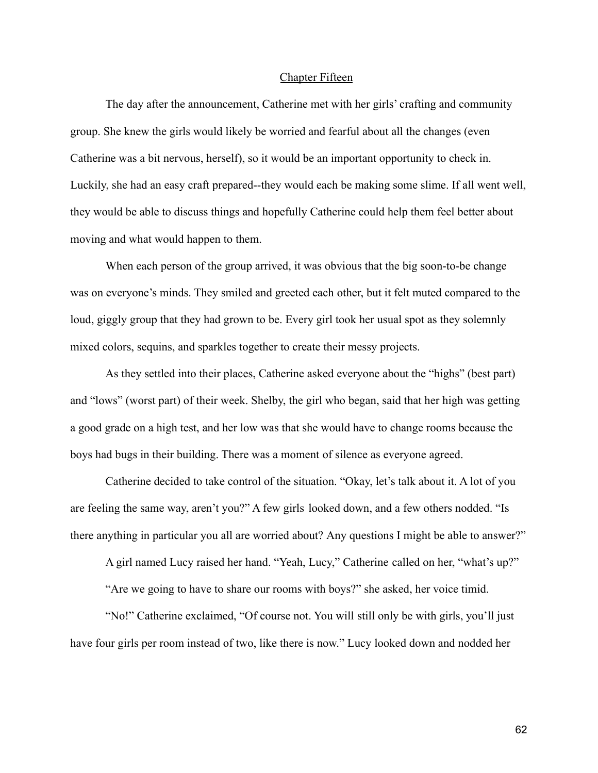## Chapter Fifteen

The day after the announcement, Catherine met with her girls' crafting and community group. She knew the girls would likely be worried and fearful about all the changes (even Catherine was a bit nervous, herself), so it would be an important opportunity to check in. Luckily, she had an easy craft prepared--they would each be making some slime. If all went well, they would be able to discuss things and hopefully Catherine could help them feel better about moving and what would happen to them.

When each person of the group arrived, it was obvious that the big soon-to-be change was on everyone's minds. They smiled and greeted each other, but it felt muted compared to the loud, giggly group that they had grown to be. Every girl took her usual spot as they solemnly mixed colors, sequins, and sparkles together to create their messy projects.

As they settled into their places, Catherine asked everyone about the "highs" (best part) and "lows" (worst part) of their week. Shelby, the girl who began, said that her high was getting a good grade on a high test, and her low was that she would have to change rooms because the boys had bugs in their building. There was a moment of silence as everyone agreed.

Catherine decided to take control of the situation. "Okay, let's talk about it. A lot of you are feeling the same way, aren't you?" A few girls looked down, and a few others nodded. "Is there anything in particular you all are worried about? Any questions I might be able to answer?"

A girl named Lucy raised her hand. "Yeah, Lucy," Catherine called on her, "what's up?"

"Are we going to have to share our rooms with boys?" she asked, her voice timid.

"No!" Catherine exclaimed, "Of course not. You will still only be with girls, you'll just have four girls per room instead of two, like there is now." Lucy looked down and nodded her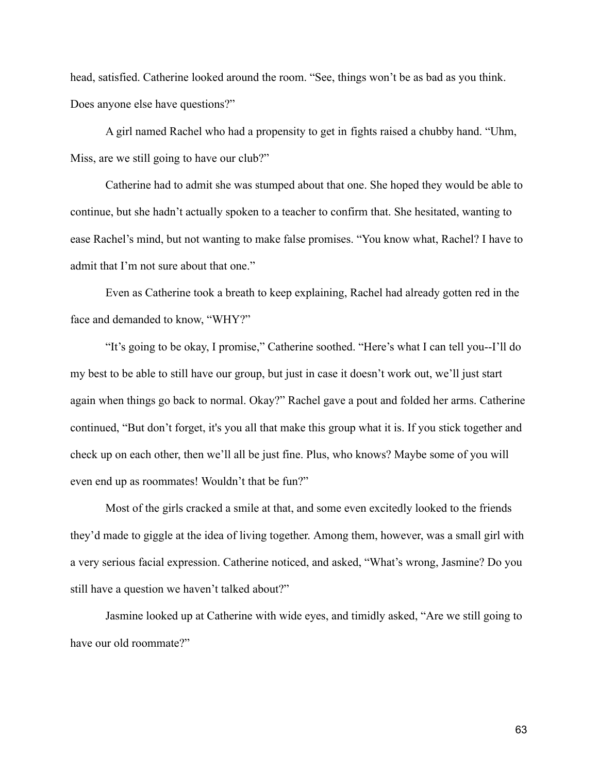head, satisfied. Catherine looked around the room. "See, things won't be as bad as you think. Does anyone else have questions?"

A girl named Rachel who had a propensity to get in fights raised a chubby hand. "Uhm, Miss, are we still going to have our club?"

Catherine had to admit she was stumped about that one. She hoped they would be able to continue, but she hadn't actually spoken to a teacher to confirm that. She hesitated, wanting to ease Rachel's mind, but not wanting to make false promises. "You know what, Rachel? I have to admit that I'm not sure about that one."

Even as Catherine took a breath to keep explaining, Rachel had already gotten red in the face and demanded to know, "WHY?"

"It's going to be okay, I promise," Catherine soothed. "Here's what I can tell you--I'll do my best to be able to still have our group, but just in case it doesn't work out, we'll just start again when things go back to normal. Okay?" Rachel gave a pout and folded her arms. Catherine continued, "But don't forget, it's you all that make this group what it is. If you stick together and check up on each other, then we'll all be just fine. Plus, who knows? Maybe some of you will even end up as roommates! Wouldn't that be fun?"

Most of the girls cracked a smile at that, and some even excitedly looked to the friends they'd made to giggle at the idea of living together. Among them, however, was a small girl with a very serious facial expression. Catherine noticed, and asked, "What's wrong, Jasmine? Do you still have a question we haven't talked about?"

Jasmine looked up at Catherine with wide eyes, and timidly asked, "Are we still going to have our old roommate?"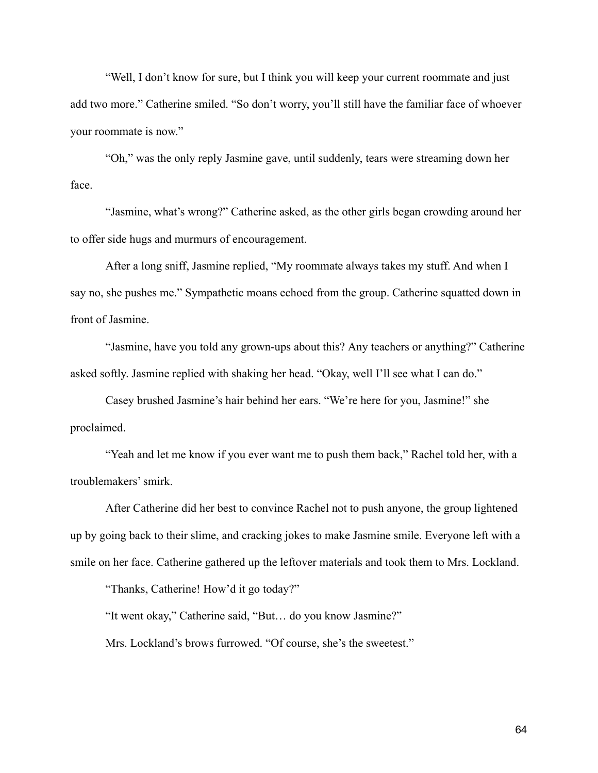"Well, I don't know for sure, but I think you will keep your current roommate and just add two more." Catherine smiled. "So don't worry, you'll still have the familiar face of whoever your roommate is now."

"Oh," was the only reply Jasmine gave, until suddenly, tears were streaming down her face.

"Jasmine, what's wrong?" Catherine asked, as the other girls began crowding around her to offer side hugs and murmurs of encouragement.

After a long sniff, Jasmine replied, "My roommate always takes my stuff. And when I say no, she pushes me." Sympathetic moans echoed from the group. Catherine squatted down in front of Jasmine.

"Jasmine, have you told any grown-ups about this? Any teachers or anything?" Catherine asked softly. Jasmine replied with shaking her head. "Okay, well I'll see what I can do."

Casey brushed Jasmine's hair behind her ears. "We're here for you, Jasmine!" she proclaimed.

"Yeah and let me know if you ever want me to push them back," Rachel told her, with a troublemakers' smirk.

After Catherine did her best to convince Rachel not to push anyone, the group lightened up by going back to their slime, and cracking jokes to make Jasmine smile. Everyone left with a smile on her face. Catherine gathered up the leftover materials and took them to Mrs. Lockland.

"Thanks, Catherine! How'd it go today?"

"It went okay," Catherine said, "But… do you know Jasmine?" Mrs. Lockland's brows furrowed. "Of course, she's the sweetest."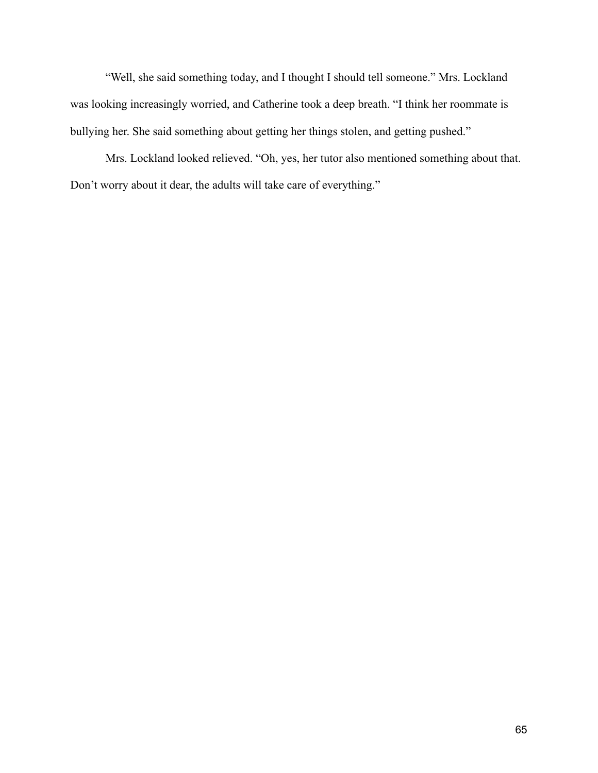"Well, she said something today, and I thought I should tell someone." Mrs. Lockland was looking increasingly worried, and Catherine took a deep breath. "I think her roommate is bullying her. She said something about getting her things stolen, and getting pushed."

Mrs. Lockland looked relieved. "Oh, yes, her tutor also mentioned something about that. Don't worry about it dear, the adults will take care of everything."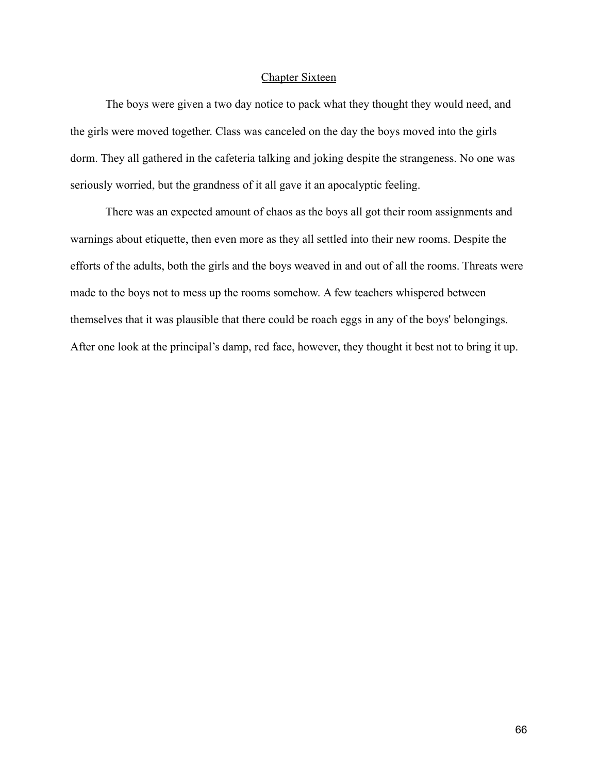## Chapter Sixteen

The boys were given a two day notice to pack what they thought they would need, and the girls were moved together. Class was canceled on the day the boys moved into the girls dorm. They all gathered in the cafeteria talking and joking despite the strangeness. No one was seriously worried, but the grandness of it all gave it an apocalyptic feeling.

There was an expected amount of chaos as the boys all got their room assignments and warnings about etiquette, then even more as they all settled into their new rooms. Despite the efforts of the adults, both the girls and the boys weaved in and out of all the rooms. Threats were made to the boys not to mess up the rooms somehow. A few teachers whispered between themselves that it was plausible that there could be roach eggs in any of the boys' belongings. After one look at the principal's damp, red face, however, they thought it best not to bring it up.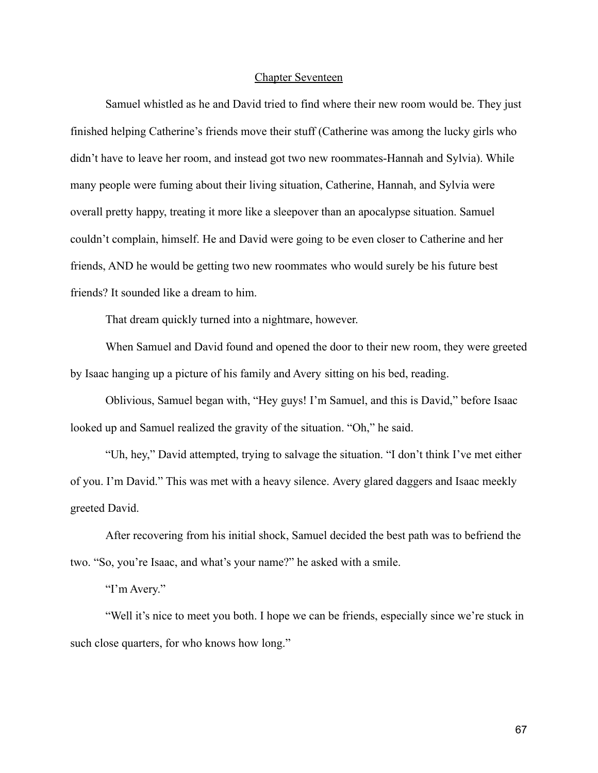### Chapter Seventeen

Samuel whistled as he and David tried to find where their new room would be. They just finished helping Catherine's friends move their stuff (Catherine was among the lucky girls who didn't have to leave her room, and instead got two new roommates-Hannah and Sylvia). While many people were fuming about their living situation, Catherine, Hannah, and Sylvia were overall pretty happy, treating it more like a sleepover than an apocalypse situation. Samuel couldn't complain, himself. He and David were going to be even closer to Catherine and her friends, AND he would be getting two new roommates who would surely be his future best friends? It sounded like a dream to him.

That dream quickly turned into a nightmare, however.

When Samuel and David found and opened the door to their new room, they were greeted by Isaac hanging up a picture of his family and Avery sitting on his bed, reading.

Oblivious, Samuel began with, "Hey guys! I'm Samuel, and this is David," before Isaac looked up and Samuel realized the gravity of the situation. "Oh," he said.

"Uh, hey," David attempted, trying to salvage the situation. "I don't think I've met either of you. I'm David." This was met with a heavy silence. Avery glared daggers and Isaac meekly greeted David.

After recovering from his initial shock, Samuel decided the best path was to befriend the two. "So, you're Isaac, and what's your name?" he asked with a smile.

"I'm Avery."

"Well it's nice to meet you both. I hope we can be friends, especially since we're stuck in such close quarters, for who knows how long."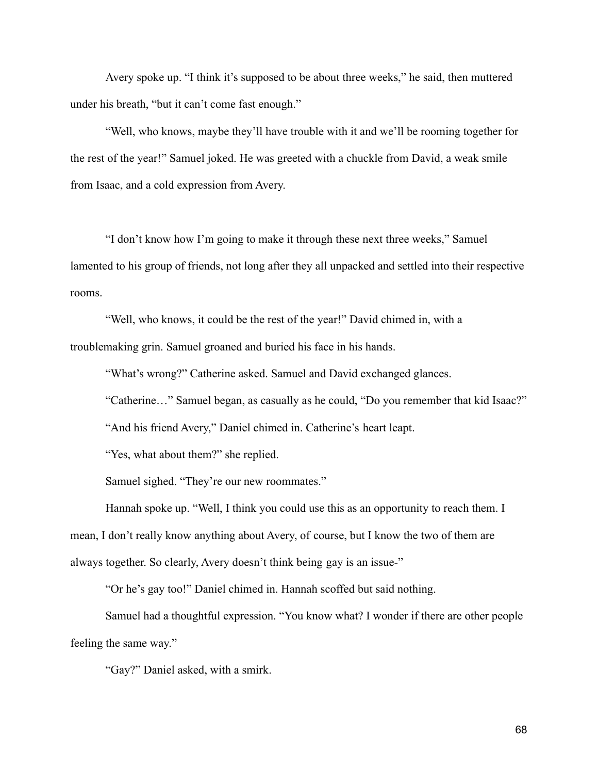Avery spoke up. "I think it's supposed to be about three weeks," he said, then muttered under his breath, "but it can't come fast enough."

"Well, who knows, maybe they'll have trouble with it and we'll be rooming together for the rest of the year!" Samuel joked. He was greeted with a chuckle from David, a weak smile from Isaac, and a cold expression from Avery.

"I don't know how I'm going to make it through these next three weeks," Samuel lamented to his group of friends, not long after they all unpacked and settled into their respective rooms.

"Well, who knows, it could be the rest of the year!" David chimed in, with a troublemaking grin. Samuel groaned and buried his face in his hands.

"What's wrong?" Catherine asked. Samuel and David exchanged glances.

"Catherine…" Samuel began, as casually as he could, "Do you remember that kid Isaac?"

"And his friend Avery," Daniel chimed in. Catherine's heart leapt.

"Yes, what about them?" she replied.

Samuel sighed. "They're our new roommates."

Hannah spoke up. "Well, I think you could use this as an opportunity to reach them. I mean, I don't really know anything about Avery, of course, but I know the two of them are always together. So clearly, Avery doesn't think being gay is an issue-"

"Or he's gay too!" Daniel chimed in. Hannah scoffed but said nothing.

Samuel had a thoughtful expression. "You know what? I wonder if there are other people feeling the same way."

"Gay?" Daniel asked, with a smirk.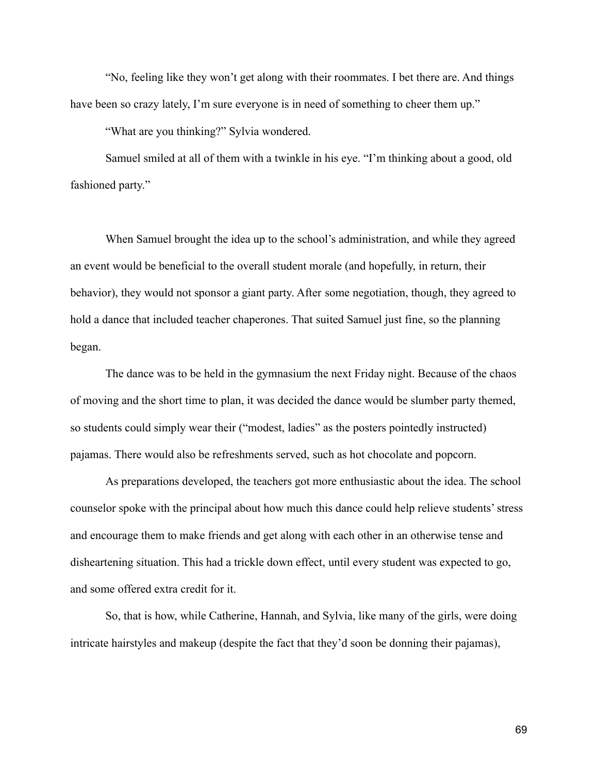"No, feeling like they won't get along with their roommates. I bet there are. And things have been so crazy lately, I'm sure everyone is in need of something to cheer them up."

"What are you thinking?" Sylvia wondered.

Samuel smiled at all of them with a twinkle in his eye. "I'm thinking about a good, old fashioned party."

When Samuel brought the idea up to the school's administration, and while they agreed an event would be beneficial to the overall student morale (and hopefully, in return, their behavior), they would not sponsor a giant party. After some negotiation, though, they agreed to hold a dance that included teacher chaperones. That suited Samuel just fine, so the planning began.

The dance was to be held in the gymnasium the next Friday night. Because of the chaos of moving and the short time to plan, it was decided the dance would be slumber party themed, so students could simply wear their ("modest, ladies" as the posters pointedly instructed) pajamas. There would also be refreshments served, such as hot chocolate and popcorn.

As preparations developed, the teachers got more enthusiastic about the idea. The school counselor spoke with the principal about how much this dance could help relieve students' stress and encourage them to make friends and get along with each other in an otherwise tense and disheartening situation. This had a trickle down effect, until every student was expected to go, and some offered extra credit for it.

So, that is how, while Catherine, Hannah, and Sylvia, like many of the girls, were doing intricate hairstyles and makeup (despite the fact that they'd soon be donning their pajamas),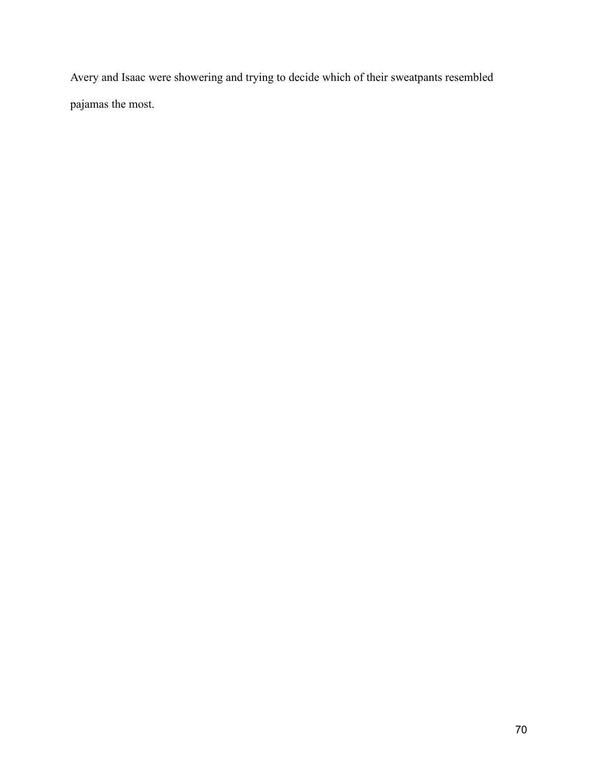Avery and Isaac were showering and trying to decide which of their sweatpants resembled pajamas the most.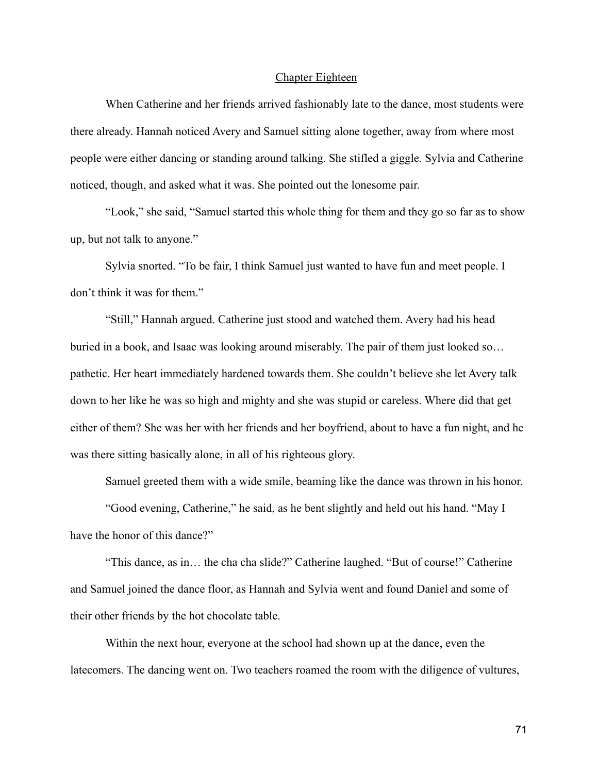#### Chapter Eighteen

When Catherine and her friends arrived fashionably late to the dance, most students were there already. Hannah noticed Avery and Samuel sitting alone together, away from where most people were either dancing or standing around talking. She stifled a giggle. Sylvia and Catherine noticed, though, and asked what it was. She pointed out the lonesome pair.

"Look," she said, "Samuel started this whole thing for them and they go so far as to show up, but not talk to anyone."

Sylvia snorted. "To be fair, I think Samuel just wanted to have fun and meet people. I don't think it was for them."

"Still," Hannah argued. Catherine just stood and watched them. Avery had his head buried in a book, and Isaac was looking around miserably. The pair of them just looked so… pathetic. Her heart immediately hardened towards them. She couldn't believe she let Avery talk down to her like he was so high and mighty and she was stupid or careless. Where did that get either of them? She was her with her friends and her boyfriend, about to have a fun night, and he was there sitting basically alone, in all of his righteous glory.

Samuel greeted them with a wide smile, beaming like the dance was thrown in his honor.

"Good evening, Catherine," he said, as he bent slightly and held out his hand. "May I have the honor of this dance?"

"This dance, as in… the cha cha slide?" Catherine laughed. "But of course!" Catherine and Samuel joined the dance floor, as Hannah and Sylvia went and found Daniel and some of their other friends by the hot chocolate table.

Within the next hour, everyone at the school had shown up at the dance, even the latecomers. The dancing went on. Two teachers roamed the room with the diligence of vultures,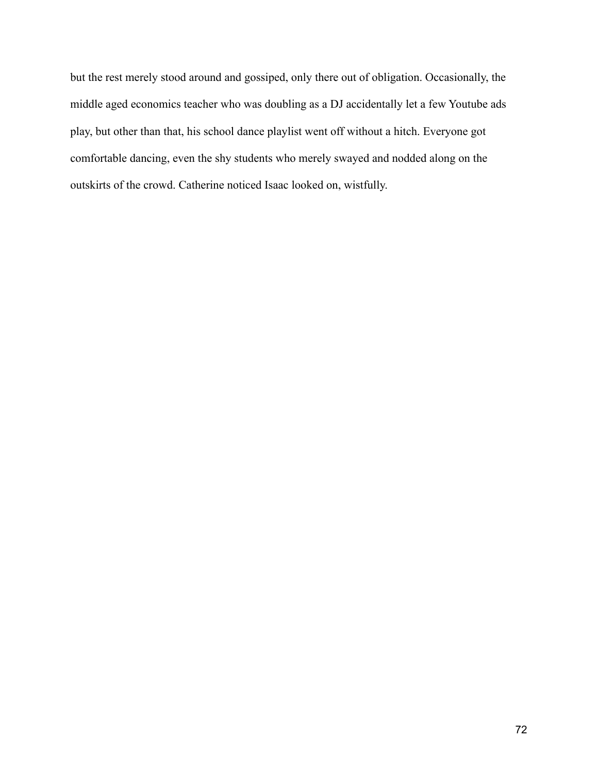but the rest merely stood around and gossiped, only there out of obligation. Occasionally, the middle aged economics teacher who was doubling as a DJ accidentally let a few Youtube ads play, but other than that, his school dance playlist went off without a hitch. Everyone got comfortable dancing, even the shy students who merely swayed and nodded along on the outskirts of the crowd. Catherine noticed Isaac looked on, wistfully.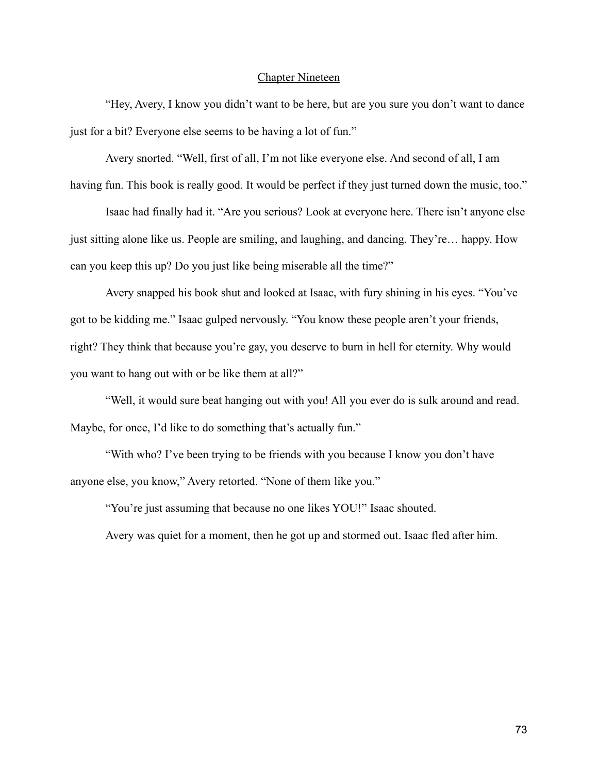# Chapter Nineteen

"Hey, Avery, I know you didn't want to be here, but are you sure you don't want to dance just for a bit? Everyone else seems to be having a lot of fun."

Avery snorted. "Well, first of all, I'm not like everyone else. And second of all, I am having fun. This book is really good. It would be perfect if they just turned down the music, too."

Isaac had finally had it. "Are you serious? Look at everyone here. There isn't anyone else just sitting alone like us. People are smiling, and laughing, and dancing. They're… happy. How can you keep this up? Do you just like being miserable all the time?"

Avery snapped his book shut and looked at Isaac, with fury shining in his eyes. "You've got to be kidding me." Isaac gulped nervously. "You know these people aren't your friends, right? They think that because you're gay, you deserve to burn in hell for eternity. Why would you want to hang out with or be like them at all?"

"Well, it would sure beat hanging out with you! All you ever do is sulk around and read. Maybe, for once, I'd like to do something that's actually fun."

"With who? I've been trying to be friends with you because I know you don't have anyone else, you know," Avery retorted. "None of them like you."

"You're just assuming that because no one likes YOU!" Isaac shouted.

Avery was quiet for a moment, then he got up and stormed out. Isaac fled after him.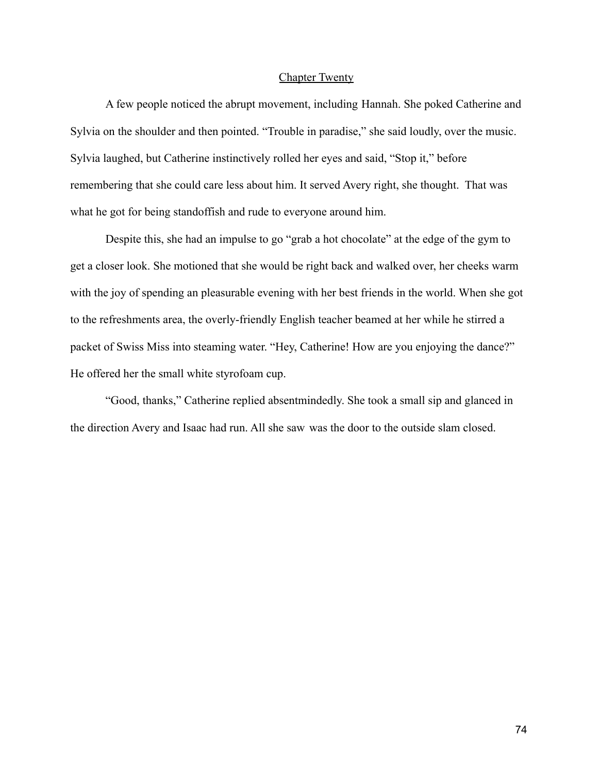# Chapter Twenty

A few people noticed the abrupt movement, including Hannah. She poked Catherine and Sylvia on the shoulder and then pointed. "Trouble in paradise," she said loudly, over the music. Sylvia laughed, but Catherine instinctively rolled her eyes and said, "Stop it," before remembering that she could care less about him. It served Avery right, she thought. That was what he got for being standoffish and rude to everyone around him.

Despite this, she had an impulse to go "grab a hot chocolate" at the edge of the gym to get a closer look. She motioned that she would be right back and walked over, her cheeks warm with the joy of spending an pleasurable evening with her best friends in the world. When she got to the refreshments area, the overly-friendly English teacher beamed at her while he stirred a packet of Swiss Miss into steaming water. "Hey, Catherine! How are you enjoying the dance?" He offered her the small white styrofoam cup.

"Good, thanks," Catherine replied absentmindedly. She took a small sip and glanced in the direction Avery and Isaac had run. All she saw was the door to the outside slam closed.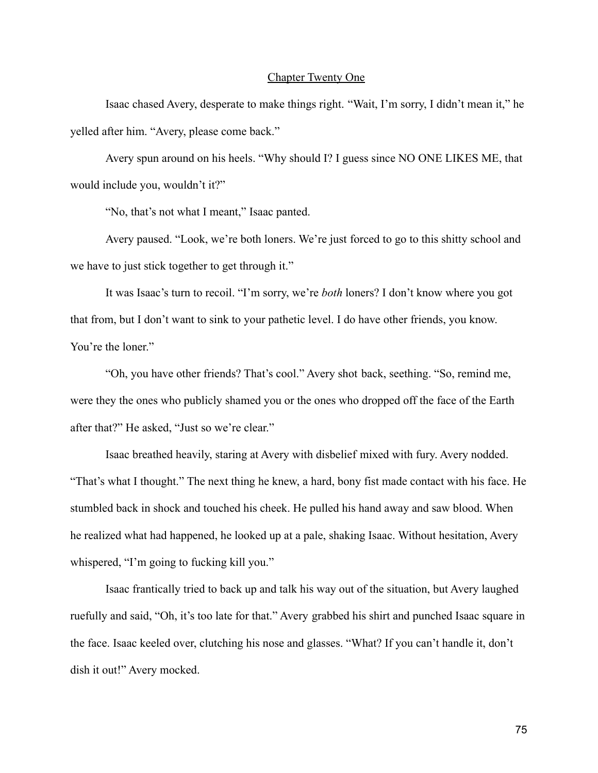# Chapter Twenty One

Isaac chased Avery, desperate to make things right. "Wait, I'm sorry, I didn't mean it," he yelled after him. "Avery, please come back."

Avery spun around on his heels. "Why should I? I guess since NO ONE LIKES ME, that would include you, wouldn't it?"

"No, that's not what I meant," Isaac panted.

Avery paused. "Look, we're both loners. We're just forced to go to this shitty school and we have to just stick together to get through it."

It was Isaac's turn to recoil. "I'm sorry, we're *both* loners? I don't know where you got that from, but I don't want to sink to your pathetic level. I do have other friends, you know. You're the loner."

"Oh, you have other friends? That's cool." Avery shot back, seething. "So, remind me, were they the ones who publicly shamed you or the ones who dropped off the face of the Earth after that?" He asked, "Just so we're clear."

Isaac breathed heavily, staring at Avery with disbelief mixed with fury. Avery nodded. "That's what I thought." The next thing he knew, a hard, bony fist made contact with his face. He stumbled back in shock and touched his cheek. He pulled his hand away and saw blood. When he realized what had happened, he looked up at a pale, shaking Isaac. Without hesitation, Avery whispered, "I'm going to fucking kill you."

Isaac frantically tried to back up and talk his way out of the situation, but Avery laughed ruefully and said, "Oh, it's too late for that." Avery grabbed his shirt and punched Isaac square in the face. Isaac keeled over, clutching his nose and glasses. "What? If you can't handle it, don't dish it out!" Avery mocked.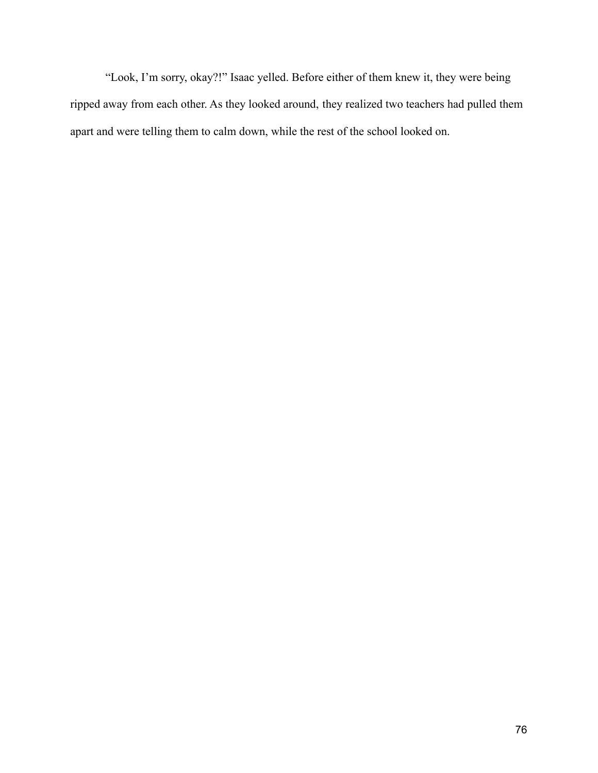"Look, I'm sorry, okay?!" Isaac yelled. Before either of them knew it, they were being ripped away from each other. As they looked around, they realized two teachers had pulled them apart and were telling them to calm down, while the rest of the school looked on.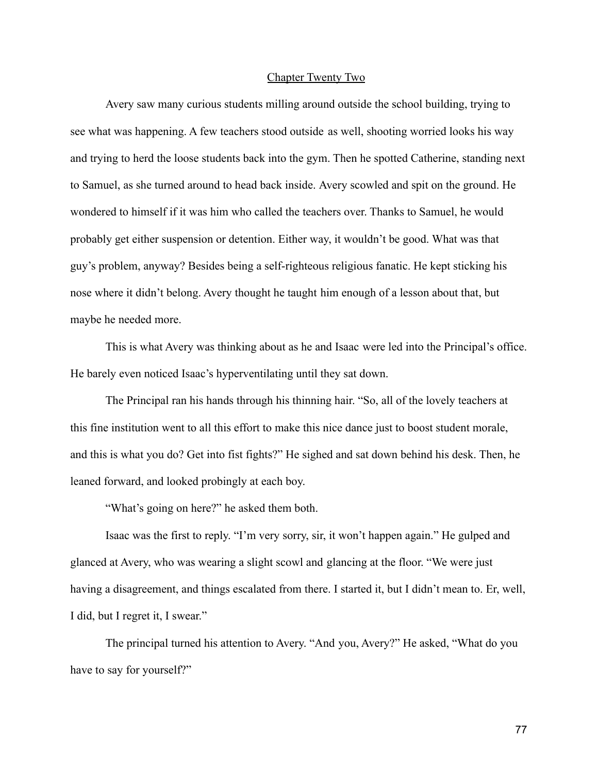# Chapter Twenty Two

Avery saw many curious students milling around outside the school building, trying to see what was happening. A few teachers stood outside as well, shooting worried looks his way and trying to herd the loose students back into the gym. Then he spotted Catherine, standing next to Samuel, as she turned around to head back inside. Avery scowled and spit on the ground. He wondered to himself if it was him who called the teachers over. Thanks to Samuel, he would probably get either suspension or detention. Either way, it wouldn't be good. What was that guy's problem, anyway? Besides being a self-righteous religious fanatic. He kept sticking his nose where it didn't belong. Avery thought he taught him enough of a lesson about that, but maybe he needed more.

This is what Avery was thinking about as he and Isaac were led into the Principal's office. He barely even noticed Isaac's hyperventilating until they sat down.

The Principal ran his hands through his thinning hair. "So, all of the lovely teachers at this fine institution went to all this effort to make this nice dance just to boost student morale, and this is what you do? Get into fist fights?" He sighed and sat down behind his desk. Then, he leaned forward, and looked probingly at each boy.

"What's going on here?" he asked them both.

Isaac was the first to reply. "I'm very sorry, sir, it won't happen again." He gulped and glanced at Avery, who was wearing a slight scowl and glancing at the floor. "We were just having a disagreement, and things escalated from there. I started it, but I didn't mean to. Er, well, I did, but I regret it, I swear."

The principal turned his attention to Avery. "And you, Avery?" He asked, "What do you have to say for yourself?"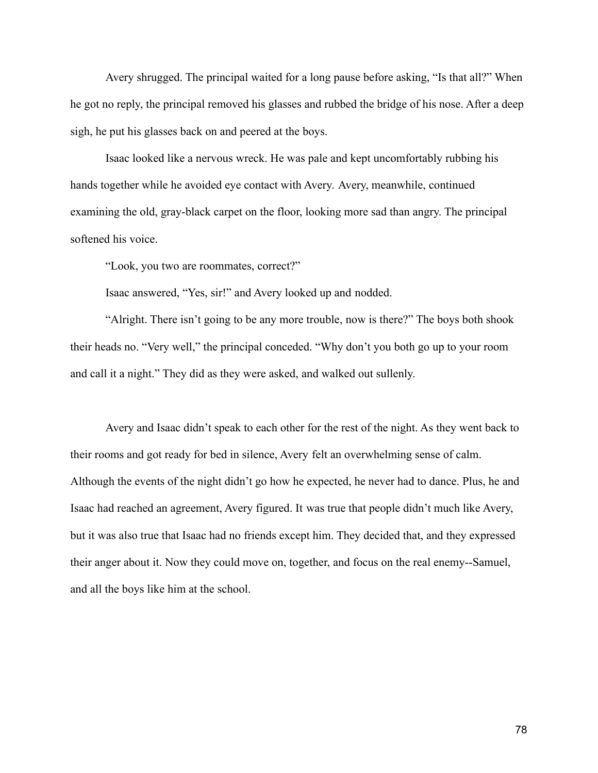Avery shrugged. The principal waited for a long pause before asking, "Is that all?" When he got no reply, the principal removed his glasses and rubbed the bridge of his nose. After a deep sigh, he put his glasses back on and peered at the boys.

Isaac looked like a nervous wreck. He was pale and kept uncomfortably rubbing his hands together while he avoided eye contact with Avery. Avery, meanwhile, continued examining the old, gray-black carpet on the floor, looking more sad than angry. The principal softened his voice.

"Look, you two are roommates, correct?"

Isaac answered, "Yes, sir!" and Avery looked up and nodded.

"Alright. There isn't going to be any more trouble, now is there?" The boys both shook their heads no. "Very well," the principal conceded. "Why don't you both go up to your room and call it a night." They did as they were asked, and walked out sullenly.

Avery and Isaac didn't speak to each other for the rest of the night. As they went back to their rooms and got ready for bed in silence, Avery felt an overwhelming sense of calm. Although the events of the night didn't go how he expected, he never had to dance. Plus, he and Isaac had reached an agreement, Avery figured. It was true that people didn't much like Avery, but it was also true that Isaac had no friends except him. They decided that, and they expressed their anger about it. Now they could move on, together, and focus on the real enemy--Samuel, and all the boys like him at the school.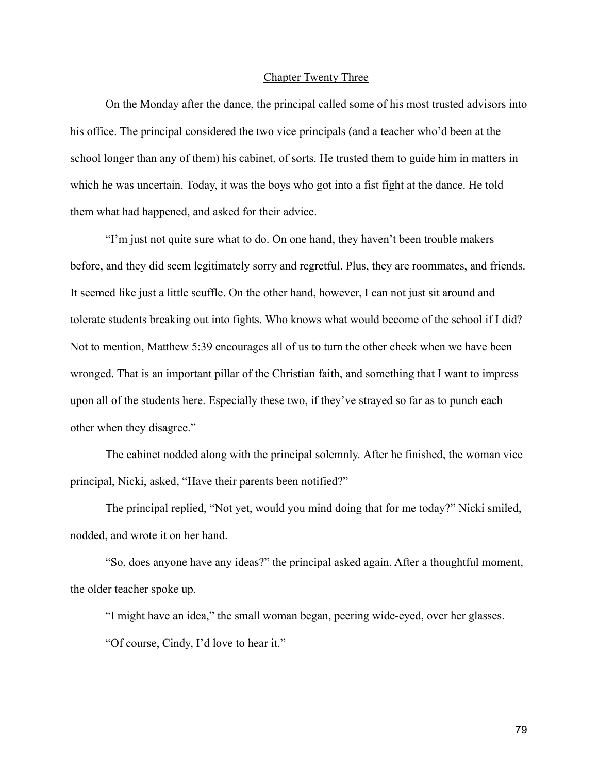# Chapter Twenty Three

On the Monday after the dance, the principal called some of his most trusted advisors into his office. The principal considered the two vice principals (and a teacher who'd been at the school longer than any of them) his cabinet, of sorts. He trusted them to guide him in matters in which he was uncertain. Today, it was the boys who got into a fist fight at the dance. He told them what had happened, and asked for their advice.

"I'm just not quite sure what to do. On one hand, they haven't been trouble makers before, and they did seem legitimately sorry and regretful. Plus, they are roommates, and friends. It seemed like just a little scuffle. On the other hand, however, I can not just sit around and tolerate students breaking out into fights. Who knows what would become of the school if I did? Not to mention, Matthew 5:39 encourages all of us to turn the other cheek when we have been wronged. That is an important pillar of the Christian faith, and something that I want to impress upon all of the students here. Especially these two, if they've strayed so far as to punch each other when they disagree."

The cabinet nodded along with the principal solemnly. After he finished, the woman vice principal, Nicki, asked, "Have their parents been notified?"

The principal replied, "Not yet, would you mind doing that for me today?" Nicki smiled, nodded, and wrote it on her hand.

"So, does anyone have any ideas?" the principal asked again. After a thoughtful moment, the older teacher spoke up.

"I might have an idea," the small woman began, peering wide-eyed, over her glasses. "Of course, Cindy, I'd love to hear it."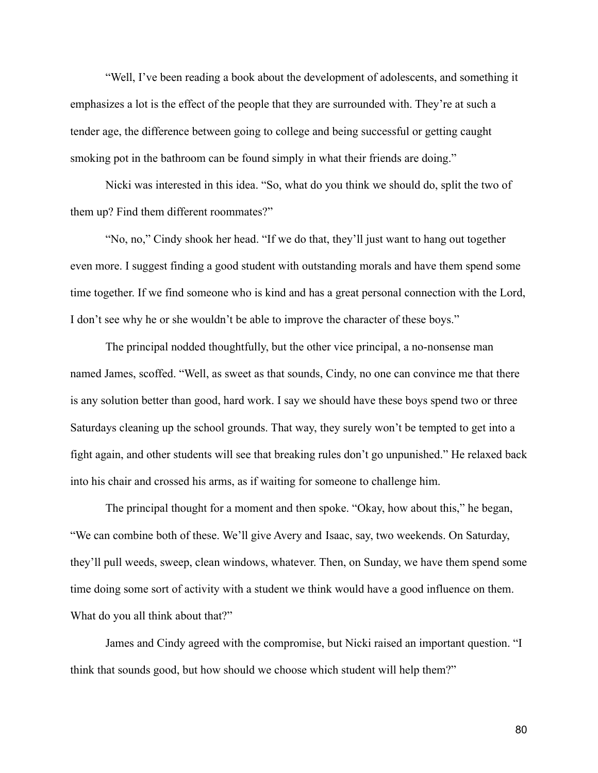"Well, I've been reading a book about the development of adolescents, and something it emphasizes a lot is the effect of the people that they are surrounded with. They're at such a tender age, the difference between going to college and being successful or getting caught smoking pot in the bathroom can be found simply in what their friends are doing."

Nicki was interested in this idea. "So, what do you think we should do, split the two of them up? Find them different roommates?"

"No, no," Cindy shook her head. "If we do that, they'll just want to hang out together even more. I suggest finding a good student with outstanding morals and have them spend some time together. If we find someone who is kind and has a great personal connection with the Lord, I don't see why he or she wouldn't be able to improve the character of these boys."

The principal nodded thoughtfully, but the other vice principal, a no-nonsense man named James, scoffed. "Well, as sweet as that sounds, Cindy, no one can convince me that there is any solution better than good, hard work. I say we should have these boys spend two or three Saturdays cleaning up the school grounds. That way, they surely won't be tempted to get into a fight again, and other students will see that breaking rules don't go unpunished." He relaxed back into his chair and crossed his arms, as if waiting for someone to challenge him.

The principal thought for a moment and then spoke. "Okay, how about this," he began, "We can combine both of these. We'll give Avery and Isaac, say, two weekends. On Saturday, they'll pull weeds, sweep, clean windows, whatever. Then, on Sunday, we have them spend some time doing some sort of activity with a student we think would have a good influence on them. What do you all think about that?"

James and Cindy agreed with the compromise, but Nicki raised an important question. "I think that sounds good, but how should we choose which student will help them?"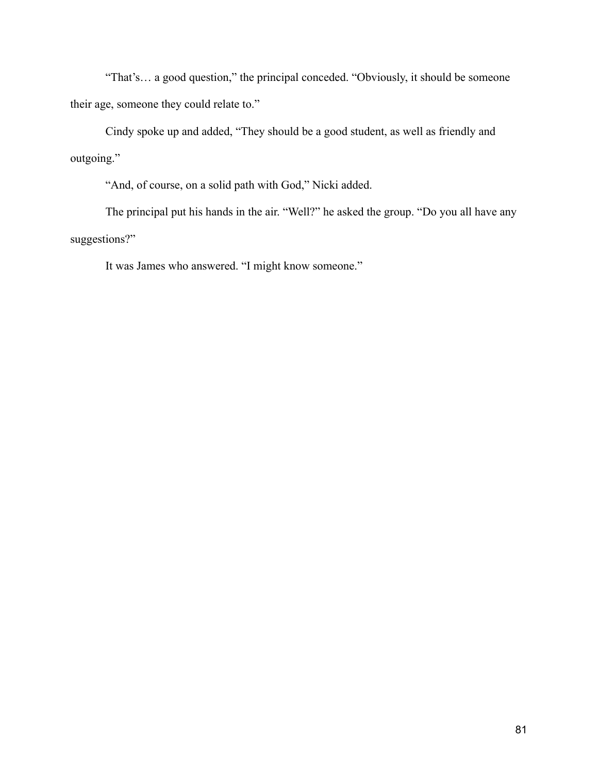"That's… a good question," the principal conceded. "Obviously, it should be someone their age, someone they could relate to."

Cindy spoke up and added, "They should be a good student, as well as friendly and outgoing."

"And, of course, on a solid path with God," Nicki added.

The principal put his hands in the air. "Well?" he asked the group. "Do you all have any suggestions?"

It was James who answered. "I might know someone."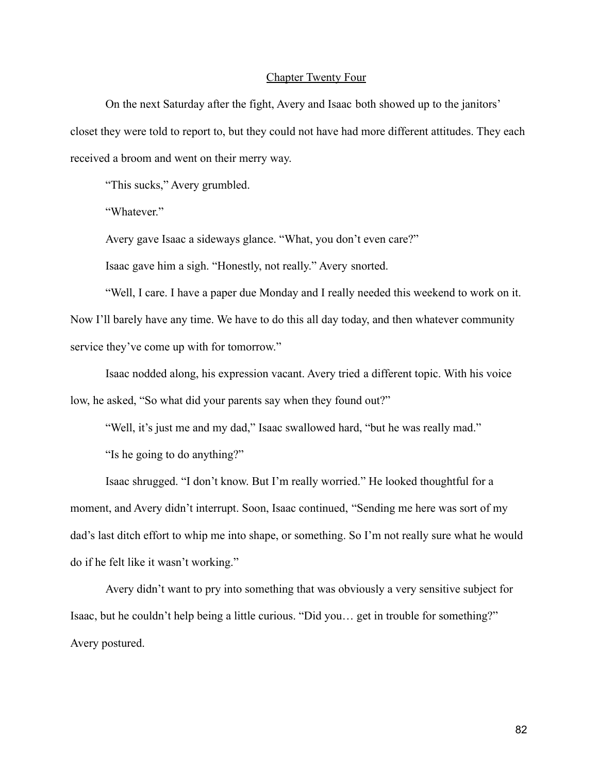# Chapter Twenty Four

On the next Saturday after the fight, Avery and Isaac both showed up to the janitors' closet they were told to report to, but they could not have had more different attitudes. They each received a broom and went on their merry way.

"This sucks," Avery grumbled.

"Whatever."

Avery gave Isaac a sideways glance. "What, you don't even care?"

Isaac gave him a sigh. "Honestly, not really." Avery snorted.

"Well, I care. I have a paper due Monday and I really needed this weekend to work on it. Now I'll barely have any time. We have to do this all day today, and then whatever community service they've come up with for tomorrow."

Isaac nodded along, his expression vacant. Avery tried a different topic. With his voice low, he asked, "So what did your parents say when they found out?"

"Well, it's just me and my dad," Isaac swallowed hard, "but he was really mad."

"Is he going to do anything?"

Isaac shrugged. "I don't know. But I'm really worried." He looked thoughtful for a moment, and Avery didn't interrupt. Soon, Isaac continued, "Sending me here was sort of my dad's last ditch effort to whip me into shape, or something. So I'm not really sure what he would do if he felt like it wasn't working."

Avery didn't want to pry into something that was obviously a very sensitive subject for Isaac, but he couldn't help being a little curious. "Did you… get in trouble for something?" Avery postured.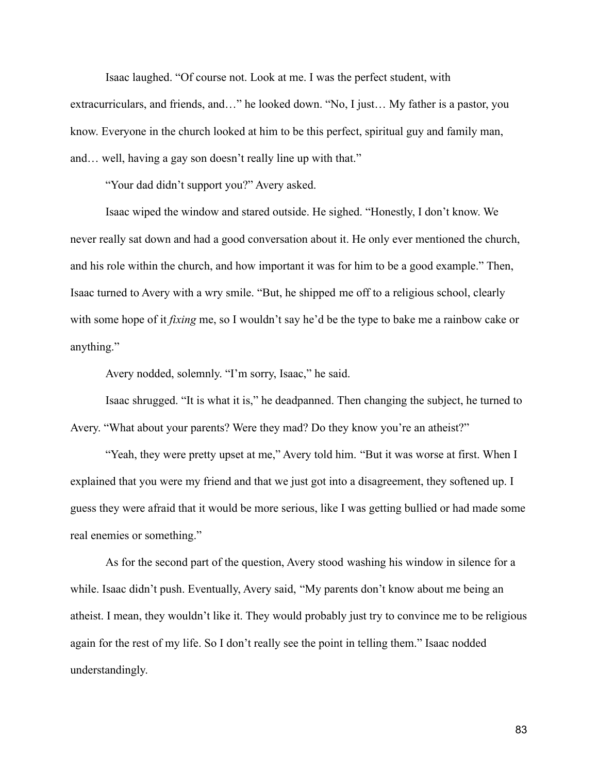Isaac laughed. "Of course not. Look at me. I was the perfect student, with extracurriculars, and friends, and…" he looked down. "No, I just… My father is a pastor, you know. Everyone in the church looked at him to be this perfect, spiritual guy and family man, and… well, having a gay son doesn't really line up with that."

"Your dad didn't support you?" Avery asked.

Isaac wiped the window and stared outside. He sighed. "Honestly, I don't know. We never really sat down and had a good conversation about it. He only ever mentioned the church, and his role within the church, and how important it was for him to be a good example." Then, Isaac turned to Avery with a wry smile. "But, he shipped me off to a religious school, clearly with some hope of it *fixing* me, so I wouldn't say he'd be the type to bake me a rainbow cake or anything."

Avery nodded, solemnly. "I'm sorry, Isaac," he said.

Isaac shrugged. "It is what it is," he deadpanned. Then changing the subject, he turned to Avery. "What about your parents? Were they mad? Do they know you're an atheist?"

"Yeah, they were pretty upset at me," Avery told him. "But it was worse at first. When I explained that you were my friend and that we just got into a disagreement, they softened up. I guess they were afraid that it would be more serious, like I was getting bullied or had made some real enemies or something."

As for the second part of the question, Avery stood washing his window in silence for a while. Isaac didn't push. Eventually, Avery said, "My parents don't know about me being an atheist. I mean, they wouldn't like it. They would probably just try to convince me to be religious again for the rest of my life. So I don't really see the point in telling them." Isaac nodded understandingly.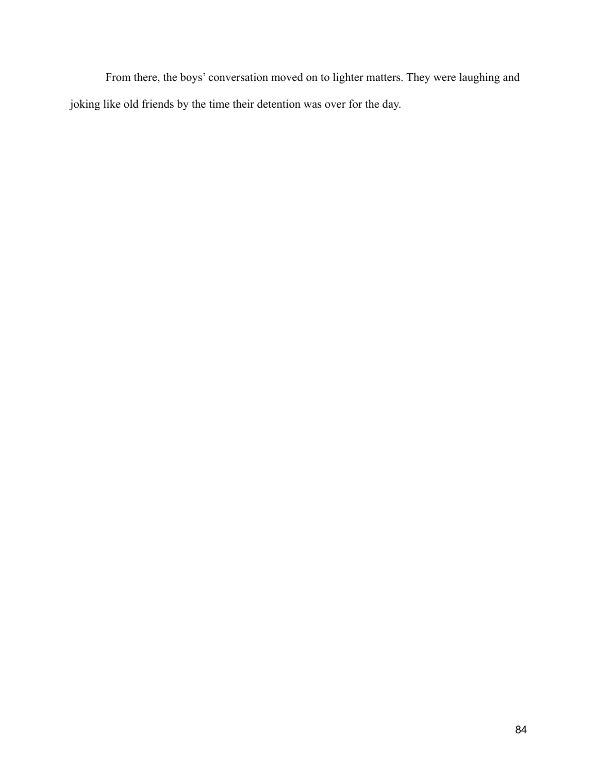From there, the boys' conversation moved on to lighter matters. They were laughing and joking like old friends by the time their detention was over for the day.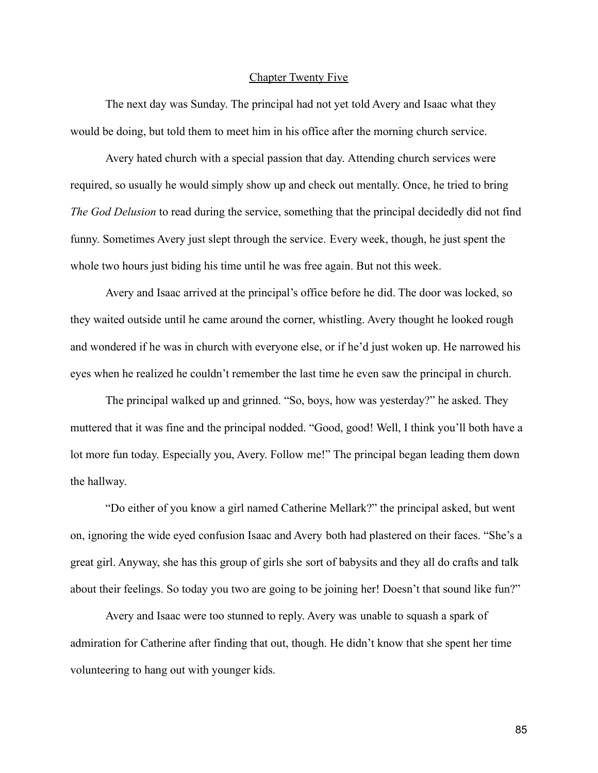# Chapter Twenty Five

The next day was Sunday. The principal had not yet told Avery and Isaac what they would be doing, but told them to meet him in his office after the morning church service.

Avery hated church with a special passion that day. Attending church services were required, so usually he would simply show up and check out mentally. Once, he tried to bring *The God Delusion* to read during the service, something that the principal decidedly did not find funny. Sometimes Avery just slept through the service. Every week, though, he just spent the whole two hours just biding his time until he was free again. But not this week.

Avery and Isaac arrived at the principal's office before he did. The door was locked, so they waited outside until he came around the corner, whistling. Avery thought he looked rough and wondered if he was in church with everyone else, or if he'd just woken up. He narrowed his eyes when he realized he couldn't remember the last time he even saw the principal in church.

The principal walked up and grinned. "So, boys, how was yesterday?" he asked. They muttered that it was fine and the principal nodded. "Good, good! Well, I think you'll both have a lot more fun today. Especially you, Avery. Follow me!" The principal began leading them down the hallway.

"Do either of you know a girl named Catherine Mellark?" the principal asked, but went on, ignoring the wide eyed confusion Isaac and Avery both had plastered on their faces. "She's a great girl. Anyway, she has this group of girls she sort of babysits and they all do crafts and talk about their feelings. So today you two are going to be joining her! Doesn't that sound like fun?"

Avery and Isaac were too stunned to reply. Avery was unable to squash a spark of admiration for Catherine after finding that out, though. He didn't know that she spent her time volunteering to hang out with younger kids.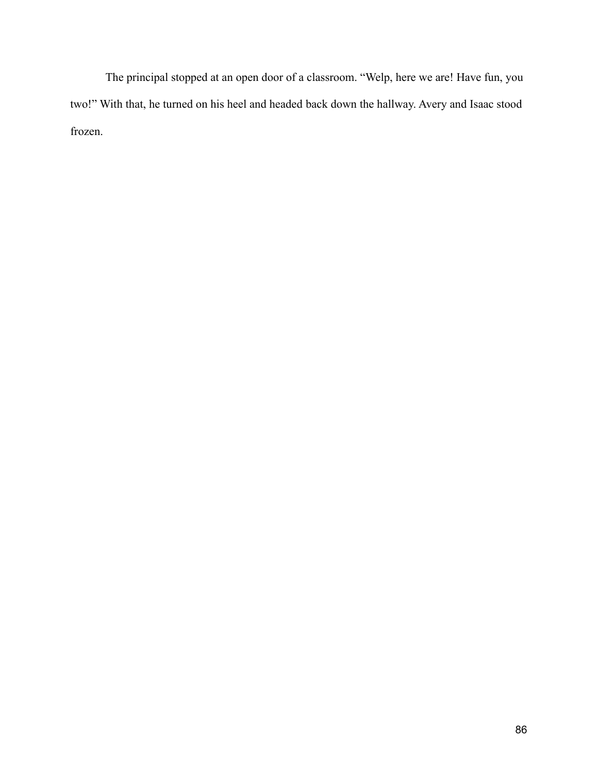The principal stopped at an open door of a classroom. "Welp, here we are! Have fun, you two!" With that, he turned on his heel and headed back down the hallway. Avery and Isaac stood frozen.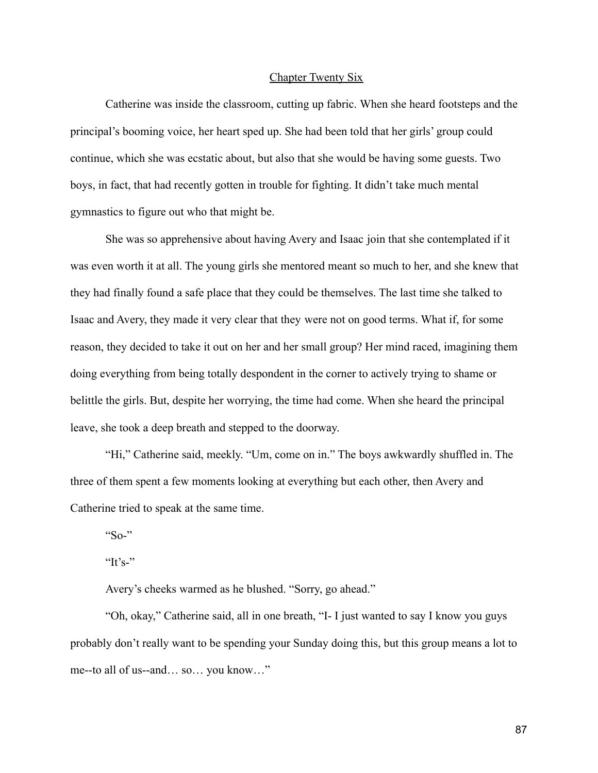# Chapter Twenty Six

Catherine was inside the classroom, cutting up fabric. When she heard footsteps and the principal's booming voice, her heart sped up. She had been told that her girls' group could continue, which she was ecstatic about, but also that she would be having some guests. Two boys, in fact, that had recently gotten in trouble for fighting. It didn't take much mental gymnastics to figure out who that might be.

She was so apprehensive about having Avery and Isaac join that she contemplated if it was even worth it at all. The young girls she mentored meant so much to her, and she knew that they had finally found a safe place that they could be themselves. The last time she talked to Isaac and Avery, they made it very clear that they were not on good terms. What if, for some reason, they decided to take it out on her and her small group? Her mind raced, imagining them doing everything from being totally despondent in the corner to actively trying to shame or belittle the girls. But, despite her worrying, the time had come. When she heard the principal leave, she took a deep breath and stepped to the doorway.

"Hi," Catherine said, meekly. "Um, come on in." The boys awkwardly shuffled in. The three of them spent a few moments looking at everything but each other, then Avery and Catherine tried to speak at the same time.

" $\text{So-}$ "

"It's-"

Avery's cheeks warmed as he blushed. "Sorry, go ahead."

"Oh, okay," Catherine said, all in one breath, "I- I just wanted to say I know you guys probably don't really want to be spending your Sunday doing this, but this group means a lot to me--to all of us--and… so… you know…"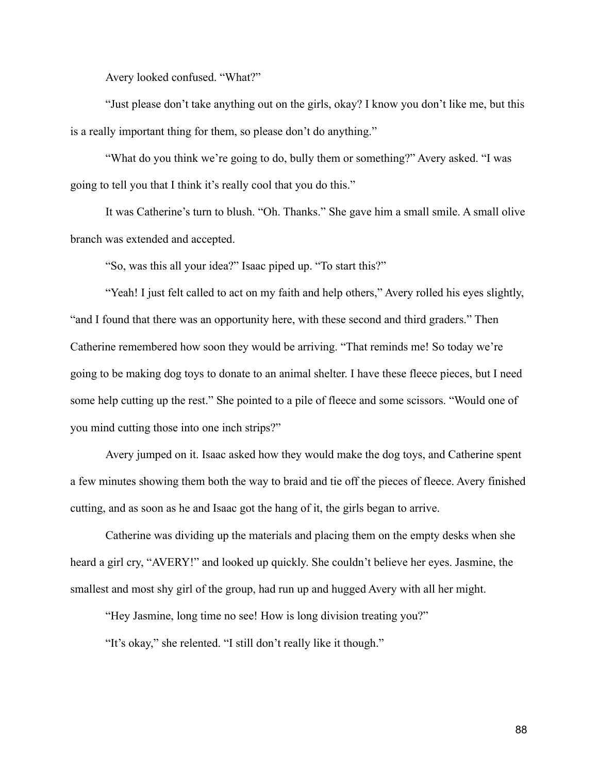Avery looked confused. "What?"

"Just please don't take anything out on the girls, okay? I know you don't like me, but this is a really important thing for them, so please don't do anything."

"What do you think we're going to do, bully them or something?" Avery asked. "I was going to tell you that I think it's really cool that you do this."

It was Catherine's turn to blush. "Oh. Thanks." She gave him a small smile. A small olive branch was extended and accepted.

"So, was this all your idea?" Isaac piped up. "To start this?"

"Yeah! I just felt called to act on my faith and help others," Avery rolled his eyes slightly, "and I found that there was an opportunity here, with these second and third graders." Then Catherine remembered how soon they would be arriving. "That reminds me! So today we're going to be making dog toys to donate to an animal shelter. I have these fleece pieces, but I need some help cutting up the rest." She pointed to a pile of fleece and some scissors. "Would one of you mind cutting those into one inch strips?"

Avery jumped on it. Isaac asked how they would make the dog toys, and Catherine spent a few minutes showing them both the way to braid and tie off the pieces of fleece. Avery finished cutting, and as soon as he and Isaac got the hang of it, the girls began to arrive.

Catherine was dividing up the materials and placing them on the empty desks when she heard a girl cry, "AVERY!" and looked up quickly. She couldn't believe her eyes. Jasmine, the smallest and most shy girl of the group, had run up and hugged Avery with all her might.

"Hey Jasmine, long time no see! How is long division treating you?"

"It's okay," she relented. "I still don't really like it though."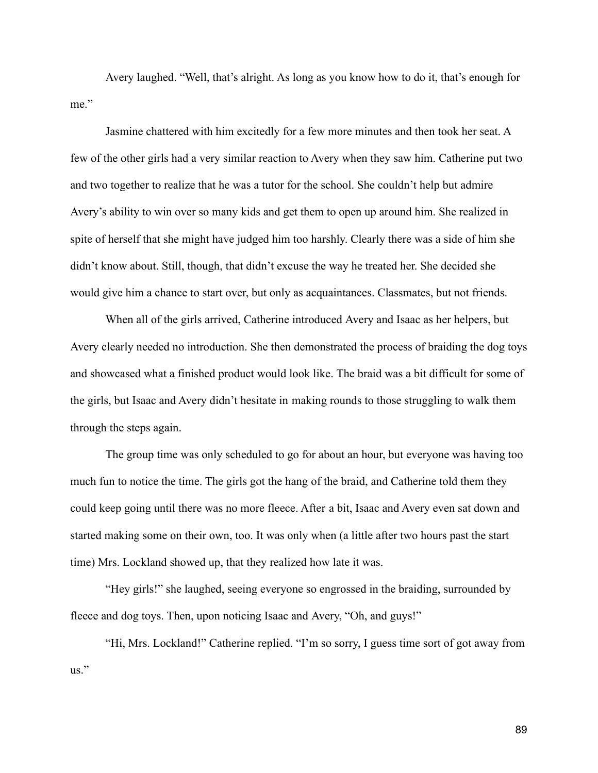Avery laughed. "Well, that's alright. As long as you know how to do it, that's enough for me."

Jasmine chattered with him excitedly for a few more minutes and then took her seat. A few of the other girls had a very similar reaction to Avery when they saw him. Catherine put two and two together to realize that he was a tutor for the school. She couldn't help but admire Avery's ability to win over so many kids and get them to open up around him. She realized in spite of herself that she might have judged him too harshly. Clearly there was a side of him she didn't know about. Still, though, that didn't excuse the way he treated her. She decided she would give him a chance to start over, but only as acquaintances. Classmates, but not friends.

When all of the girls arrived, Catherine introduced Avery and Isaac as her helpers, but Avery clearly needed no introduction. She then demonstrated the process of braiding the dog toys and showcased what a finished product would look like. The braid was a bit difficult for some of the girls, but Isaac and Avery didn't hesitate in making rounds to those struggling to walk them through the steps again.

The group time was only scheduled to go for about an hour, but everyone was having too much fun to notice the time. The girls got the hang of the braid, and Catherine told them they could keep going until there was no more fleece. After a bit, Isaac and Avery even sat down and started making some on their own, too. It was only when (a little after two hours past the start time) Mrs. Lockland showed up, that they realized how late it was.

"Hey girls!" she laughed, seeing everyone so engrossed in the braiding, surrounded by fleece and dog toys. Then, upon noticing Isaac and Avery, "Oh, and guys!"

"Hi, Mrs. Lockland!" Catherine replied. "I'm so sorry, I guess time sort of got away from us."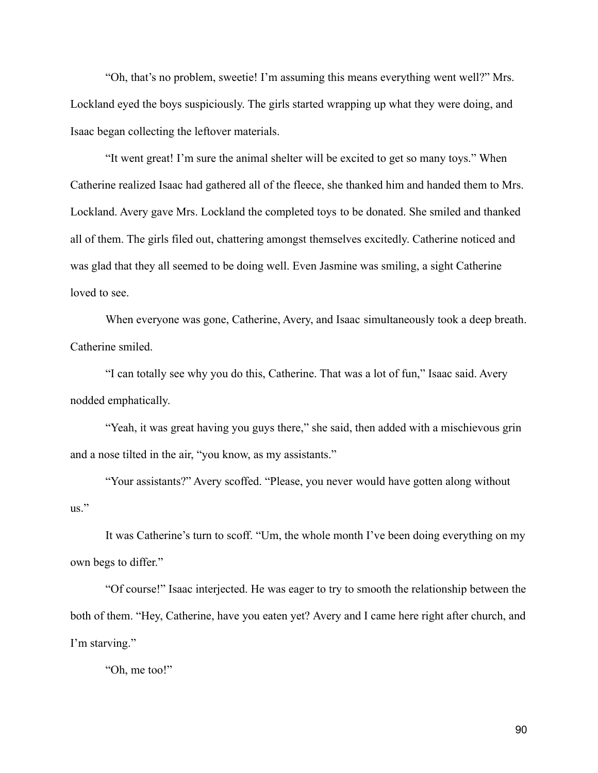"Oh, that's no problem, sweetie! I'm assuming this means everything went well?" Mrs. Lockland eyed the boys suspiciously. The girls started wrapping up what they were doing, and Isaac began collecting the leftover materials.

"It went great! I'm sure the animal shelter will be excited to get so many toys." When Catherine realized Isaac had gathered all of the fleece, she thanked him and handed them to Mrs. Lockland. Avery gave Mrs. Lockland the completed toys to be donated. She smiled and thanked all of them. The girls filed out, chattering amongst themselves excitedly. Catherine noticed and was glad that they all seemed to be doing well. Even Jasmine was smiling, a sight Catherine loved to see.

When everyone was gone, Catherine, Avery, and Isaac simultaneously took a deep breath. Catherine smiled.

"I can totally see why you do this, Catherine. That was a lot of fun," Isaac said. Avery nodded emphatically.

"Yeah, it was great having you guys there," she said, then added with a mischievous grin and a nose tilted in the air, "you know, as my assistants."

"Your assistants?" Avery scoffed. "Please, you never would have gotten along without us."

It was Catherine's turn to scoff. "Um, the whole month I've been doing everything on my own begs to differ."

"Of course!" Isaac interjected. He was eager to try to smooth the relationship between the both of them. "Hey, Catherine, have you eaten yet? Avery and I came here right after church, and I'm starving."

"Oh, me too!"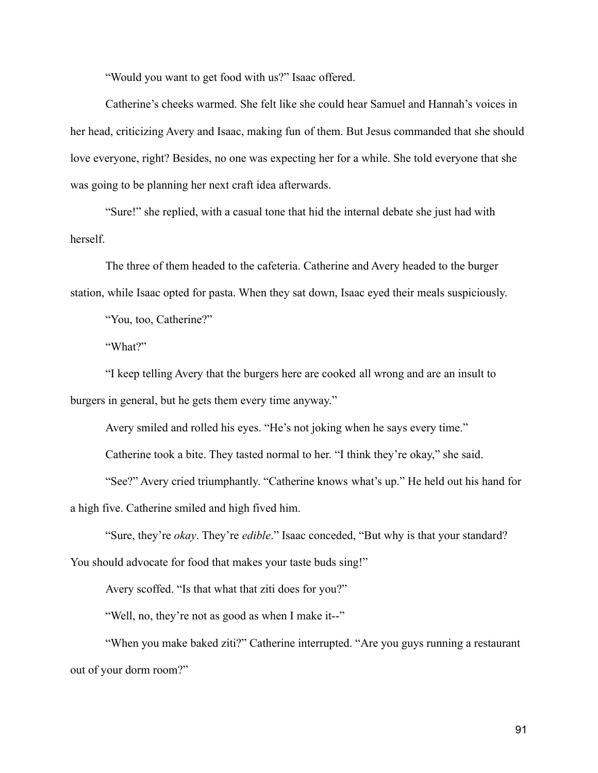"Would you want to get food with us?" Isaac offered.

Catherine's cheeks warmed. She felt like she could hear Samuel and Hannah's voices in her head, criticizing Avery and Isaac, making fun of them. But Jesus commanded that she should love everyone, right? Besides, no one was expecting her for a while. She told everyone that she was going to be planning her next craft idea afterwards.

"Sure!" she replied, with a casual tone that hid the internal debate she just had with herself.

The three of them headed to the cafeteria. Catherine and Avery headed to the burger station, while Isaac opted for pasta. When they sat down, Isaac eyed their meals suspiciously.

"You, too, Catherine?"

"What?"

"I keep telling Avery that the burgers here are cooked all wrong and are an insult to burgers in general, but he gets them every time anyway."

Avery smiled and rolled his eyes. "He's not joking when he says every time."

Catherine took a bite. They tasted normal to her. "I think they're okay," she said.

"See?" Avery cried triumphantly. "Catherine knows what's up." He held out his hand for a high five. Catherine smiled and high fived him.

"Sure, they're *okay*. They're *edible*." Isaac conceded, "But why is that your standard? You should advocate for food that makes your taste buds sing!"

Avery scoffed. "Is that what that ziti does for you?"

"Well, no, they're not as good as when I make it--"

"When you make baked ziti?" Catherine interrupted. "Are you guys running a restaurant out of your dorm room?"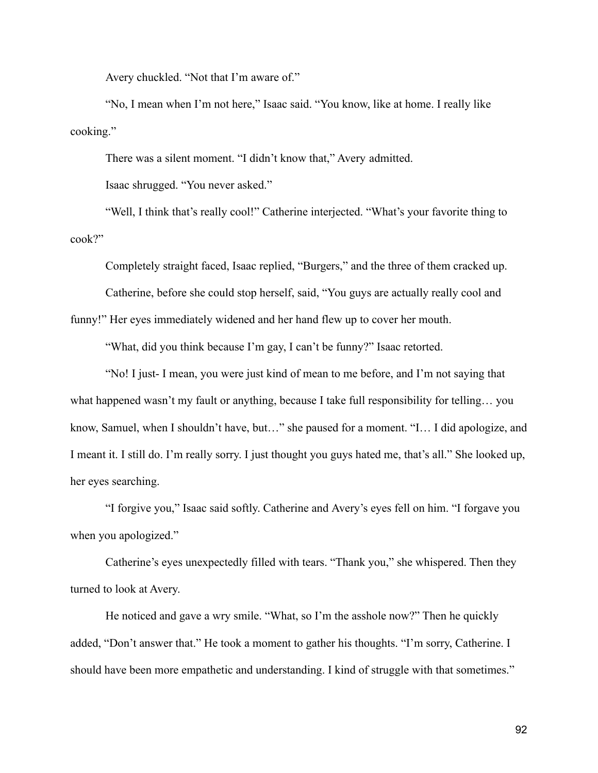Avery chuckled. "Not that I'm aware of."

"No, I mean when I'm not here," Isaac said. "You know, like at home. I really like cooking."

There was a silent moment. "I didn't know that," Avery admitted.

Isaac shrugged. "You never asked."

"Well, I think that's really cool!" Catherine interjected. "What's your favorite thing to cook?"

Completely straight faced, Isaac replied, "Burgers," and the three of them cracked up. Catherine, before she could stop herself, said, "You guys are actually really cool and

funny!" Her eyes immediately widened and her hand flew up to cover her mouth.

"What, did you think because I'm gay, I can't be funny?" Isaac retorted.

"No! I just- I mean, you were just kind of mean to me before, and I'm not saying that what happened wasn't my fault or anything, because I take full responsibility for telling... you know, Samuel, when I shouldn't have, but…" she paused for a moment. "I… I did apologize, and I meant it. I still do. I'm really sorry. I just thought you guys hated me, that's all." She looked up, her eyes searching.

"I forgive you," Isaac said softly. Catherine and Avery's eyes fell on him. "I forgave you when you apologized."

Catherine's eyes unexpectedly filled with tears. "Thank you," she whispered. Then they turned to look at Avery.

He noticed and gave a wry smile. "What, so I'm the asshole now?" Then he quickly added, "Don't answer that." He took a moment to gather his thoughts. "I'm sorry, Catherine. I should have been more empathetic and understanding. I kind of struggle with that sometimes."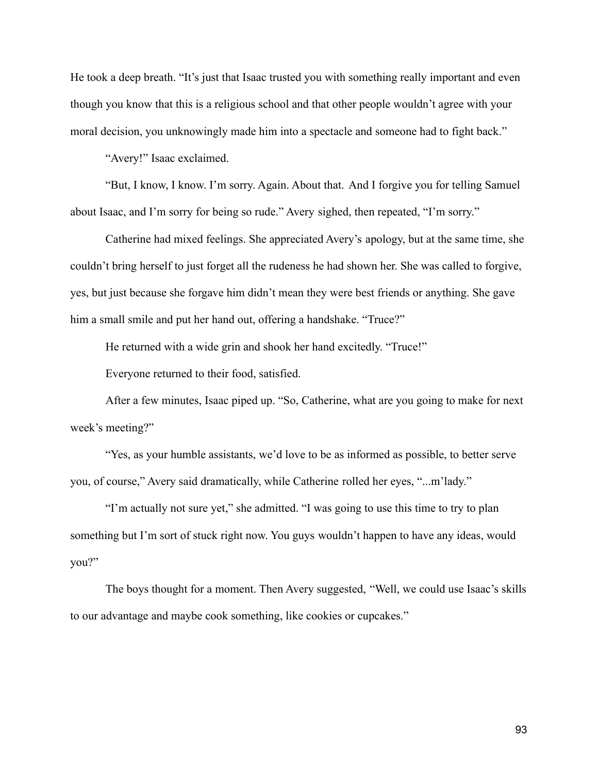He took a deep breath. "It's just that Isaac trusted you with something really important and even though you know that this is a religious school and that other people wouldn't agree with your moral decision, you unknowingly made him into a spectacle and someone had to fight back."

"Avery!" Isaac exclaimed.

"But, I know, I know. I'm sorry. Again. About that. And I forgive you for telling Samuel about Isaac, and I'm sorry for being so rude." Avery sighed, then repeated, "I'm sorry."

Catherine had mixed feelings. She appreciated Avery's apology, but at the same time, she couldn't bring herself to just forget all the rudeness he had shown her. She was called to forgive, yes, but just because she forgave him didn't mean they were best friends or anything. She gave him a small smile and put her hand out, offering a handshake. "Truce?"

He returned with a wide grin and shook her hand excitedly. "Truce!"

Everyone returned to their food, satisfied.

After a few minutes, Isaac piped up. "So, Catherine, what are you going to make for next week's meeting?"

"Yes, as your humble assistants, we'd love to be as informed as possible, to better serve you, of course," Avery said dramatically, while Catherine rolled her eyes, "...m'lady."

"I'm actually not sure yet," she admitted. "I was going to use this time to try to plan something but I'm sort of stuck right now. You guys wouldn't happen to have any ideas, would you?"

The boys thought for a moment. Then Avery suggested, "Well, we could use Isaac's skills to our advantage and maybe cook something, like cookies or cupcakes."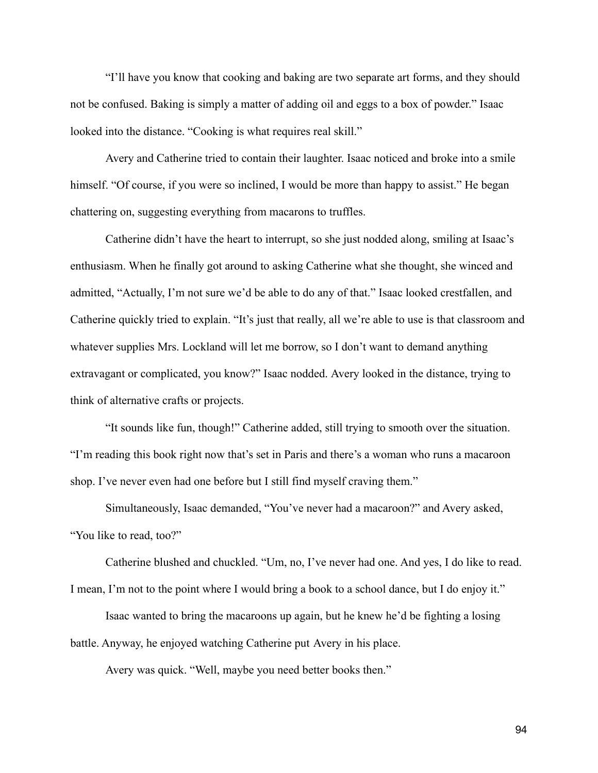"I'll have you know that cooking and baking are two separate art forms, and they should not be confused. Baking is simply a matter of adding oil and eggs to a box of powder." Isaac looked into the distance. "Cooking is what requires real skill."

Avery and Catherine tried to contain their laughter. Isaac noticed and broke into a smile himself. "Of course, if you were so inclined, I would be more than happy to assist." He began chattering on, suggesting everything from macarons to truffles.

Catherine didn't have the heart to interrupt, so she just nodded along, smiling at Isaac's enthusiasm. When he finally got around to asking Catherine what she thought, she winced and admitted, "Actually, I'm not sure we'd be able to do any of that." Isaac looked crestfallen, and Catherine quickly tried to explain. "It's just that really, all we're able to use is that classroom and whatever supplies Mrs. Lockland will let me borrow, so I don't want to demand anything extravagant or complicated, you know?" Isaac nodded. Avery looked in the distance, trying to think of alternative crafts or projects.

"It sounds like fun, though!" Catherine added, still trying to smooth over the situation. "I'm reading this book right now that's set in Paris and there's a woman who runs a macaroon shop. I've never even had one before but I still find myself craving them."

Simultaneously, Isaac demanded, "You've never had a macaroon?" and Avery asked, "You like to read, too?"

Catherine blushed and chuckled. "Um, no, I've never had one. And yes, I do like to read. I mean, I'm not to the point where I would bring a book to a school dance, but I do enjoy it." Isaac wanted to bring the macaroons up again, but he knew he'd be fighting a losing battle. Anyway, he enjoyed watching Catherine put Avery in his place.

Avery was quick. "Well, maybe you need better books then."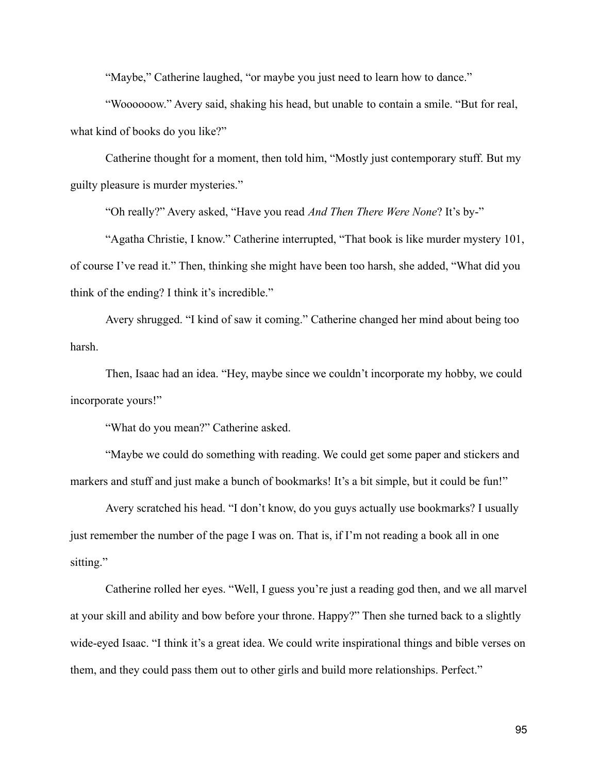"Maybe," Catherine laughed, "or maybe you just need to learn how to dance."

"Woooooow." Avery said, shaking his head, but unable to contain a smile. "But for real, what kind of books do you like?"

Catherine thought for a moment, then told him, "Mostly just contemporary stuff. But my guilty pleasure is murder mysteries."

"Oh really?" Avery asked, "Have you read *And Then There Were None*? It's by-"

"Agatha Christie, I know." Catherine interrupted, "That book is like murder mystery 101, of course I've read it." Then, thinking she might have been too harsh, she added, "What did you think of the ending? I think it's incredible."

Avery shrugged. "I kind of saw it coming." Catherine changed her mind about being too harsh.

Then, Isaac had an idea. "Hey, maybe since we couldn't incorporate my hobby, we could incorporate yours!"

"What do you mean?" Catherine asked.

"Maybe we could do something with reading. We could get some paper and stickers and markers and stuff and just make a bunch of bookmarks! It's a bit simple, but it could be fun!"

Avery scratched his head. "I don't know, do you guys actually use bookmarks? I usually just remember the number of the page I was on. That is, if I'm not reading a book all in one sitting."

Catherine rolled her eyes. "Well, I guess you're just a reading god then, and we all marvel at your skill and ability and bow before your throne. Happy?" Then she turned back to a slightly wide-eyed Isaac. "I think it's a great idea. We could write inspirational things and bible verses on them, and they could pass them out to other girls and build more relationships. Perfect."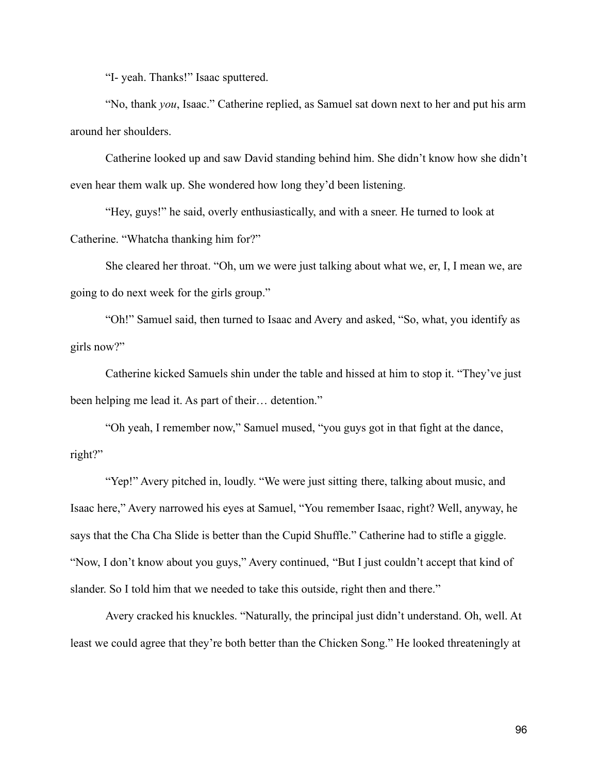"I- yeah. Thanks!" Isaac sputtered.

"No, thank *you*, Isaac." Catherine replied, as Samuel sat down next to her and put his arm around her shoulders.

Catherine looked up and saw David standing behind him. She didn't know how she didn't even hear them walk up. She wondered how long they'd been listening.

"Hey, guys!" he said, overly enthusiastically, and with a sneer. He turned to look at Catherine. "Whatcha thanking him for?"

She cleared her throat. "Oh, um we were just talking about what we, er, I, I mean we, are going to do next week for the girls group."

"Oh!" Samuel said, then turned to Isaac and Avery and asked, "So, what, you identify as girls now?"

Catherine kicked Samuels shin under the table and hissed at him to stop it. "They've just been helping me lead it. As part of their… detention."

"Oh yeah, I remember now," Samuel mused, "you guys got in that fight at the dance, right?"

"Yep!" Avery pitched in, loudly. "We were just sitting there, talking about music, and Isaac here," Avery narrowed his eyes at Samuel, "You remember Isaac, right? Well, anyway, he says that the Cha Cha Slide is better than the Cupid Shuffle." Catherine had to stifle a giggle. "Now, I don't know about you guys," Avery continued, "But I just couldn't accept that kind of slander. So I told him that we needed to take this outside, right then and there."

Avery cracked his knuckles. "Naturally, the principal just didn't understand. Oh, well. At least we could agree that they're both better than the Chicken Song." He looked threateningly at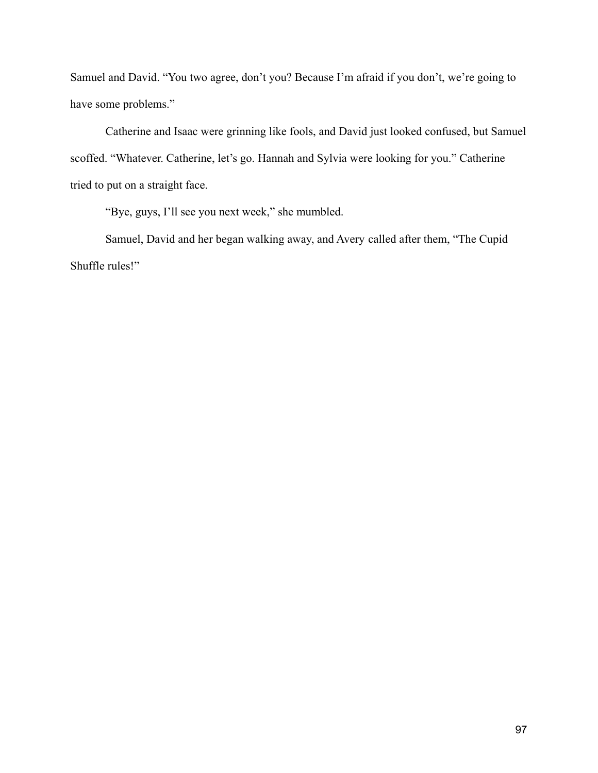Samuel and David. "You two agree, don't you? Because I'm afraid if you don't, we're going to have some problems."

Catherine and Isaac were grinning like fools, and David just looked confused, but Samuel scoffed. "Whatever. Catherine, let's go. Hannah and Sylvia were looking for you." Catherine tried to put on a straight face.

"Bye, guys, I'll see you next week," she mumbled.

Samuel, David and her began walking away, and Avery called after them, "The Cupid Shuffle rules!"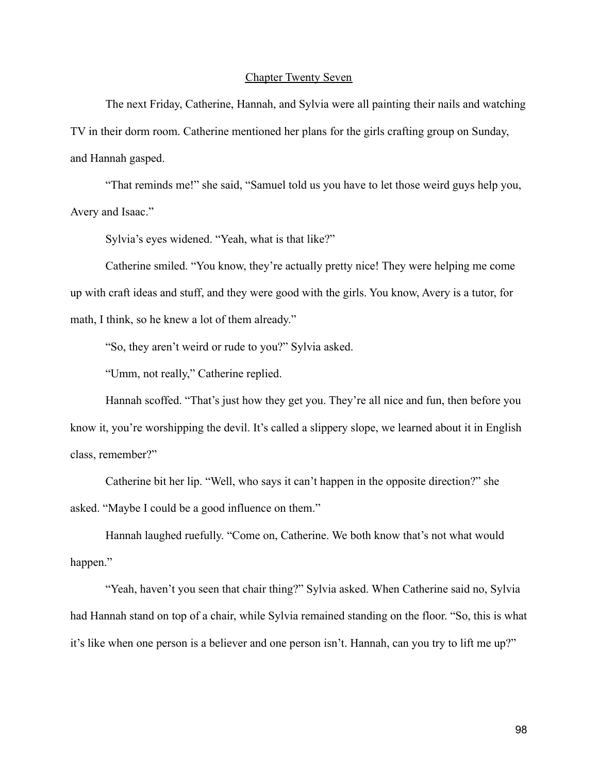# Chapter Twenty Seven

The next Friday, Catherine, Hannah, and Sylvia were all painting their nails and watching TV in their dorm room. Catherine mentioned her plans for the girls crafting group on Sunday, and Hannah gasped.

"That reminds me!" she said, "Samuel told us you have to let those weird guys help you, Avery and Isaac."

Sylvia's eyes widened. "Yeah, what is that like?"

Catherine smiled. "You know, they're actually pretty nice! They were helping me come up with craft ideas and stuff, and they were good with the girls. You know, Avery is a tutor, for math, I think, so he knew a lot of them already."

"So, they aren't weird or rude to you?" Sylvia asked.

"Umm, not really," Catherine replied.

Hannah scoffed. "That's just how they get you. They're all nice and fun, then before you know it, you're worshipping the devil. It's called a slippery slope, we learned about it in English class, remember?"

Catherine bit her lip. "Well, who says it can't happen in the opposite direction?" she asked. "Maybe I could be a good influence on them."

Hannah laughed ruefully. "Come on, Catherine. We both know that's not what would happen."

"Yeah, haven't you seen that chair thing?" Sylvia asked. When Catherine said no, Sylvia had Hannah stand on top of a chair, while Sylvia remained standing on the floor. "So, this is what it's like when one person is a believer and one person isn't. Hannah, can you try to lift me up?"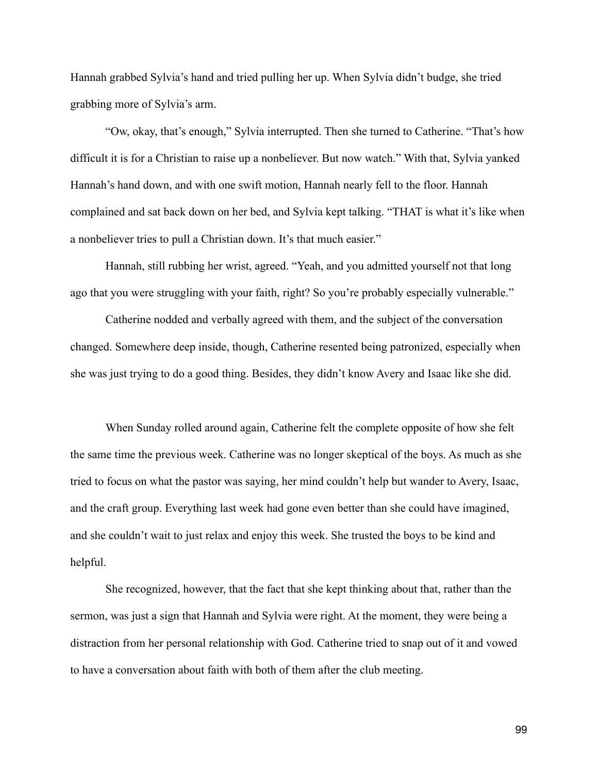Hannah grabbed Sylvia's hand and tried pulling her up. When Sylvia didn't budge, she tried grabbing more of Sylvia's arm.

"Ow, okay, that's enough," Sylvia interrupted. Then she turned to Catherine. "That's how difficult it is for a Christian to raise up a nonbeliever. But now watch." With that, Sylvia yanked Hannah's hand down, and with one swift motion, Hannah nearly fell to the floor. Hannah complained and sat back down on her bed, and Sylvia kept talking. "THAT is what it's like when a nonbeliever tries to pull a Christian down. It's that much easier."

Hannah, still rubbing her wrist, agreed. "Yeah, and you admitted yourself not that long ago that you were struggling with your faith, right? So you're probably especially vulnerable."

Catherine nodded and verbally agreed with them, and the subject of the conversation changed. Somewhere deep inside, though, Catherine resented being patronized, especially when she was just trying to do a good thing. Besides, they didn't know Avery and Isaac like she did.

When Sunday rolled around again, Catherine felt the complete opposite of how she felt the same time the previous week. Catherine was no longer skeptical of the boys. As much as she tried to focus on what the pastor was saying, her mind couldn't help but wander to Avery, Isaac, and the craft group. Everything last week had gone even better than she could have imagined, and she couldn't wait to just relax and enjoy this week. She trusted the boys to be kind and helpful.

She recognized, however, that the fact that she kept thinking about that, rather than the sermon, was just a sign that Hannah and Sylvia were right. At the moment, they were being a distraction from her personal relationship with God. Catherine tried to snap out of it and vowed to have a conversation about faith with both of them after the club meeting.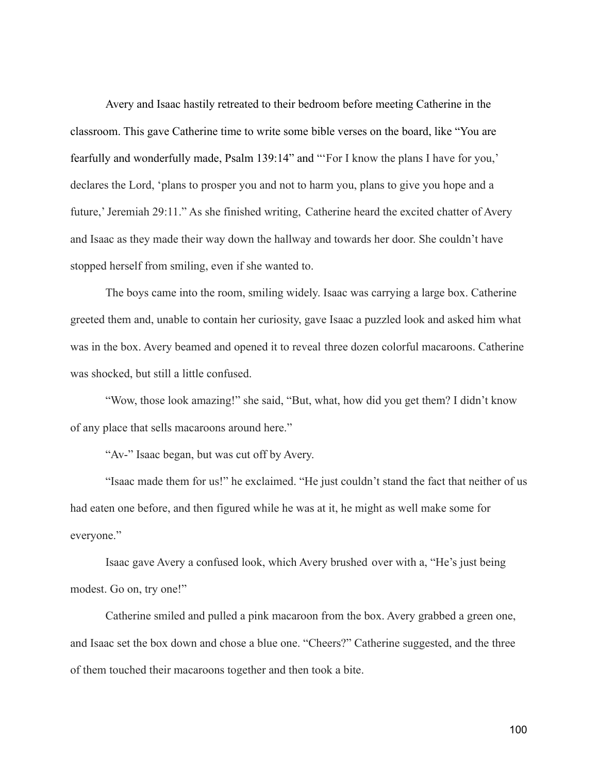Avery and Isaac hastily retreated to their bedroom before meeting Catherine in the classroom. This gave Catherine time to write some bible verses on the board, like "You are fearfully and wonderfully made, Psalm 139:14" and "'For I know the plans I have for you,' declares the Lord, 'plans to prosper you and not to harm you, plans to give you hope and a future,' Jeremiah 29:11." As she finished writing, Catherine heard the excited chatter of Avery and Isaac as they made their way down the hallway and towards her door. She couldn't have stopped herself from smiling, even if she wanted to.

The boys came into the room, smiling widely. Isaac was carrying a large box. Catherine greeted them and, unable to contain her curiosity, gave Isaac a puzzled look and asked him what was in the box. Avery beamed and opened it to reveal three dozen colorful macaroons. Catherine was shocked, but still a little confused.

"Wow, those look amazing!" she said, "But, what, how did you get them? I didn't know of any place that sells macaroons around here."

"Av-" Isaac began, but was cut off by Avery.

"Isaac made them for us!" he exclaimed. "He just couldn't stand the fact that neither of us had eaten one before, and then figured while he was at it, he might as well make some for everyone."

Isaac gave Avery a confused look, which Avery brushed over with a, "He's just being modest. Go on, try one!"

Catherine smiled and pulled a pink macaroon from the box. Avery grabbed a green one, and Isaac set the box down and chose a blue one. "Cheers?" Catherine suggested, and the three of them touched their macaroons together and then took a bite.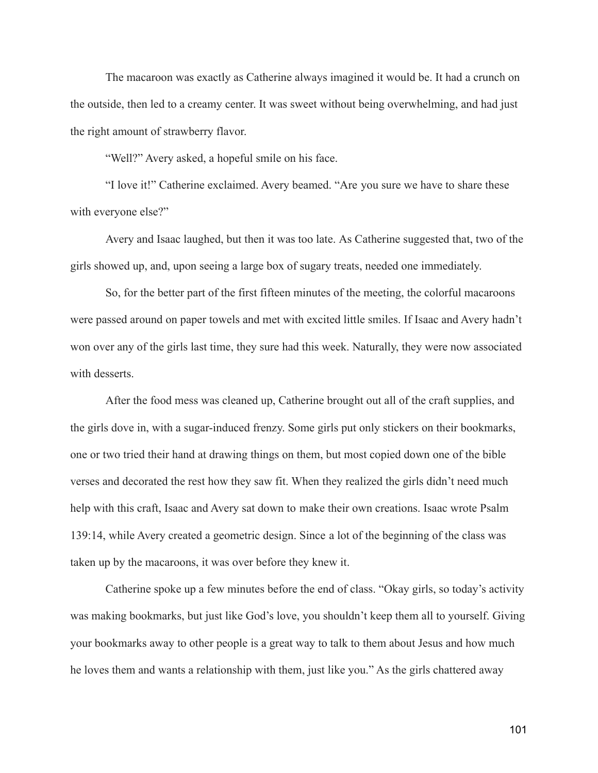The macaroon was exactly as Catherine always imagined it would be. It had a crunch on the outside, then led to a creamy center. It was sweet without being overwhelming, and had just the right amount of strawberry flavor.

"Well?" Avery asked, a hopeful smile on his face.

"I love it!" Catherine exclaimed. Avery beamed. "Are you sure we have to share these with everyone else?"

Avery and Isaac laughed, but then it was too late. As Catherine suggested that, two of the girls showed up, and, upon seeing a large box of sugary treats, needed one immediately.

So, for the better part of the first fifteen minutes of the meeting, the colorful macaroons were passed around on paper towels and met with excited little smiles. If Isaac and Avery hadn't won over any of the girls last time, they sure had this week. Naturally, they were now associated with desserts.

After the food mess was cleaned up, Catherine brought out all of the craft supplies, and the girls dove in, with a sugar-induced frenzy. Some girls put only stickers on their bookmarks, one or two tried their hand at drawing things on them, but most copied down one of the bible verses and decorated the rest how they saw fit. When they realized the girls didn't need much help with this craft, Isaac and Avery sat down to make their own creations. Isaac wrote Psalm 139:14, while Avery created a geometric design. Since a lot of the beginning of the class was taken up by the macaroons, it was over before they knew it.

Catherine spoke up a few minutes before the end of class. "Okay girls, so today's activity was making bookmarks, but just like God's love, you shouldn't keep them all to yourself. Giving your bookmarks away to other people is a great way to talk to them about Jesus and how much he loves them and wants a relationship with them, just like you." As the girls chattered away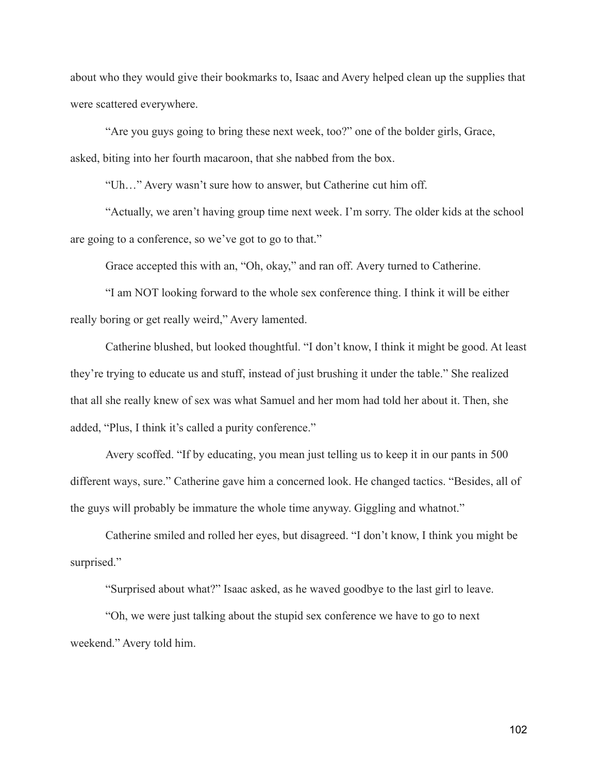about who they would give their bookmarks to, Isaac and Avery helped clean up the supplies that were scattered everywhere.

"Are you guys going to bring these next week, too?" one of the bolder girls, Grace, asked, biting into her fourth macaroon, that she nabbed from the box.

"Uh…" Avery wasn't sure how to answer, but Catherine cut him off.

"Actually, we aren't having group time next week. I'm sorry. The older kids at the school are going to a conference, so we've got to go to that."

Grace accepted this with an, "Oh, okay," and ran off. Avery turned to Catherine.

"I am NOT looking forward to the whole sex conference thing. I think it will be either really boring or get really weird," Avery lamented.

Catherine blushed, but looked thoughtful. "I don't know, I think it might be good. At least they're trying to educate us and stuff, instead of just brushing it under the table." She realized that all she really knew of sex was what Samuel and her mom had told her about it. Then, she added, "Plus, I think it's called a purity conference."

Avery scoffed. "If by educating, you mean just telling us to keep it in our pants in 500 different ways, sure." Catherine gave him a concerned look. He changed tactics. "Besides, all of the guys will probably be immature the whole time anyway. Giggling and whatnot."

Catherine smiled and rolled her eyes, but disagreed. "I don't know, I think you might be surprised."

"Surprised about what?" Isaac asked, as he waved goodbye to the last girl to leave.

"Oh, we were just talking about the stupid sex conference we have to go to next weekend." Avery told him.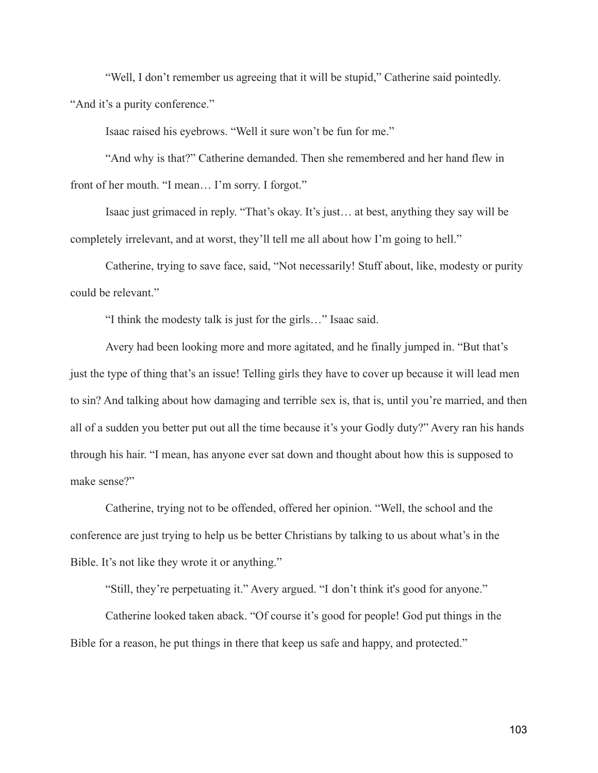"Well, I don't remember us agreeing that it will be stupid," Catherine said pointedly. "And it's a purity conference."

Isaac raised his eyebrows. "Well it sure won't be fun for me."

"And why is that?" Catherine demanded. Then she remembered and her hand flew in front of her mouth. "I mean… I'm sorry. I forgot."

Isaac just grimaced in reply. "That's okay. It's just… at best, anything they say will be completely irrelevant, and at worst, they'll tell me all about how I'm going to hell."

Catherine, trying to save face, said, "Not necessarily! Stuff about, like, modesty or purity could be relevant."

"I think the modesty talk is just for the girls…" Isaac said.

Avery had been looking more and more agitated, and he finally jumped in. "But that's just the type of thing that's an issue! Telling girls they have to cover up because it will lead men to sin? And talking about how damaging and terrible sex is, that is, until you're married, and then all of a sudden you better put out all the time because it's your Godly duty?" Avery ran his hands through his hair. "I mean, has anyone ever sat down and thought about how this is supposed to make sense?"

Catherine, trying not to be offended, offered her opinion. "Well, the school and the conference are just trying to help us be better Christians by talking to us about what's in the Bible. It's not like they wrote it or anything."

"Still, they're perpetuating it." Avery argued. "I don't think it's good for anyone."

Catherine looked taken aback. "Of course it's good for people! God put things in the Bible for a reason, he put things in there that keep us safe and happy, and protected."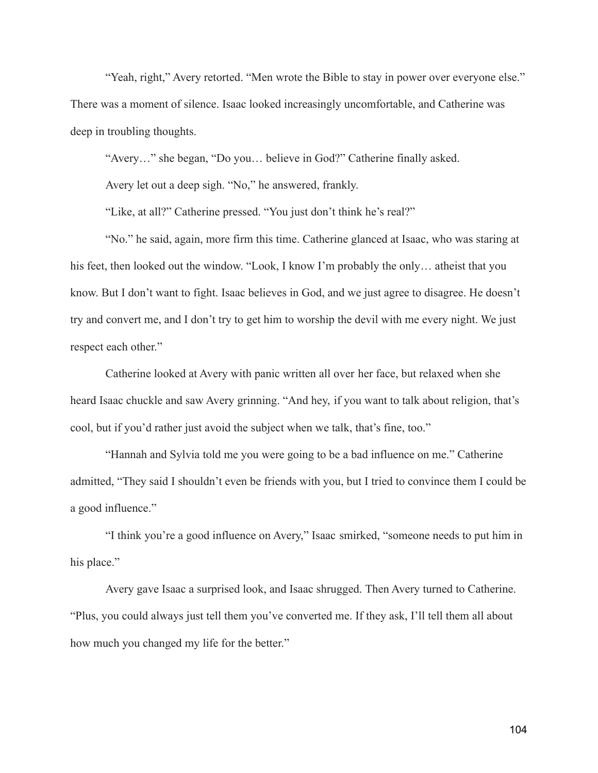"Yeah, right," Avery retorted. "Men wrote the Bible to stay in power over everyone else." There was a moment of silence. Isaac looked increasingly uncomfortable, and Catherine was deep in troubling thoughts.

"Avery…" she began, "Do you… believe in God?" Catherine finally asked.

Avery let out a deep sigh. "No," he answered, frankly.

"Like, at all?" Catherine pressed. "You just don't think he's real?"

"No." he said, again, more firm this time. Catherine glanced at Isaac, who was staring at his feet, then looked out the window. "Look, I know I'm probably the only... atheist that you know. But I don't want to fight. Isaac believes in God, and we just agree to disagree. He doesn't try and convert me, and I don't try to get him to worship the devil with me every night. We just respect each other."

Catherine looked at Avery with panic written all over her face, but relaxed when she heard Isaac chuckle and saw Avery grinning. "And hey, if you want to talk about religion, that's cool, but if you'd rather just avoid the subject when we talk, that's fine, too."

"Hannah and Sylvia told me you were going to be a bad influence on me." Catherine admitted, "They said I shouldn't even be friends with you, but I tried to convince them I could be a good influence."

"I think you're a good influence on Avery," Isaac smirked, "someone needs to put him in his place."

Avery gave Isaac a surprised look, and Isaac shrugged. Then Avery turned to Catherine. "Plus, you could always just tell them you've converted me. If they ask, I'll tell them all about how much you changed my life for the better."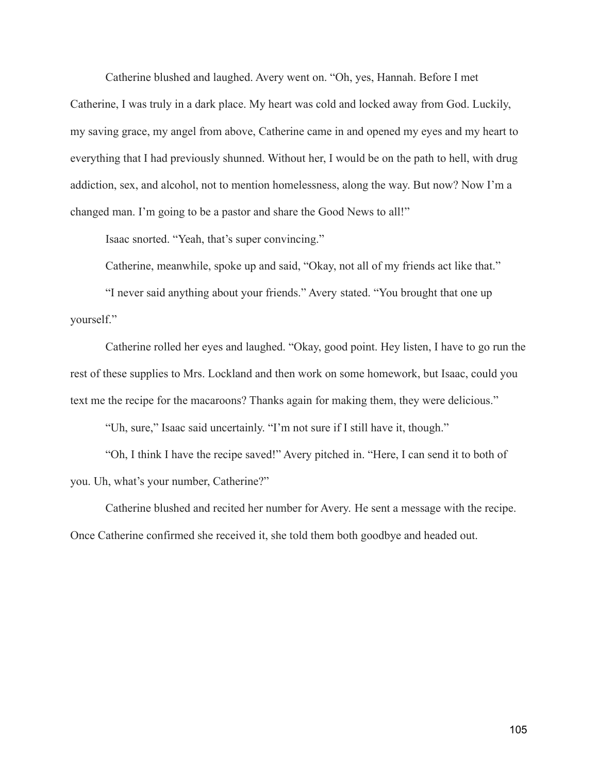Catherine blushed and laughed. Avery went on. "Oh, yes, Hannah. Before I met Catherine, I was truly in a dark place. My heart was cold and locked away from God. Luckily, my saving grace, my angel from above, Catherine came in and opened my eyes and my heart to everything that I had previously shunned. Without her, I would be on the path to hell, with drug addiction, sex, and alcohol, not to mention homelessness, along the way. But now? Now I'm a changed man. I'm going to be a pastor and share the Good News to all!"

Isaac snorted. "Yeah, that's super convincing."

Catherine, meanwhile, spoke up and said, "Okay, not all of my friends act like that."

"I never said anything about your friends." Avery stated. "You brought that one up yourself."

Catherine rolled her eyes and laughed. "Okay, good point. Hey listen, I have to go run the rest of these supplies to Mrs. Lockland and then work on some homework, but Isaac, could you text me the recipe for the macaroons? Thanks again for making them, they were delicious."

"Uh, sure," Isaac said uncertainly. "I'm not sure if I still have it, though."

"Oh, I think I have the recipe saved!" Avery pitched in. "Here, I can send it to both of you. Uh, what's your number, Catherine?"

Catherine blushed and recited her number for Avery. He sent a message with the recipe. Once Catherine confirmed she received it, she told them both goodbye and headed out.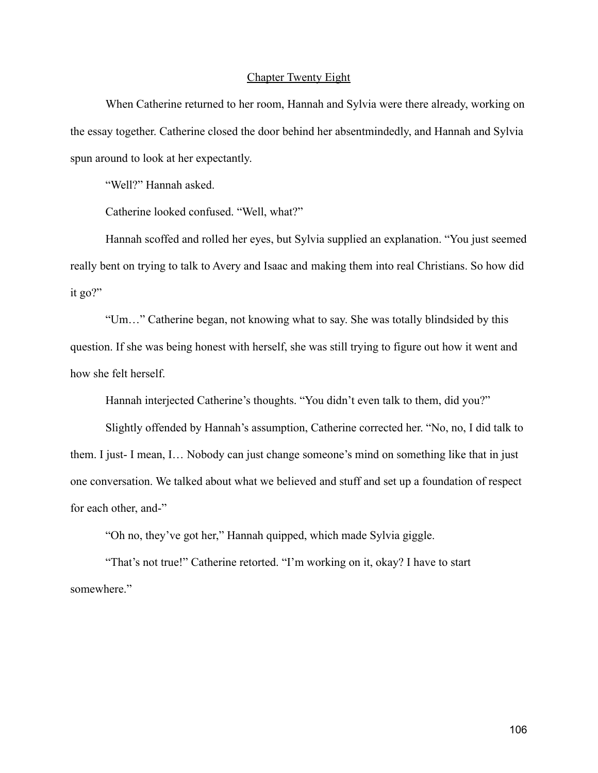# Chapter Twenty Eight

When Catherine returned to her room, Hannah and Sylvia were there already, working on the essay together. Catherine closed the door behind her absentmindedly, and Hannah and Sylvia spun around to look at her expectantly.

"Well?" Hannah asked.

Catherine looked confused. "Well, what?"

Hannah scoffed and rolled her eyes, but Sylvia supplied an explanation. "You just seemed really bent on trying to talk to Avery and Isaac and making them into real Christians. So how did it go?"

"Um…" Catherine began, not knowing what to say. She was totally blindsided by this question. If she was being honest with herself, she was still trying to figure out how it went and how she felt herself.

Hannah interjected Catherine's thoughts. "You didn't even talk to them, did you?"

Slightly offended by Hannah's assumption, Catherine corrected her. "No, no, I did talk to them. I just- I mean, I… Nobody can just change someone's mind on something like that in just one conversation. We talked about what we believed and stuff and set up a foundation of respect for each other, and-"

"Oh no, they've got her," Hannah quipped, which made Sylvia giggle.

"That's not true!" Catherine retorted. "I'm working on it, okay? I have to start somewhere."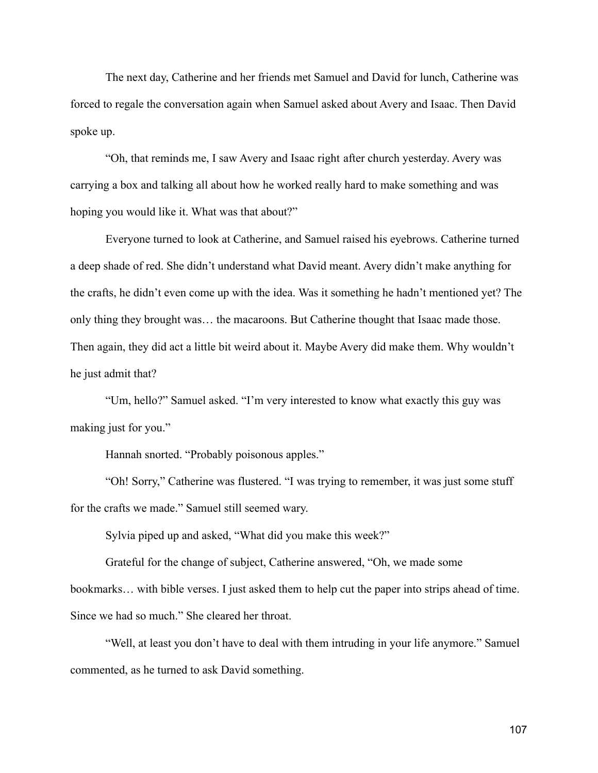The next day, Catherine and her friends met Samuel and David for lunch, Catherine was forced to regale the conversation again when Samuel asked about Avery and Isaac. Then David spoke up.

"Oh, that reminds me, I saw Avery and Isaac right after church yesterday. Avery was carrying a box and talking all about how he worked really hard to make something and was hoping you would like it. What was that about?"

Everyone turned to look at Catherine, and Samuel raised his eyebrows. Catherine turned a deep shade of red. She didn't understand what David meant. Avery didn't make anything for the crafts, he didn't even come up with the idea. Was it something he hadn't mentioned yet? The only thing they brought was… the macaroons. But Catherine thought that Isaac made those. Then again, they did act a little bit weird about it. Maybe Avery did make them. Why wouldn't he just admit that?

"Um, hello?" Samuel asked. "I'm very interested to know what exactly this guy was making just for you."

Hannah snorted. "Probably poisonous apples."

"Oh! Sorry," Catherine was flustered. "I was trying to remember, it was just some stuff for the crafts we made." Samuel still seemed wary.

Sylvia piped up and asked, "What did you make this week?"

Grateful for the change of subject, Catherine answered, "Oh, we made some bookmarks… with bible verses. I just asked them to help cut the paper into strips ahead of time. Since we had so much." She cleared her throat.

"Well, at least you don't have to deal with them intruding in your life anymore." Samuel commented, as he turned to ask David something.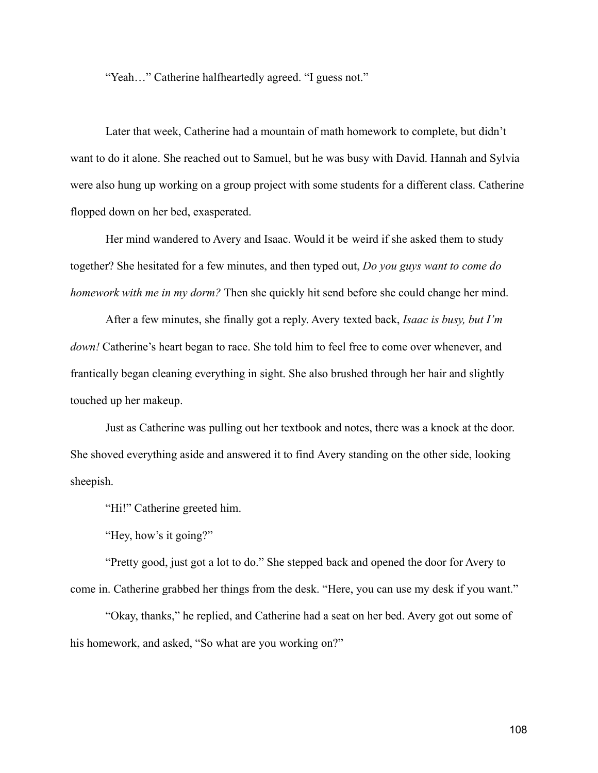"Yeah…" Catherine halfheartedly agreed. "I guess not."

Later that week, Catherine had a mountain of math homework to complete, but didn't want to do it alone. She reached out to Samuel, but he was busy with David. Hannah and Sylvia were also hung up working on a group project with some students for a different class. Catherine flopped down on her bed, exasperated.

Her mind wandered to Avery and Isaac. Would it be weird if she asked them to study together? She hesitated for a few minutes, and then typed out, *Do you guys want to come do homework with me in my dorm?* Then she quickly hit send before she could change her mind.

After a few minutes, she finally got a reply. Avery texted back, *Isaac is busy, but I'm down!* Catherine's heart began to race. She told him to feel free to come over whenever, and frantically began cleaning everything in sight. She also brushed through her hair and slightly touched up her makeup.

Just as Catherine was pulling out her textbook and notes, there was a knock at the door. She shoved everything aside and answered it to find Avery standing on the other side, looking sheepish.

"Hi!" Catherine greeted him.

"Hey, how's it going?"

"Pretty good, just got a lot to do." She stepped back and opened the door for Avery to come in. Catherine grabbed her things from the desk. "Here, you can use my desk if you want."

"Okay, thanks," he replied, and Catherine had a seat on her bed. Avery got out some of his homework, and asked, "So what are you working on?"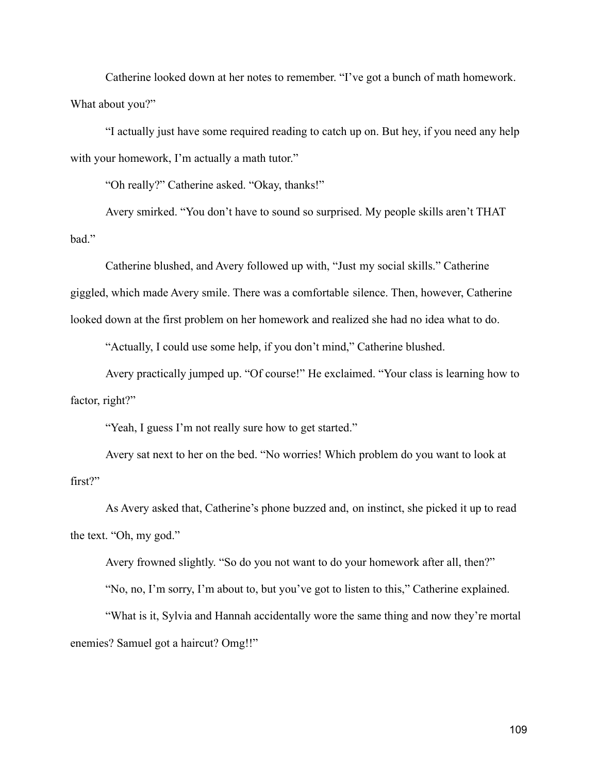Catherine looked down at her notes to remember. "I've got a bunch of math homework. What about you?"

"I actually just have some required reading to catch up on. But hey, if you need any help with your homework, I'm actually a math tutor."

"Oh really?" Catherine asked. "Okay, thanks!"

Avery smirked. "You don't have to sound so surprised. My people skills aren't THAT bad."

Catherine blushed, and Avery followed up with, "Just my social skills." Catherine giggled, which made Avery smile. There was a comfortable silence. Then, however, Catherine looked down at the first problem on her homework and realized she had no idea what to do.

"Actually, I could use some help, if you don't mind," Catherine blushed.

Avery practically jumped up. "Of course!" He exclaimed. "Your class is learning how to factor, right?"

"Yeah, I guess I'm not really sure how to get started."

Avery sat next to her on the bed. "No worries! Which problem do you want to look at first?"

As Avery asked that, Catherine's phone buzzed and, on instinct, she picked it up to read the text. "Oh, my god."

Avery frowned slightly. "So do you not want to do your homework after all, then?"

"No, no, I'm sorry, I'm about to, but you've got to listen to this," Catherine explained.

"What is it, Sylvia and Hannah accidentally wore the same thing and now they're mortal enemies? Samuel got a haircut? Omg!!"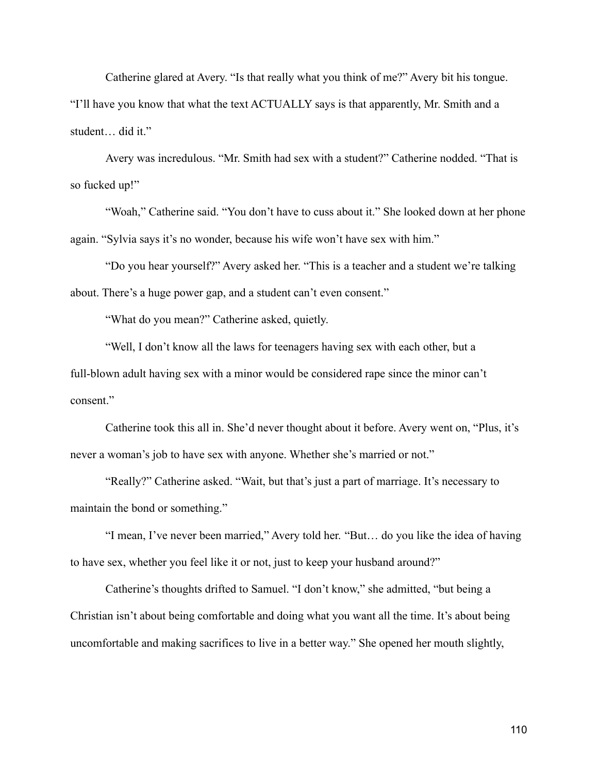Catherine glared at Avery. "Is that really what you think of me?" Avery bit his tongue. "I'll have you know that what the text ACTUALLY says is that apparently, Mr. Smith and a student… did it."

Avery was incredulous. "Mr. Smith had sex with a student?" Catherine nodded. "That is so fucked up!"

"Woah," Catherine said. "You don't have to cuss about it." She looked down at her phone again. "Sylvia says it's no wonder, because his wife won't have sex with him."

"Do you hear yourself?" Avery asked her. "This is a teacher and a student we're talking about. There's a huge power gap, and a student can't even consent."

"What do you mean?" Catherine asked, quietly.

"Well, I don't know all the laws for teenagers having sex with each other, but a full-blown adult having sex with a minor would be considered rape since the minor can't consent."

Catherine took this all in. She'd never thought about it before. Avery went on, "Plus, it's never a woman's job to have sex with anyone. Whether she's married or not."

"Really?" Catherine asked. "Wait, but that's just a part of marriage. It's necessary to maintain the bond or something."

"I mean, I've never been married," Avery told her. "But… do you like the idea of having to have sex, whether you feel like it or not, just to keep your husband around?"

Catherine's thoughts drifted to Samuel. "I don't know," she admitted, "but being a Christian isn't about being comfortable and doing what you want all the time. It's about being uncomfortable and making sacrifices to live in a better way." She opened her mouth slightly,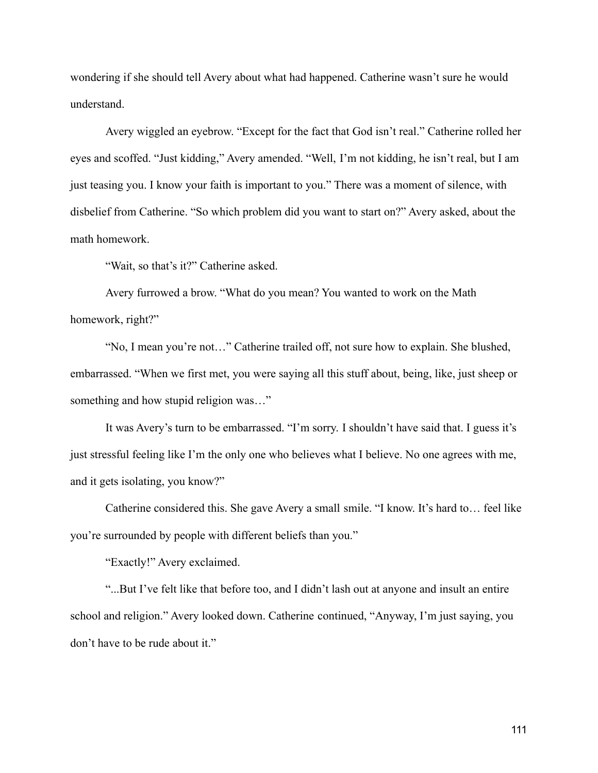wondering if she should tell Avery about what had happened. Catherine wasn't sure he would understand.

Avery wiggled an eyebrow. "Except for the fact that God isn't real." Catherine rolled her eyes and scoffed. "Just kidding," Avery amended. "Well, I'm not kidding, he isn't real, but I am just teasing you. I know your faith is important to you." There was a moment of silence, with disbelief from Catherine. "So which problem did you want to start on?" Avery asked, about the math homework.

"Wait, so that's it?" Catherine asked.

Avery furrowed a brow. "What do you mean? You wanted to work on the Math homework, right?"

"No, I mean you're not…" Catherine trailed off, not sure how to explain. She blushed, embarrassed. "When we first met, you were saying all this stuff about, being, like, just sheep or something and how stupid religion was…"

It was Avery's turn to be embarrassed. "I'm sorry. I shouldn't have said that. I guess it's just stressful feeling like I'm the only one who believes what I believe. No one agrees with me, and it gets isolating, you know?"

Catherine considered this. She gave Avery a small smile. "I know. It's hard to… feel like you're surrounded by people with different beliefs than you."

"Exactly!" Avery exclaimed.

"...But I've felt like that before too, and I didn't lash out at anyone and insult an entire school and religion." Avery looked down. Catherine continued, "Anyway, I'm just saying, you don't have to be rude about it."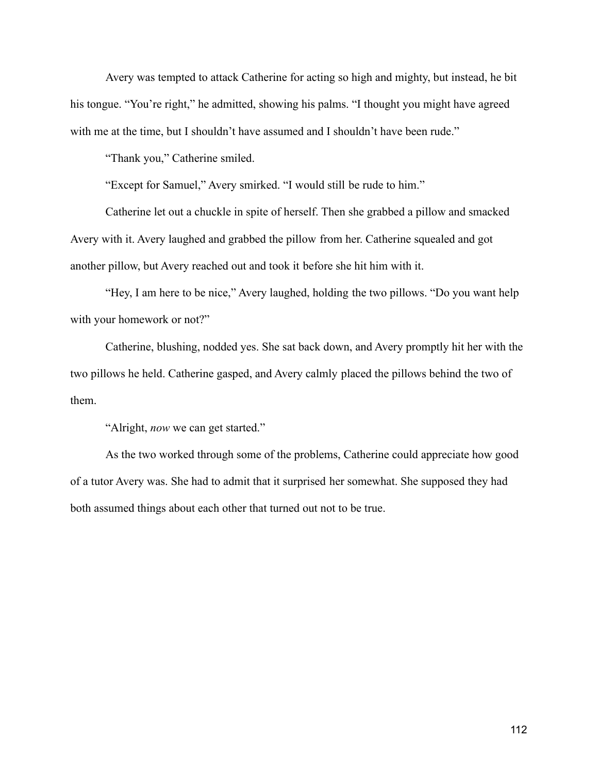Avery was tempted to attack Catherine for acting so high and mighty, but instead, he bit his tongue. "You're right," he admitted, showing his palms. "I thought you might have agreed with me at the time, but I shouldn't have assumed and I shouldn't have been rude."

"Thank you," Catherine smiled.

"Except for Samuel," Avery smirked. "I would still be rude to him."

Catherine let out a chuckle in spite of herself. Then she grabbed a pillow and smacked Avery with it. Avery laughed and grabbed the pillow from her. Catherine squealed and got another pillow, but Avery reached out and took it before she hit him with it.

"Hey, I am here to be nice," Avery laughed, holding the two pillows. "Do you want help with your homework or not?"

Catherine, blushing, nodded yes. She sat back down, and Avery promptly hit her with the two pillows he held. Catherine gasped, and Avery calmly placed the pillows behind the two of them.

"Alright, *now* we can get started."

As the two worked through some of the problems, Catherine could appreciate how good of a tutor Avery was. She had to admit that it surprised her somewhat. She supposed they had both assumed things about each other that turned out not to be true.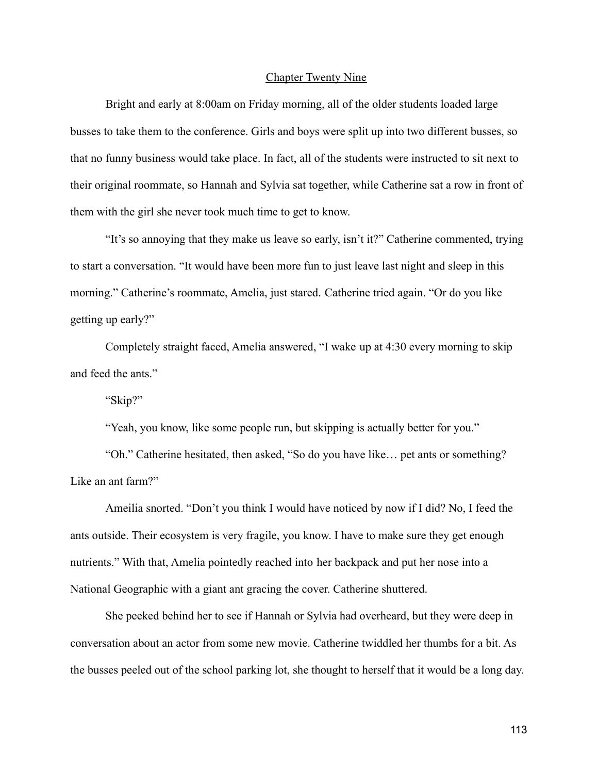#### Chapter Twenty Nine

Bright and early at 8:00am on Friday morning, all of the older students loaded large busses to take them to the conference. Girls and boys were split up into two different busses, so that no funny business would take place. In fact, all of the students were instructed to sit next to their original roommate, so Hannah and Sylvia sat together, while Catherine sat a row in front of them with the girl she never took much time to get to know.

"It's so annoying that they make us leave so early, isn't it?" Catherine commented, trying to start a conversation. "It would have been more fun to just leave last night and sleep in this morning." Catherine's roommate, Amelia, just stared. Catherine tried again. "Or do you like getting up early?"

Completely straight faced, Amelia answered, "I wake up at 4:30 every morning to skip and feed the ants."

"Skip?"

"Yeah, you know, like some people run, but skipping is actually better for you."

"Oh." Catherine hesitated, then asked, "So do you have like… pet ants or something? Like an ant farm?"

Ameilia snorted. "Don't you think I would have noticed by now if I did? No, I feed the ants outside. Their ecosystem is very fragile, you know. I have to make sure they get enough nutrients." With that, Amelia pointedly reached into her backpack and put her nose into a National Geographic with a giant ant gracing the cover. Catherine shuttered.

She peeked behind her to see if Hannah or Sylvia had overheard, but they were deep in conversation about an actor from some new movie. Catherine twiddled her thumbs for a bit. As the busses peeled out of the school parking lot, she thought to herself that it would be a long day.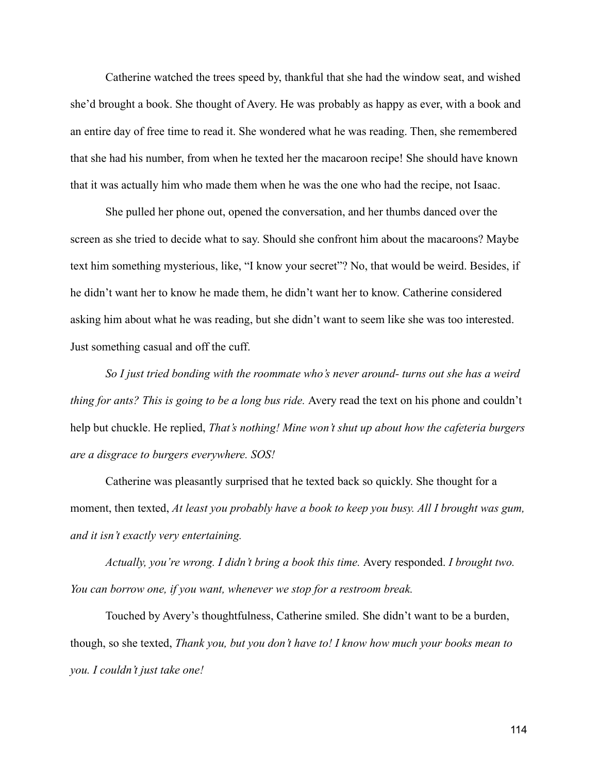Catherine watched the trees speed by, thankful that she had the window seat, and wished she'd brought a book. She thought of Avery. He was probably as happy as ever, with a book and an entire day of free time to read it. She wondered what he was reading. Then, she remembered that she had his number, from when he texted her the macaroon recipe! She should have known that it was actually him who made them when he was the one who had the recipe, not Isaac.

She pulled her phone out, opened the conversation, and her thumbs danced over the screen as she tried to decide what to say. Should she confront him about the macaroons? Maybe text him something mysterious, like, "I know your secret"? No, that would be weird. Besides, if he didn't want her to know he made them, he didn't want her to know. Catherine considered asking him about what he was reading, but she didn't want to seem like she was too interested. Just something casual and off the cuff.

*So I just tried bonding with the roommate who's never around- turns out she has a weird thing for ants? This is going to be a long bus ride.* Avery read the text on his phone and couldn't help but chuckle. He replied, *That's nothing! Mine won't shut up about how the cafeteria burgers are a disgrace to burgers everywhere. SOS!*

Catherine was pleasantly surprised that he texted back so quickly. She thought for a moment, then texted, *At least you probably have a book to keep you busy. All I brought was gum, and it isn't exactly very entertaining.*

*Actually, you're wrong. I didn't bring a book this time.* Avery responded. *I brought two. You can borrow one, if you want, whenever we stop for a restroom break.*

Touched by Avery's thoughtfulness, Catherine smiled. She didn't want to be a burden, though, so she texted, *Thank you, but you don't have to! I know how much your books mean to you. I couldn't just take one!*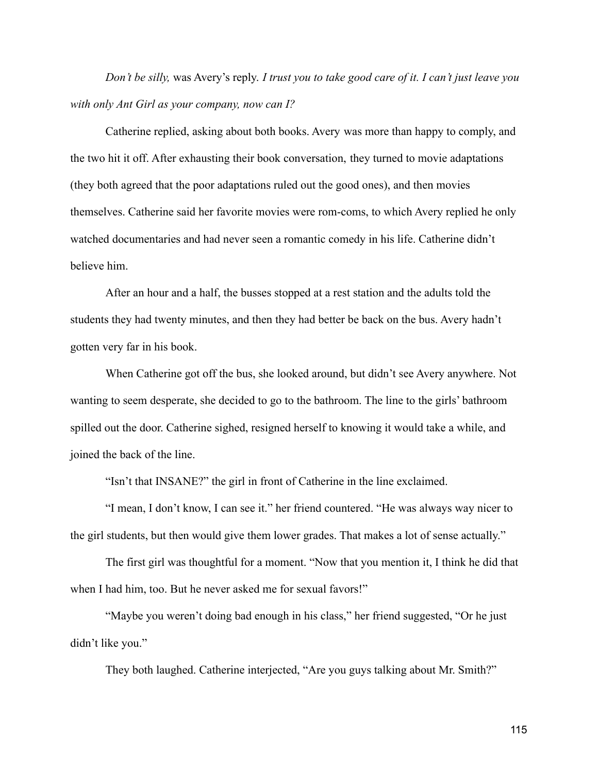*Don't be silly,* was Avery's reply. *I trust you to take good care of it. I can't just leave you with only Ant Girl as your company, now can I?*

Catherine replied, asking about both books. Avery was more than happy to comply, and the two hit it off. After exhausting their book conversation, they turned to movie adaptations (they both agreed that the poor adaptations ruled out the good ones), and then movies themselves. Catherine said her favorite movies were rom-coms, to which Avery replied he only watched documentaries and had never seen a romantic comedy in his life. Catherine didn't believe him.

After an hour and a half, the busses stopped at a rest station and the adults told the students they had twenty minutes, and then they had better be back on the bus. Avery hadn't gotten very far in his book.

When Catherine got off the bus, she looked around, but didn't see Avery anywhere. Not wanting to seem desperate, she decided to go to the bathroom. The line to the girls' bathroom spilled out the door. Catherine sighed, resigned herself to knowing it would take a while, and joined the back of the line.

"Isn't that INSANE?" the girl in front of Catherine in the line exclaimed.

"I mean, I don't know, I can see it." her friend countered. "He was always way nicer to the girl students, but then would give them lower grades. That makes a lot of sense actually."

The first girl was thoughtful for a moment. "Now that you mention it, I think he did that when I had him, too. But he never asked me for sexual favors!"

"Maybe you weren't doing bad enough in his class," her friend suggested, "Or he just didn't like you."

They both laughed. Catherine interjected, "Are you guys talking about Mr. Smith?"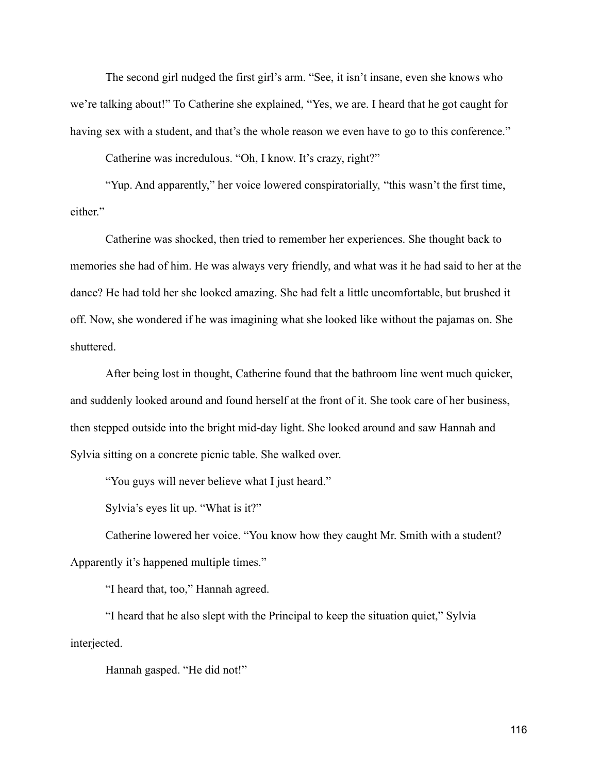The second girl nudged the first girl's arm. "See, it isn't insane, even she knows who we're talking about!" To Catherine she explained, "Yes, we are. I heard that he got caught for having sex with a student, and that's the whole reason we even have to go to this conference."

Catherine was incredulous. "Oh, I know. It's crazy, right?"

"Yup. And apparently," her voice lowered conspiratorially, "this wasn't the first time, either."

Catherine was shocked, then tried to remember her experiences. She thought back to memories she had of him. He was always very friendly, and what was it he had said to her at the dance? He had told her she looked amazing. She had felt a little uncomfortable, but brushed it off. Now, she wondered if he was imagining what she looked like without the pajamas on. She shuttered.

After being lost in thought, Catherine found that the bathroom line went much quicker, and suddenly looked around and found herself at the front of it. She took care of her business, then stepped outside into the bright mid-day light. She looked around and saw Hannah and Sylvia sitting on a concrete picnic table. She walked over.

"You guys will never believe what I just heard."

Sylvia's eyes lit up. "What is it?"

Catherine lowered her voice. "You know how they caught Mr. Smith with a student? Apparently it's happened multiple times."

"I heard that, too," Hannah agreed.

"I heard that he also slept with the Principal to keep the situation quiet," Sylvia interjected.

Hannah gasped. "He did not!"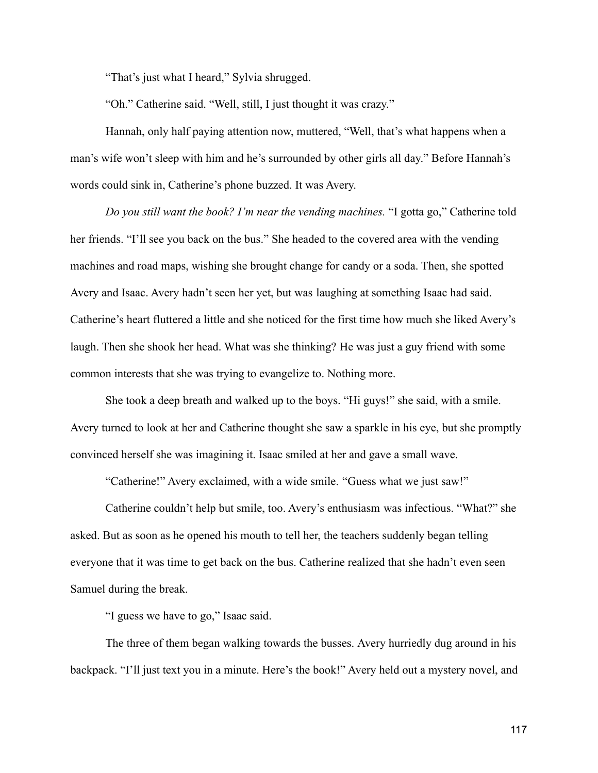"That's just what I heard," Sylvia shrugged.

"Oh." Catherine said. "Well, still, I just thought it was crazy."

Hannah, only half paying attention now, muttered, "Well, that's what happens when a man's wife won't sleep with him and he's surrounded by other girls all day." Before Hannah's words could sink in, Catherine's phone buzzed. It was Avery.

*Do you still want the book? I'm near the vending machines.* "I gotta go," Catherine told her friends. "I'll see you back on the bus." She headed to the covered area with the vending machines and road maps, wishing she brought change for candy or a soda. Then, she spotted Avery and Isaac. Avery hadn't seen her yet, but was laughing at something Isaac had said. Catherine's heart fluttered a little and she noticed for the first time how much she liked Avery's laugh. Then she shook her head. What was she thinking? He was just a guy friend with some common interests that she was trying to evangelize to. Nothing more.

She took a deep breath and walked up to the boys. "Hi guys!" she said, with a smile. Avery turned to look at her and Catherine thought she saw a sparkle in his eye, but she promptly convinced herself she was imagining it. Isaac smiled at her and gave a small wave.

"Catherine!" Avery exclaimed, with a wide smile. "Guess what we just saw!"

Catherine couldn't help but smile, too. Avery's enthusiasm was infectious. "What?" she asked. But as soon as he opened his mouth to tell her, the teachers suddenly began telling everyone that it was time to get back on the bus. Catherine realized that she hadn't even seen Samuel during the break.

"I guess we have to go," Isaac said.

The three of them began walking towards the busses. Avery hurriedly dug around in his backpack. "I'll just text you in a minute. Here's the book!" Avery held out a mystery novel, and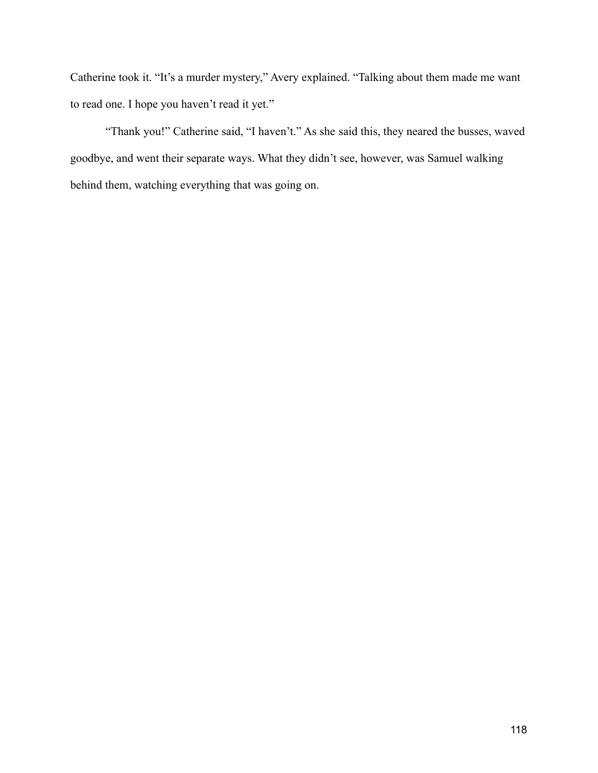Catherine took it. "It's a murder mystery," Avery explained. "Talking about them made me want to read one. I hope you haven't read it yet."

"Thank you!" Catherine said, "I haven't." As she said this, they neared the busses, waved goodbye, and went their separate ways. What they didn't see, however, was Samuel walking behind them, watching everything that was going on.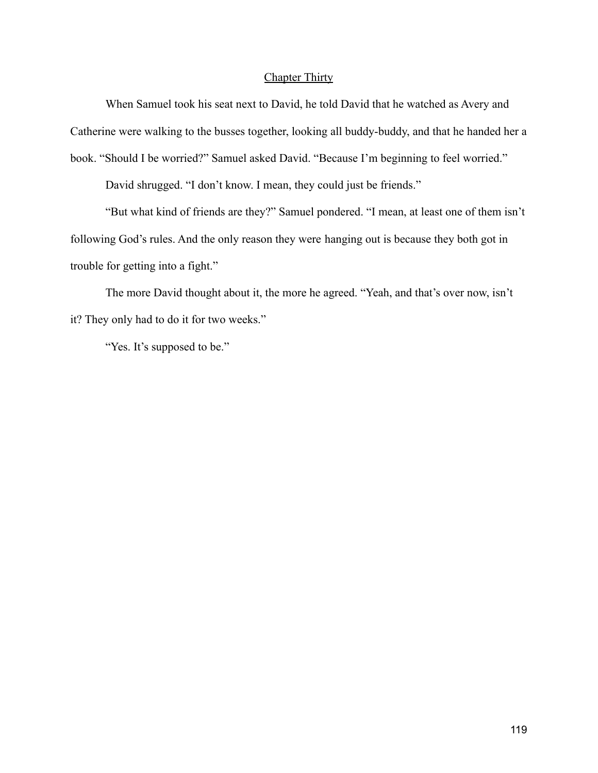# Chapter Thirty

When Samuel took his seat next to David, he told David that he watched as Avery and Catherine were walking to the busses together, looking all buddy-buddy, and that he handed her a book. "Should I be worried?" Samuel asked David. "Because I'm beginning to feel worried."

David shrugged. "I don't know. I mean, they could just be friends."

"But what kind of friends are they?" Samuel pondered. "I mean, at least one of them isn't following God's rules. And the only reason they were hanging out is because they both got in trouble for getting into a fight."

The more David thought about it, the more he agreed. "Yeah, and that's over now, isn't it? They only had to do it for two weeks."

"Yes. It's supposed to be."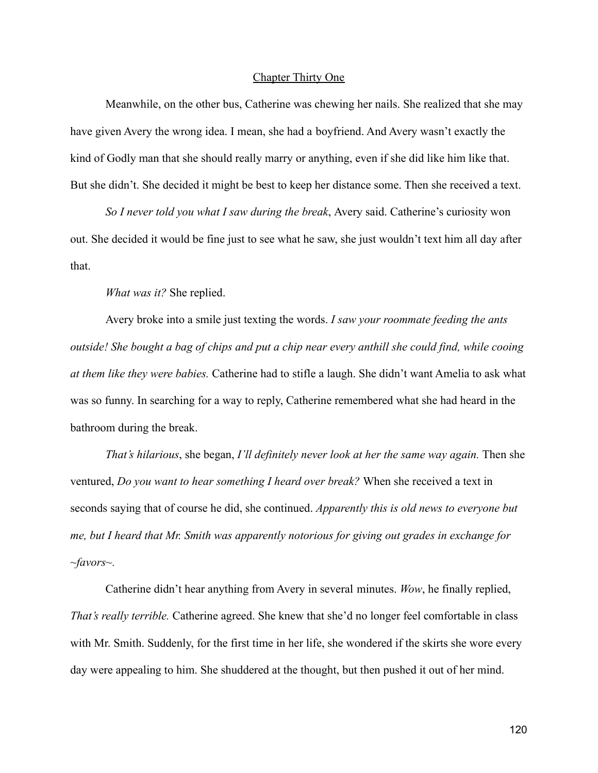## Chapter Thirty One

Meanwhile, on the other bus, Catherine was chewing her nails. She realized that she may have given Avery the wrong idea. I mean, she had a boyfriend. And Avery wasn't exactly the kind of Godly man that she should really marry or anything, even if she did like him like that. But she didn't. She decided it might be best to keep her distance some. Then she received a text.

*So I never told you what I saw during the break*, Avery said. Catherine's curiosity won out. She decided it would be fine just to see what he saw, she just wouldn't text him all day after that.

*What was it?* She replied.

Avery broke into a smile just texting the words. *I saw your roommate feeding the ants outside! She bought a bag of chips and put a chip near every anthill she could find, while cooing at them like they were babies.* Catherine had to stifle a laugh. She didn't want Amelia to ask what was so funny. In searching for a way to reply, Catherine remembered what she had heard in the bathroom during the break.

*That's hilarious*, she began, *I'll definitely never look at her the same way again.* Then she ventured, *Do you want to hear something I heard over break?* When she received a text in seconds saying that of course he did, she continued. *Apparently this is old news to everyone but me, but I heard that Mr. Smith was apparently notorious for giving out grades in exchange for ~favors~.*

Catherine didn't hear anything from Avery in several minutes. *Wow*, he finally replied, *That's really terrible.* Catherine agreed. She knew that she'd no longer feel comfortable in class with Mr. Smith. Suddenly, for the first time in her life, she wondered if the skirts she wore every day were appealing to him. She shuddered at the thought, but then pushed it out of her mind.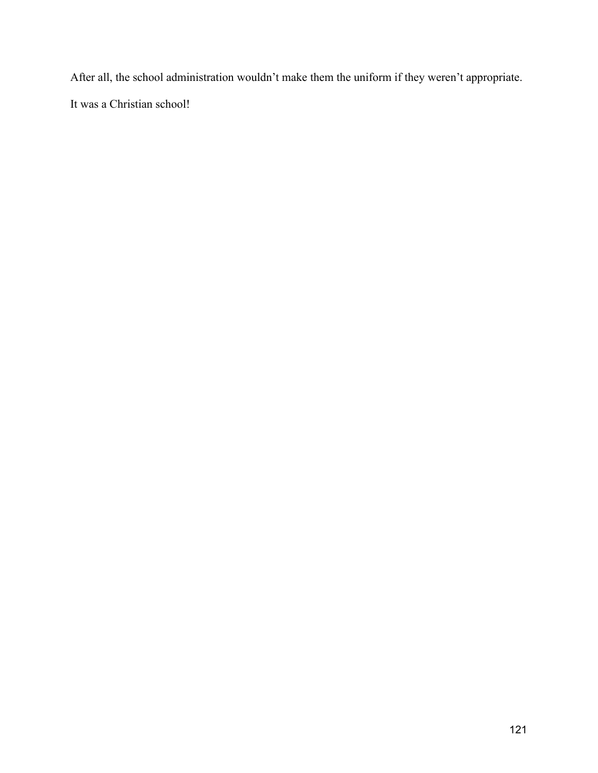After all, the school administration wouldn't make them the uniform if they weren't appropriate. It was a Christian school!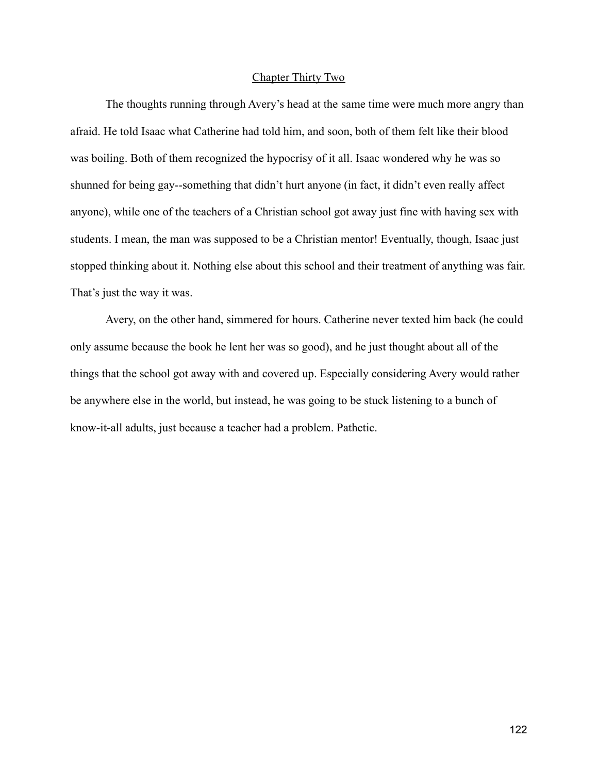# Chapter Thirty Two

The thoughts running through Avery's head at the same time were much more angry than afraid. He told Isaac what Catherine had told him, and soon, both of them felt like their blood was boiling. Both of them recognized the hypocrisy of it all. Isaac wondered why he was so shunned for being gay--something that didn't hurt anyone (in fact, it didn't even really affect anyone), while one of the teachers of a Christian school got away just fine with having sex with students. I mean, the man was supposed to be a Christian mentor! Eventually, though, Isaac just stopped thinking about it. Nothing else about this school and their treatment of anything was fair. That's just the way it was.

Avery, on the other hand, simmered for hours. Catherine never texted him back (he could only assume because the book he lent her was so good), and he just thought about all of the things that the school got away with and covered up. Especially considering Avery would rather be anywhere else in the world, but instead, he was going to be stuck listening to a bunch of know-it-all adults, just because a teacher had a problem. Pathetic.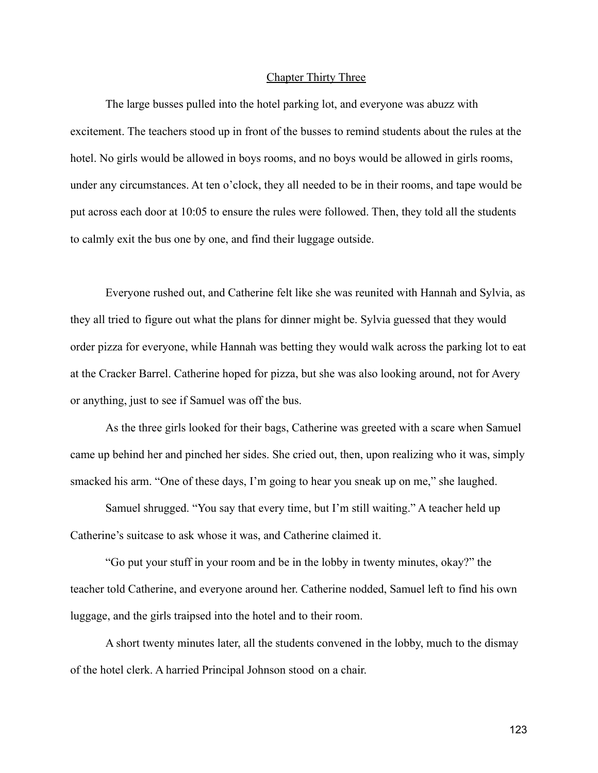#### Chapter Thirty Three

The large busses pulled into the hotel parking lot, and everyone was abuzz with excitement. The teachers stood up in front of the busses to remind students about the rules at the hotel. No girls would be allowed in boys rooms, and no boys would be allowed in girls rooms, under any circumstances. At ten o'clock, they all needed to be in their rooms, and tape would be put across each door at 10:05 to ensure the rules were followed. Then, they told all the students to calmly exit the bus one by one, and find their luggage outside.

Everyone rushed out, and Catherine felt like she was reunited with Hannah and Sylvia, as they all tried to figure out what the plans for dinner might be. Sylvia guessed that they would order pizza for everyone, while Hannah was betting they would walk across the parking lot to eat at the Cracker Barrel. Catherine hoped for pizza, but she was also looking around, not for Avery or anything, just to see if Samuel was off the bus.

As the three girls looked for their bags, Catherine was greeted with a scare when Samuel came up behind her and pinched her sides. She cried out, then, upon realizing who it was, simply smacked his arm. "One of these days, I'm going to hear you sneak up on me," she laughed.

Samuel shrugged. "You say that every time, but I'm still waiting." A teacher held up Catherine's suitcase to ask whose it was, and Catherine claimed it.

"Go put your stuff in your room and be in the lobby in twenty minutes, okay?" the teacher told Catherine, and everyone around her. Catherine nodded, Samuel left to find his own luggage, and the girls traipsed into the hotel and to their room.

A short twenty minutes later, all the students convened in the lobby, much to the dismay of the hotel clerk. A harried Principal Johnson stood on a chair.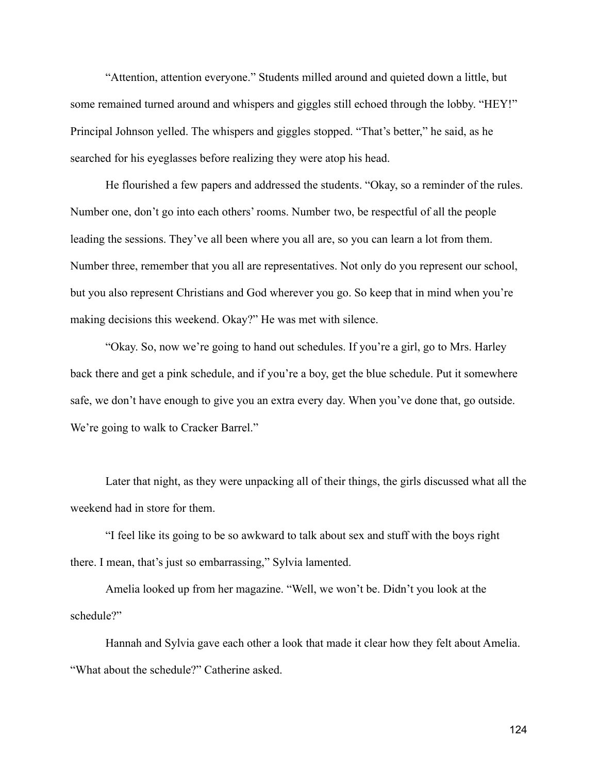"Attention, attention everyone." Students milled around and quieted down a little, but some remained turned around and whispers and giggles still echoed through the lobby. "HEY!" Principal Johnson yelled. The whispers and giggles stopped. "That's better," he said, as he searched for his eyeglasses before realizing they were atop his head.

He flourished a few papers and addressed the students. "Okay, so a reminder of the rules. Number one, don't go into each others' rooms. Number two, be respectful of all the people leading the sessions. They've all been where you all are, so you can learn a lot from them. Number three, remember that you all are representatives. Not only do you represent our school, but you also represent Christians and God wherever you go. So keep that in mind when you're making decisions this weekend. Okay?" He was met with silence.

"Okay. So, now we're going to hand out schedules. If you're a girl, go to Mrs. Harley back there and get a pink schedule, and if you're a boy, get the blue schedule. Put it somewhere safe, we don't have enough to give you an extra every day. When you've done that, go outside. We're going to walk to Cracker Barrel."

Later that night, as they were unpacking all of their things, the girls discussed what all the weekend had in store for them.

"I feel like its going to be so awkward to talk about sex and stuff with the boys right there. I mean, that's just so embarrassing," Sylvia lamented.

Amelia looked up from her magazine. "Well, we won't be. Didn't you look at the schedule?"

Hannah and Sylvia gave each other a look that made it clear how they felt about Amelia. "What about the schedule?" Catherine asked.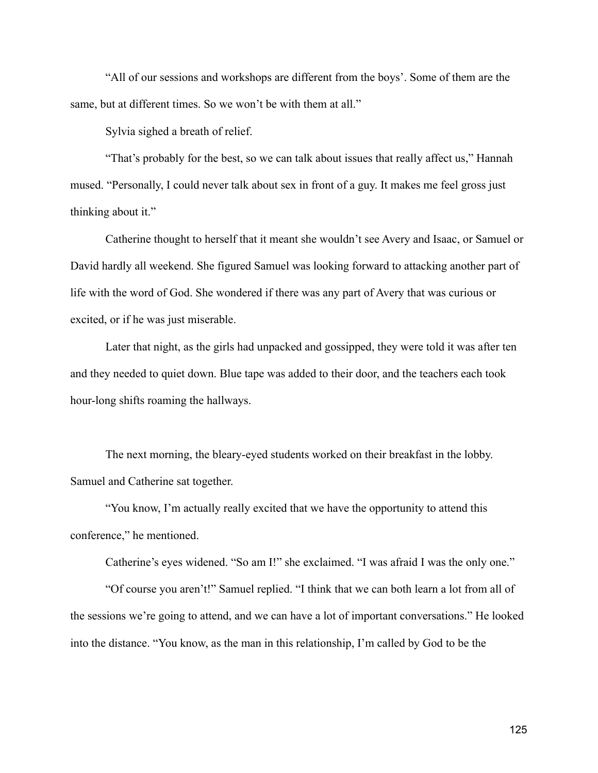"All of our sessions and workshops are different from the boys'. Some of them are the same, but at different times. So we won't be with them at all."

Sylvia sighed a breath of relief.

"That's probably for the best, so we can talk about issues that really affect us," Hannah mused. "Personally, I could never talk about sex in front of a guy. It makes me feel gross just thinking about it."

Catherine thought to herself that it meant she wouldn't see Avery and Isaac, or Samuel or David hardly all weekend. She figured Samuel was looking forward to attacking another part of life with the word of God. She wondered if there was any part of Avery that was curious or excited, or if he was just miserable.

Later that night, as the girls had unpacked and gossipped, they were told it was after ten and they needed to quiet down. Blue tape was added to their door, and the teachers each took hour-long shifts roaming the hallways.

The next morning, the bleary-eyed students worked on their breakfast in the lobby. Samuel and Catherine sat together.

"You know, I'm actually really excited that we have the opportunity to attend this conference," he mentioned.

Catherine's eyes widened. "So am I!" she exclaimed. "I was afraid I was the only one."

"Of course you aren't!" Samuel replied. "I think that we can both learn a lot from all of the sessions we're going to attend, and we can have a lot of important conversations." He looked into the distance. "You know, as the man in this relationship, I'm called by God to be the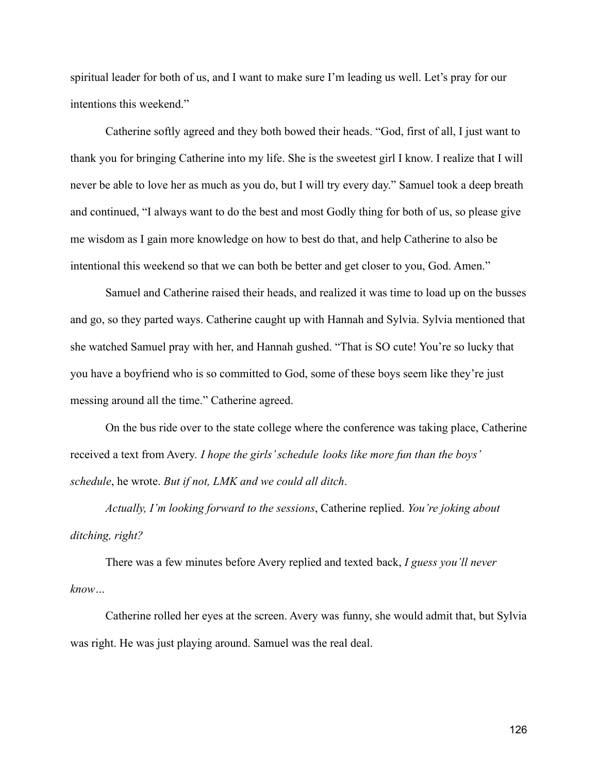spiritual leader for both of us, and I want to make sure I'm leading us well. Let's pray for our intentions this weekend."

Catherine softly agreed and they both bowed their heads. "God, first of all, I just want to thank you for bringing Catherine into my life. She is the sweetest girl I know. I realize that I will never be able to love her as much as you do, but I will try every day." Samuel took a deep breath and continued, "I always want to do the best and most Godly thing for both of us, so please give me wisdom as I gain more knowledge on how to best do that, and help Catherine to also be intentional this weekend so that we can both be better and get closer to you, God. Amen."

Samuel and Catherine raised their heads, and realized it was time to load up on the busses and go, so they parted ways. Catherine caught up with Hannah and Sylvia. Sylvia mentioned that she watched Samuel pray with her, and Hannah gushed. "That is SO cute! You're so lucky that you have a boyfriend who is so committed to God, some of these boys seem like they're just messing around all the time." Catherine agreed.

On the bus ride over to the state college where the conference was taking place, Catherine received a text from Avery. *I hope the girls' schedule looks like more fun than the boys' schedule*, he wrote. *But if not, LMK and we could all ditch*.

*Actually, I'm looking forward to the sessions*, Catherine replied. *You're joking about ditching, right?*

There was a few minutes before Avery replied and texted back, *I guess you'll never know…*

Catherine rolled her eyes at the screen. Avery was funny, she would admit that, but Sylvia was right. He was just playing around. Samuel was the real deal.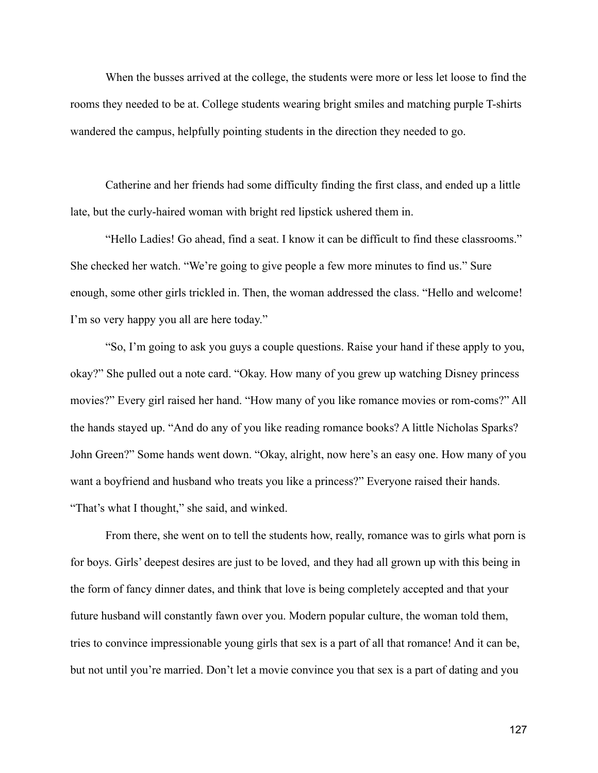When the busses arrived at the college, the students were more or less let loose to find the rooms they needed to be at. College students wearing bright smiles and matching purple T-shirts wandered the campus, helpfully pointing students in the direction they needed to go.

Catherine and her friends had some difficulty finding the first class, and ended up a little late, but the curly-haired woman with bright red lipstick ushered them in.

"Hello Ladies! Go ahead, find a seat. I know it can be difficult to find these classrooms." She checked her watch. "We're going to give people a few more minutes to find us." Sure enough, some other girls trickled in. Then, the woman addressed the class. "Hello and welcome! I'm so very happy you all are here today."

"So, I'm going to ask you guys a couple questions. Raise your hand if these apply to you, okay?" She pulled out a note card. "Okay. How many of you grew up watching Disney princess movies?" Every girl raised her hand. "How many of you like romance movies or rom-coms?" All the hands stayed up. "And do any of you like reading romance books? A little Nicholas Sparks? John Green?" Some hands went down. "Okay, alright, now here's an easy one. How many of you want a boyfriend and husband who treats you like a princess?" Everyone raised their hands. "That's what I thought," she said, and winked.

From there, she went on to tell the students how, really, romance was to girls what porn is for boys. Girls' deepest desires are just to be loved, and they had all grown up with this being in the form of fancy dinner dates, and think that love is being completely accepted and that your future husband will constantly fawn over you. Modern popular culture, the woman told them, tries to convince impressionable young girls that sex is a part of all that romance! And it can be, but not until you're married. Don't let a movie convince you that sex is a part of dating and you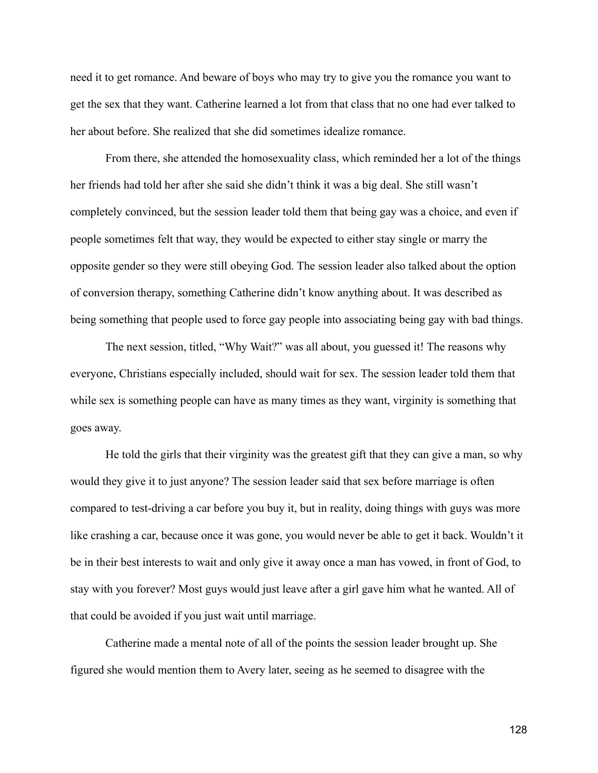need it to get romance. And beware of boys who may try to give you the romance you want to get the sex that they want. Catherine learned a lot from that class that no one had ever talked to her about before. She realized that she did sometimes idealize romance.

From there, she attended the homosexuality class, which reminded her a lot of the things her friends had told her after she said she didn't think it was a big deal. She still wasn't completely convinced, but the session leader told them that being gay was a choice, and even if people sometimes felt that way, they would be expected to either stay single or marry the opposite gender so they were still obeying God. The session leader also talked about the option of conversion therapy, something Catherine didn't know anything about. It was described as being something that people used to force gay people into associating being gay with bad things.

The next session, titled, "Why Wait?" was all about, you guessed it! The reasons why everyone, Christians especially included, should wait for sex. The session leader told them that while sex is something people can have as many times as they want, virginity is something that goes away.

He told the girls that their virginity was the greatest gift that they can give a man, so why would they give it to just anyone? The session leader said that sex before marriage is often compared to test-driving a car before you buy it, but in reality, doing things with guys was more like crashing a car, because once it was gone, you would never be able to get it back. Wouldn't it be in their best interests to wait and only give it away once a man has vowed, in front of God, to stay with you forever? Most guys would just leave after a girl gave him what he wanted. All of that could be avoided if you just wait until marriage.

Catherine made a mental note of all of the points the session leader brought up. She figured she would mention them to Avery later, seeing as he seemed to disagree with the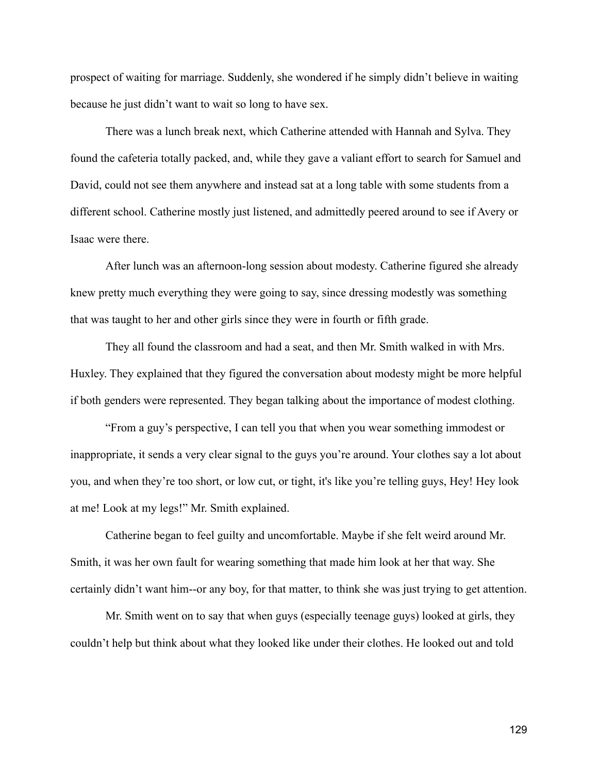prospect of waiting for marriage. Suddenly, she wondered if he simply didn't believe in waiting because he just didn't want to wait so long to have sex.

There was a lunch break next, which Catherine attended with Hannah and Sylva. They found the cafeteria totally packed, and, while they gave a valiant effort to search for Samuel and David, could not see them anywhere and instead sat at a long table with some students from a different school. Catherine mostly just listened, and admittedly peered around to see if Avery or Isaac were there.

After lunch was an afternoon-long session about modesty. Catherine figured she already knew pretty much everything they were going to say, since dressing modestly was something that was taught to her and other girls since they were in fourth or fifth grade.

They all found the classroom and had a seat, and then Mr. Smith walked in with Mrs. Huxley. They explained that they figured the conversation about modesty might be more helpful if both genders were represented. They began talking about the importance of modest clothing.

"From a guy's perspective, I can tell you that when you wear something immodest or inappropriate, it sends a very clear signal to the guys you're around. Your clothes say a lot about you, and when they're too short, or low cut, or tight, it's like you're telling guys, Hey! Hey look at me! Look at my legs!" Mr. Smith explained.

Catherine began to feel guilty and uncomfortable. Maybe if she felt weird around Mr. Smith, it was her own fault for wearing something that made him look at her that way. She certainly didn't want him--or any boy, for that matter, to think she was just trying to get attention.

Mr. Smith went on to say that when guys (especially teenage guys) looked at girls, they couldn't help but think about what they looked like under their clothes. He looked out and told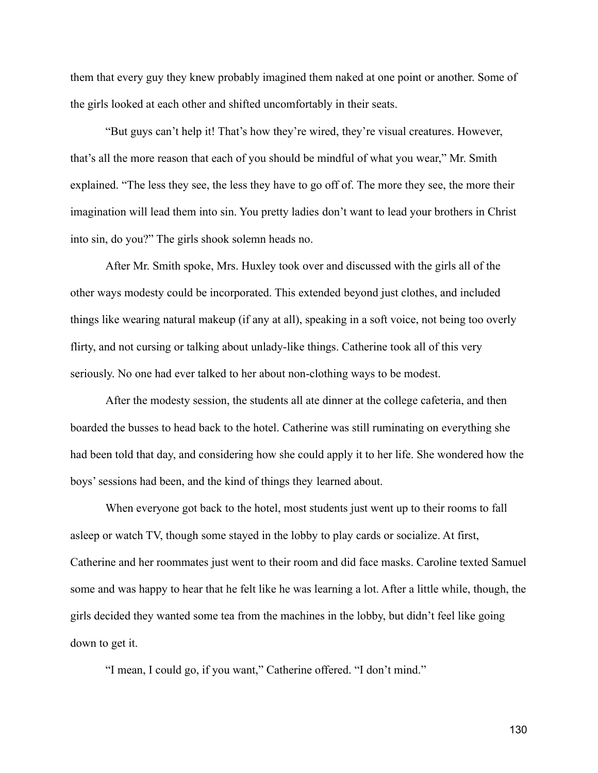them that every guy they knew probably imagined them naked at one point or another. Some of the girls looked at each other and shifted uncomfortably in their seats.

"But guys can't help it! That's how they're wired, they're visual creatures. However, that's all the more reason that each of you should be mindful of what you wear," Mr. Smith explained. "The less they see, the less they have to go off of. The more they see, the more their imagination will lead them into sin. You pretty ladies don't want to lead your brothers in Christ into sin, do you?" The girls shook solemn heads no.

After Mr. Smith spoke, Mrs. Huxley took over and discussed with the girls all of the other ways modesty could be incorporated. This extended beyond just clothes, and included things like wearing natural makeup (if any at all), speaking in a soft voice, not being too overly flirty, and not cursing or talking about unlady-like things. Catherine took all of this very seriously. No one had ever talked to her about non-clothing ways to be modest.

After the modesty session, the students all ate dinner at the college cafeteria, and then boarded the busses to head back to the hotel. Catherine was still ruminating on everything she had been told that day, and considering how she could apply it to her life. She wondered how the boys' sessions had been, and the kind of things they learned about.

When everyone got back to the hotel, most students just went up to their rooms to fall asleep or watch TV, though some stayed in the lobby to play cards or socialize. At first, Catherine and her roommates just went to their room and did face masks. Caroline texted Samuel some and was happy to hear that he felt like he was learning a lot. After a little while, though, the girls decided they wanted some tea from the machines in the lobby, but didn't feel like going down to get it.

"I mean, I could go, if you want," Catherine offered. "I don't mind."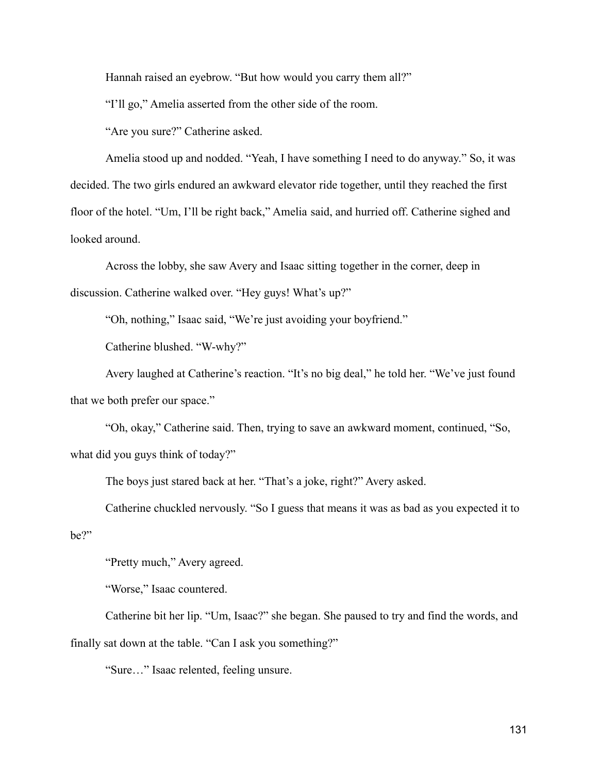Hannah raised an eyebrow. "But how would you carry them all?"

"I'll go," Amelia asserted from the other side of the room.

"Are you sure?" Catherine asked.

Amelia stood up and nodded. "Yeah, I have something I need to do anyway." So, it was decided. The two girls endured an awkward elevator ride together, until they reached the first floor of the hotel. "Um, I'll be right back," Amelia said, and hurried off. Catherine sighed and looked around.

Across the lobby, she saw Avery and Isaac sitting together in the corner, deep in discussion. Catherine walked over. "Hey guys! What's up?"

"Oh, nothing," Isaac said, "We're just avoiding your boyfriend."

Catherine blushed. "W-why?"

Avery laughed at Catherine's reaction. "It's no big deal," he told her. "We've just found that we both prefer our space."

"Oh, okay," Catherine said. Then, trying to save an awkward moment, continued, "So, what did you guys think of today?"

The boys just stared back at her. "That's a joke, right?" Avery asked.

Catherine chuckled nervously. "So I guess that means it was as bad as you expected it to be?"

"Pretty much," Avery agreed.

"Worse," Isaac countered.

Catherine bit her lip. "Um, Isaac?" she began. She paused to try and find the words, and finally sat down at the table. "Can I ask you something?"

"Sure…" Isaac relented, feeling unsure.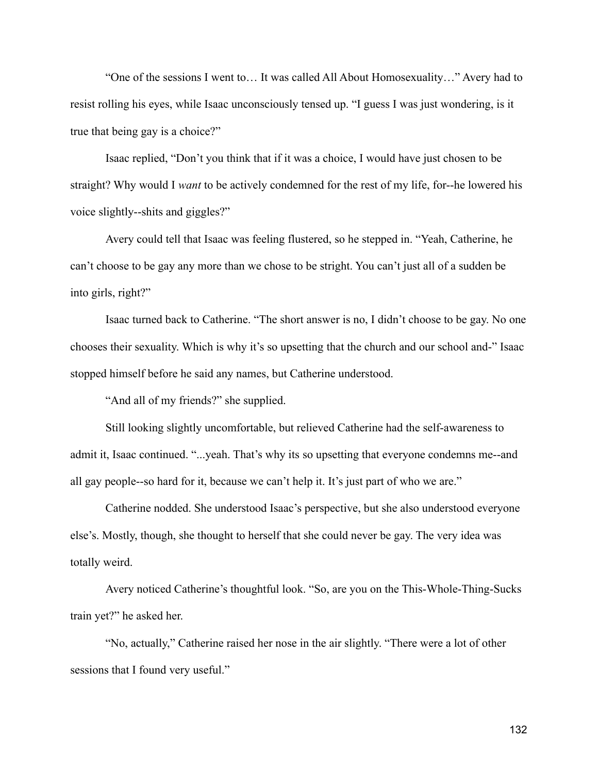"One of the sessions I went to… It was called All About Homosexuality…" Avery had to resist rolling his eyes, while Isaac unconsciously tensed up. "I guess I was just wondering, is it true that being gay is a choice?"

Isaac replied, "Don't you think that if it was a choice, I would have just chosen to be straight? Why would I *want* to be actively condemned for the rest of my life, for--he lowered his voice slightly--shits and giggles?"

Avery could tell that Isaac was feeling flustered, so he stepped in. "Yeah, Catherine, he can't choose to be gay any more than we chose to be stright. You can't just all of a sudden be into girls, right?"

Isaac turned back to Catherine. "The short answer is no, I didn't choose to be gay. No one chooses their sexuality. Which is why it's so upsetting that the church and our school and-" Isaac stopped himself before he said any names, but Catherine understood.

"And all of my friends?" she supplied.

Still looking slightly uncomfortable, but relieved Catherine had the self-awareness to admit it, Isaac continued. "...yeah. That's why its so upsetting that everyone condemns me--and all gay people--so hard for it, because we can't help it. It's just part of who we are."

Catherine nodded. She understood Isaac's perspective, but she also understood everyone else's. Mostly, though, she thought to herself that she could never be gay. The very idea was totally weird.

Avery noticed Catherine's thoughtful look. "So, are you on the This-Whole-Thing-Sucks train yet?" he asked her.

"No, actually," Catherine raised her nose in the air slightly. "There were a lot of other sessions that I found very useful."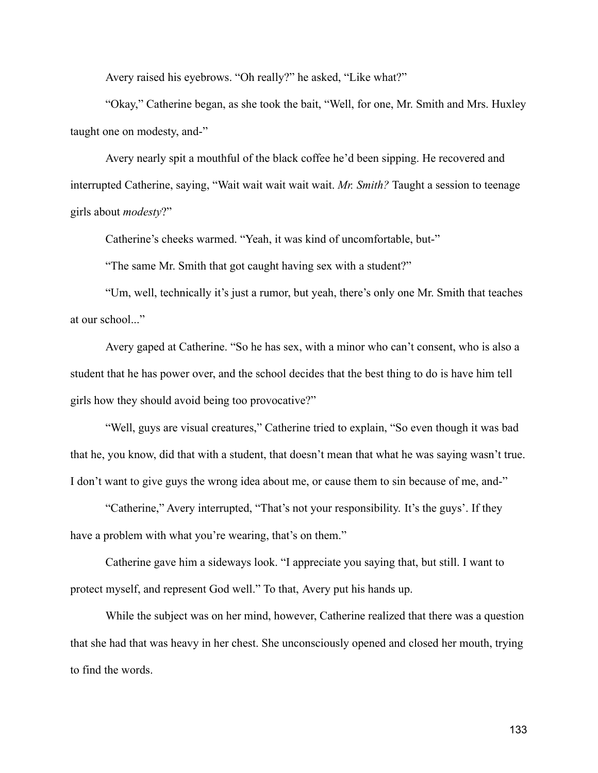Avery raised his eyebrows. "Oh really?" he asked, "Like what?"

"Okay," Catherine began, as she took the bait, "Well, for one, Mr. Smith and Mrs. Huxley taught one on modesty, and-"

Avery nearly spit a mouthful of the black coffee he'd been sipping. He recovered and interrupted Catherine, saying, "Wait wait wait wait wait. *Mr. Smith?* Taught a session to teenage girls about *modesty*?"

Catherine's cheeks warmed. "Yeah, it was kind of uncomfortable, but-"

"The same Mr. Smith that got caught having sex with a student?"

"Um, well, technically it's just a rumor, but yeah, there's only one Mr. Smith that teaches at our school..."

Avery gaped at Catherine. "So he has sex, with a minor who can't consent, who is also a student that he has power over, and the school decides that the best thing to do is have him tell girls how they should avoid being too provocative?"

"Well, guys are visual creatures," Catherine tried to explain, "So even though it was bad that he, you know, did that with a student, that doesn't mean that what he was saying wasn't true. I don't want to give guys the wrong idea about me, or cause them to sin because of me, and-"

"Catherine," Avery interrupted, "That's not your responsibility. It's the guys'. If they have a problem with what you're wearing, that's on them."

Catherine gave him a sideways look. "I appreciate you saying that, but still. I want to protect myself, and represent God well." To that, Avery put his hands up.

While the subject was on her mind, however, Catherine realized that there was a question that she had that was heavy in her chest. She unconsciously opened and closed her mouth, trying to find the words.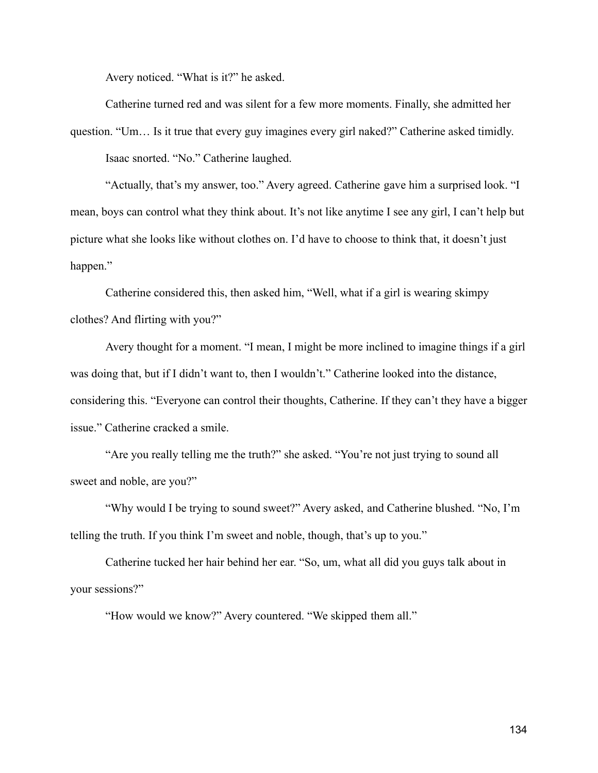Avery noticed. "What is it?" he asked.

Catherine turned red and was silent for a few more moments. Finally, she admitted her question. "Um… Is it true that every guy imagines every girl naked?" Catherine asked timidly.

Isaac snorted. "No." Catherine laughed.

"Actually, that's my answer, too." Avery agreed. Catherine gave him a surprised look. "I mean, boys can control what they think about. It's not like anytime I see any girl, I can't help but picture what she looks like without clothes on. I'd have to choose to think that, it doesn't just happen."

Catherine considered this, then asked him, "Well, what if a girl is wearing skimpy clothes? And flirting with you?"

Avery thought for a moment. "I mean, I might be more inclined to imagine things if a girl was doing that, but if I didn't want to, then I wouldn't." Catherine looked into the distance, considering this. "Everyone can control their thoughts, Catherine. If they can't they have a bigger issue." Catherine cracked a smile.

"Are you really telling me the truth?" she asked. "You're not just trying to sound all sweet and noble, are you?"

"Why would I be trying to sound sweet?" Avery asked, and Catherine blushed. "No, I'm telling the truth. If you think I'm sweet and noble, though, that's up to you."

Catherine tucked her hair behind her ear. "So, um, what all did you guys talk about in your sessions?"

"How would we know?" Avery countered. "We skipped them all."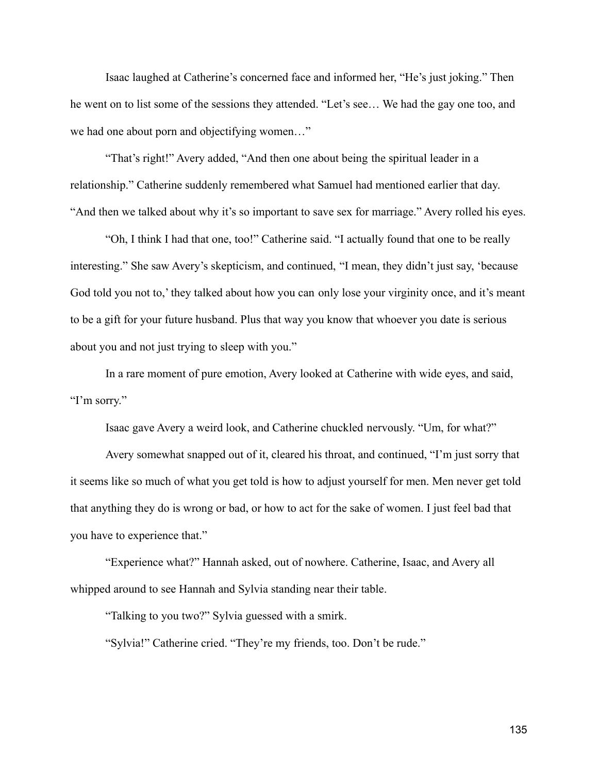Isaac laughed at Catherine's concerned face and informed her, "He's just joking." Then he went on to list some of the sessions they attended. "Let's see… We had the gay one too, and we had one about porn and objectifying women…"

"That's right!" Avery added, "And then one about being the spiritual leader in a relationship." Catherine suddenly remembered what Samuel had mentioned earlier that day. "And then we talked about why it's so important to save sex for marriage." Avery rolled his eyes.

"Oh, I think I had that one, too!" Catherine said. "I actually found that one to be really interesting." She saw Avery's skepticism, and continued, "I mean, they didn't just say, 'because God told you not to,' they talked about how you can only lose your virginity once, and it's meant to be a gift for your future husband. Plus that way you know that whoever you date is serious about you and not just trying to sleep with you."

In a rare moment of pure emotion, Avery looked at Catherine with wide eyes, and said, "I'm sorry."

Isaac gave Avery a weird look, and Catherine chuckled nervously. "Um, for what?"

Avery somewhat snapped out of it, cleared his throat, and continued, "I'm just sorry that it seems like so much of what you get told is how to adjust yourself for men. Men never get told that anything they do is wrong or bad, or how to act for the sake of women. I just feel bad that you have to experience that."

"Experience what?" Hannah asked, out of nowhere. Catherine, Isaac, and Avery all whipped around to see Hannah and Sylvia standing near their table.

"Talking to you two?" Sylvia guessed with a smirk.

"Sylvia!" Catherine cried. "They're my friends, too. Don't be rude."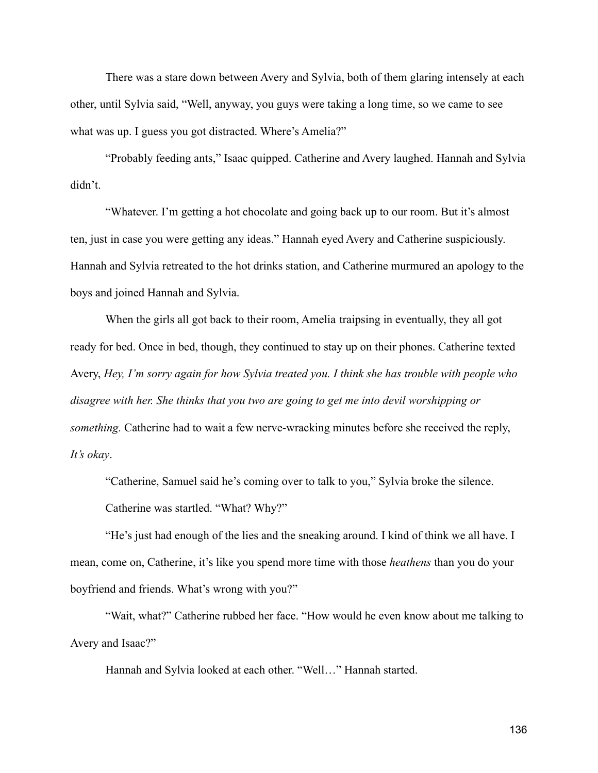There was a stare down between Avery and Sylvia, both of them glaring intensely at each other, until Sylvia said, "Well, anyway, you guys were taking a long time, so we came to see what was up. I guess you got distracted. Where's Amelia?"

"Probably feeding ants," Isaac quipped. Catherine and Avery laughed. Hannah and Sylvia didn't.

"Whatever. I'm getting a hot chocolate and going back up to our room. But it's almost ten, just in case you were getting any ideas." Hannah eyed Avery and Catherine suspiciously. Hannah and Sylvia retreated to the hot drinks station, and Catherine murmured an apology to the boys and joined Hannah and Sylvia.

When the girls all got back to their room, Amelia traipsing in eventually, they all got ready for bed. Once in bed, though, they continued to stay up on their phones. Catherine texted Avery, *Hey, I'm sorry again for how Sylvia treated you. I think she has trouble with people who disagree with her. She thinks that you two are going to get me into devil worshipping or something.* Catherine had to wait a few nerve-wracking minutes before she received the reply, *It's okay*.

"Catherine, Samuel said he's coming over to talk to you," Sylvia broke the silence. Catherine was startled. "What? Why?"

"He's just had enough of the lies and the sneaking around. I kind of think we all have. I mean, come on, Catherine, it's like you spend more time with those *heathens* than you do your boyfriend and friends. What's wrong with you?"

"Wait, what?" Catherine rubbed her face. "How would he even know about me talking to Avery and Isaac?"

Hannah and Sylvia looked at each other. "Well…" Hannah started.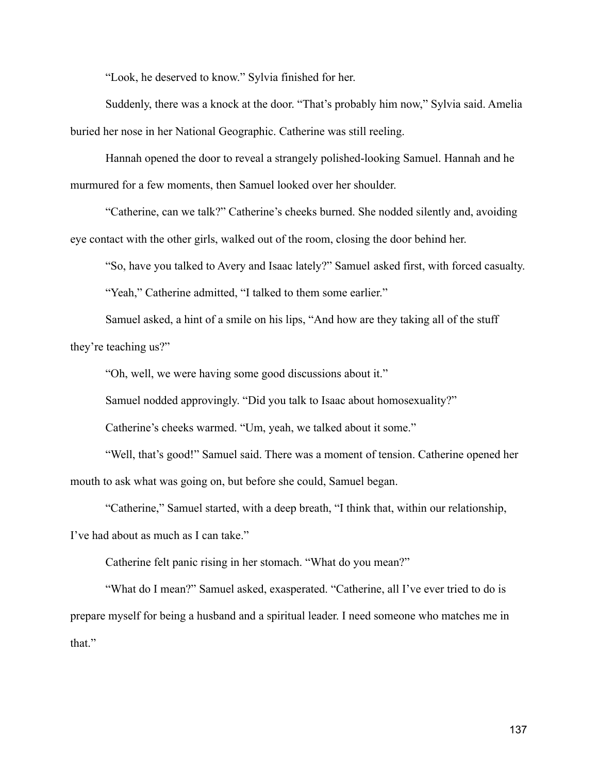"Look, he deserved to know." Sylvia finished for her.

Suddenly, there was a knock at the door. "That's probably him now," Sylvia said. Amelia buried her nose in her National Geographic. Catherine was still reeling.

Hannah opened the door to reveal a strangely polished-looking Samuel. Hannah and he murmured for a few moments, then Samuel looked over her shoulder.

"Catherine, can we talk?" Catherine's cheeks burned. She nodded silently and, avoiding eye contact with the other girls, walked out of the room, closing the door behind her.

"So, have you talked to Avery and Isaac lately?" Samuel asked first, with forced casualty.

"Yeah," Catherine admitted, "I talked to them some earlier."

Samuel asked, a hint of a smile on his lips, "And how are they taking all of the stuff they're teaching us?"

"Oh, well, we were having some good discussions about it."

Samuel nodded approvingly. "Did you talk to Isaac about homosexuality?"

Catherine's cheeks warmed. "Um, yeah, we talked about it some."

"Well, that's good!" Samuel said. There was a moment of tension. Catherine opened her mouth to ask what was going on, but before she could, Samuel began.

"Catherine," Samuel started, with a deep breath, "I think that, within our relationship, I've had about as much as I can take."

Catherine felt panic rising in her stomach. "What do you mean?"

"What do I mean?" Samuel asked, exasperated. "Catherine, all I've ever tried to do is prepare myself for being a husband and a spiritual leader. I need someone who matches me in that."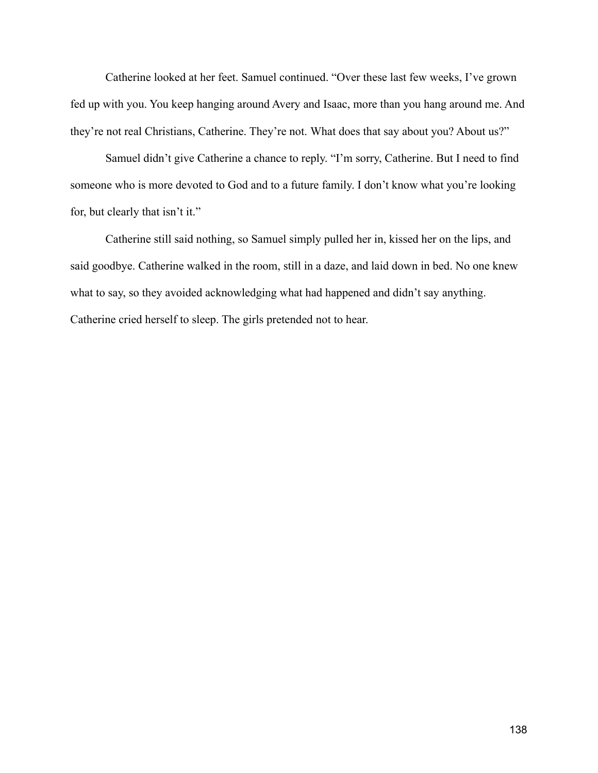Catherine looked at her feet. Samuel continued. "Over these last few weeks, I've grown fed up with you. You keep hanging around Avery and Isaac, more than you hang around me. And they're not real Christians, Catherine. They're not. What does that say about you? About us?"

Samuel didn't give Catherine a chance to reply. "I'm sorry, Catherine. But I need to find someone who is more devoted to God and to a future family. I don't know what you're looking for, but clearly that isn't it."

Catherine still said nothing, so Samuel simply pulled her in, kissed her on the lips, and said goodbye. Catherine walked in the room, still in a daze, and laid down in bed. No one knew what to say, so they avoided acknowledging what had happened and didn't say anything. Catherine cried herself to sleep. The girls pretended not to hear.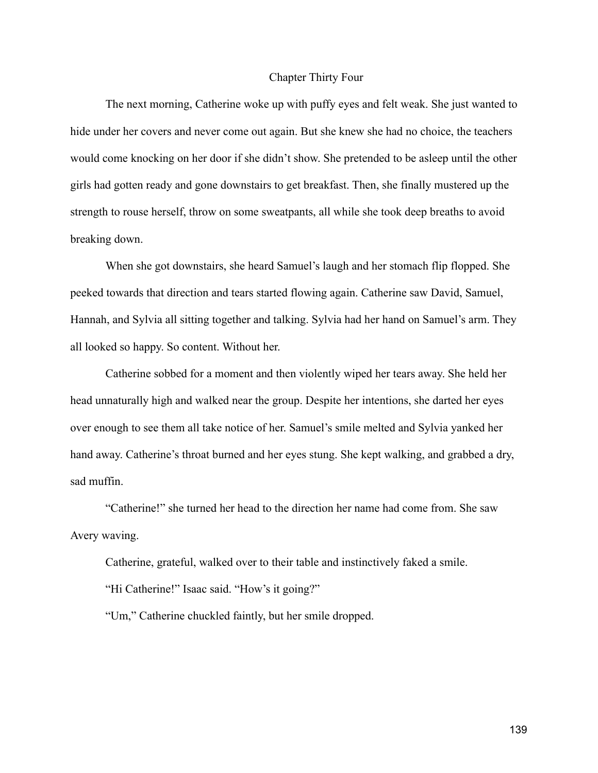### Chapter Thirty Four

The next morning, Catherine woke up with puffy eyes and felt weak. She just wanted to hide under her covers and never come out again. But she knew she had no choice, the teachers would come knocking on her door if she didn't show. She pretended to be asleep until the other girls had gotten ready and gone downstairs to get breakfast. Then, she finally mustered up the strength to rouse herself, throw on some sweatpants, all while she took deep breaths to avoid breaking down.

When she got downstairs, she heard Samuel's laugh and her stomach flip flopped. She peeked towards that direction and tears started flowing again. Catherine saw David, Samuel, Hannah, and Sylvia all sitting together and talking. Sylvia had her hand on Samuel's arm. They all looked so happy. So content. Without her.

Catherine sobbed for a moment and then violently wiped her tears away. She held her head unnaturally high and walked near the group. Despite her intentions, she darted her eyes over enough to see them all take notice of her. Samuel's smile melted and Sylvia yanked her hand away. Catherine's throat burned and her eyes stung. She kept walking, and grabbed a dry, sad muffin.

"Catherine!" she turned her head to the direction her name had come from. She saw Avery waving.

Catherine, grateful, walked over to their table and instinctively faked a smile.

"Hi Catherine!" Isaac said. "How's it going?"

"Um," Catherine chuckled faintly, but her smile dropped.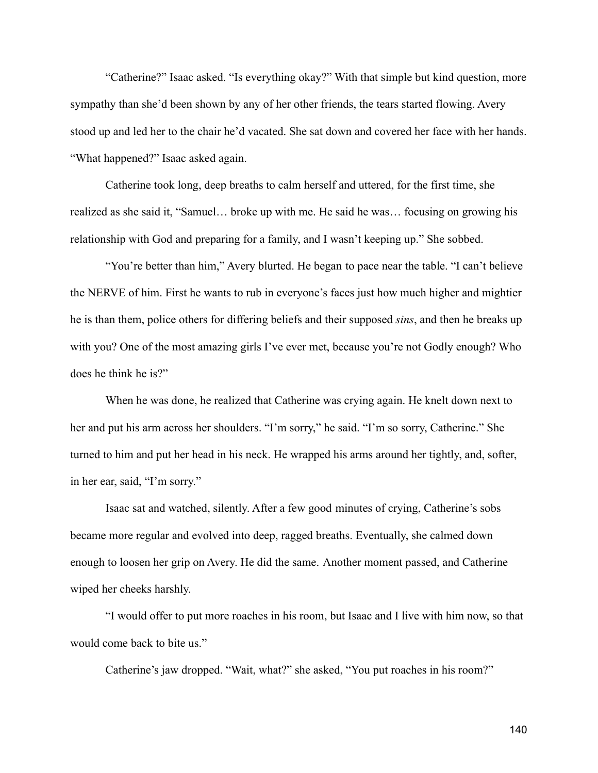"Catherine?" Isaac asked. "Is everything okay?" With that simple but kind question, more sympathy than she'd been shown by any of her other friends, the tears started flowing. Avery stood up and led her to the chair he'd vacated. She sat down and covered her face with her hands. "What happened?" Isaac asked again.

Catherine took long, deep breaths to calm herself and uttered, for the first time, she realized as she said it, "Samuel… broke up with me. He said he was… focusing on growing his relationship with God and preparing for a family, and I wasn't keeping up." She sobbed.

"You're better than him," Avery blurted. He began to pace near the table. "I can't believe the NERVE of him. First he wants to rub in everyone's faces just how much higher and mightier he is than them, police others for differing beliefs and their supposed *sins*, and then he breaks up with you? One of the most amazing girls I've ever met, because you're not Godly enough? Who does he think he is?"

When he was done, he realized that Catherine was crying again. He knelt down next to her and put his arm across her shoulders. "I'm sorry," he said. "I'm so sorry, Catherine." She turned to him and put her head in his neck. He wrapped his arms around her tightly, and, softer, in her ear, said, "I'm sorry."

Isaac sat and watched, silently. After a few good minutes of crying, Catherine's sobs became more regular and evolved into deep, ragged breaths. Eventually, she calmed down enough to loosen her grip on Avery. He did the same. Another moment passed, and Catherine wiped her cheeks harshly.

"I would offer to put more roaches in his room, but Isaac and I live with him now, so that would come back to bite us."

Catherine's jaw dropped. "Wait, what?" she asked, "You put roaches in his room?"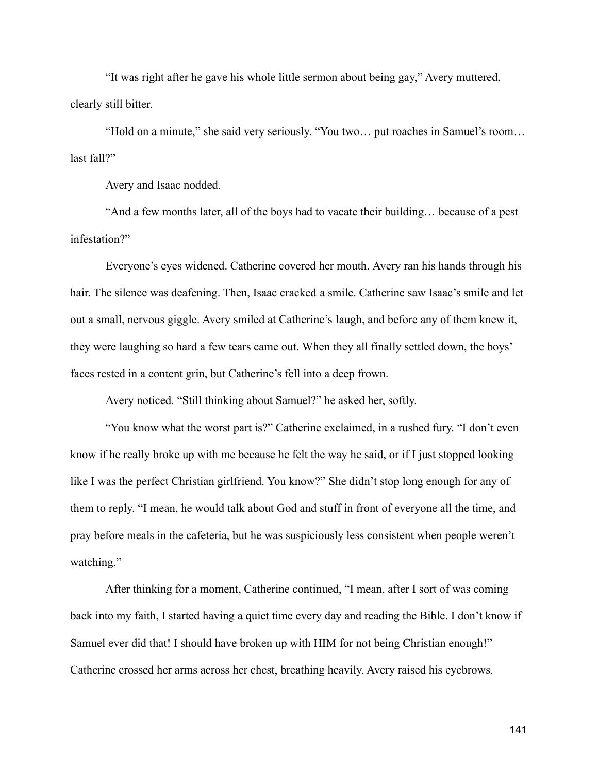"It was right after he gave his whole little sermon about being gay," Avery muttered, clearly still bitter.

"Hold on a minute," she said very seriously. "You two… put roaches in Samuel's room… last fall?"

Avery and Isaac nodded.

"And a few months later, all of the boys had to vacate their building… because of a pest infestation?"

Everyone's eyes widened. Catherine covered her mouth. Avery ran his hands through his hair. The silence was deafening. Then, Isaac cracked a smile. Catherine saw Isaac's smile and let out a small, nervous giggle. Avery smiled at Catherine's laugh, and before any of them knew it, they were laughing so hard a few tears came out. When they all finally settled down, the boys' faces rested in a content grin, but Catherine's fell into a deep frown.

Avery noticed. "Still thinking about Samuel?" he asked her, softly.

"You know what the worst part is?" Catherine exclaimed, in a rushed fury. "I don't even know if he really broke up with me because he felt the way he said, or if I just stopped looking like I was the perfect Christian girlfriend. You know?" She didn't stop long enough for any of them to reply. "I mean, he would talk about God and stuff in front of everyone all the time, and pray before meals in the cafeteria, but he was suspiciously less consistent when people weren't watching."

After thinking for a moment, Catherine continued, "I mean, after I sort of was coming back into my faith, I started having a quiet time every day and reading the Bible. I don't know if Samuel ever did that! I should have broken up with HIM for not being Christian enough!" Catherine crossed her arms across her chest, breathing heavily. Avery raised his eyebrows.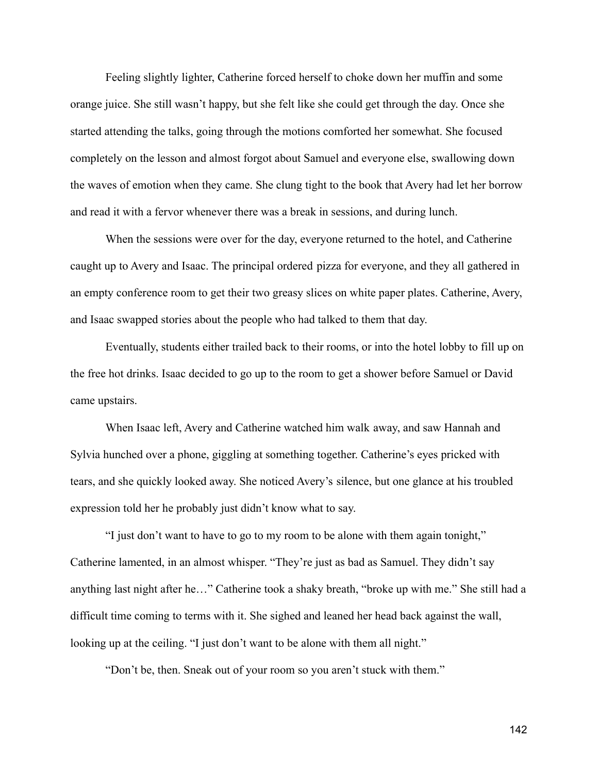Feeling slightly lighter, Catherine forced herself to choke down her muffin and some orange juice. She still wasn't happy, but she felt like she could get through the day. Once she started attending the talks, going through the motions comforted her somewhat. She focused completely on the lesson and almost forgot about Samuel and everyone else, swallowing down the waves of emotion when they came. She clung tight to the book that Avery had let her borrow and read it with a fervor whenever there was a break in sessions, and during lunch.

When the sessions were over for the day, everyone returned to the hotel, and Catherine caught up to Avery and Isaac. The principal ordered pizza for everyone, and they all gathered in an empty conference room to get their two greasy slices on white paper plates. Catherine, Avery, and Isaac swapped stories about the people who had talked to them that day.

Eventually, students either trailed back to their rooms, or into the hotel lobby to fill up on the free hot drinks. Isaac decided to go up to the room to get a shower before Samuel or David came upstairs.

When Isaac left, Avery and Catherine watched him walk away, and saw Hannah and Sylvia hunched over a phone, giggling at something together. Catherine's eyes pricked with tears, and she quickly looked away. She noticed Avery's silence, but one glance at his troubled expression told her he probably just didn't know what to say.

"I just don't want to have to go to my room to be alone with them again tonight," Catherine lamented, in an almost whisper. "They're just as bad as Samuel. They didn't say anything last night after he…" Catherine took a shaky breath, "broke up with me." She still had a difficult time coming to terms with it. She sighed and leaned her head back against the wall, looking up at the ceiling. "I just don't want to be alone with them all night."

"Don't be, then. Sneak out of your room so you aren't stuck with them."

142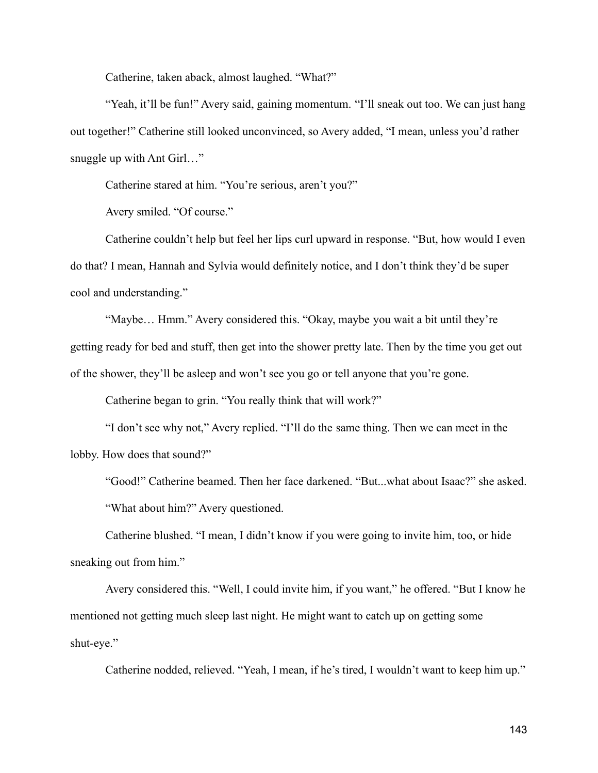Catherine, taken aback, almost laughed. "What?"

"Yeah, it'll be fun!" Avery said, gaining momentum. "I'll sneak out too. We can just hang out together!" Catherine still looked unconvinced, so Avery added, "I mean, unless you'd rather snuggle up with Ant Girl..."

Catherine stared at him. "You're serious, aren't you?"

Avery smiled. "Of course."

Catherine couldn't help but feel her lips curl upward in response. "But, how would I even do that? I mean, Hannah and Sylvia would definitely notice, and I don't think they'd be super cool and understanding."

"Maybe… Hmm." Avery considered this. "Okay, maybe you wait a bit until they're getting ready for bed and stuff, then get into the shower pretty late. Then by the time you get out of the shower, they'll be asleep and won't see you go or tell anyone that you're gone.

Catherine began to grin. "You really think that will work?"

"I don't see why not," Avery replied. "I'll do the same thing. Then we can meet in the lobby. How does that sound?"

"Good!" Catherine beamed. Then her face darkened. "But...what about Isaac?" she asked. "What about him?" Avery questioned.

Catherine blushed. "I mean, I didn't know if you were going to invite him, too, or hide sneaking out from him."

Avery considered this. "Well, I could invite him, if you want," he offered. "But I know he mentioned not getting much sleep last night. He might want to catch up on getting some shut-eye."

Catherine nodded, relieved. "Yeah, I mean, if he's tired, I wouldn't want to keep him up."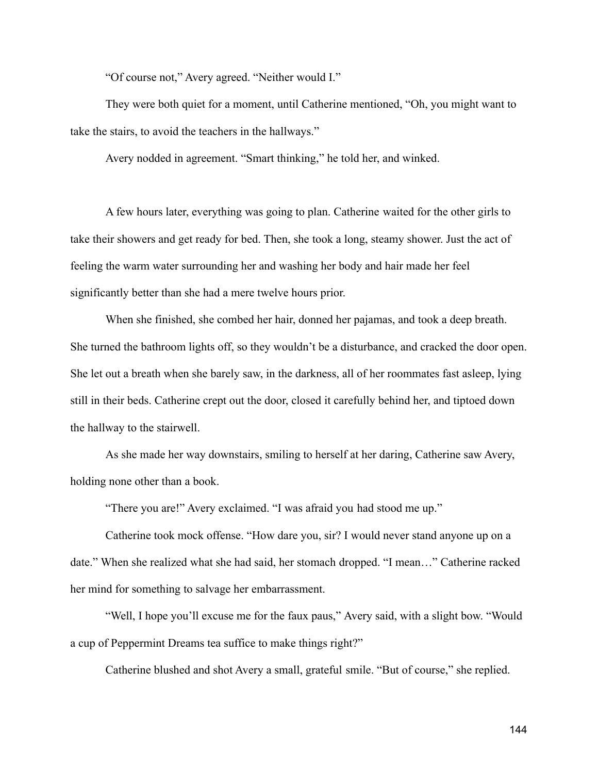"Of course not," Avery agreed. "Neither would I."

They were both quiet for a moment, until Catherine mentioned, "Oh, you might want to take the stairs, to avoid the teachers in the hallways."

Avery nodded in agreement. "Smart thinking," he told her, and winked.

A few hours later, everything was going to plan. Catherine waited for the other girls to take their showers and get ready for bed. Then, she took a long, steamy shower. Just the act of feeling the warm water surrounding her and washing her body and hair made her feel significantly better than she had a mere twelve hours prior.

When she finished, she combed her hair, donned her pajamas, and took a deep breath. She turned the bathroom lights off, so they wouldn't be a disturbance, and cracked the door open. She let out a breath when she barely saw, in the darkness, all of her roommates fast asleep, lying still in their beds. Catherine crept out the door, closed it carefully behind her, and tiptoed down the hallway to the stairwell.

As she made her way downstairs, smiling to herself at her daring, Catherine saw Avery, holding none other than a book.

"There you are!" Avery exclaimed. "I was afraid you had stood me up."

Catherine took mock offense. "How dare you, sir? I would never stand anyone up on a date." When she realized what she had said, her stomach dropped. "I mean…" Catherine racked her mind for something to salvage her embarrassment.

"Well, I hope you'll excuse me for the faux paus," Avery said, with a slight bow. "Would a cup of Peppermint Dreams tea suffice to make things right?"

Catherine blushed and shot Avery a small, grateful smile. "But of course," she replied.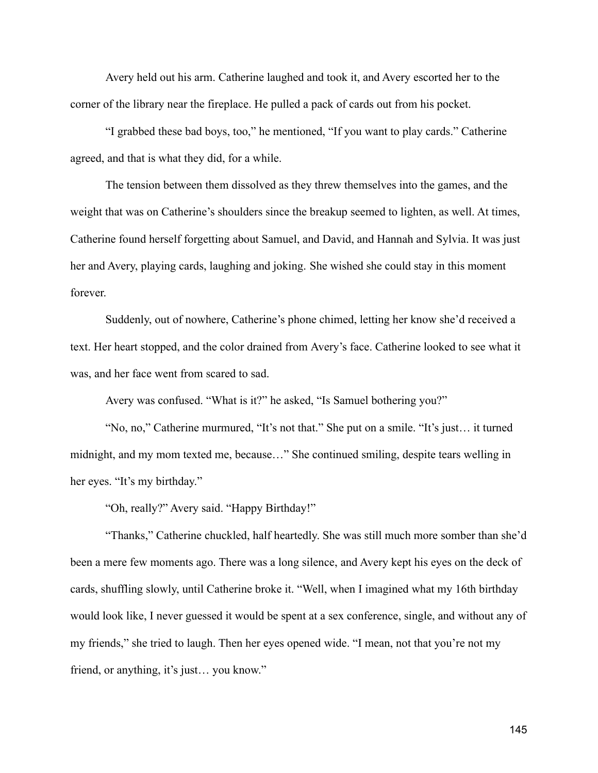Avery held out his arm. Catherine laughed and took it, and Avery escorted her to the corner of the library near the fireplace. He pulled a pack of cards out from his pocket.

"I grabbed these bad boys, too," he mentioned, "If you want to play cards." Catherine agreed, and that is what they did, for a while.

The tension between them dissolved as they threw themselves into the games, and the weight that was on Catherine's shoulders since the breakup seemed to lighten, as well. At times, Catherine found herself forgetting about Samuel, and David, and Hannah and Sylvia. It was just her and Avery, playing cards, laughing and joking. She wished she could stay in this moment forever.

Suddenly, out of nowhere, Catherine's phone chimed, letting her know she'd received a text. Her heart stopped, and the color drained from Avery's face. Catherine looked to see what it was, and her face went from scared to sad.

Avery was confused. "What is it?" he asked, "Is Samuel bothering you?"

"No, no," Catherine murmured, "It's not that." She put on a smile. "It's just… it turned midnight, and my mom texted me, because…" She continued smiling, despite tears welling in her eyes. "It's my birthday."

"Oh, really?" Avery said. "Happy Birthday!"

"Thanks," Catherine chuckled, half heartedly. She was still much more somber than she'd been a mere few moments ago. There was a long silence, and Avery kept his eyes on the deck of cards, shuffling slowly, until Catherine broke it. "Well, when I imagined what my 16th birthday would look like, I never guessed it would be spent at a sex conference, single, and without any of my friends," she tried to laugh. Then her eyes opened wide. "I mean, not that you're not my friend, or anything, it's just… you know."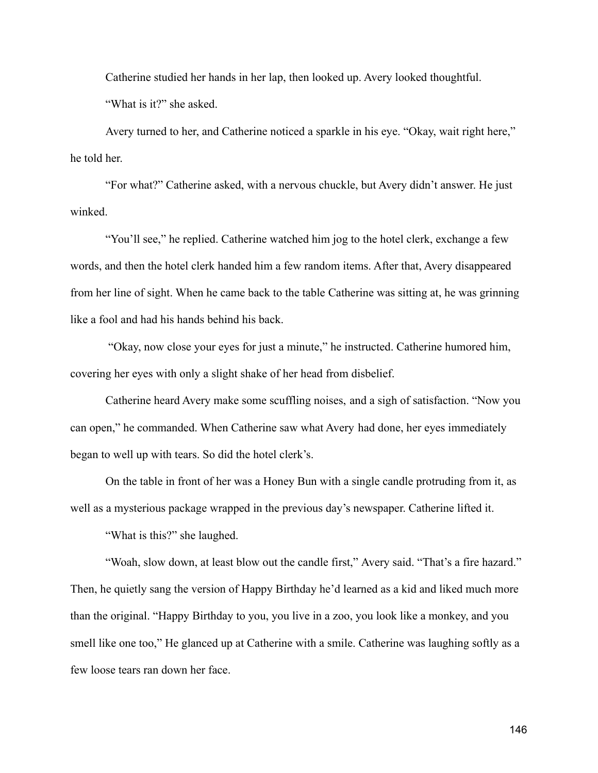Catherine studied her hands in her lap, then looked up. Avery looked thoughtful. "What is it?" she asked.

Avery turned to her, and Catherine noticed a sparkle in his eye. "Okay, wait right here," he told her.

"For what?" Catherine asked, with a nervous chuckle, but Avery didn't answer. He just winked.

"You'll see," he replied. Catherine watched him jog to the hotel clerk, exchange a few words, and then the hotel clerk handed him a few random items. After that, Avery disappeared from her line of sight. When he came back to the table Catherine was sitting at, he was grinning like a fool and had his hands behind his back.

"Okay, now close your eyes for just a minute," he instructed. Catherine humored him, covering her eyes with only a slight shake of her head from disbelief.

Catherine heard Avery make some scuffling noises, and a sigh of satisfaction. "Now you can open," he commanded. When Catherine saw what Avery had done, her eyes immediately began to well up with tears. So did the hotel clerk's.

On the table in front of her was a Honey Bun with a single candle protruding from it, as well as a mysterious package wrapped in the previous day's newspaper. Catherine lifted it.

"What is this?" she laughed.

"Woah, slow down, at least blow out the candle first," Avery said. "That's a fire hazard." Then, he quietly sang the version of Happy Birthday he'd learned as a kid and liked much more than the original. "Happy Birthday to you, you live in a zoo, you look like a monkey, and you smell like one too," He glanced up at Catherine with a smile. Catherine was laughing softly as a few loose tears ran down her face.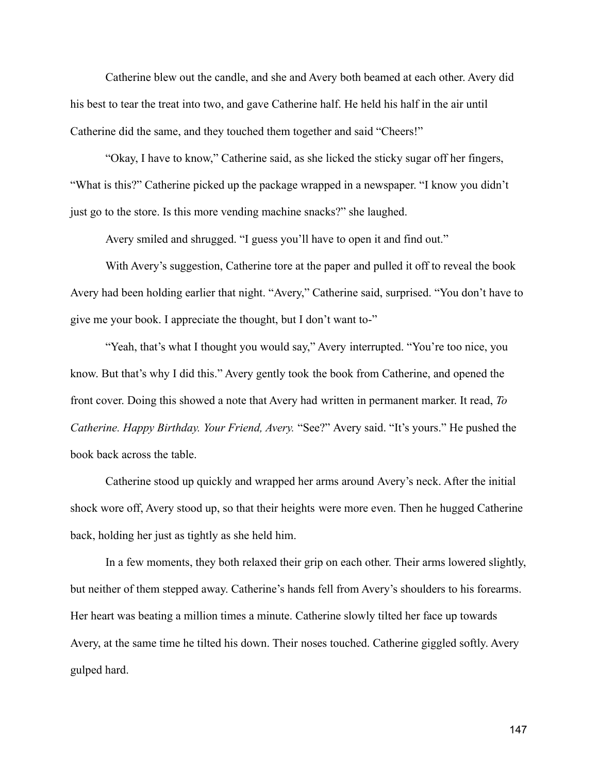Catherine blew out the candle, and she and Avery both beamed at each other. Avery did his best to tear the treat into two, and gave Catherine half. He held his half in the air until Catherine did the same, and they touched them together and said "Cheers!"

"Okay, I have to know," Catherine said, as she licked the sticky sugar off her fingers, "What is this?" Catherine picked up the package wrapped in a newspaper. "I know you didn't just go to the store. Is this more vending machine snacks?" she laughed.

Avery smiled and shrugged. "I guess you'll have to open it and find out."

With Avery's suggestion, Catherine tore at the paper and pulled it off to reveal the book Avery had been holding earlier that night. "Avery," Catherine said, surprised. "You don't have to give me your book. I appreciate the thought, but I don't want to-"

"Yeah, that's what I thought you would say," Avery interrupted. "You're too nice, you know. But that's why I did this." Avery gently took the book from Catherine, and opened the front cover. Doing this showed a note that Avery had written in permanent marker. It read, *To Catherine. Happy Birthday. Your Friend, Avery.* "See?" Avery said. "It's yours." He pushed the book back across the table.

Catherine stood up quickly and wrapped her arms around Avery's neck. After the initial shock wore off, Avery stood up, so that their heights were more even. Then he hugged Catherine back, holding her just as tightly as she held him.

In a few moments, they both relaxed their grip on each other. Their arms lowered slightly, but neither of them stepped away. Catherine's hands fell from Avery's shoulders to his forearms. Her heart was beating a million times a minute. Catherine slowly tilted her face up towards Avery, at the same time he tilted his down. Their noses touched. Catherine giggled softly. Avery gulped hard.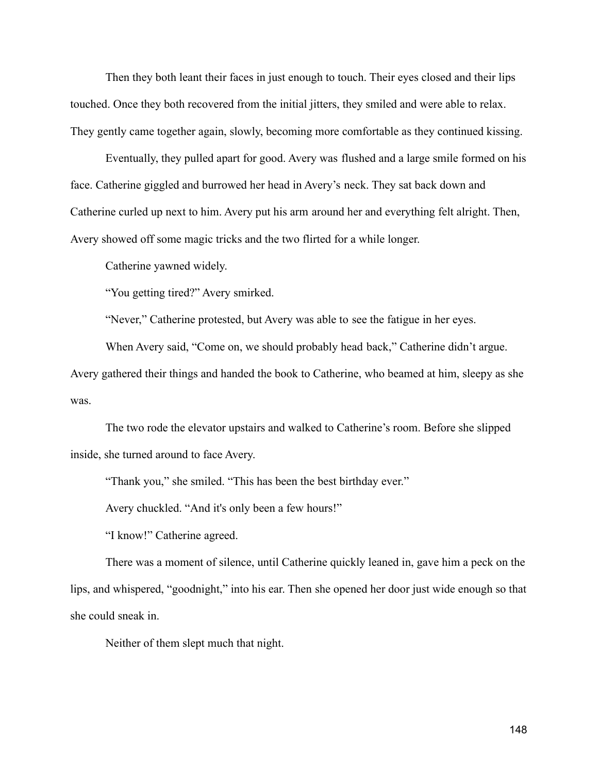Then they both leant their faces in just enough to touch. Their eyes closed and their lips touched. Once they both recovered from the initial jitters, they smiled and were able to relax. They gently came together again, slowly, becoming more comfortable as they continued kissing.

Eventually, they pulled apart for good. Avery was flushed and a large smile formed on his face. Catherine giggled and burrowed her head in Avery's neck. They sat back down and Catherine curled up next to him. Avery put his arm around her and everything felt alright. Then, Avery showed off some magic tricks and the two flirted for a while longer.

Catherine yawned widely.

"You getting tired?" Avery smirked.

"Never," Catherine protested, but Avery was able to see the fatigue in her eyes.

When Avery said, "Come on, we should probably head back," Catherine didn't argue.

Avery gathered their things and handed the book to Catherine, who beamed at him, sleepy as she was.

The two rode the elevator upstairs and walked to Catherine's room. Before she slipped inside, she turned around to face Avery.

"Thank you," she smiled. "This has been the best birthday ever."

Avery chuckled. "And it's only been a few hours!"

"I know!" Catherine agreed.

There was a moment of silence, until Catherine quickly leaned in, gave him a peck on the lips, and whispered, "goodnight," into his ear. Then she opened her door just wide enough so that she could sneak in.

Neither of them slept much that night.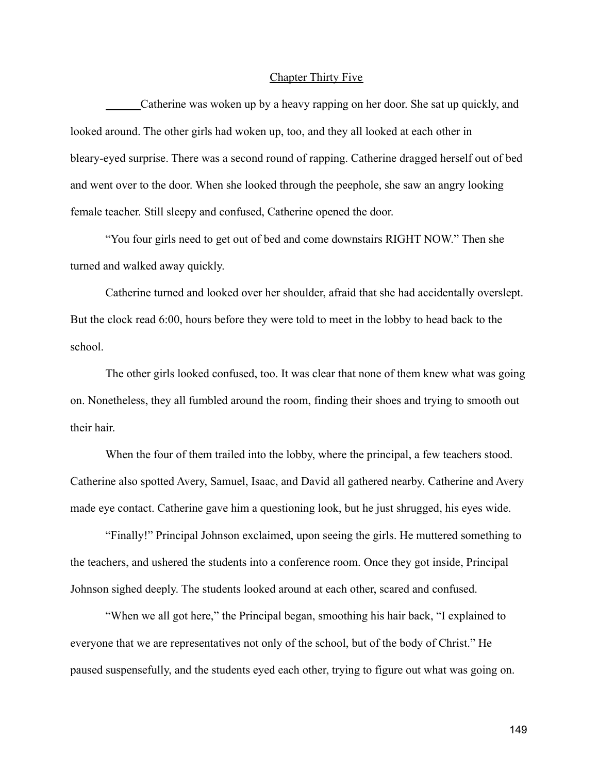## Chapter Thirty Five

Catherine was woken up by a heavy rapping on her door. She sat up quickly, and looked around. The other girls had woken up, too, and they all looked at each other in bleary-eyed surprise. There was a second round of rapping. Catherine dragged herself out of bed and went over to the door. When she looked through the peephole, she saw an angry looking female teacher. Still sleepy and confused, Catherine opened the door.

"You four girls need to get out of bed and come downstairs RIGHT NOW." Then she turned and walked away quickly.

Catherine turned and looked over her shoulder, afraid that she had accidentally overslept. But the clock read 6:00, hours before they were told to meet in the lobby to head back to the school.

The other girls looked confused, too. It was clear that none of them knew what was going on. Nonetheless, they all fumbled around the room, finding their shoes and trying to smooth out their hair.

When the four of them trailed into the lobby, where the principal, a few teachers stood. Catherine also spotted Avery, Samuel, Isaac, and David all gathered nearby. Catherine and Avery made eye contact. Catherine gave him a questioning look, but he just shrugged, his eyes wide.

"Finally!" Principal Johnson exclaimed, upon seeing the girls. He muttered something to the teachers, and ushered the students into a conference room. Once they got inside, Principal Johnson sighed deeply. The students looked around at each other, scared and confused.

"When we all got here," the Principal began, smoothing his hair back, "I explained to everyone that we are representatives not only of the school, but of the body of Christ." He paused suspensefully, and the students eyed each other, trying to figure out what was going on.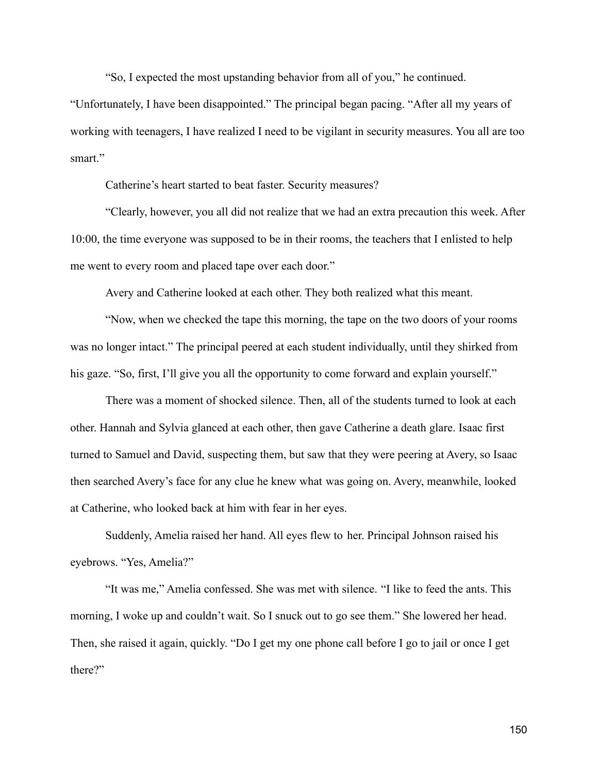"So, I expected the most upstanding behavior from all of you," he continued.

"Unfortunately, I have been disappointed." The principal began pacing. "After all my years of working with teenagers, I have realized I need to be vigilant in security measures. You all are too smart<sup>"</sup>

Catherine's heart started to beat faster. Security measures?

"Clearly, however, you all did not realize that we had an extra precaution this week. After 10:00, the time everyone was supposed to be in their rooms, the teachers that I enlisted to help me went to every room and placed tape over each door."

Avery and Catherine looked at each other. They both realized what this meant.

"Now, when we checked the tape this morning, the tape on the two doors of your rooms was no longer intact." The principal peered at each student individually, until they shirked from his gaze. "So, first, I'll give you all the opportunity to come forward and explain yourself."

There was a moment of shocked silence. Then, all of the students turned to look at each other. Hannah and Sylvia glanced at each other, then gave Catherine a death glare. Isaac first turned to Samuel and David, suspecting them, but saw that they were peering at Avery, so Isaac then searched Avery's face for any clue he knew what was going on. Avery, meanwhile, looked at Catherine, who looked back at him with fear in her eyes.

Suddenly, Amelia raised her hand. All eyes flew to her. Principal Johnson raised his eyebrows. "Yes, Amelia?"

"It was me," Amelia confessed. She was met with silence. "I like to feed the ants. This morning, I woke up and couldn't wait. So I snuck out to go see them." She lowered her head. Then, she raised it again, quickly. "Do I get my one phone call before I go to jail or once I get there?"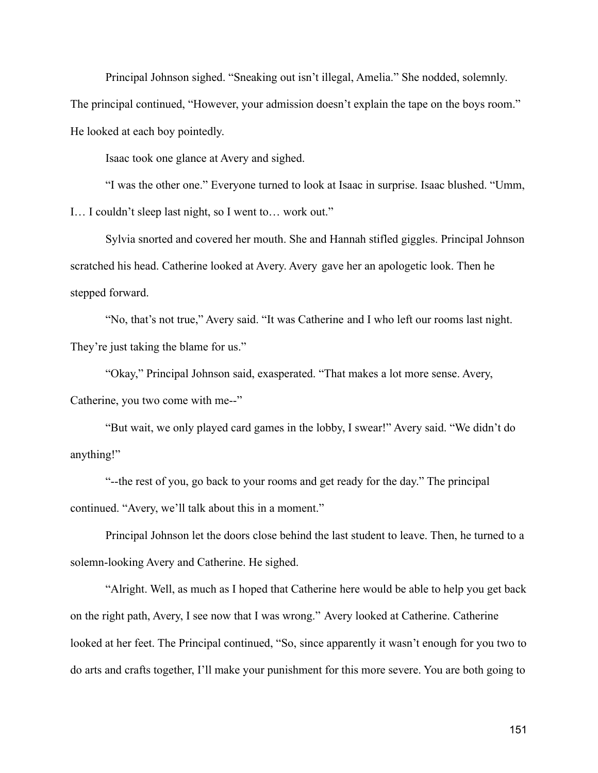Principal Johnson sighed. "Sneaking out isn't illegal, Amelia." She nodded, solemnly.

The principal continued, "However, your admission doesn't explain the tape on the boys room."

He looked at each boy pointedly.

Isaac took one glance at Avery and sighed.

"I was the other one." Everyone turned to look at Isaac in surprise. Isaac blushed. "Umm, I… I couldn't sleep last night, so I went to… work out."

Sylvia snorted and covered her mouth. She and Hannah stifled giggles. Principal Johnson scratched his head. Catherine looked at Avery. Avery gave her an apologetic look. Then he stepped forward.

"No, that's not true," Avery said. "It was Catherine and I who left our rooms last night. They're just taking the blame for us."

"Okay," Principal Johnson said, exasperated. "That makes a lot more sense. Avery, Catherine, you two come with me--"

"But wait, we only played card games in the lobby, I swear!" Avery said. "We didn't do anything!"

"--the rest of you, go back to your rooms and get ready for the day." The principal continued. "Avery, we'll talk about this in a moment."

Principal Johnson let the doors close behind the last student to leave. Then, he turned to a solemn-looking Avery and Catherine. He sighed.

"Alright. Well, as much as I hoped that Catherine here would be able to help you get back on the right path, Avery, I see now that I was wrong." Avery looked at Catherine. Catherine looked at her feet. The Principal continued, "So, since apparently it wasn't enough for you two to do arts and crafts together, I'll make your punishment for this more severe. You are both going to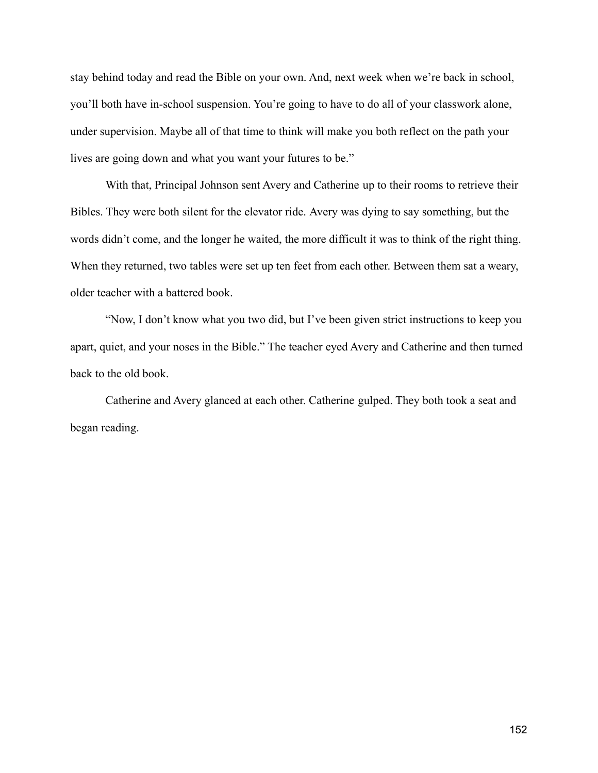stay behind today and read the Bible on your own. And, next week when we're back in school, you'll both have in-school suspension. You're going to have to do all of your classwork alone, under supervision. Maybe all of that time to think will make you both reflect on the path your lives are going down and what you want your futures to be."

With that, Principal Johnson sent Avery and Catherine up to their rooms to retrieve their Bibles. They were both silent for the elevator ride. Avery was dying to say something, but the words didn't come, and the longer he waited, the more difficult it was to think of the right thing. When they returned, two tables were set up ten feet from each other. Between them sat a weary, older teacher with a battered book.

"Now, I don't know what you two did, but I've been given strict instructions to keep you apart, quiet, and your noses in the Bible." The teacher eyed Avery and Catherine and then turned back to the old book.

Catherine and Avery glanced at each other. Catherine gulped. They both took a seat and began reading.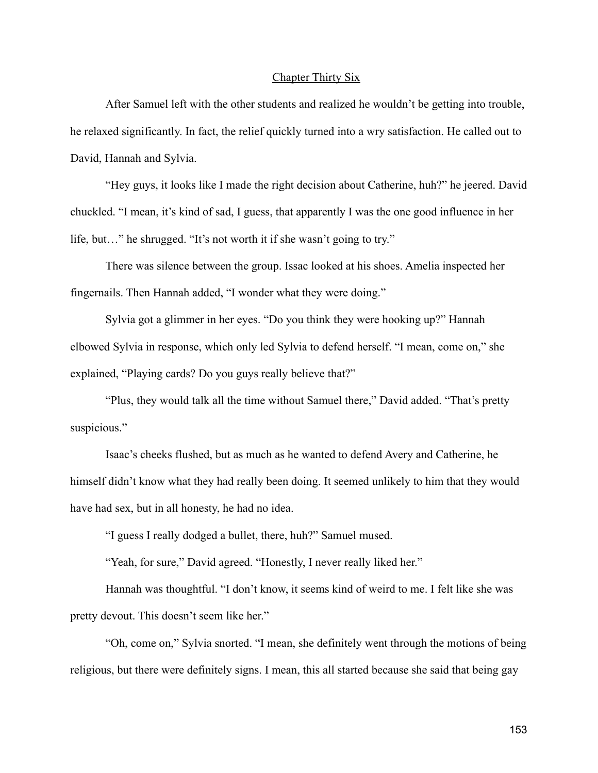## Chapter Thirty Six

After Samuel left with the other students and realized he wouldn't be getting into trouble, he relaxed significantly. In fact, the relief quickly turned into a wry satisfaction. He called out to David, Hannah and Sylvia.

"Hey guys, it looks like I made the right decision about Catherine, huh?" he jeered. David chuckled. "I mean, it's kind of sad, I guess, that apparently I was the one good influence in her life, but…" he shrugged. "It's not worth it if she wasn't going to try."

There was silence between the group. Issac looked at his shoes. Amelia inspected her fingernails. Then Hannah added, "I wonder what they were doing."

Sylvia got a glimmer in her eyes. "Do you think they were hooking up?" Hannah elbowed Sylvia in response, which only led Sylvia to defend herself. "I mean, come on," she explained, "Playing cards? Do you guys really believe that?"

"Plus, they would talk all the time without Samuel there," David added. "That's pretty suspicious."

Isaac's cheeks flushed, but as much as he wanted to defend Avery and Catherine, he himself didn't know what they had really been doing. It seemed unlikely to him that they would have had sex, but in all honesty, he had no idea.

"I guess I really dodged a bullet, there, huh?" Samuel mused.

"Yeah, for sure," David agreed. "Honestly, I never really liked her."

Hannah was thoughtful. "I don't know, it seems kind of weird to me. I felt like she was pretty devout. This doesn't seem like her."

"Oh, come on," Sylvia snorted. "I mean, she definitely went through the motions of being religious, but there were definitely signs. I mean, this all started because she said that being gay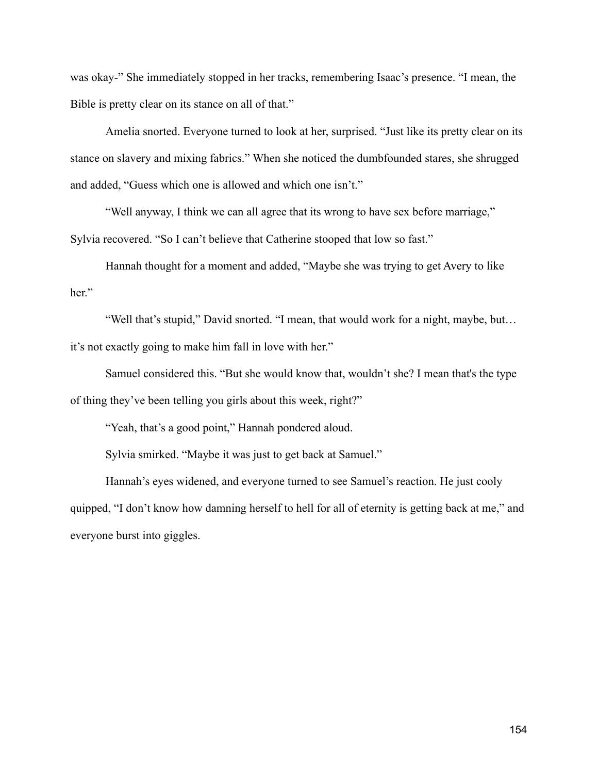was okay-" She immediately stopped in her tracks, remembering Isaac's presence. "I mean, the Bible is pretty clear on its stance on all of that."

Amelia snorted. Everyone turned to look at her, surprised. "Just like its pretty clear on its stance on slavery and mixing fabrics." When she noticed the dumbfounded stares, she shrugged and added, "Guess which one is allowed and which one isn't."

"Well anyway, I think we can all agree that its wrong to have sex before marriage," Sylvia recovered. "So I can't believe that Catherine stooped that low so fast."

Hannah thought for a moment and added, "Maybe she was trying to get Avery to like her."

"Well that's stupid," David snorted. "I mean, that would work for a night, maybe, but… it's not exactly going to make him fall in love with her."

Samuel considered this. "But she would know that, wouldn't she? I mean that's the type of thing they've been telling you girls about this week, right?"

"Yeah, that's a good point," Hannah pondered aloud.

Sylvia smirked. "Maybe it was just to get back at Samuel."

Hannah's eyes widened, and everyone turned to see Samuel's reaction. He just cooly quipped, "I don't know how damning herself to hell for all of eternity is getting back at me," and everyone burst into giggles.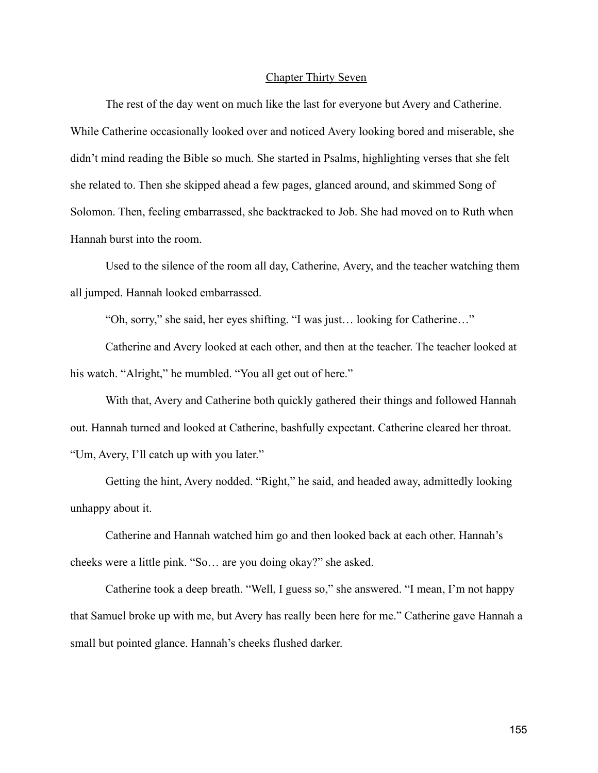## Chapter Thirty Seven

The rest of the day went on much like the last for everyone but Avery and Catherine. While Catherine occasionally looked over and noticed Avery looking bored and miserable, she didn't mind reading the Bible so much. She started in Psalms, highlighting verses that she felt she related to. Then she skipped ahead a few pages, glanced around, and skimmed Song of Solomon. Then, feeling embarrassed, she backtracked to Job. She had moved on to Ruth when Hannah burst into the room.

Used to the silence of the room all day, Catherine, Avery, and the teacher watching them all jumped. Hannah looked embarrassed.

"Oh, sorry," she said, her eyes shifting. "I was just… looking for Catherine…"

Catherine and Avery looked at each other, and then at the teacher. The teacher looked at his watch. "Alright," he mumbled. "You all get out of here."

With that, Avery and Catherine both quickly gathered their things and followed Hannah out. Hannah turned and looked at Catherine, bashfully expectant. Catherine cleared her throat. "Um, Avery, I'll catch up with you later."

Getting the hint, Avery nodded. "Right," he said, and headed away, admittedly looking unhappy about it.

Catherine and Hannah watched him go and then looked back at each other. Hannah's cheeks were a little pink. "So… are you doing okay?" she asked.

Catherine took a deep breath. "Well, I guess so," she answered. "I mean, I'm not happy that Samuel broke up with me, but Avery has really been here for me." Catherine gave Hannah a small but pointed glance. Hannah's cheeks flushed darker.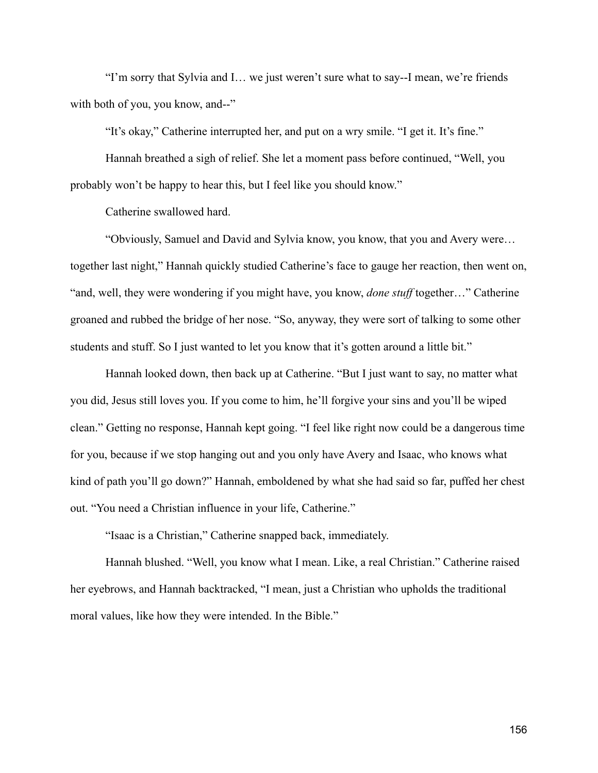"I'm sorry that Sylvia and I… we just weren't sure what to say--I mean, we're friends with both of you, you know, and--"

"It's okay," Catherine interrupted her, and put on a wry smile. "I get it. It's fine."

Hannah breathed a sigh of relief. She let a moment pass before continued, "Well, you probably won't be happy to hear this, but I feel like you should know."

Catherine swallowed hard.

"Obviously, Samuel and David and Sylvia know, you know, that you and Avery were… together last night," Hannah quickly studied Catherine's face to gauge her reaction, then went on, "and, well, they were wondering if you might have, you know, *done stuff* together…" Catherine groaned and rubbed the bridge of her nose. "So, anyway, they were sort of talking to some other students and stuff. So I just wanted to let you know that it's gotten around a little bit."

Hannah looked down, then back up at Catherine. "But I just want to say, no matter what you did, Jesus still loves you. If you come to him, he'll forgive your sins and you'll be wiped clean." Getting no response, Hannah kept going. "I feel like right now could be a dangerous time for you, because if we stop hanging out and you only have Avery and Isaac, who knows what kind of path you'll go down?" Hannah, emboldened by what she had said so far, puffed her chest out. "You need a Christian influence in your life, Catherine."

"Isaac is a Christian," Catherine snapped back, immediately.

Hannah blushed. "Well, you know what I mean. Like, a real Christian." Catherine raised her eyebrows, and Hannah backtracked, "I mean, just a Christian who upholds the traditional moral values, like how they were intended. In the Bible."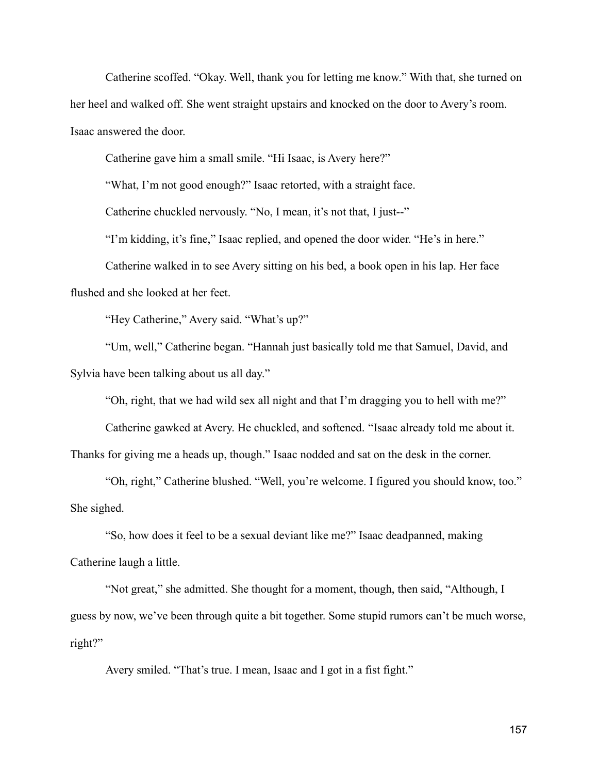Catherine scoffed. "Okay. Well, thank you for letting me know." With that, she turned on her heel and walked off. She went straight upstairs and knocked on the door to Avery's room. Isaac answered the door.

Catherine gave him a small smile. "Hi Isaac, is Avery here?"

"What, I'm not good enough?" Isaac retorted, with a straight face.

Catherine chuckled nervously. "No, I mean, it's not that, I just--"

"I'm kidding, it's fine," Isaac replied, and opened the door wider. "He's in here."

Catherine walked in to see Avery sitting on his bed, a book open in his lap. Her face flushed and she looked at her feet.

"Hey Catherine," Avery said. "What's up?"

"Um, well," Catherine began. "Hannah just basically told me that Samuel, David, and Sylvia have been talking about us all day."

"Oh, right, that we had wild sex all night and that I'm dragging you to hell with me?"

Catherine gawked at Avery. He chuckled, and softened. "Isaac already told me about it.

Thanks for giving me a heads up, though." Isaac nodded and sat on the desk in the corner.

"Oh, right," Catherine blushed. "Well, you're welcome. I figured you should know, too." She sighed.

"So, how does it feel to be a sexual deviant like me?" Isaac deadpanned, making Catherine laugh a little.

"Not great," she admitted. She thought for a moment, though, then said, "Although, I guess by now, we've been through quite a bit together. Some stupid rumors can't be much worse, right?"

Avery smiled. "That's true. I mean, Isaac and I got in a fist fight."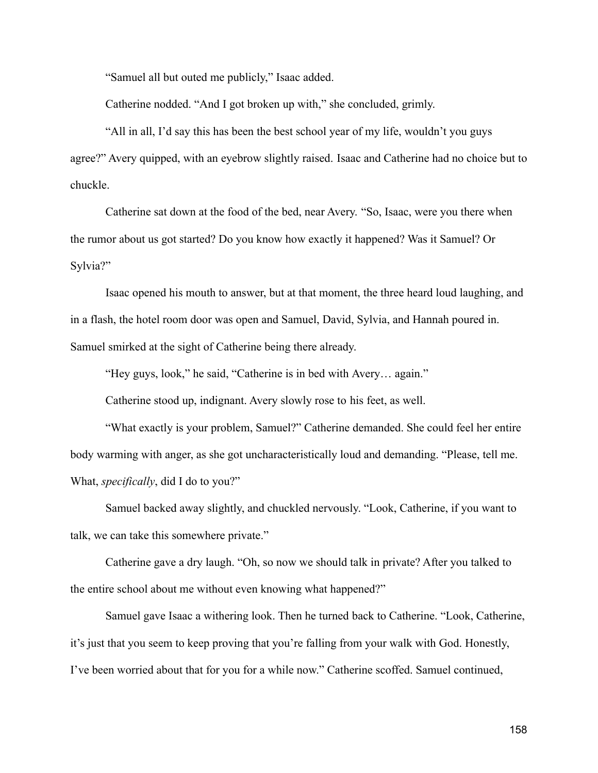"Samuel all but outed me publicly," Isaac added.

Catherine nodded. "And I got broken up with," she concluded, grimly.

"All in all, I'd say this has been the best school year of my life, wouldn't you guys agree?" Avery quipped, with an eyebrow slightly raised. Isaac and Catherine had no choice but to chuckle.

Catherine sat down at the food of the bed, near Avery. "So, Isaac, were you there when the rumor about us got started? Do you know how exactly it happened? Was it Samuel? Or Sylvia?"

Isaac opened his mouth to answer, but at that moment, the three heard loud laughing, and in a flash, the hotel room door was open and Samuel, David, Sylvia, and Hannah poured in. Samuel smirked at the sight of Catherine being there already.

"Hey guys, look," he said, "Catherine is in bed with Avery… again."

Catherine stood up, indignant. Avery slowly rose to his feet, as well.

"What exactly is your problem, Samuel?" Catherine demanded. She could feel her entire body warming with anger, as she got uncharacteristically loud and demanding. "Please, tell me. What, *specifically*, did I do to you?"

Samuel backed away slightly, and chuckled nervously. "Look, Catherine, if you want to talk, we can take this somewhere private."

Catherine gave a dry laugh. "Oh, so now we should talk in private? After you talked to the entire school about me without even knowing what happened?"

Samuel gave Isaac a withering look. Then he turned back to Catherine. "Look, Catherine, it's just that you seem to keep proving that you're falling from your walk with God. Honestly, I've been worried about that for you for a while now." Catherine scoffed. Samuel continued,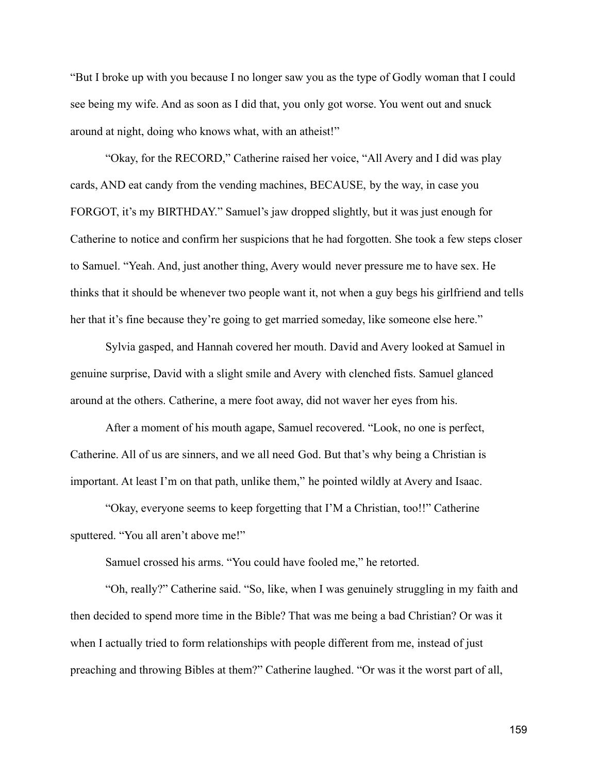"But I broke up with you because I no longer saw you as the type of Godly woman that I could see being my wife. And as soon as I did that, you only got worse. You went out and snuck around at night, doing who knows what, with an atheist!"

"Okay, for the RECORD," Catherine raised her voice, "All Avery and I did was play cards, AND eat candy from the vending machines, BECAUSE, by the way, in case you FORGOT, it's my BIRTHDAY." Samuel's jaw dropped slightly, but it was just enough for Catherine to notice and confirm her suspicions that he had forgotten. She took a few steps closer to Samuel. "Yeah. And, just another thing, Avery would never pressure me to have sex. He thinks that it should be whenever two people want it, not when a guy begs his girlfriend and tells her that it's fine because they're going to get married someday, like someone else here."

Sylvia gasped, and Hannah covered her mouth. David and Avery looked at Samuel in genuine surprise, David with a slight smile and Avery with clenched fists. Samuel glanced around at the others. Catherine, a mere foot away, did not waver her eyes from his.

After a moment of his mouth agape, Samuel recovered. "Look, no one is perfect, Catherine. All of us are sinners, and we all need God. But that's why being a Christian is important. At least I'm on that path, unlike them," he pointed wildly at Avery and Isaac.

"Okay, everyone seems to keep forgetting that I'M a Christian, too!!" Catherine sputtered. "You all aren't above me!"

Samuel crossed his arms. "You could have fooled me," he retorted.

"Oh, really?" Catherine said. "So, like, when I was genuinely struggling in my faith and then decided to spend more time in the Bible? That was me being a bad Christian? Or was it when I actually tried to form relationships with people different from me, instead of just preaching and throwing Bibles at them?" Catherine laughed. "Or was it the worst part of all,

159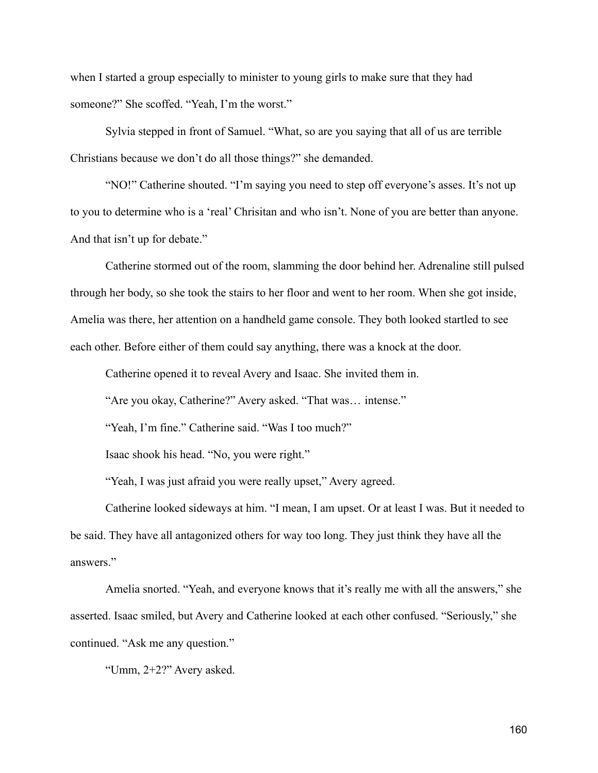when I started a group especially to minister to young girls to make sure that they had someone?" She scoffed. "Yeah, I'm the worst."

Sylvia stepped in front of Samuel. "What, so are you saying that all of us are terrible Christians because we don't do all those things?" she demanded.

"NO!" Catherine shouted. "I'm saying you need to step off everyone's asses. It's not up to you to determine who is a 'real' Chrisitan and who isn't. None of you are better than anyone. And that isn't up for debate."

Catherine stormed out of the room, slamming the door behind her. Adrenaline still pulsed through her body, so she took the stairs to her floor and went to her room. When she got inside, Amelia was there, her attention on a handheld game console. They both looked startled to see each other. Before either of them could say anything, there was a knock at the door.

Catherine opened it to reveal Avery and Isaac. She invited them in.

"Are you okay, Catherine?" Avery asked. "That was… intense."

"Yeah, I'm fine." Catherine said. "Was I too much?"

Isaac shook his head. "No, you were right."

"Yeah, I was just afraid you were really upset," Avery agreed.

Catherine looked sideways at him. "I mean, I am upset. Or at least I was. But it needed to be said. They have all antagonized others for way too long. They just think they have all the answers."

Amelia snorted. "Yeah, and everyone knows that it's really me with all the answers," she asserted. Isaac smiled, but Avery and Catherine looked at each other confused. "Seriously," she continued. "Ask me any question."

"Umm, 2+2?" Avery asked.

160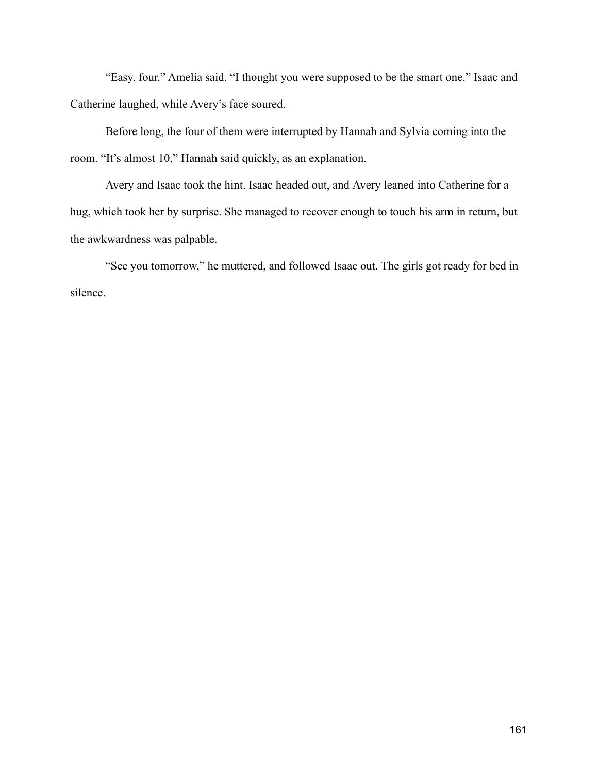"Easy. four." Amelia said. "I thought you were supposed to be the smart one." Isaac and Catherine laughed, while Avery's face soured.

Before long, the four of them were interrupted by Hannah and Sylvia coming into the room. "It's almost 10," Hannah said quickly, as an explanation.

Avery and Isaac took the hint. Isaac headed out, and Avery leaned into Catherine for a hug, which took her by surprise. She managed to recover enough to touch his arm in return, but the awkwardness was palpable.

"See you tomorrow," he muttered, and followed Isaac out. The girls got ready for bed in silence.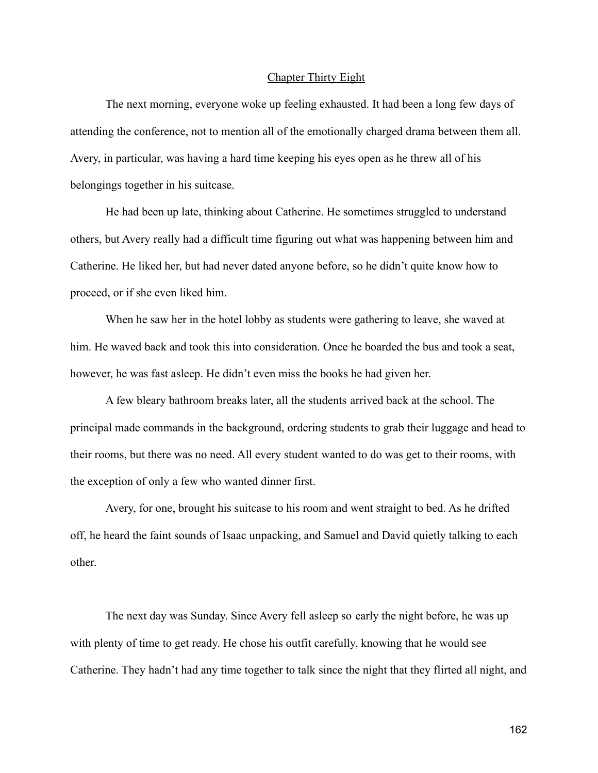## Chapter Thirty Eight

The next morning, everyone woke up feeling exhausted. It had been a long few days of attending the conference, not to mention all of the emotionally charged drama between them all. Avery, in particular, was having a hard time keeping his eyes open as he threw all of his belongings together in his suitcase.

He had been up late, thinking about Catherine. He sometimes struggled to understand others, but Avery really had a difficult time figuring out what was happening between him and Catherine. He liked her, but had never dated anyone before, so he didn't quite know how to proceed, or if she even liked him.

When he saw her in the hotel lobby as students were gathering to leave, she waved at him. He waved back and took this into consideration. Once he boarded the bus and took a seat, however, he was fast asleep. He didn't even miss the books he had given her.

A few bleary bathroom breaks later, all the students arrived back at the school. The principal made commands in the background, ordering students to grab their luggage and head to their rooms, but there was no need. All every student wanted to do was get to their rooms, with the exception of only a few who wanted dinner first.

Avery, for one, brought his suitcase to his room and went straight to bed. As he drifted off, he heard the faint sounds of Isaac unpacking, and Samuel and David quietly talking to each other.

The next day was Sunday. Since Avery fell asleep so early the night before, he was up with plenty of time to get ready. He chose his outfit carefully, knowing that he would see Catherine. They hadn't had any time together to talk since the night that they flirted all night, and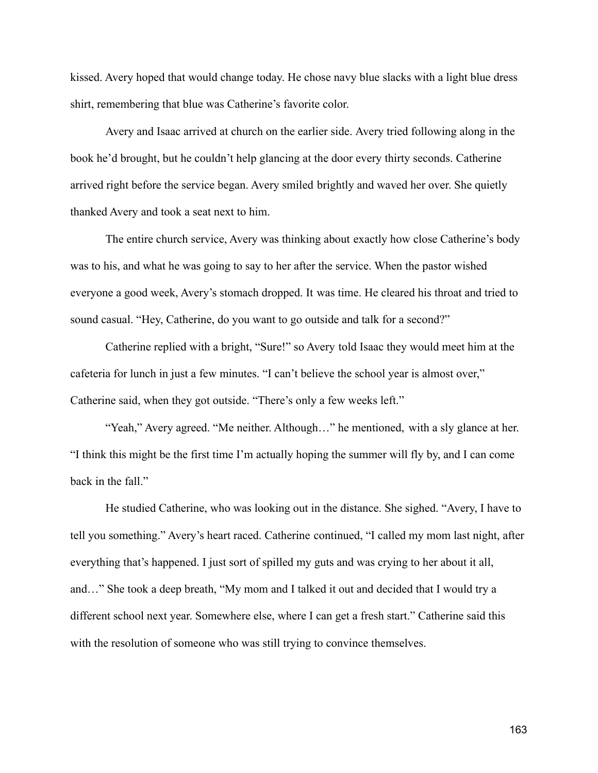kissed. Avery hoped that would change today. He chose navy blue slacks with a light blue dress shirt, remembering that blue was Catherine's favorite color.

Avery and Isaac arrived at church on the earlier side. Avery tried following along in the book he'd brought, but he couldn't help glancing at the door every thirty seconds. Catherine arrived right before the service began. Avery smiled brightly and waved her over. She quietly thanked Avery and took a seat next to him.

The entire church service, Avery was thinking about exactly how close Catherine's body was to his, and what he was going to say to her after the service. When the pastor wished everyone a good week, Avery's stomach dropped. It was time. He cleared his throat and tried to sound casual. "Hey, Catherine, do you want to go outside and talk for a second?"

Catherine replied with a bright, "Sure!" so Avery told Isaac they would meet him at the cafeteria for lunch in just a few minutes. "I can't believe the school year is almost over," Catherine said, when they got outside. "There's only a few weeks left."

"Yeah," Avery agreed. "Me neither. Although…" he mentioned, with a sly glance at her. "I think this might be the first time I'm actually hoping the summer will fly by, and I can come back in the fall."

He studied Catherine, who was looking out in the distance. She sighed. "Avery, I have to tell you something." Avery's heart raced. Catherine continued, "I called my mom last night, after everything that's happened. I just sort of spilled my guts and was crying to her about it all, and…" She took a deep breath, "My mom and I talked it out and decided that I would try a different school next year. Somewhere else, where I can get a fresh start." Catherine said this with the resolution of someone who was still trying to convince themselves.